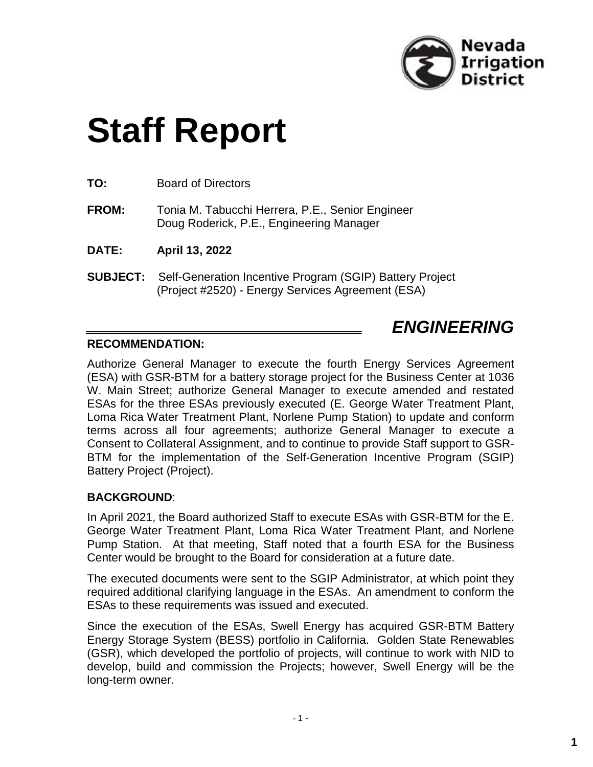

# **Staff Report**

**TO:** Board of Directors

**FROM:** Tonia M. Tabucchi Herrera, P.E., Senior Engineer Doug Roderick, P.E., Engineering Manager

**DATE: April 13, 2022**

**SUBJECT:** Self-Generation Incentive Program (SGIP) Battery Project (Project #2520) - Energy Services Agreement (ESA)

## *ENGINEERING*

## **RECOMMENDATION:**

Authorize General Manager to execute the fourth Energy Services Agreement (ESA) with GSR-BTM for a battery storage project for the Business Center at 1036 W. Main Street; authorize General Manager to execute amended and restated ESAs for the three ESAs previously executed (E. George Water Treatment Plant, Loma Rica Water Treatment Plant, Norlene Pump Station) to update and conform terms across all four agreements; authorize General Manager to execute a Consent to Collateral Assignment, and to continue to provide Staff support to GSR-BTM for the implementation of the Self-Generation Incentive Program (SGIP) Battery Project (Project).

## **BACKGROUND**:

In April 2021, the Board authorized Staff to execute ESAs with GSR-BTM for the E. George Water Treatment Plant, Loma Rica Water Treatment Plant, and Norlene Pump Station. At that meeting, Staff noted that a fourth ESA for the Business Center would be brought to the Board for consideration at a future date.

The executed documents were sent to the SGIP Administrator, at which point they required additional clarifying language in the ESAs. An amendment to conform the ESAs to these requirements was issued and executed.

Since the execution of the ESAs, Swell Energy has acquired GSR-BTM Battery Energy Storage System (BESS) portfolio in California. Golden State Renewables (GSR), which developed the portfolio of projects, will continue to work with NID to develop, build and commission the Projects; however, Swell Energy will be the long-term owner.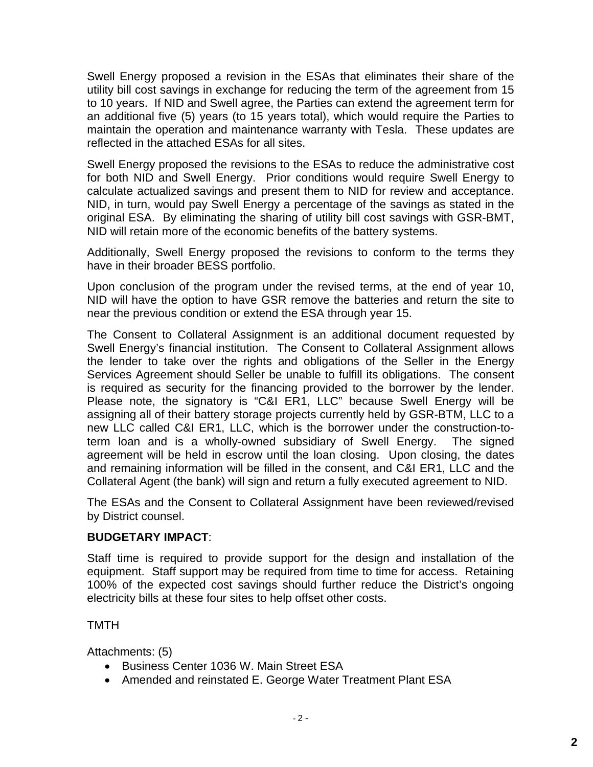Swell Energy proposed a revision in the ESAs that eliminates their share of the utility bill cost savings in exchange for reducing the term of the agreement from 15 to 10 years. If NID and Swell agree, the Parties can extend the agreement term for an additional five (5) years (to 15 years total), which would require the Parties to maintain the operation and maintenance warranty with Tesla. These updates are reflected in the attached ESAs for all sites.

Swell Energy proposed the revisions to the ESAs to reduce the administrative cost for both NID and Swell Energy. Prior conditions would require Swell Energy to calculate actualized savings and present them to NID for review and acceptance. NID, in turn, would pay Swell Energy a percentage of the savings as stated in the original ESA. By eliminating the sharing of utility bill cost savings with GSR-BMT, NID will retain more of the economic benefits of the battery systems.

Additionally, Swell Energy proposed the revisions to conform to the terms they have in their broader BESS portfolio.

Upon conclusion of the program under the revised terms, at the end of year 10, NID will have the option to have GSR remove the batteries and return the site to near the previous condition or extend the ESA through year 15.

The Consent to Collateral Assignment is an additional document requested by Swell Energy's financial institution. The Consent to Collateral Assignment allows the lender to take over the rights and obligations of the Seller in the Energy Services Agreement should Seller be unable to fulfill its obligations. The consent is required as security for the financing provided to the borrower by the lender. Please note, the signatory is "C&I ER1, LLC" because Swell Energy will be assigning all of their battery storage projects currently held by GSR-BTM, LLC to a new LLC called C&I ER1, LLC, which is the borrower under the construction-toterm loan and is a wholly-owned subsidiary of Swell Energy. The signed agreement will be held in escrow until the loan closing. Upon closing, the dates and remaining information will be filled in the consent, and C&I ER1, LLC and the Collateral Agent (the bank) will sign and return a fully executed agreement to NID.

The ESAs and the Consent to Collateral Assignment have been reviewed/revised by District counsel.

## **BUDGETARY IMPACT**:

Staff time is required to provide support for the design and installation of the equipment. Staff support may be required from time to time for access. Retaining 100% of the expected cost savings should further reduce the District's ongoing electricity bills at these four sites to help offset other costs.

## TMTH

Attachments: (5)

- Business Center 1036 W. Main Street ESA
- Amended and reinstated E. George Water Treatment Plant ESA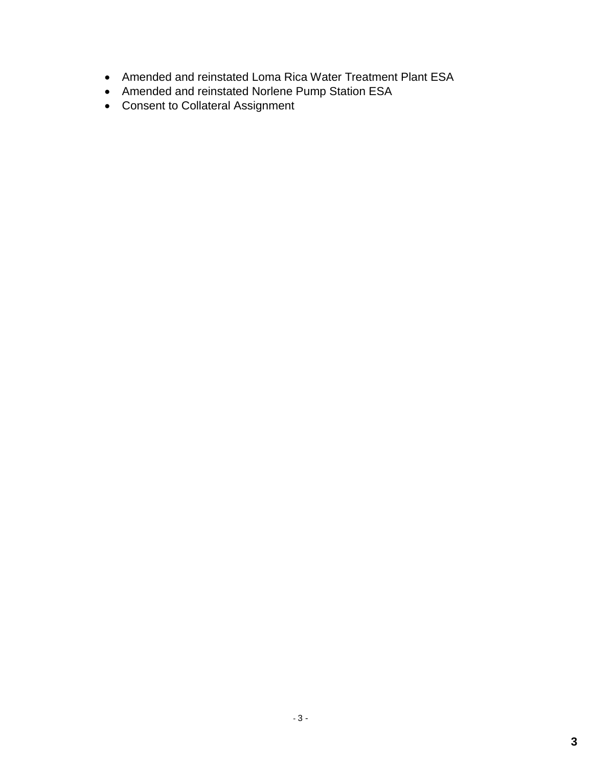- Amended and reinstated Loma Rica Water Treatment Plant ESA
- Amended and reinstated Norlene Pump Station ESA
- Consent to Collateral Assignment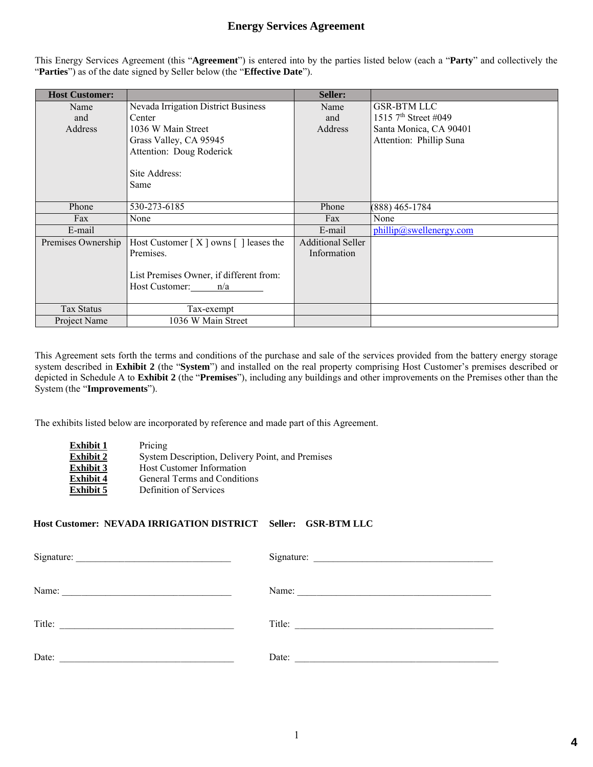## **Energy Services Agreement**

This Energy Services Agreement (this "**Agreement**") is entered into by the parties listed below (each a "**Party**" and collectively the "**Parties**") as of the date signed by Seller below (the "**Effective Date**").

| <b>Host Customer:</b> |                                            | Seller:                  |                                  |
|-----------------------|--------------------------------------------|--------------------------|----------------------------------|
| Name                  | <b>Nevada Irrigation District Business</b> | Name                     | <b>GSR-BTM LLC</b>               |
| and                   | Center                                     | and                      | 1515 7 <sup>th</sup> Street #049 |
| Address               | 1036 W Main Street                         | Address                  | Santa Monica, CA 90401           |
|                       | Grass Valley, CA 95945                     |                          | Attention: Phillip Suna          |
|                       | Attention: Doug Roderick                   |                          |                                  |
|                       |                                            |                          |                                  |
|                       | Site Address:                              |                          |                                  |
|                       | Same                                       |                          |                                  |
|                       |                                            |                          |                                  |
| Phone                 | 530-273-6185                               | Phone                    | (888) 465-1784                   |
| Fax                   | None                                       | Fax                      | None                             |
| E-mail                |                                            | E-mail                   | phillip@swellenergy.com          |
| Premises Ownership    | Host Customer $[X]$ owns $[ ]$ leases the  | <b>Additional Seller</b> |                                  |
|                       | Premises.                                  | Information              |                                  |
|                       |                                            |                          |                                  |
|                       | List Premises Owner, if different from:    |                          |                                  |
|                       | Host Customer: $n/a$                       |                          |                                  |
|                       |                                            |                          |                                  |
| Tax Status            | Tax-exempt                                 |                          |                                  |
| Project Name          | 1036 W Main Street                         |                          |                                  |

This Agreement sets forth the terms and conditions of the purchase and sale of the services provided from the battery energy storage system described in **Exhibit 2** (the "**System**") and installed on the real property comprising Host Customer's premises described or depicted in Schedule A to **Exhibit 2** (the "**Premises**"), including any buildings and other improvements on the Premises other than the System (the "**Improvements**").

The exhibits listed below are incorporated by reference and made part of this Agreement.

| <b>Exhibit 1</b> | Pricing                                          |
|------------------|--------------------------------------------------|
| <b>Exhibit 2</b> | System Description, Delivery Point, and Premises |
| <b>Exhibit 3</b> | <b>Host Customer Information</b>                 |
| <b>Exhibit 4</b> | General Terms and Conditions                     |
| <b>Exhibit 5</b> | Definition of Services                           |

#### **Host Customer: NEVADA IRRIGATION DISTRICT Seller: GSR-BTM LLC**

| Name: 2008. [2016] Name: 2008. [2016] Name: 2008. [2016] 2016. [2016] 2016. [2016] 2016. [2016] 2016. [2016] 2016. [2016] 2016. [2016] 2016. [2016] 2016. [2016] 2016. [2016] 2016. [2016] 2016. [2016] 2016. [2016] 2016. [20 | Name:  |
|--------------------------------------------------------------------------------------------------------------------------------------------------------------------------------------------------------------------------------|--------|
| Title:                                                                                                                                                                                                                         | Title: |
| Date:                                                                                                                                                                                                                          | Date:  |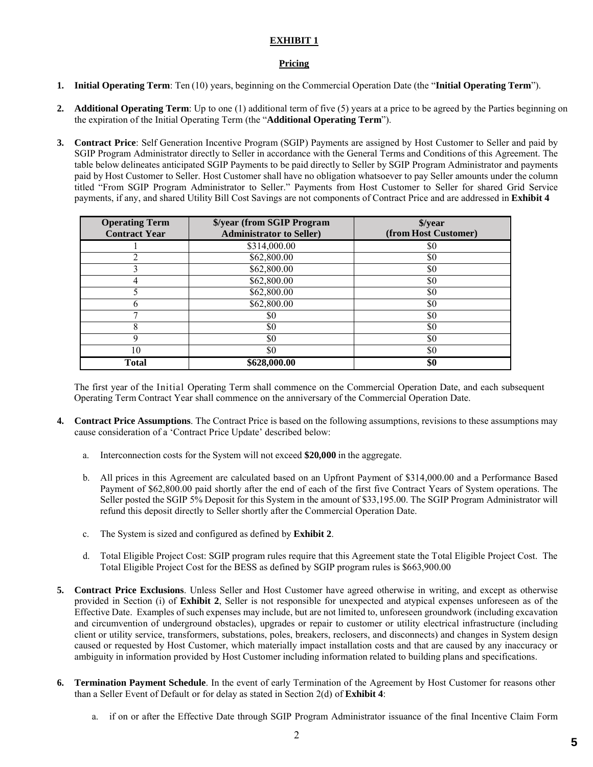#### **Pricing**

- **1. Initial Operating Term**: Ten (10) years, beginning on the Commercial Operation Date (the "**Initial Operating Term**").
- **2. Additional Operating Term**: Up to one (1) additional term of five (5) years at a price to be agreed by the Parties beginning on the expiration of the Initial Operating Term (the "**Additional Operating Term**").
- **3. Contract Price**: Self Generation Incentive Program (SGIP) Payments are assigned by Host Customer to Seller and paid by SGIP Program Administrator directly to Seller in accordance with the General Terms and Conditions of this Agreement. The table below delineates anticipated SGIP Payments to be paid directly to Seller by SGIP Program Administrator and payments paid by Host Customer to Seller. Host Customer shall have no obligation whatsoever to pay Seller amounts under the column titled "From SGIP Program Administrator to Seller." Payments from Host Customer to Seller for shared Grid Service payments, if any, and shared Utility Bill Cost Savings are not components of Contract Price and are addressed in **Exhibit 4**

| <b>Operating Term</b><br><b>Contract Year</b> | \$/year (from SGIP Program<br><b>Administrator to Seller)</b> | \$/year<br>(from Host Customer) |
|-----------------------------------------------|---------------------------------------------------------------|---------------------------------|
|                                               | \$314,000.00                                                  | \$0                             |
|                                               | \$62,800.00                                                   | \$0                             |
|                                               | \$62,800.00                                                   | \$0                             |
|                                               | \$62,800.00                                                   | \$0                             |
|                                               | \$62,800.00                                                   | \$0                             |
|                                               | \$62,800.00                                                   | \$0                             |
|                                               | \$0                                                           | \$0                             |
| 8                                             | \$0                                                           | \$0                             |
|                                               | \$0                                                           | \$0                             |
| 10                                            | \$0                                                           | \$0                             |
| <b>Total</b>                                  | \$628,000.00                                                  | \$0                             |

The first year of the Initial Operating Term shall commence on the Commercial Operation Date, and each subsequent Operating Term Contract Year shall commence on the anniversary of the Commercial Operation Date.

- **4. Contract Price Assumptions**. The Contract Price is based on the following assumptions, revisions to these assumptions may cause consideration of a 'Contract Price Update' described below:
	- a. Interconnection costs for the System will not exceed **\$20,000** in the aggregate.
	- b. All prices in this Agreement are calculated based on an Upfront Payment of \$314,000.00 and a Performance Based Payment of \$62,800.00 paid shortly after the end of each of the first five Contract Years of System operations. The Seller posted the SGIP 5% Deposit for this System in the amount of \$33,195.00. The SGIP Program Administrator will refund this deposit directly to Seller shortly after the Commercial Operation Date.
	- c. The System is sized and configured as defined by **Exhibit 2**.
	- d. Total Eligible Project Cost: SGIP program rules require that this Agreement state the Total Eligible Project Cost. The Total Eligible Project Cost for the BESS as defined by SGIP program rules is \$663,900.00
- **5. Contract Price Exclusions**. Unless Seller and Host Customer have agreed otherwise in writing, and except as otherwise provided in Section (i) of **Exhibit 2**, Seller is not responsible for unexpected and atypical expenses unforeseen as of the Effective Date. Examples of such expenses may include, but are not limited to, unforeseen groundwork (including excavation and circumvention of underground obstacles), upgrades or repair to customer or utility electrical infrastructure (including client or utility service, transformers, substations, poles, breakers, reclosers, and disconnects) and changes in System design caused or requested by Host Customer, which materially impact installation costs and that are caused by any inaccuracy or ambiguity in information provided by Host Customer including information related to building plans and specifications.
- **6. Termination Payment Schedule**. In the event of early Termination of the Agreement by Host Customer for reasons other than a Seller Event of Default or for delay as stated in Section 2(d) of **Exhibit 4**:
	- a. if on or after the Effective Date through SGIP Program Administrator issuance of the final Incentive Claim Form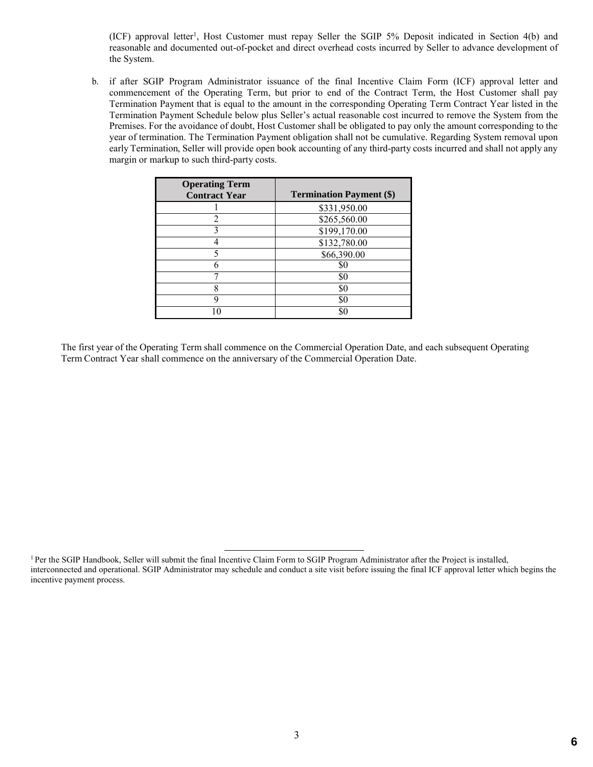(ICF) approval letter<sup>1</sup>, Host Customer must repay Seller the SGIP 5% Deposit indicated in Section 4(b) and reasonable and documented out-of-pocket and direct overhead costs incurred by Seller to advance development of the System.

b. if after SGIP Program Administrator issuance of the final Incentive Claim Form (ICF) approval letter and commencement of the Operating Term, but prior to end of the Contract Term, the Host Customer shall pay Termination Payment that is equal to the amount in the corresponding Operating Term Contract Year listed in the Termination Payment Schedule below plus Seller's actual reasonable cost incurred to remove the System from the Premises. For the avoidance of doubt, Host Customer shall be obligated to pay only the amount corresponding to the year of termination. The Termination Payment obligation shall not be cumulative. Regarding System removal upon early Termination, Seller will provide open book accounting of any third-party costs incurred and shall not apply any margin or markup to such third-party costs.

| <b>Operating Term</b><br><b>Contract Year</b> | <b>Termination Payment (\$)</b> |
|-----------------------------------------------|---------------------------------|
|                                               | \$331,950.00                    |
| $\mathfrak{D}$                                | \$265,560.00                    |
|                                               | \$199,170.00                    |
|                                               | \$132,780.00                    |
|                                               | \$66,390.00                     |
|                                               | SC                              |
|                                               | \$0                             |
| 8                                             | \$0                             |
| q                                             | \$0                             |
|                                               |                                 |

The first year of the Operating Term shall commence on the Commercial Operation Date, and each subsequent Operating Term Contract Year shall commence on the anniversary of the Commercial Operation Date.

<sup>&</sup>lt;sup>1</sup> Per the SGIP Handbook, Seller will submit the final Incentive Claim Form to SGIP Program Administrator after the Project is installed, interconnected and operational. SGIP Administrator may schedule and conduct a site visit before issuing the final ICF approval letter which begins the incentive payment process.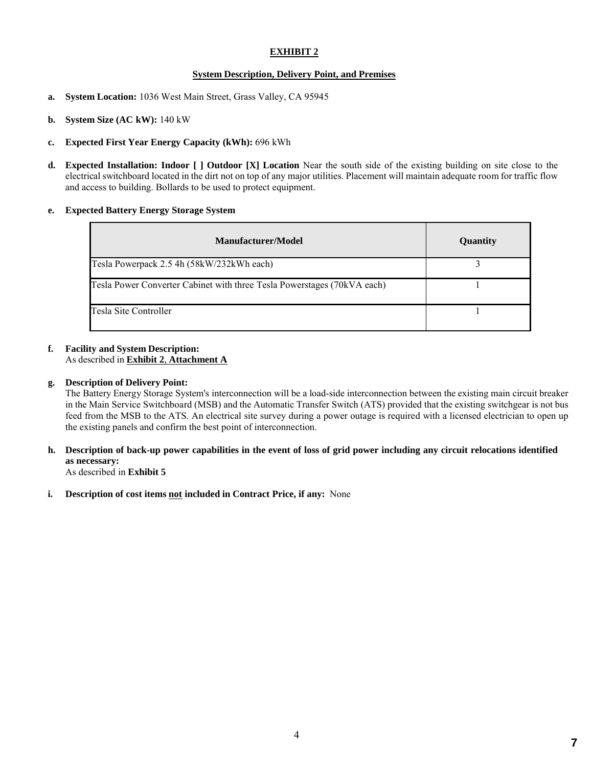#### **System Description, Delivery Point, and Premises**

- **a. System Location:** 1036 West Main Street, Grass Valley, CA 95945
- **b. System Size (AC kW):** 140 kW
- **c. Expected First Year Energy Capacity (kWh):** 696 kWh
- **d. Expected Installation: Indoor [ ] Outdoor [X] Location** Near the south side of the existing building on site close to the electrical switchboard located in the dirt not on top of any major utilities. Placement will maintain adequate room for traffic flow and access to building. Bollards to be used to protect equipment.

#### **e. Expected Battery Energy Storage System**

| Manufacturer/Model                                                      | <b>Quantity</b> |
|-------------------------------------------------------------------------|-----------------|
| Tesla Powerpack 2.5 4h (58kW/232kWh each)                               |                 |
| Tesla Power Converter Cabinet with three Tesla Powerstages (70kVA each) |                 |
| Tesla Site Controller                                                   |                 |

## **f. Facility and System Description:**

## As described in **Exhibit 2**, **Attachment A**

#### **g. Description of Delivery Point:**

The Battery Energy Storage System's interconnection will be a load-side interconnection between the existing main circuit breaker in the Main Service Switchboard (MSB) and the Automatic Transfer Switch (ATS) provided that the existing switchgear is not bus feed from the MSB to the ATS. An electrical site survey during a power outage is required with a licensed electrician to open up the existing panels and confirm the best point of interconnection.

**h. Description of back-up power capabilities in the event of loss of grid power including any circuit relocations identified as necessary:** 

As described in **Exhibit 5**

**i. Description of cost items not included in Contract Price, if any:** None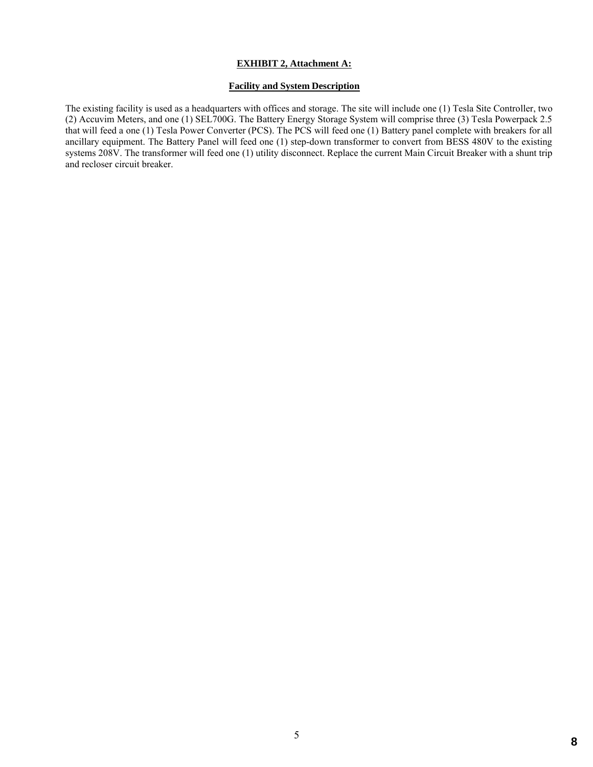#### **EXHIBIT 2, Attachment A:**

#### **Facility and System Description**

The existing facility is used as a headquarters with offices and storage. The site will include one (1) Tesla Site Controller, two (2) Accuvim Meters, and one (1) SEL700G. The Battery Energy Storage System will comprise three (3) Tesla Powerpack 2.5 that will feed a one (1) Tesla Power Converter (PCS). The PCS will feed one (1) Battery panel complete with breakers for all ancillary equipment. The Battery Panel will feed one (1) step-down transformer to convert from BESS 480V to the existing systems 208V. The transformer will feed one (1) utility disconnect. Replace the current Main Circuit Breaker with a shunt trip and recloser circuit breaker.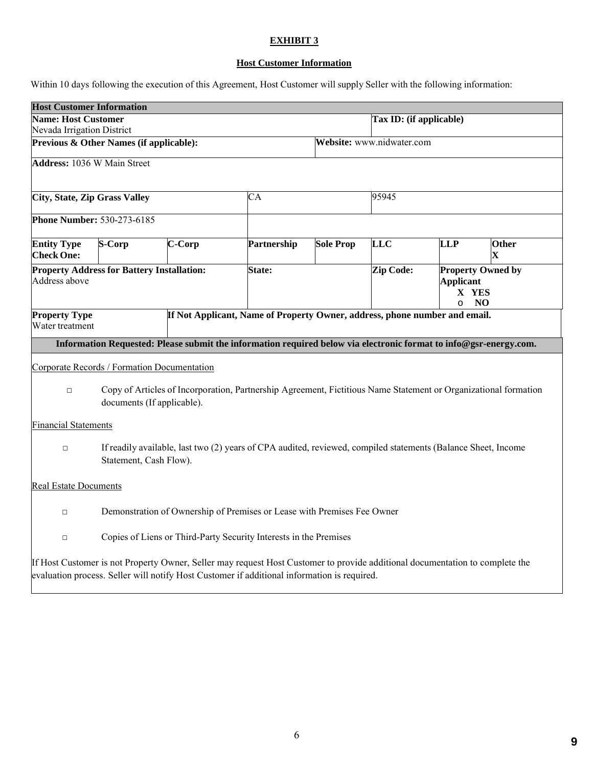## **Host Customer Information**

Within 10 days following the execution of this Agreement, Host Customer will supply Seller with the following information:

| <b>Host Customer Information</b>                                                                                                                        |                                                                         |        |                                                                                                                                                                                                                             |                           |                  |                                      |                                            |
|---------------------------------------------------------------------------------------------------------------------------------------------------------|-------------------------------------------------------------------------|--------|-----------------------------------------------------------------------------------------------------------------------------------------------------------------------------------------------------------------------------|---------------------------|------------------|--------------------------------------|--------------------------------------------|
| <b>Name: Host Customer</b>                                                                                                                              |                                                                         |        |                                                                                                                                                                                                                             | Tax ID: (if applicable)   |                  |                                      |                                            |
| Nevada Irrigation District                                                                                                                              |                                                                         |        |                                                                                                                                                                                                                             |                           |                  |                                      |                                            |
| Previous & Other Names (if applicable):                                                                                                                 |                                                                         |        |                                                                                                                                                                                                                             | Website: www.nidwater.com |                  |                                      |                                            |
| <b>Address: 1036 W Main Street</b>                                                                                                                      |                                                                         |        |                                                                                                                                                                                                                             |                           |                  |                                      |                                            |
| <b>City, State, Zip Grass Valley</b>                                                                                                                    |                                                                         |        | CA                                                                                                                                                                                                                          |                           | 95945            |                                      |                                            |
| <b>Phone Number: 530-273-6185</b>                                                                                                                       |                                                                         |        |                                                                                                                                                                                                                             |                           |                  |                                      |                                            |
| <b>Entity Type</b><br><b>Check One:</b>                                                                                                                 | S-Corp                                                                  | C-Corp | Partnership                                                                                                                                                                                                                 | <b>Sole Prop</b>          | <b>LLC</b>       | LLP                                  | <b>Other</b><br>$\overline{\mathbf{X}}$    |
| Address above                                                                                                                                           | <b>Property Address for Battery Installation:</b>                       |        | State:                                                                                                                                                                                                                      |                           | <b>Zip Code:</b> | <b>Applicant</b><br>X YES<br>$\circ$ | <b>Property Owned by</b><br>N <sub>O</sub> |
| <b>Property Type</b><br>Water treatment                                                                                                                 |                                                                         |        | If Not Applicant, Name of Property Owner, address, phone number and email.                                                                                                                                                  |                           |                  |                                      |                                            |
|                                                                                                                                                         |                                                                         |        | Information Requested: Please submit the information required below via electronic format to info@gsr-energy.com.                                                                                                           |                           |                  |                                      |                                            |
|                                                                                                                                                         | Corporate Records / Formation Documentation                             |        |                                                                                                                                                                                                                             |                           |                  |                                      |                                            |
| Copy of Articles of Incorporation, Partnership Agreement, Fictitious Name Statement or Organizational formation<br>$\Box$<br>documents (If applicable). |                                                                         |        |                                                                                                                                                                                                                             |                           |                  |                                      |                                            |
| <b>Financial Statements</b>                                                                                                                             |                                                                         |        |                                                                                                                                                                                                                             |                           |                  |                                      |                                            |
| If readily available, last two (2) years of CPA audited, reviewed, compiled statements (Balance Sheet, Income<br>$\Box$<br>Statement, Cash Flow).       |                                                                         |        |                                                                                                                                                                                                                             |                           |                  |                                      |                                            |
| <b>Real Estate Documents</b>                                                                                                                            |                                                                         |        |                                                                                                                                                                                                                             |                           |                  |                                      |                                            |
| $\Box$                                                                                                                                                  | Demonstration of Ownership of Premises or Lease with Premises Fee Owner |        |                                                                                                                                                                                                                             |                           |                  |                                      |                                            |
| Copies of Liens or Third-Party Security Interests in the Premises<br>$\Box$                                                                             |                                                                         |        |                                                                                                                                                                                                                             |                           |                  |                                      |                                            |
|                                                                                                                                                         |                                                                         |        | If Host Customer is not Property Owner, Seller may request Host Customer to provide additional documentation to complete the<br>evaluation process. Seller will notify Host Customer if additional information is required. |                           |                  |                                      |                                            |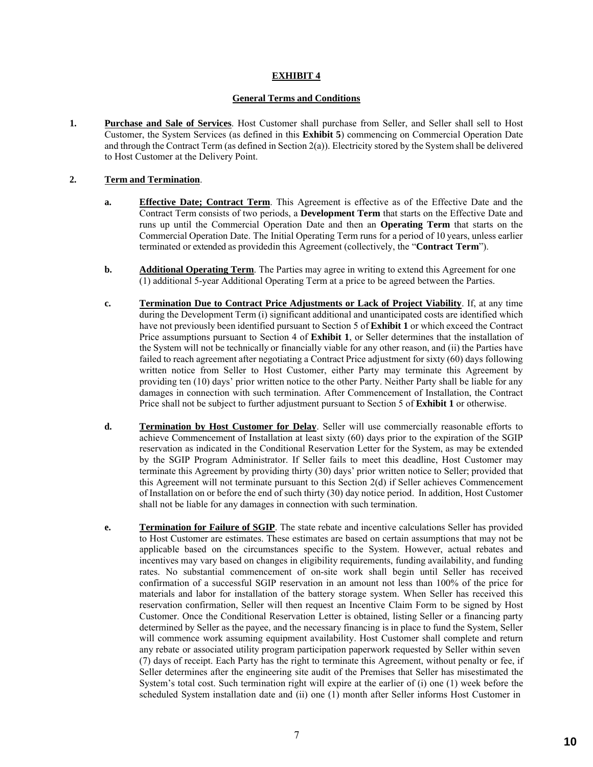#### **General Terms and Conditions**

**1. Purchase and Sale of Services**. Host Customer shall purchase from Seller, and Seller shall sell to Host Customer, the System Services (as defined in this **Exhibit 5**) commencing on Commercial Operation Date and through the Contract Term (as defined in Section 2(a)). Electricity stored by the System shall be delivered to Host Customer at the Delivery Point.

#### **2. Term and Termination**.

- **a. Effective Date; Contract Term**. This Agreement is effective as of the Effective Date and the Contract Term consists of two periods, a **Development Term** that starts on the Effective Date and runs up until the Commercial Operation Date and then an **Operating Term** that starts on the Commercial Operation Date. The Initial Operating Term runs for a period of 10 years, unless earlier terminated or extended as providedin this Agreement (collectively, the "**Contract Term**").
- **b. Additional Operating Term**. The Parties may agree in writing to extend this Agreement for one (1) additional 5-year Additional Operating Term at a price to be agreed between the Parties.
- **c. Termination Due to Contract Price Adjustments or Lack of Project Viability**. If, at any time during the Development Term (i) significant additional and unanticipated costs are identified which have not previously been identified pursuant to Section 5 of **Exhibit 1** or which exceed the Contract Price assumptions pursuant to Section 4 of **Exhibit 1**, or Seller determines that the installation of the System will not be technically or financially viable for any other reason, and (ii) the Parties have failed to reach agreement after negotiating a Contract Price adjustment for sixty (60) days following written notice from Seller to Host Customer, either Party may terminate this Agreement by providing ten (10) days' prior written notice to the other Party. Neither Party shall be liable for any damages in connection with such termination. After Commencement of Installation, the Contract Price shall not be subject to further adjustment pursuant to Section 5 of **Exhibit 1** or otherwise.
- **d. Termination by Host Customer for Delay**. Seller will use commercially reasonable efforts to achieve Commencement of Installation at least sixty (60) days prior to the expiration of the SGIP reservation as indicated in the Conditional Reservation Letter for the System, as may be extended by the SGIP Program Administrator. If Seller fails to meet this deadline, Host Customer may terminate this Agreement by providing thirty (30) days' prior written notice to Seller; provided that this Agreement will not terminate pursuant to this Section 2(d) if Seller achieves Commencement of Installation on or before the end of such thirty (30) day notice period. In addition, Host Customer shall not be liable for any damages in connection with such termination.
- **e. Termination for Failure of SGIP**. The state rebate and incentive calculations Seller has provided to Host Customer are estimates. These estimates are based on certain assumptions that may not be applicable based on the circumstances specific to the System. However, actual rebates and incentives may vary based on changes in eligibility requirements, funding availability, and funding rates. No substantial commencement of on-site work shall begin until Seller has received confirmation of a successful SGIP reservation in an amount not less than 100% of the price for materials and labor for installation of the battery storage system. When Seller has received this reservation confirmation, Seller will then request an Incentive Claim Form to be signed by Host Customer. Once the Conditional Reservation Letter is obtained, listing Seller or a financing party determined by Seller as the payee, and the necessary financing is in place to fund the System, Seller will commence work assuming equipment availability. Host Customer shall complete and return any rebate or associated utility program participation paperwork requested by Seller within seven (7) days of receipt. Each Party has the right to terminate this Agreement, without penalty or fee, if Seller determines after the engineering site audit of the Premises that Seller has misestimated the System's total cost. Such termination right will expire at the earlier of (i) one (1) week before the scheduled System installation date and (ii) one (1) month after Seller informs Host Customer in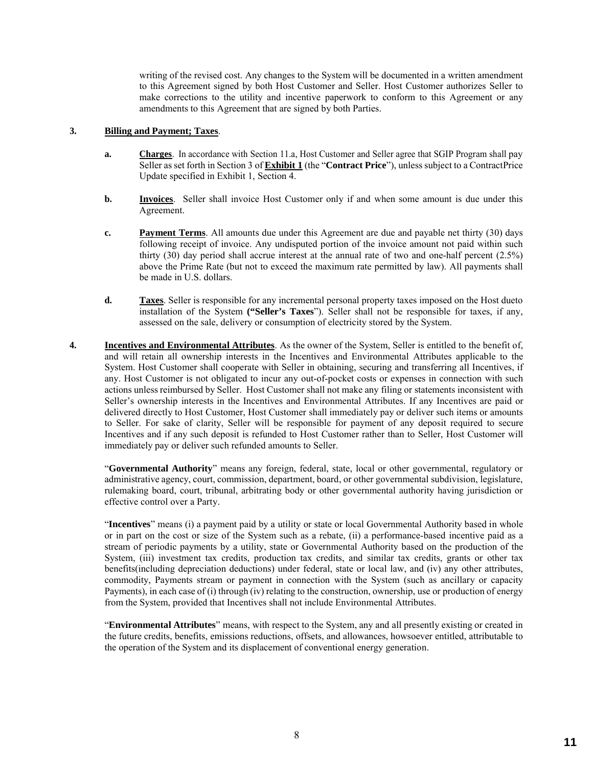writing of the revised cost. Any changes to the System will be documented in a written amendment to this Agreement signed by both Host Customer and Seller. Host Customer authorizes Seller to make corrections to the utility and incentive paperwork to conform to this Agreement or any amendments to this Agreement that are signed by both Parties.

#### **3. Billing and Payment; Taxes**.

- **a. Charges**. In accordance with Section 11.a, Host Customer and Seller agree that SGIP Program shall pay Seller as set forth in Section 3 of **Exhibit 1** (the "**Contract Price**"), unless subject to a ContractPrice Update specified in Exhibit 1, Section 4.
- **b. Invoices**. Seller shall invoice Host Customer only if and when some amount is due under this Agreement.
- **c. Payment Terms**. All amounts due under this Agreement are due and payable net thirty (30) days following receipt of invoice. Any undisputed portion of the invoice amount not paid within such thirty (30) day period shall accrue interest at the annual rate of two and one-half percent (2.5%) above the Prime Rate (but not to exceed the maximum rate permitted by law). All payments shall be made in U.S. dollars.
- **d. Taxes**. Seller is responsible for any incremental personal property taxes imposed on the Host dueto installation of the System **("Seller's Taxes**"). Seller shall not be responsible for taxes, if any, assessed on the sale, delivery or consumption of electricity stored by the System.
- **4. Incentives and Environmental Attributes**. As the owner of the System, Seller is entitled to the benefit of, and will retain all ownership interests in the Incentives and Environmental Attributes applicable to the System. Host Customer shall cooperate with Seller in obtaining, securing and transferring all Incentives, if any. Host Customer is not obligated to incur any out-of-pocket costs or expenses in connection with such actions unless reimbursed by Seller. Host Customer shall not make any filing or statements inconsistent with Seller's ownership interests in the Incentives and Environmental Attributes. If any Incentives are paid or delivered directly to Host Customer, Host Customer shall immediately pay or deliver such items or amounts to Seller. For sake of clarity, Seller will be responsible for payment of any deposit required to secure Incentives and if any such deposit is refunded to Host Customer rather than to Seller, Host Customer will immediately pay or deliver such refunded amounts to Seller.

"**Governmental Authority**" means any foreign, federal, state, local or other governmental, regulatory or administrative agency, court, commission, department, board, or other governmental subdivision, legislature, rulemaking board, court, tribunal, arbitrating body or other governmental authority having jurisdiction or effective control over a Party.

"**Incentives**" means (i) a payment paid by a utility or state or local Governmental Authority based in whole or in part on the cost or size of the System such as a rebate, (ii) a performance-based incentive paid as a stream of periodic payments by a utility, state or Governmental Authority based on the production of the System, (iii) investment tax credits, production tax credits, and similar tax credits, grants or other tax benefits(including depreciation deductions) under federal, state or local law, and (iv) any other attributes, commodity, Payments stream or payment in connection with the System (such as ancillary or capacity Payments), in each case of (i) through (iv) relating to the construction, ownership, use or production of energy from the System, provided that Incentives shall not include Environmental Attributes.

"**Environmental Attributes**" means, with respect to the System, any and all presently existing or created in the future credits, benefits, emissions reductions, offsets, and allowances, howsoever entitled, attributable to the operation of the System and its displacement of conventional energy generation.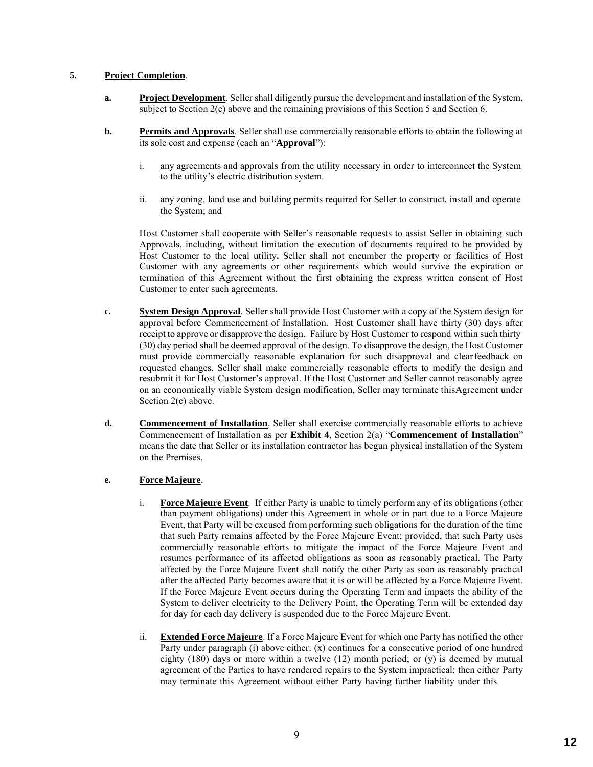#### **5. Project Completion**.

- **a. Project Development**. Seller shall diligently pursue the development and installation of the System, subject to Section 2(c) above and the remaining provisions of this Section 5 and Section 6.
- **b. Permits and Approvals**. Seller shall use commercially reasonable efforts to obtain the following at its sole cost and expense (each an "**Approval**"):
	- i. any agreements and approvals from the utility necessary in order to interconnect the System to the utility's electric distribution system.
	- ii. any zoning, land use and building permits required for Seller to construct, install and operate the System; and

Host Customer shall cooperate with Seller's reasonable requests to assist Seller in obtaining such Approvals, including, without limitation the execution of documents required to be provided by Host Customer to the local utility**.** Seller shall not encumber the property or facilities of Host Customer with any agreements or other requirements which would survive the expiration or termination of this Agreement without the first obtaining the express written consent of Host Customer to enter such agreements.

- **c. System Design Approval**. Seller shall provide Host Customer with a copy of the System design for approval before Commencement of Installation. Host Customer shall have thirty (30) days after receipt to approve or disapprove the design. Failure by Host Customer to respond within such thirty (30) day period shall be deemed approval of the design. To disapprove the design, the Host Customer must provide commercially reasonable explanation for such disapproval and clearfeedback on requested changes. Seller shall make commercially reasonable efforts to modify the design and resubmit it for Host Customer's approval. If the Host Customer and Seller cannot reasonably agree on an economically viable System design modification, Seller may terminate thisAgreement under Section 2(c) above.
- **d. Commencement of Installation**. Seller shall exercise commercially reasonable efforts to achieve Commencement of Installation as per **Exhibit 4**, Section 2(a) "**Commencement of Installation**" means the date that Seller or its installation contractor has begun physical installation of the System on the Premises.

#### **e. Force Majeure**.

- i. **Force Majeure Event**. If either Party is unable to timely perform any of its obligations (other than payment obligations) under this Agreement in whole or in part due to a Force Majeure Event, that Party will be excused from performing such obligations for the duration of the time that such Party remains affected by the Force Majeure Event; provided, that such Party uses commercially reasonable efforts to mitigate the impact of the Force Majeure Event and resumes performance of its affected obligations as soon as reasonably practical. The Party affected by the Force Majeure Event shall notify the other Party as soon as reasonably practical after the affected Party becomes aware that it is or will be affected by a Force Majeure Event. If the Force Majeure Event occurs during the Operating Term and impacts the ability of the System to deliver electricity to the Delivery Point, the Operating Term will be extended day for day for each day delivery is suspended due to the Force Majeure Event.
- ii. **Extended Force Majeure**. If a Force Majeure Event for which one Party has notified the other Party under paragraph (i) above either: (x) continues for a consecutive period of one hundred eighty  $(180)$  days or more within a twelve  $(12)$  month period; or  $(y)$  is deemed by mutual agreement of the Parties to have rendered repairs to the System impractical; then either Party may terminate this Agreement without either Party having further liability under this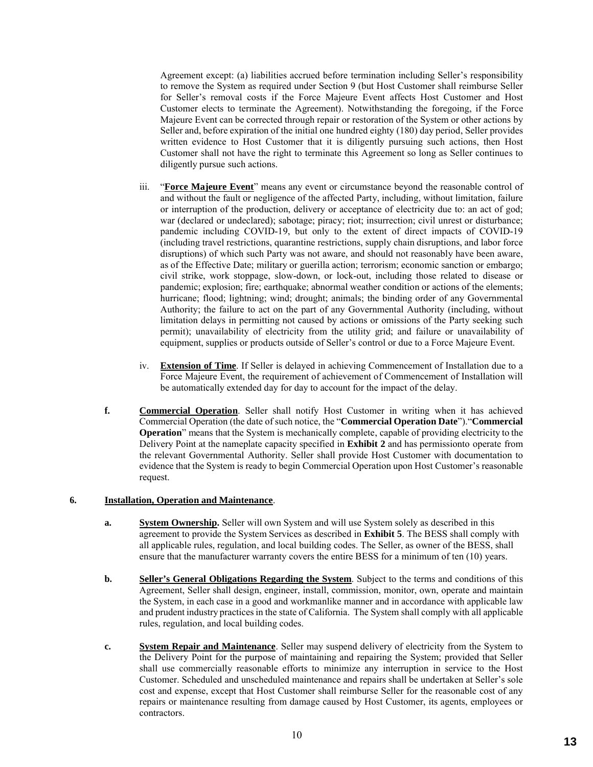Agreement except: (a) liabilities accrued before termination including Seller's responsibility to remove the System as required under Section 9 (but Host Customer shall reimburse Seller for Seller's removal costs if the Force Majeure Event affects Host Customer and Host Customer elects to terminate the Agreement). Notwithstanding the foregoing, if the Force Majeure Event can be corrected through repair or restoration of the System or other actions by Seller and, before expiration of the initial one hundred eighty (180) day period, Seller provides written evidence to Host Customer that it is diligently pursuing such actions, then Host Customer shall not have the right to terminate this Agreement so long as Seller continues to diligently pursue such actions.

- iii. "**Force Majeure Event**" means any event or circumstance beyond the reasonable control of and without the fault or negligence of the affected Party, including, without limitation, failure or interruption of the production, delivery or acceptance of electricity due to: an act of god; war (declared or undeclared); sabotage; piracy; riot; insurrection; civil unrest or disturbance; pandemic including COVID-19, but only to the extent of direct impacts of COVID-19 (including travel restrictions, quarantine restrictions, supply chain disruptions, and labor force disruptions) of which such Party was not aware, and should not reasonably have been aware, as of the Effective Date; military or guerilla action; terrorism; economic sanction or embargo; civil strike, work stoppage, slow-down, or lock-out, including those related to disease or pandemic; explosion; fire; earthquake; abnormal weather condition or actions of the elements; hurricane; flood; lightning; wind; drought; animals; the binding order of any Governmental Authority; the failure to act on the part of any Governmental Authority (including, without limitation delays in permitting not caused by actions or omissions of the Party seeking such permit); unavailability of electricity from the utility grid; and failure or unavailability of equipment, supplies or products outside of Seller's control or due to a Force Majeure Event.
- iv. **Extension of Time**. If Seller is delayed in achieving Commencement of Installation due to a Force Majeure Event, the requirement of achievement of Commencement of Installation will be automatically extended day for day to account for the impact of the delay.
- **f. Commercial Operation**. Seller shall notify Host Customer in writing when it has achieved Commercial Operation (the date of such notice, the "**Commercial Operation Date**")."**Commercial Operation**" means that the System is mechanically complete, capable of providing electricity to the Delivery Point at the nameplate capacity specified in **Exhibit 2** and has permissionto operate from the relevant Governmental Authority. Seller shall provide Host Customer with documentation to evidence that the System is ready to begin Commercial Operation upon Host Customer's reasonable request.

#### **6. Installation, Operation and Maintenance**.

- **a. System Ownership.** Seller will own System and will use System solely as described in this agreement to provide the System Services as described in **Exhibit 5**. The BESS shall comply with all applicable rules, regulation, and local building codes. The Seller, as owner of the BESS, shall ensure that the manufacturer warranty covers the entire BESS for a minimum of ten (10) years.
- **b. Seller's General Obligations Regarding the System**. Subject to the terms and conditions of this Agreement, Seller shall design, engineer, install, commission, monitor, own, operate and maintain the System, in each case in a good and workmanlike manner and in accordance with applicable law and prudent industry practices in the state of California. The System shall comply with all applicable rules, regulation, and local building codes.
- **c. System Repair and Maintenance**. Seller may suspend delivery of electricity from the System to the Delivery Point for the purpose of maintaining and repairing the System; provided that Seller shall use commercially reasonable efforts to minimize any interruption in service to the Host Customer. Scheduled and unscheduled maintenance and repairs shall be undertaken at Seller's sole cost and expense, except that Host Customer shall reimburse Seller for the reasonable cost of any repairs or maintenance resulting from damage caused by Host Customer, its agents, employees or contractors.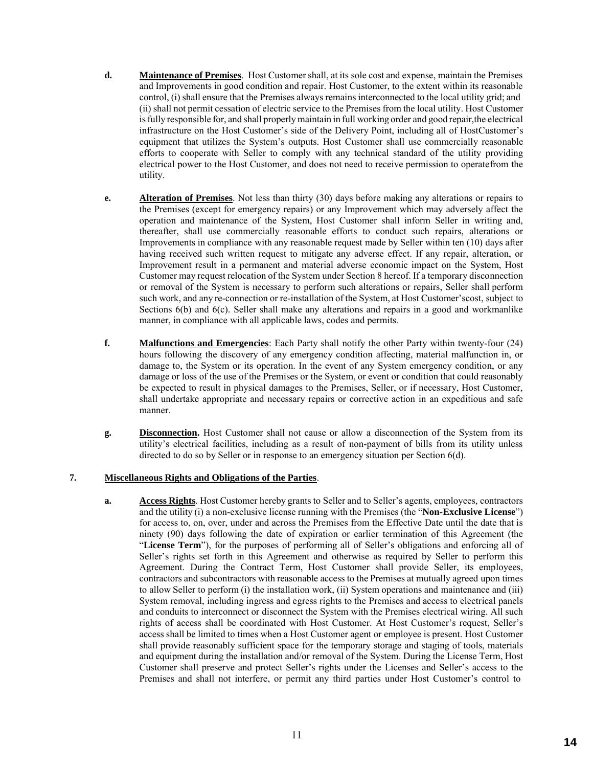- **d. Maintenance of Premises**. Host Customer shall, at its sole cost and expense, maintain the Premises and Improvements in good condition and repair. Host Customer, to the extent within its reasonable control, (i) shall ensure that the Premises always remains interconnected to the local utility grid; and (ii) shall not permit cessation of electric service to the Premises from the local utility. Host Customer is fully responsible for, and shall properly maintain in full working order and good repair,the electrical infrastructure on the Host Customer's side of the Delivery Point, including all of HostCustomer's equipment that utilizes the System's outputs. Host Customer shall use commercially reasonable efforts to cooperate with Seller to comply with any technical standard of the utility providing electrical power to the Host Customer, and does not need to receive permission to operatefrom the utility.
- **e. Alteration of Premises**. Not less than thirty (30) days before making any alterations or repairs to the Premises (except for emergency repairs) or any Improvement which may adversely affect the operation and maintenance of the System, Host Customer shall inform Seller in writing and, thereafter, shall use commercially reasonable efforts to conduct such repairs, alterations or Improvements in compliance with any reasonable request made by Seller within ten (10) days after having received such written request to mitigate any adverse effect. If any repair, alteration, or Improvement result in a permanent and material adverse economic impact on the System, Host Customer may request relocation of the System under Section 8 hereof. If a temporary disconnection or removal of the System is necessary to perform such alterations or repairs, Seller shall perform such work, and any re-connection or re-installation of the System, at Host Customer'scost, subject to Sections 6(b) and 6(c). Seller shall make any alterations and repairs in a good and workmanlike manner, in compliance with all applicable laws, codes and permits.
- **f. Malfunctions and Emergencies**: Each Party shall notify the other Party within twenty-four (24) hours following the discovery of any emergency condition affecting, material malfunction in, or damage to, the System or its operation. In the event of any System emergency condition, or any damage or loss of the use of the Premises or the System, or event or condition that could reasonably be expected to result in physical damages to the Premises, Seller, or if necessary, Host Customer, shall undertake appropriate and necessary repairs or corrective action in an expeditious and safe manner.
- **g. Disconnection.** Host Customer shall not cause or allow a disconnection of the System from its utility's electrical facilities, including as a result of non-payment of bills from its utility unless directed to do so by Seller or in response to an emergency situation per Section 6(d).

#### **7. Miscellaneous Rights and Obligations of the Parties**.

**a. Access Rights**. Host Customer hereby grants to Seller and to Seller's agents, employees, contractors and the utility (i) a non-exclusive license running with the Premises (the "**Non-Exclusive License**") for access to, on, over, under and across the Premises from the Effective Date until the date that is ninety (90) days following the date of expiration or earlier termination of this Agreement (the "**License Term**"), for the purposes of performing all of Seller's obligations and enforcing all of Seller's rights set forth in this Agreement and otherwise as required by Seller to perform this Agreement. During the Contract Term, Host Customer shall provide Seller, its employees, contractors and subcontractors with reasonable access to the Premises at mutually agreed upon times to allow Seller to perform (i) the installation work, (ii) System operations and maintenance and (iii) System removal, including ingress and egress rights to the Premises and access to electrical panels and conduits to interconnect or disconnect the System with the Premises electrical wiring. All such rights of access shall be coordinated with Host Customer. At Host Customer's request, Seller's access shall be limited to times when a Host Customer agent or employee is present. Host Customer shall provide reasonably sufficient space for the temporary storage and staging of tools, materials and equipment during the installation and/or removal of the System. During the License Term, Host Customer shall preserve and protect Seller's rights under the Licenses and Seller's access to the Premises and shall not interfere, or permit any third parties under Host Customer's control to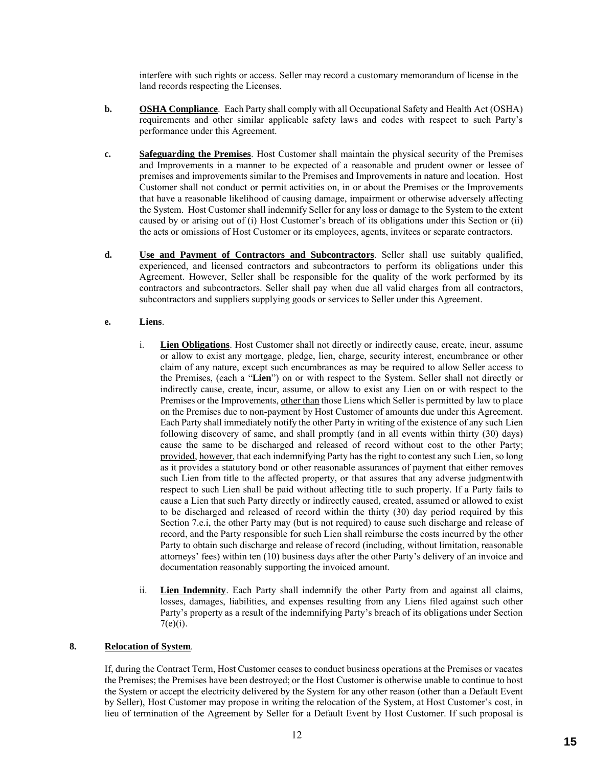interfere with such rights or access. Seller may record a customary memorandum of license in the land records respecting the Licenses.

- **b. OSHA Compliance**. Each Party shall comply with all Occupational Safety and Health Act (OSHA) requirements and other similar applicable safety laws and codes with respect to such Party's performance under this Agreement.
- **c. Safeguarding the Premises**. Host Customer shall maintain the physical security of the Premises and Improvements in a manner to be expected of a reasonable and prudent owner or lessee of premises and improvements similar to the Premises and Improvements in nature and location. Host Customer shall not conduct or permit activities on, in or about the Premises or the Improvements that have a reasonable likelihood of causing damage, impairment or otherwise adversely affecting the System. Host Customer shall indemnify Seller for any loss or damage to the System to the extent caused by or arising out of (i) Host Customer's breach of its obligations under this Section or (ii) the acts or omissions of Host Customer or its employees, agents, invitees or separate contractors.
- **d. Use and Payment of Contractors and Subcontractors**. Seller shall use suitably qualified, experienced, and licensed contractors and subcontractors to perform its obligations under this Agreement. However, Seller shall be responsible for the quality of the work performed by its contractors and subcontractors. Seller shall pay when due all valid charges from all contractors, subcontractors and suppliers supplying goods or services to Seller under this Agreement.

#### **e. Liens**.

- i. **Lien Obligations**. Host Customer shall not directly or indirectly cause, create, incur, assume or allow to exist any mortgage, pledge, lien, charge, security interest, encumbrance or other claim of any nature, except such encumbrances as may be required to allow Seller access to the Premises, (each a "**Lien**") on or with respect to the System. Seller shall not directly or indirectly cause, create, incur, assume, or allow to exist any Lien on or with respect to the Premises or the Improvements, other than those Liens which Seller is permitted by law to place on the Premises due to non-payment by Host Customer of amounts due under this Agreement. Each Party shall immediately notify the other Party in writing of the existence of any such Lien following discovery of same, and shall promptly (and in all events within thirty (30) days) cause the same to be discharged and released of record without cost to the other Party; provided, however, that each indemnifying Party has the right to contest any such Lien, so long as it provides a statutory bond or other reasonable assurances of payment that either removes such Lien from title to the affected property, or that assures that any adverse judgmentwith respect to such Lien shall be paid without affecting title to such property. If a Party fails to cause a Lien that such Party directly or indirectly caused, created, assumed or allowed to exist to be discharged and released of record within the thirty (30) day period required by this Section 7.e.i, the other Party may (but is not required) to cause such discharge and release of record, and the Party responsible for such Lien shall reimburse the costs incurred by the other Party to obtain such discharge and release of record (including, without limitation, reasonable attorneys' fees) within ten (10) business days after the other Party's delivery of an invoice and documentation reasonably supporting the invoiced amount.
- ii. **Lien Indemnity**. Each Party shall indemnify the other Party from and against all claims, losses, damages, liabilities, and expenses resulting from any Liens filed against such other Party's property as a result of the indemnifying Party's breach of its obligations under Section  $7(e)(i)$ .

#### **8. Relocation of System**.

If, during the Contract Term, Host Customer ceases to conduct business operations at the Premises or vacates the Premises; the Premises have been destroyed; or the Host Customer is otherwise unable to continue to host the System or accept the electricity delivered by the System for any other reason (other than a Default Event by Seller), Host Customer may propose in writing the relocation of the System, at Host Customer's cost, in lieu of termination of the Agreement by Seller for a Default Event by Host Customer. If such proposal is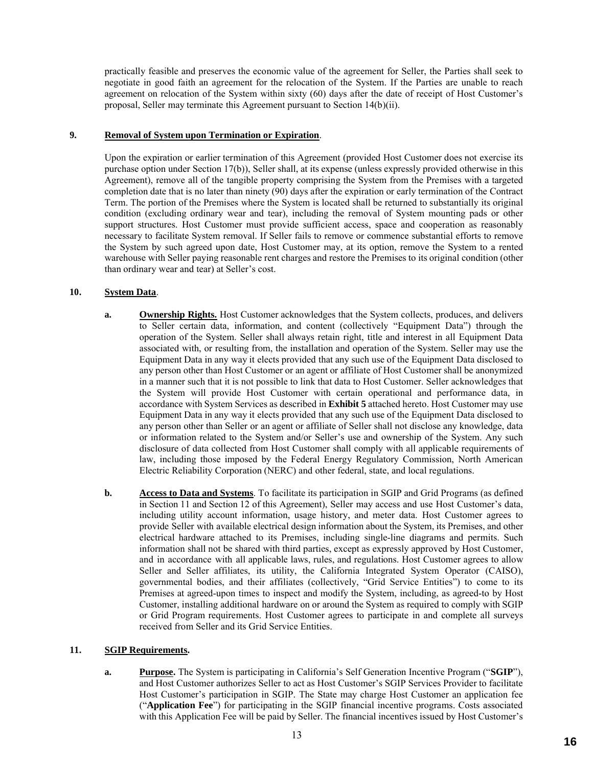practically feasible and preserves the economic value of the agreement for Seller, the Parties shall seek to negotiate in good faith an agreement for the relocation of the System. If the Parties are unable to reach agreement on relocation of the System within sixty (60) days after the date of receipt of Host Customer's proposal, Seller may terminate this Agreement pursuant to Section 14(b)(ii).

#### **9. Removal of System upon Termination or Expiration**.

Upon the expiration or earlier termination of this Agreement (provided Host Customer does not exercise its purchase option under Section 17(b)), Seller shall, at its expense (unless expressly provided otherwise in this Agreement), remove all of the tangible property comprising the System from the Premises with a targeted completion date that is no later than ninety (90) days after the expiration or early termination of the Contract Term. The portion of the Premises where the System is located shall be returned to substantially its original condition (excluding ordinary wear and tear), including the removal of System mounting pads or other support structures. Host Customer must provide sufficient access, space and cooperation as reasonably necessary to facilitate System removal. If Seller fails to remove or commence substantial efforts to remove the System by such agreed upon date, Host Customer may, at its option, remove the System to a rented warehouse with Seller paying reasonable rent charges and restore the Premises to its original condition (other than ordinary wear and tear) at Seller's cost.

#### **10. System Data**.

- **a. Ownership Rights.** Host Customer acknowledges that the System collects, produces, and delivers to Seller certain data, information, and content (collectively "Equipment Data") through the operation of the System. Seller shall always retain right, title and interest in all Equipment Data associated with, or resulting from, the installation and operation of the System. Seller may use the Equipment Data in any way it elects provided that any such use of the Equipment Data disclosed to any person other than Host Customer or an agent or affiliate of Host Customer shall be anonymized in a manner such that it is not possible to link that data to Host Customer. Seller acknowledges that the System will provide Host Customer with certain operational and performance data, in accordance with System Services as described in **Exhibit 5** attached hereto. Host Customer may use Equipment Data in any way it elects provided that any such use of the Equipment Data disclosed to any person other than Seller or an agent or affiliate of Seller shall not disclose any knowledge, data or information related to the System and/or Seller's use and ownership of the System. Any such disclosure of data collected from Host Customer shall comply with all applicable requirements of law, including those imposed by the Federal Energy Regulatory Commission, North American Electric Reliability Corporation (NERC) and other federal, state, and local regulations.
- **b. Access to Data and Systems**. To facilitate its participation in SGIP and Grid Programs (as defined in Section 11 and Section 12 of this Agreement), Seller may access and use Host Customer's data, including utility account information, usage history, and meter data. Host Customer agrees to provide Seller with available electrical design information about the System, its Premises, and other electrical hardware attached to its Premises, including single-line diagrams and permits. Such information shall not be shared with third parties, except as expressly approved by Host Customer, and in accordance with all applicable laws, rules, and regulations. Host Customer agrees to allow Seller and Seller affiliates, its utility, the California Integrated System Operator (CAISO), governmental bodies, and their affiliates (collectively, "Grid Service Entities") to come to its Premises at agreed-upon times to inspect and modify the System, including, as agreed-to by Host Customer, installing additional hardware on or around the System as required to comply with SGIP or Grid Program requirements. Host Customer agrees to participate in and complete all surveys received from Seller and its Grid Service Entities.

#### **11. SGIP Requirements.**

**a. Purpose.** The System is participating in California's Self Generation Incentive Program ("**SGIP**"), and Host Customer authorizes Seller to act as Host Customer's SGIP Services Provider to facilitate Host Customer's participation in SGIP. The State may charge Host Customer an application fee ("**Application Fee**") for participating in the SGIP financial incentive programs. Costs associated with this Application Fee will be paid by Seller. The financial incentives issued by Host Customer's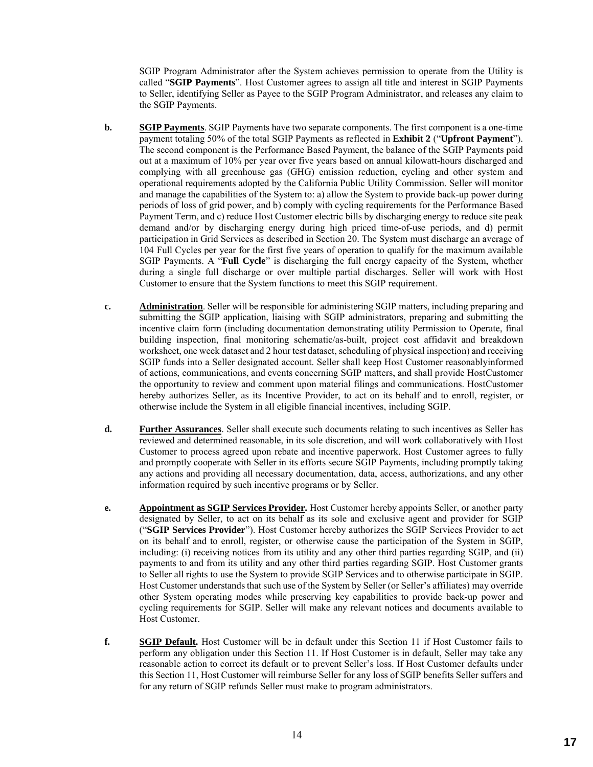SGIP Program Administrator after the System achieves permission to operate from the Utility is called "**SGIP Payments**". Host Customer agrees to assign all title and interest in SGIP Payments to Seller, identifying Seller as Payee to the SGIP Program Administrator, and releases any claim to the SGIP Payments.

- **b. SGIP Payments**. SGIP Payments have two separate components. The first component is a one-time payment totaling 50% of the total SGIP Payments as reflected in **Exhibit 2** ("**Upfront Payment**"). The second component is the Performance Based Payment, the balance of the SGIP Payments paid out at a maximum of 10% per year over five years based on annual kilowatt-hours discharged and complying with all greenhouse gas (GHG) emission reduction, cycling and other system and operational requirements adopted by the California Public Utility Commission. Seller will monitor and manage the capabilities of the System to: a) allow the System to provide back-up power during periods of loss of grid power, and b) comply with cycling requirements for the Performance Based Payment Term, and c) reduce Host Customer electric bills by discharging energy to reduce site peak demand and/or by discharging energy during high priced time-of-use periods, and d) permit participation in Grid Services as described in Section 20. The System must discharge an average of 104 Full Cycles per year for the first five years of operation to qualify for the maximum available SGIP Payments. A "**Full Cycle**" is discharging the full energy capacity of the System, whether during a single full discharge or over multiple partial discharges. Seller will work with Host Customer to ensure that the System functions to meet this SGIP requirement.
- **c. Administration**. Seller will be responsible for administering SGIP matters, including preparing and submitting the SGIP application, liaising with SGIP administrators, preparing and submitting the incentive claim form (including documentation demonstrating utility Permission to Operate, final building inspection, final monitoring schematic/as-built, project cost affidavit and breakdown worksheet, one week dataset and 2 hour test dataset, scheduling of physical inspection) and receiving SGIP funds into a Seller designated account. Seller shall keep Host Customer reasonablyinformed of actions, communications, and events concerning SGIP matters, and shall provide HostCustomer the opportunity to review and comment upon material filings and communications. HostCustomer hereby authorizes Seller, as its Incentive Provider, to act on its behalf and to enroll, register, or otherwise include the System in all eligible financial incentives, including SGIP.
- **d. Further Assurances**. Seller shall execute such documents relating to such incentives as Seller has reviewed and determined reasonable, in its sole discretion, and will work collaboratively with Host Customer to process agreed upon rebate and incentive paperwork. Host Customer agrees to fully and promptly cooperate with Seller in its efforts secure SGIP Payments, including promptly taking any actions and providing all necessary documentation, data, access, authorizations, and any other information required by such incentive programs or by Seller.
- **e. Appointment as SGIP Services Provider.** Host Customer hereby appoints Seller, or another party designated by Seller, to act on its behalf as its sole and exclusive agent and provider for SGIP ("**SGIP Services Provider**"). Host Customer hereby authorizes the SGIP Services Provider to act on its behalf and to enroll, register, or otherwise cause the participation of the System in SGIP, including: (i) receiving notices from its utility and any other third parties regarding SGIP, and (ii) payments to and from its utility and any other third parties regarding SGIP. Host Customer grants to Seller all rights to use the System to provide SGIP Services and to otherwise participate in SGIP. Host Customer understands that such use of the System by Seller (or Seller's affiliates) may override other System operating modes while preserving key capabilities to provide back-up power and cycling requirements for SGIP. Seller will make any relevant notices and documents available to Host Customer.
- **f. SGIP Default.** Host Customer will be in default under this Section 11 if Host Customer fails to perform any obligation under this Section 11. If Host Customer is in default, Seller may take any reasonable action to correct its default or to prevent Seller's loss. If Host Customer defaults under this Section 11, Host Customer will reimburse Seller for any loss of SGIP benefits Seller suffers and for any return of SGIP refunds Seller must make to program administrators.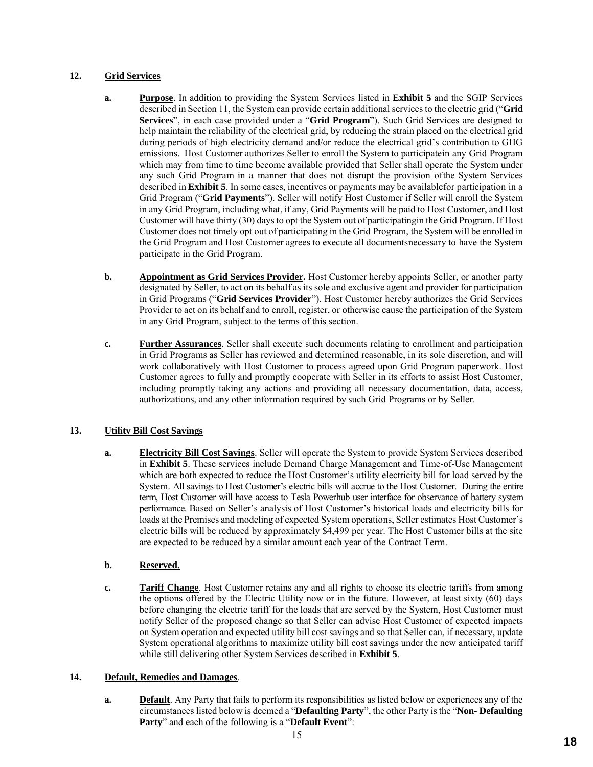#### **12. Grid Services**

- **a. Purpose**. In addition to providing the System Services listed in **Exhibit 5** and the SGIP Services described in Section 11, the System can provide certain additional services to the electric grid ("**Grid Services**", in each case provided under a "**Grid Program**"). Such Grid Services are designed to help maintain the reliability of the electrical grid, by reducing the strain placed on the electrical grid during periods of high electricity demand and/or reduce the electrical grid's contribution to GHG emissions. Host Customer authorizes Seller to enroll the System to participatein any Grid Program which may from time to time become available provided that Seller shall operate the System under any such Grid Program in a manner that does not disrupt the provision ofthe System Services described in **Exhibit 5**. In some cases, incentives or payments may be availablefor participation in a Grid Program ("**Grid Payments**"). Seller will notify Host Customer if Seller will enroll the System in any Grid Program, including what, if any, Grid Payments will be paid to Host Customer, and Host Customer will have thirty (30) days to opt the System out of participatingin the Grid Program. If Host Customer does not timely opt out of participating in the Grid Program, the System will be enrolled in the Grid Program and Host Customer agrees to execute all documentsnecessary to have the System participate in the Grid Program.
- **b. Appointment as Grid Services Provider.** Host Customer hereby appoints Seller, or another party designated by Seller, to act on its behalf as its sole and exclusive agent and provider for participation in Grid Programs ("**Grid Services Provider**"). Host Customer hereby authorizes the Grid Services Provider to act on its behalf and to enroll, register, or otherwise cause the participation of the System in any Grid Program, subject to the terms of this section.
- **c. Further Assurances**. Seller shall execute such documents relating to enrollment and participation in Grid Programs as Seller has reviewed and determined reasonable, in its sole discretion, and will work collaboratively with Host Customer to process agreed upon Grid Program paperwork. Host Customer agrees to fully and promptly cooperate with Seller in its efforts to assist Host Customer, including promptly taking any actions and providing all necessary documentation, data, access, authorizations, and any other information required by such Grid Programs or by Seller.

#### **13. Utility Bill Cost Savings**

**a. Electricity Bill Cost Savings**. Seller will operate the System to provide System Services described in **Exhibit 5**. These services include Demand Charge Management and Time-of-Use Management which are both expected to reduce the Host Customer's utility electricity bill for load served by the System. All savings to Host Customer's electric bills will accrue to the Host Customer. During the entire term, Host Customer will have access to Tesla Powerhub user interface for observance of battery system performance. Based on Seller's analysis of Host Customer's historical loads and electricity bills for loads at the Premises and modeling of expected System operations, Seller estimates Host Customer's electric bills will be reduced by approximately \$4,499 per year. The Host Customer bills at the site are expected to be reduced by a similar amount each year of the Contract Term.

#### **b. Reserved.**

**c. Tariff Change**. Host Customer retains any and all rights to choose its electric tariffs from among the options offered by the Electric Utility now or in the future. However, at least sixty (60) days before changing the electric tariff for the loads that are served by the System, Host Customer must notify Seller of the proposed change so that Seller can advise Host Customer of expected impacts on System operation and expected utility bill cost savings and so that Seller can, if necessary, update System operational algorithms to maximize utility bill cost savings under the new anticipated tariff while still delivering other System Services described in **Exhibit 5**.

#### **14. Default, Remedies and Damages**.

**a. Default**. Any Party that fails to perform its responsibilities as listed below or experiences any of the circumstances listed below is deemed a "**Defaulting Party**", the other Party is the "**Non- Defaulting Party**" and each of the following is a "**Default Event**":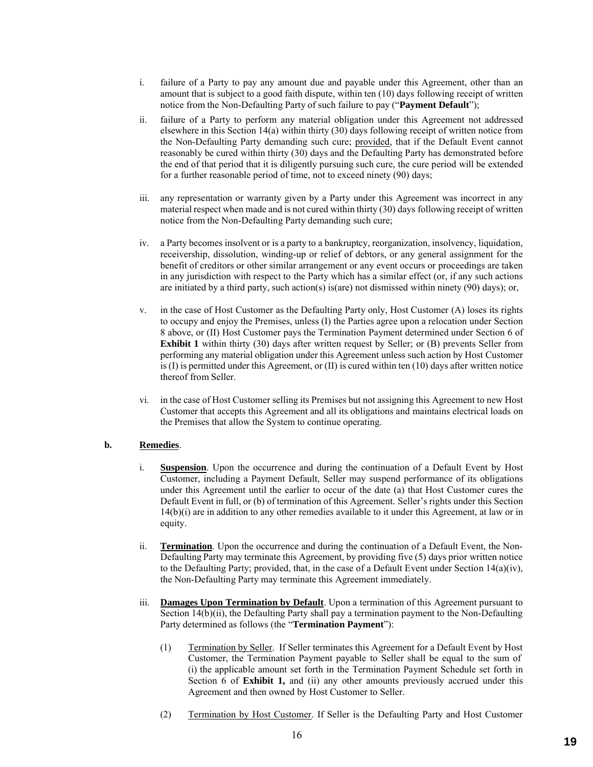- i. failure of a Party to pay any amount due and payable under this Agreement, other than an amount that is subject to a good faith dispute, within ten (10) days following receipt of written notice from the Non-Defaulting Party of such failure to pay ("**Payment Default**");
- ii. failure of a Party to perform any material obligation under this Agreement not addressed elsewhere in this Section 14(a) within thirty (30) days following receipt of written notice from the Non-Defaulting Party demanding such cure; provided, that if the Default Event cannot reasonably be cured within thirty (30) days and the Defaulting Party has demonstrated before the end of that period that it is diligently pursuing such cure, the cure period will be extended for a further reasonable period of time, not to exceed ninety (90) days;
- iii. any representation or warranty given by a Party under this Agreement was incorrect in any material respect when made and is not cured within thirty (30) days following receipt of written notice from the Non-Defaulting Party demanding such cure;
- iv. a Party becomes insolvent or is a party to a bankruptcy, reorganization, insolvency, liquidation, receivership, dissolution, winding-up or relief of debtors, or any general assignment for the benefit of creditors or other similar arrangement or any event occurs or proceedings are taken in any jurisdiction with respect to the Party which has a similar effect (or, if any such actions are initiated by a third party, such action(s) is(are) not dismissed within ninety (90) days); or,
- v. in the case of Host Customer as the Defaulting Party only, Host Customer (A) loses its rights to occupy and enjoy the Premises, unless (I) the Parties agree upon a relocation under Section 8 above, or (II) Host Customer pays the Termination Payment determined under Section 6 of **Exhibit 1** within thirty (30) days after written request by Seller; or (B) prevents Seller from performing any material obligation under this Agreement unless such action by Host Customer is  $(I)$  is permitted under this Agreement, or  $(II)$  is cured within ten  $(10)$  days after written notice thereof from Seller.
- vi. in the case of Host Customer selling its Premises but not assigning this Agreement to new Host Customer that accepts this Agreement and all its obligations and maintains electrical loads on the Premises that allow the System to continue operating.

#### **b. Remedies**.

- i. **Suspension**. Upon the occurrence and during the continuation of a Default Event by Host Customer, including a Payment Default, Seller may suspend performance of its obligations under this Agreement until the earlier to occur of the date (a) that Host Customer cures the Default Event in full, or (b) of termination of this Agreement. Seller's rights under this Section 14(b)(i) are in addition to any other remedies available to it under this Agreement, at law or in equity.
- ii. **Termination**. Upon the occurrence and during the continuation of a Default Event, the Non-Defaulting Party may terminate this Agreement, by providing five (5) days prior written notice to the Defaulting Party; provided, that, in the case of a Default Event under Section 14(a)(iv), the Non-Defaulting Party may terminate this Agreement immediately.
- iii. **Damages Upon Termination by Default**. Upon a termination of this Agreement pursuant to Section 14(b)(ii), the Defaulting Party shall pay a termination payment to the Non-Defaulting Party determined as follows (the "**Termination Payment**"):
	- (1) Termination by Seller. If Seller terminates this Agreement for a Default Event by Host Customer, the Termination Payment payable to Seller shall be equal to the sum of (i) the applicable amount set forth in the Termination Payment Schedule set forth in Section 6 of **Exhibit 1,** and (ii) any other amounts previously accrued under this Agreement and then owned by Host Customer to Seller.
	- (2) Termination by Host Customer. If Seller is the Defaulting Party and Host Customer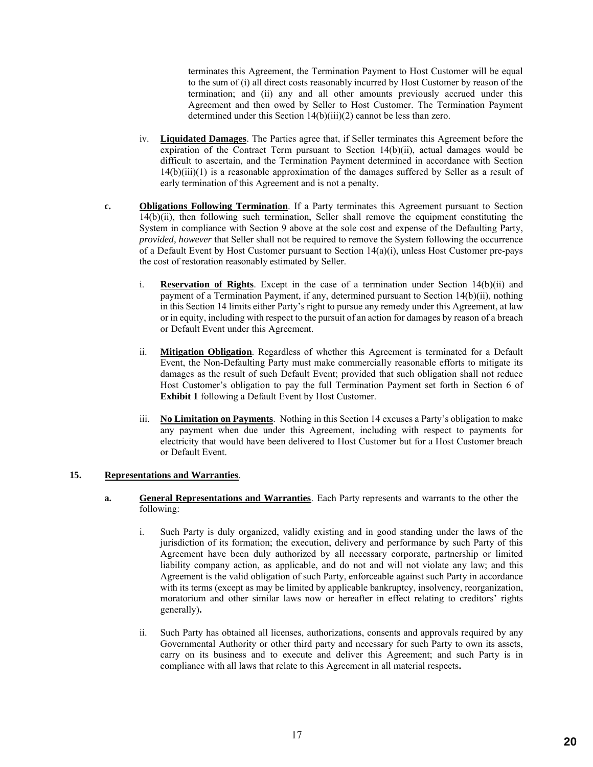terminates this Agreement, the Termination Payment to Host Customer will be equal to the sum of (i) all direct costs reasonably incurred by Host Customer by reason of the termination; and (ii) any and all other amounts previously accrued under this Agreement and then owed by Seller to Host Customer. The Termination Payment determined under this Section 14(b)(iii)(2) cannot be less than zero.

- iv. **Liquidated Damages**. The Parties agree that, if Seller terminates this Agreement before the expiration of the Contract Term pursuant to Section 14(b)(ii), actual damages would be difficult to ascertain, and the Termination Payment determined in accordance with Section 14(b)(iii)(1) is a reasonable approximation of the damages suffered by Seller as a result of early termination of this Agreement and is not a penalty.
- **c. Obligations Following Termination**. If a Party terminates this Agreement pursuant to Section 14(b)(ii), then following such termination, Seller shall remove the equipment constituting the System in compliance with Section 9 above at the sole cost and expense of the Defaulting Party, *provided, however* that Seller shall not be required to remove the System following the occurrence of a Default Event by Host Customer pursuant to Section 14(a)(i), unless Host Customer pre-pays the cost of restoration reasonably estimated by Seller.
	- i. **Reservation of Rights**. Except in the case of a termination under Section 14(b)(ii) and payment of a Termination Payment, if any, determined pursuant to Section 14(b)(ii), nothing in this Section 14 limits either Party's right to pursue any remedy under this Agreement, at law or in equity, including with respect to the pursuit of an action for damages by reason of a breach or Default Event under this Agreement.
	- ii. **Mitigation Obligation**. Regardless of whether this Agreement is terminated for a Default Event, the Non-Defaulting Party must make commercially reasonable efforts to mitigate its damages as the result of such Default Event; provided that such obligation shall not reduce Host Customer's obligation to pay the full Termination Payment set forth in Section 6 of **Exhibit 1** following a Default Event by Host Customer.
	- iii. **No Limitation on Payments**. Nothing in this Section 14 excuses a Party's obligation to make any payment when due under this Agreement, including with respect to payments for electricity that would have been delivered to Host Customer but for a Host Customer breach or Default Event.

#### **15. Representations and Warranties**.

- **a. General Representations and Warranties**. Each Party represents and warrants to the other the following:
	- i. Such Party is duly organized, validly existing and in good standing under the laws of the jurisdiction of its formation; the execution, delivery and performance by such Party of this Agreement have been duly authorized by all necessary corporate, partnership or limited liability company action, as applicable, and do not and will not violate any law; and this Agreement is the valid obligation of such Party, enforceable against such Party in accordance with its terms (except as may be limited by applicable bankruptcy, insolvency, reorganization, moratorium and other similar laws now or hereafter in effect relating to creditors' rights generally)**.**
	- ii. Such Party has obtained all licenses, authorizations, consents and approvals required by any Governmental Authority or other third party and necessary for such Party to own its assets, carry on its business and to execute and deliver this Agreement; and such Party is in compliance with all laws that relate to this Agreement in all material respects**.**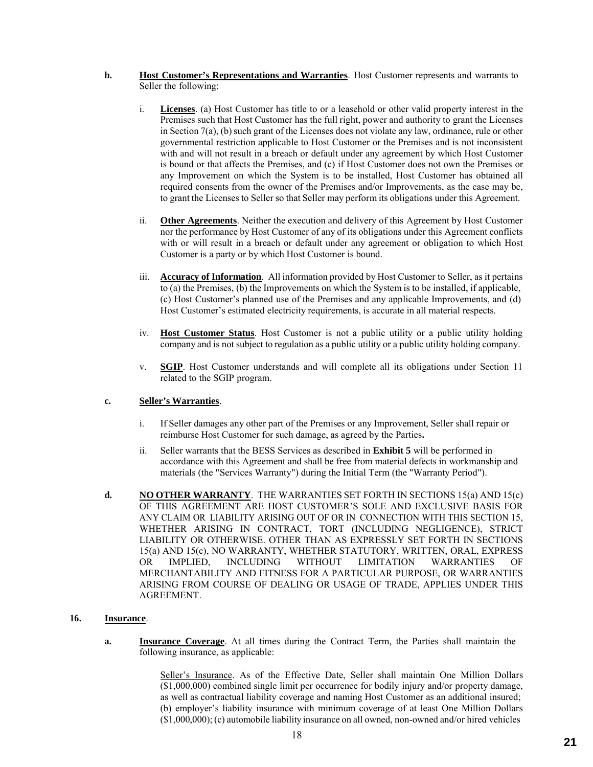- **b. Host Customer's Representations and Warranties**. Host Customer represents and warrants to Seller the following:
	- i. **Licenses**. (a) Host Customer has title to or a leasehold or other valid property interest in the Premises such that Host Customer has the full right, power and authority to grant the Licenses in Section 7(a), (b) such grant of the Licenses does not violate any law, ordinance, rule or other governmental restriction applicable to Host Customer or the Premises and is not inconsistent with and will not result in a breach or default under any agreement by which Host Customer is bound or that affects the Premises, and (c) if Host Customer does not own the Premises or any Improvement on which the System is to be installed, Host Customer has obtained all required consents from the owner of the Premises and/or Improvements, as the case may be, to grant the Licenses to Seller so that Seller may perform its obligations under this Agreement.
	- ii. **Other Agreements**. Neither the execution and delivery of this Agreement by Host Customer nor the performance by Host Customer of any of its obligations under this Agreement conflicts with or will result in a breach or default under any agreement or obligation to which Host Customer is a party or by which Host Customer is bound.
	- iii. **Accuracy of Information**. All information provided by Host Customer to Seller, as it pertains to (a) the Premises, (b) the Improvements on which the System is to be installed, if applicable, (c) Host Customer's planned use of the Premises and any applicable Improvements, and (d) Host Customer's estimated electricity requirements, is accurate in all material respects.
	- iv. **Host Customer Status**. Host Customer is not a public utility or a public utility holding company and is not subject to regulation as a public utility or a public utility holding company.
	- v. **SGIP**. Host Customer understands and will complete all its obligations under Section 11 related to the SGIP program.

#### **c. Seller's Warranties**.

- i. If Seller damages any other part of the Premises or any Improvement, Seller shall repair or reimburse Host Customer for such damage, as agreed by the Parties**.**
- ii. Seller warrants that the BESS Services as described in **Exhibit 5** will be performed in accordance with this Agreement and shall be free from material defects in workmanship and materials (the "Services Warranty") during the Initial Term (the "Warranty Period").
- **d. NO OTHER WARRANTY**. THE WARRANTIES SET FORTH IN SECTIONS 15(a) AND 15(c) OF THIS AGREEMENT ARE HOST CUSTOMER'S SOLE AND EXCLUSIVE BASIS FOR ANY CLAIM OR LIABILITY ARISING OUT OF OR IN CONNECTION WITH THIS SECTION 15, WHETHER ARISING IN CONTRACT, TORT (INCLUDING NEGLIGENCE), STRICT LIABILITY OR OTHERWISE. OTHER THAN AS EXPRESSLY SET FORTH IN SECTIONS 15(a) AND 15(c), NO WARRANTY, WHETHER STATUTORY, WRITTEN, ORAL, EXPRESS OR IMPLIED, INCLUDING WITHOUT LIMITATION WARRANTIES OF MERCHANTABILITY AND FITNESS FOR A PARTICULAR PURPOSE, OR WARRANTIES ARISING FROM COURSE OF DEALING OR USAGE OF TRADE, APPLIES UNDER THIS AGREEMENT.

#### **16. Insurance**.

**a. Insurance Coverage**. At all times during the Contract Term, the Parties shall maintain the following insurance, as applicable:

> Seller's Insurance. As of the Effective Date, Seller shall maintain One Million Dollars (\$1,000,000) combined single limit per occurrence for bodily injury and/or property damage, as well as contractual liability coverage and naming Host Customer as an additional insured; (b) employer's liability insurance with minimum coverage of at least One Million Dollars (\$1,000,000); (c) automobile liability insurance on all owned, non-owned and/or hired vehicles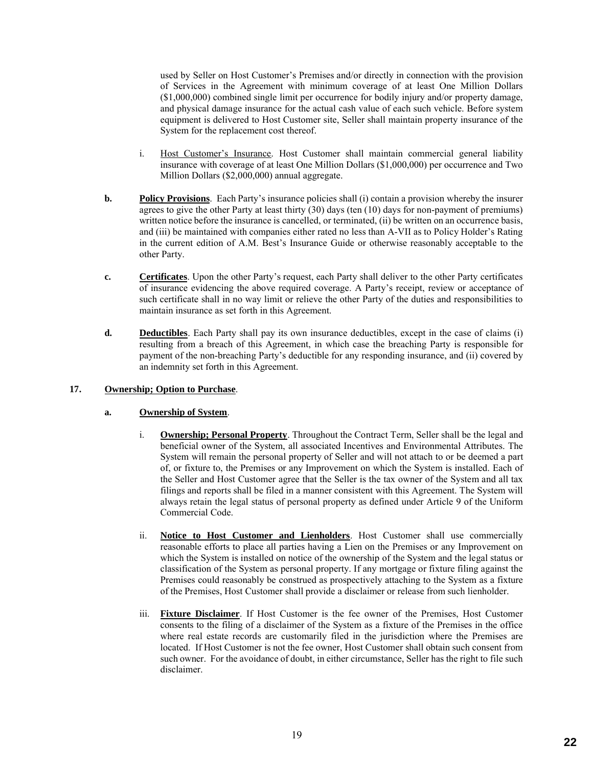used by Seller on Host Customer's Premises and/or directly in connection with the provision of Services in the Agreement with minimum coverage of at least One Million Dollars (\$1,000,000) combined single limit per occurrence for bodily injury and/or property damage, and physical damage insurance for the actual cash value of each such vehicle. Before system equipment is delivered to Host Customer site, Seller shall maintain property insurance of the System for the replacement cost thereof.

- i. Host Customer's Insurance. Host Customer shall maintain commercial general liability insurance with coverage of at least One Million Dollars (\$1,000,000) per occurrence and Two Million Dollars (\$2,000,000) annual aggregate.
- **b. Policy Provisions**. Each Party's insurance policies shall (i) contain a provision whereby the insurer agrees to give the other Party at least thirty (30) days (ten (10) days for non-payment of premiums) written notice before the insurance is cancelled, or terminated, (ii) be written on an occurrence basis, and (iii) be maintained with companies either rated no less than A-VII as to Policy Holder's Rating in the current edition of A.M. Best's Insurance Guide or otherwise reasonably acceptable to the other Party.
- **c. Certificates**. Upon the other Party's request, each Party shall deliver to the other Party certificates of insurance evidencing the above required coverage. A Party's receipt, review or acceptance of such certificate shall in no way limit or relieve the other Party of the duties and responsibilities to maintain insurance as set forth in this Agreement.
- **d. Deductibles**. Each Party shall pay its own insurance deductibles, except in the case of claims (i) resulting from a breach of this Agreement, in which case the breaching Party is responsible for payment of the non-breaching Party's deductible for any responding insurance, and (ii) covered by an indemnity set forth in this Agreement.

#### **17. Ownership; Option to Purchase**.

#### **a. Ownership of System**.

- i. **Ownership; Personal Property**. Throughout the Contract Term, Seller shall be the legal and beneficial owner of the System, all associated Incentives and Environmental Attributes. The System will remain the personal property of Seller and will not attach to or be deemed a part of, or fixture to, the Premises or any Improvement on which the System is installed. Each of the Seller and Host Customer agree that the Seller is the tax owner of the System and all tax filings and reports shall be filed in a manner consistent with this Agreement. The System will always retain the legal status of personal property as defined under Article 9 of the Uniform Commercial Code.
- ii. **Notice to Host Customer and Lienholders**. Host Customer shall use commercially reasonable efforts to place all parties having a Lien on the Premises or any Improvement on which the System is installed on notice of the ownership of the System and the legal status or classification of the System as personal property. If any mortgage or fixture filing against the Premises could reasonably be construed as prospectively attaching to the System as a fixture of the Premises, Host Customer shall provide a disclaimer or release from such lienholder.
- iii. **Fixture Disclaimer**. If Host Customer is the fee owner of the Premises, Host Customer consents to the filing of a disclaimer of the System as a fixture of the Premises in the office where real estate records are customarily filed in the jurisdiction where the Premises are located. If Host Customer is not the fee owner, Host Customer shall obtain such consent from such owner. For the avoidance of doubt, in either circumstance, Seller has the right to file such disclaimer.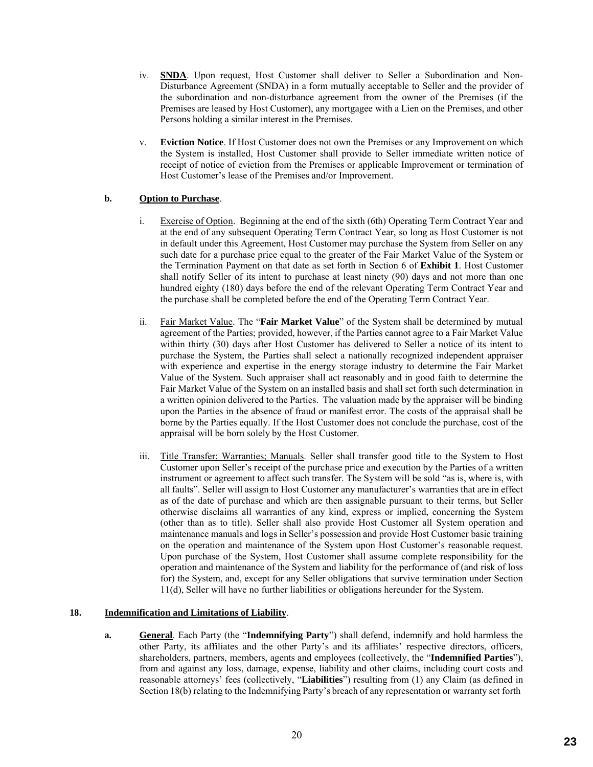- iv. **SNDA**. Upon request, Host Customer shall deliver to Seller a Subordination and Non-Disturbance Agreement (SNDA) in a form mutually acceptable to Seller and the provider of the subordination and non-disturbance agreement from the owner of the Premises (if the Premises are leased by Host Customer), any mortgagee with a Lien on the Premises, and other Persons holding a similar interest in the Premises.
- v. **Eviction Notice**. If Host Customer does not own the Premises or any Improvement on which the System is installed, Host Customer shall provide to Seller immediate written notice of receipt of notice of eviction from the Premises or applicable Improvement or termination of Host Customer's lease of the Premises and/or Improvement.

#### **b. Option to Purchase**.

- i. Exercise of Option. Beginning at the end of the sixth (6th) Operating Term Contract Year and at the end of any subsequent Operating Term Contract Year, so long as Host Customer is not in default under this Agreement, Host Customer may purchase the System from Seller on any such date for a purchase price equal to the greater of the Fair Market Value of the System or the Termination Payment on that date as set forth in Section 6 of **Exhibit 1**. Host Customer shall notify Seller of its intent to purchase at least ninety (90) days and not more than one hundred eighty (180) days before the end of the relevant Operating Term Contract Year and the purchase shall be completed before the end of the Operating Term Contract Year.
- ii. Fair Market Value. The "**Fair Market Value**" of the System shall be determined by mutual agreement of the Parties; provided, however, if the Parties cannot agree to a Fair Market Value within thirty (30) days after Host Customer has delivered to Seller a notice of its intent to purchase the System, the Parties shall select a nationally recognized independent appraiser with experience and expertise in the energy storage industry to determine the Fair Market Value of the System. Such appraiser shall act reasonably and in good faith to determine the Fair Market Value of the System on an installed basis and shall set forth such determination in a written opinion delivered to the Parties. The valuation made by the appraiser will be binding upon the Parties in the absence of fraud or manifest error. The costs of the appraisal shall be borne by the Parties equally. If the Host Customer does not conclude the purchase, cost of the appraisal will be born solely by the Host Customer.
- iii. Title Transfer; Warranties; Manuals. Seller shall transfer good title to the System to Host Customer upon Seller's receipt of the purchase price and execution by the Parties of a written instrument or agreement to affect such transfer. The System will be sold "as is, where is, with all faults". Seller will assign to Host Customer any manufacturer's warranties that are in effect as of the date of purchase and which are then assignable pursuant to their terms, but Seller otherwise disclaims all warranties of any kind, express or implied, concerning the System (other than as to title). Seller shall also provide Host Customer all System operation and maintenance manuals and logs in Seller's possession and provide Host Customer basic training on the operation and maintenance of the System upon Host Customer's reasonable request. Upon purchase of the System, Host Customer shall assume complete responsibility for the operation and maintenance of the System and liability for the performance of (and risk of loss for) the System, and, except for any Seller obligations that survive termination under Section 11(d), Seller will have no further liabilities or obligations hereunder for the System.

#### **18. Indemnification and Limitations of Liability**.

**a. General**. Each Party (the "**Indemnifying Party**") shall defend, indemnify and hold harmless the other Party, its affiliates and the other Party's and its affiliates' respective directors, officers, shareholders, partners, members, agents and employees (collectively, the "**Indemnified Parties**"), from and against any loss, damage, expense, liability and other claims, including court costs and reasonable attorneys' fees (collectively, "**Liabilities**") resulting from (1) any Claim (as defined in Section 18(b) relating to the Indemnifying Party's breach of any representation or warranty set forth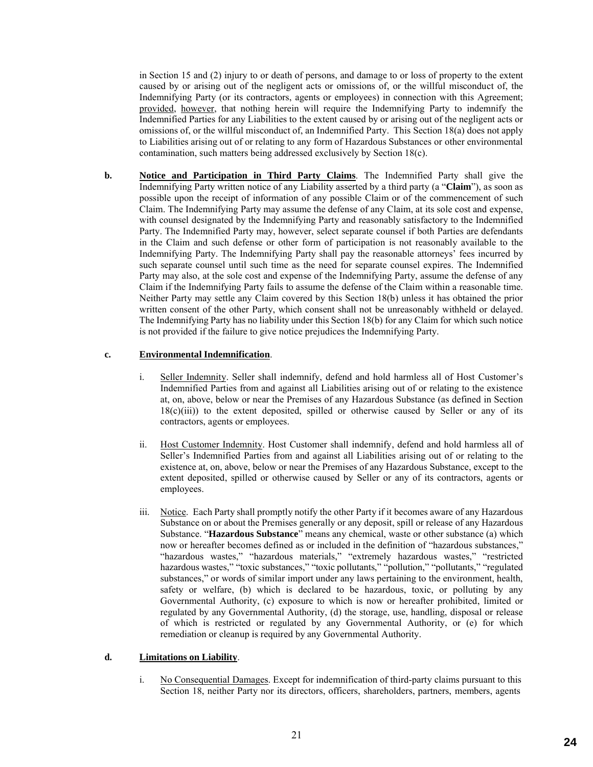in Section 15 and (2) injury to or death of persons, and damage to or loss of property to the extent caused by or arising out of the negligent acts or omissions of, or the willful misconduct of, the Indemnifying Party (or its contractors, agents or employees) in connection with this Agreement; provided, however, that nothing herein will require the Indemnifying Party to indemnify the Indemnified Parties for any Liabilities to the extent caused by or arising out of the negligent acts or omissions of, or the willful misconduct of, an Indemnified Party. This Section 18(a) does not apply to Liabilities arising out of or relating to any form of Hazardous Substances or other environmental contamination, such matters being addressed exclusively by Section 18(c).

**b. Notice and Participation in Third Party Claims**. The Indemnified Party shall give the Indemnifying Party written notice of any Liability asserted by a third party (a "**Claim**"), as soon as possible upon the receipt of information of any possible Claim or of the commencement of such Claim. The Indemnifying Party may assume the defense of any Claim, at its sole cost and expense, with counsel designated by the Indemnifying Party and reasonably satisfactory to the Indemnified Party. The Indemnified Party may, however, select separate counsel if both Parties are defendants in the Claim and such defense or other form of participation is not reasonably available to the Indemnifying Party. The Indemnifying Party shall pay the reasonable attorneys' fees incurred by such separate counsel until such time as the need for separate counsel expires. The Indemnified Party may also, at the sole cost and expense of the Indemnifying Party, assume the defense of any Claim if the Indemnifying Party fails to assume the defense of the Claim within a reasonable time. Neither Party may settle any Claim covered by this Section 18(b) unless it has obtained the prior written consent of the other Party, which consent shall not be unreasonably withheld or delayed. The Indemnifying Party has no liability under this Section 18(b) for any Claim for which such notice is not provided if the failure to give notice prejudices the Indemnifying Party.

#### **c. Environmental Indemnification**.

- i. Seller Indemnity. Seller shall indemnify, defend and hold harmless all of Host Customer's Indemnified Parties from and against all Liabilities arising out of or relating to the existence at, on, above, below or near the Premises of any Hazardous Substance (as defined in Section  $18(c)(iii)$ ) to the extent deposited, spilled or otherwise caused by Seller or any of its contractors, agents or employees.
- ii. Host Customer Indemnity. Host Customer shall indemnify, defend and hold harmless all of Seller's Indemnified Parties from and against all Liabilities arising out of or relating to the existence at, on, above, below or near the Premises of any Hazardous Substance, except to the extent deposited, spilled or otherwise caused by Seller or any of its contractors, agents or employees.
- iii. Notice. Each Party shall promptly notify the other Party if it becomes aware of any Hazardous Substance on or about the Premises generally or any deposit, spill or release of any Hazardous Substance. "**Hazardous Substance**" means any chemical, waste or other substance (a) which now or hereafter becomes defined as or included in the definition of "hazardous substances," "hazardous wastes," "hazardous materials," "extremely hazardous wastes," "restricted hazardous wastes," "toxic substances," "toxic pollutants," "pollution," "pollutants," "regulated substances," or words of similar import under any laws pertaining to the environment, health, safety or welfare, (b) which is declared to be hazardous, toxic, or polluting by any Governmental Authority, (c) exposure to which is now or hereafter prohibited, limited or regulated by any Governmental Authority, (d) the storage, use, handling, disposal or release of which is restricted or regulated by any Governmental Authority, or (e) for which remediation or cleanup is required by any Governmental Authority.

#### **d. Limitations on Liability**.

i. No Consequential Damages. Except for indemnification of third-party claims pursuant to this Section 18, neither Party nor its directors, officers, shareholders, partners, members, agents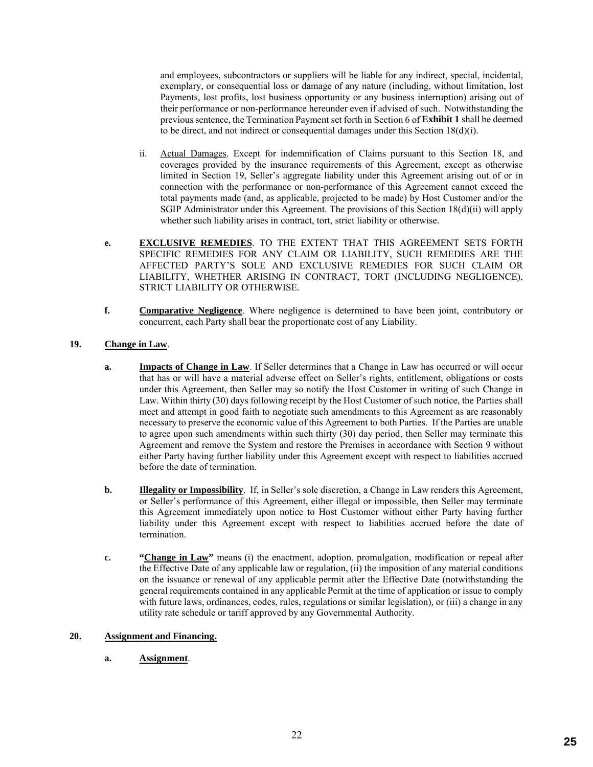and employees, subcontractors or suppliers will be liable for any indirect, special, incidental, exemplary, or consequential loss or damage of any nature (including, without limitation, lost Payments, lost profits, lost business opportunity or any business interruption) arising out of their performance or non-performance hereunder even if advised of such. Notwithstanding the previous sentence, the Termination Payment set forth in Section 6 of **Exhibit 1** shall be deemed to be direct, and not indirect or consequential damages under this Section  $18(d)(i)$ .

- ii. Actual Damages. Except for indemnification of Claims pursuant to this Section 18, and coverages provided by the insurance requirements of this Agreement, except as otherwise limited in Section 19, Seller's aggregate liability under this Agreement arising out of or in connection with the performance or non-performance of this Agreement cannot exceed the total payments made (and, as applicable, projected to be made) by Host Customer and/or the SGIP Administrator under this Agreement. The provisions of this Section 18(d)(ii) will apply whether such liability arises in contract, tort, strict liability or otherwise.
- **e. EXCLUSIVE REMEDIES**. TO THE EXTENT THAT THIS AGREEMENT SETS FORTH SPECIFIC REMEDIES FOR ANY CLAIM OR LIABILITY, SUCH REMEDIES ARE THE AFFECTED PARTY'S SOLE AND EXCLUSIVE REMEDIES FOR SUCH CLAIM OR LIABILITY, WHETHER ARISING IN CONTRACT, TORT (INCLUDING NEGLIGENCE), STRICT LIABILITY OR OTHERWISE.
- **f. Comparative Negligence**. Where negligence is determined to have been joint, contributory or concurrent, each Party shall bear the proportionate cost of any Liability.

#### **19. Change in Law**.

- **a. Impacts of Change in Law**. If Seller determines that a Change in Law has occurred or will occur that has or will have a material adverse effect on Seller's rights, entitlement, obligations or costs under this Agreement, then Seller may so notify the Host Customer in writing of such Change in Law. Within thirty (30) days following receipt by the Host Customer of such notice, the Parties shall meet and attempt in good faith to negotiate such amendments to this Agreement as are reasonably necessary to preserve the economic value of this Agreement to both Parties. If the Parties are unable to agree upon such amendments within such thirty (30) day period, then Seller may terminate this Agreement and remove the System and restore the Premises in accordance with Section 9 without either Party having further liability under this Agreement except with respect to liabilities accrued before the date of termination.
- **b. Illegality or Impossibility**. If, in Seller's sole discretion, a Change in Law renders this Agreement, or Seller's performance of this Agreement, either illegal or impossible, then Seller may terminate this Agreement immediately upon notice to Host Customer without either Party having further liability under this Agreement except with respect to liabilities accrued before the date of termination.
- **c. "Change in Law"** means (i) the enactment, adoption, promulgation, modification or repeal after the Effective Date of any applicable law or regulation, (ii) the imposition of any material conditions on the issuance or renewal of any applicable permit after the Effective Date (notwithstanding the general requirements contained in any applicable Permit at the time of application or issue to comply with future laws, ordinances, codes, rules, regulations or similar legislation), or (iii) a change in any utility rate schedule or tariff approved by any Governmental Authority.

#### **20. Assignment and Financing.**

**a. Assignment**.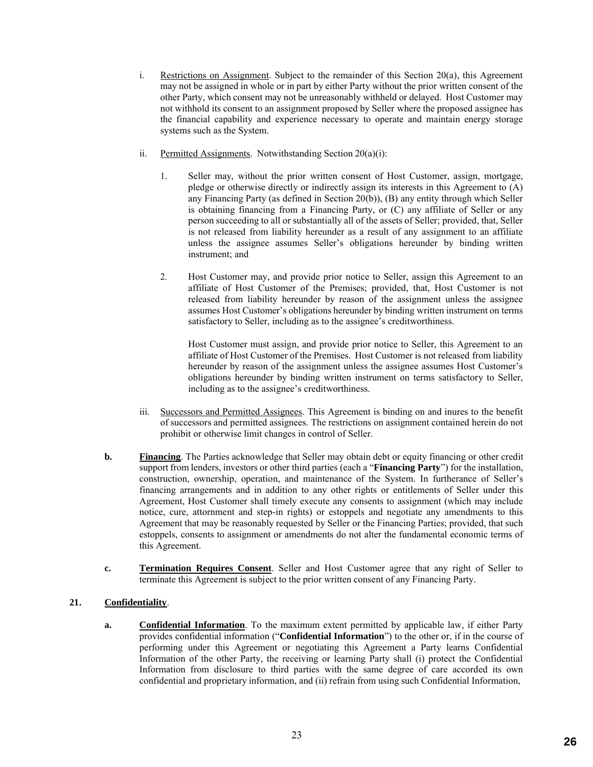- i. Restrictions on Assignment. Subject to the remainder of this Section 20(a), this Agreement may not be assigned in whole or in part by either Party without the prior written consent of the other Party, which consent may not be unreasonably withheld or delayed. Host Customer may not withhold its consent to an assignment proposed by Seller where the proposed assignee has the financial capability and experience necessary to operate and maintain energy storage systems such as the System.
- ii. Permitted Assignments. Notwithstanding Section 20(a)(i):
	- 1. Seller may, without the prior written consent of Host Customer, assign, mortgage, pledge or otherwise directly or indirectly assign its interests in this Agreement to (A) any Financing Party (as defined in Section 20(b)), (B) any entity through which Seller is obtaining financing from a Financing Party, or (C) any affiliate of Seller or any person succeeding to all or substantially all of the assets of Seller; provided, that, Seller is not released from liability hereunder as a result of any assignment to an affiliate unless the assignee assumes Seller's obligations hereunder by binding written instrument; and
	- 2. Host Customer may, and provide prior notice to Seller, assign this Agreement to an affiliate of Host Customer of the Premises; provided, that, Host Customer is not released from liability hereunder by reason of the assignment unless the assignee assumes Host Customer's obligations hereunder by binding written instrument on terms satisfactory to Seller, including as to the assignee's creditworthiness.

Host Customer must assign, and provide prior notice to Seller, this Agreement to an affiliate of Host Customer of the Premises. Host Customer is not released from liability hereunder by reason of the assignment unless the assignee assumes Host Customer's obligations hereunder by binding written instrument on terms satisfactory to Seller, including as to the assignee's creditworthiness.

- iii. Successors and Permitted Assignees. This Agreement is binding on and inures to the benefit of successors and permitted assignees. The restrictions on assignment contained herein do not prohibit or otherwise limit changes in control of Seller.
- **b. Financing**. The Parties acknowledge that Seller may obtain debt or equity financing or other credit support from lenders, investors or other third parties (each a "**Financing Party**") for the installation, construction, ownership, operation, and maintenance of the System. In furtherance of Seller's financing arrangements and in addition to any other rights or entitlements of Seller under this Agreement, Host Customer shall timely execute any consents to assignment (which may include notice, cure, attornment and step-in rights) or estoppels and negotiate any amendments to this Agreement that may be reasonably requested by Seller or the Financing Parties; provided, that such estoppels, consents to assignment or amendments do not alter the fundamental economic terms of this Agreement.
- **c. Termination Requires Consent**. Seller and Host Customer agree that any right of Seller to terminate this Agreement is subject to the prior written consent of any Financing Party.

#### **21. Confidentiality**.

**a. Confidential Information**. To the maximum extent permitted by applicable law, if either Party provides confidential information ("**Confidential Information**") to the other or, if in the course of performing under this Agreement or negotiating this Agreement a Party learns Confidential Information of the other Party, the receiving or learning Party shall (i) protect the Confidential Information from disclosure to third parties with the same degree of care accorded its own confidential and proprietary information, and (ii) refrain from using such Confidential Information,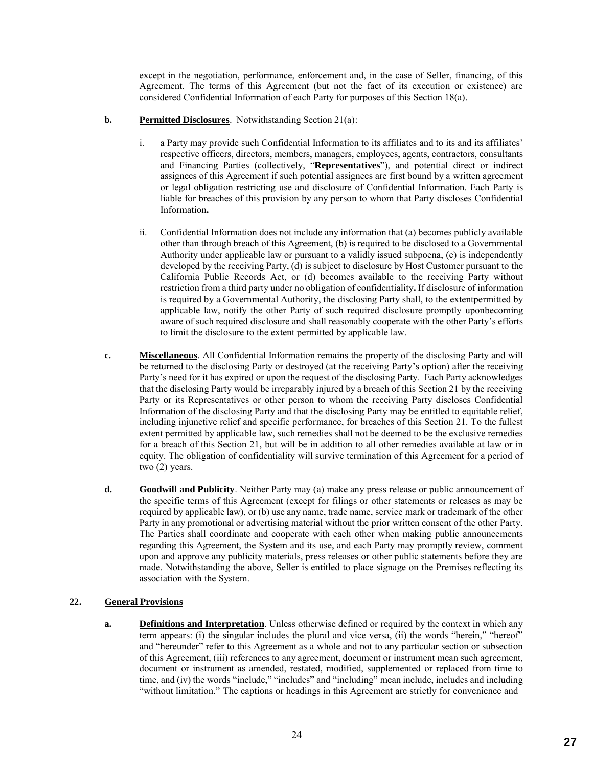except in the negotiation, performance, enforcement and, in the case of Seller, financing, of this Agreement. The terms of this Agreement (but not the fact of its execution or existence) are considered Confidential Information of each Party for purposes of this Section 18(a).

#### **b. Permitted Disclosures**. Notwithstanding Section 21(a):

- i. a Party may provide such Confidential Information to its affiliates and to its and its affiliates' respective officers, directors, members, managers, employees, agents, contractors, consultants and Financing Parties (collectively, "**Representatives**"), and potential direct or indirect assignees of this Agreement if such potential assignees are first bound by a written agreement or legal obligation restricting use and disclosure of Confidential Information. Each Party is liable for breaches of this provision by any person to whom that Party discloses Confidential Information**.**
- ii. Confidential Information does not include any information that (a) becomes publicly available other than through breach of this Agreement, (b) is required to be disclosed to a Governmental Authority under applicable law or pursuant to a validly issued subpoena, (c) is independently developed by the receiving Party, (d) is subject to disclosure by Host Customer pursuant to the California Public Records Act, or (d) becomes available to the receiving Party without restriction from a third party under no obligation of confidentiality**.** If disclosure of information is required by a Governmental Authority, the disclosing Party shall, to the extentpermitted by applicable law, notify the other Party of such required disclosure promptly uponbecoming aware of such required disclosure and shall reasonably cooperate with the other Party's efforts to limit the disclosure to the extent permitted by applicable law.
- **c. Miscellaneous**. All Confidential Information remains the property of the disclosing Party and will be returned to the disclosing Party or destroyed (at the receiving Party's option) after the receiving Party's need for it has expired or upon the request of the disclosing Party. Each Party acknowledges that the disclosing Party would be irreparably injured by a breach of this Section 21 by the receiving Party or its Representatives or other person to whom the receiving Party discloses Confidential Information of the disclosing Party and that the disclosing Party may be entitled to equitable relief, including injunctive relief and specific performance, for breaches of this Section 21. To the fullest extent permitted by applicable law, such remedies shall not be deemed to be the exclusive remedies for a breach of this Section 21, but will be in addition to all other remedies available at law or in equity. The obligation of confidentiality will survive termination of this Agreement for a period of two (2) years.
- **d. Goodwill and Publicity**. Neither Party may (a) make any press release or public announcement of the specific terms of this Agreement (except for filings or other statements or releases as may be required by applicable law), or (b) use any name, trade name, service mark or trademark of the other Party in any promotional or advertising material without the prior written consent of the other Party. The Parties shall coordinate and cooperate with each other when making public announcements regarding this Agreement, the System and its use, and each Party may promptly review, comment upon and approve any publicity materials, press releases or other public statements before they are made. Notwithstanding the above, Seller is entitled to place signage on the Premises reflecting its association with the System.

#### **22. General Provisions**

**a. Definitions and Interpretation**. Unless otherwise defined or required by the context in which any term appears: (i) the singular includes the plural and vice versa, (ii) the words "herein," "hereof" and "hereunder" refer to this Agreement as a whole and not to any particular section or subsection of this Agreement, (iii) references to any agreement, document or instrument mean such agreement, document or instrument as amended, restated, modified, supplemented or replaced from time to time, and (iv) the words "include," "includes" and "including" mean include, includes and including "without limitation." The captions or headings in this Agreement are strictly for convenience and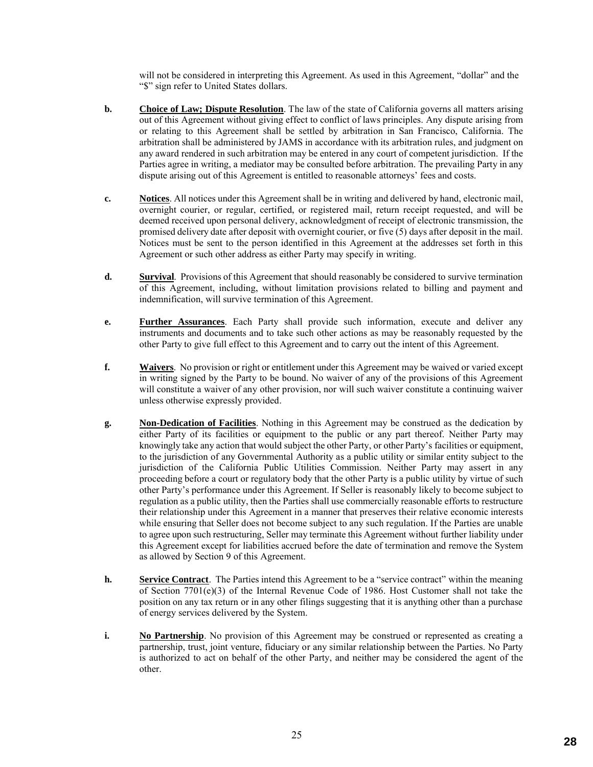will not be considered in interpreting this Agreement. As used in this Agreement, "dollar" and the "\$" sign refer to United States dollars.

- **b. Choice of Law; Dispute Resolution**. The law of the state of California governs all matters arising out of this Agreement without giving effect to conflict of laws principles. Any dispute arising from or relating to this Agreement shall be settled by arbitration in San Francisco, California. The arbitration shall be administered by JAMS in accordance with its arbitration rules, and judgment on any award rendered in such arbitration may be entered in any court of competent jurisdiction. If the Parties agree in writing, a mediator may be consulted before arbitration. The prevailing Party in any dispute arising out of this Agreement is entitled to reasonable attorneys' fees and costs.
- **c. Notices**. All notices under this Agreement shall be in writing and delivered by hand, electronic mail, overnight courier, or regular, certified, or registered mail, return receipt requested, and will be deemed received upon personal delivery, acknowledgment of receipt of electronic transmission, the promised delivery date after deposit with overnight courier, or five (5) days after deposit in the mail. Notices must be sent to the person identified in this Agreement at the addresses set forth in this Agreement or such other address as either Party may specify in writing.
- **d. Survival**. Provisions of this Agreement that should reasonably be considered to survive termination of this Agreement, including, without limitation provisions related to billing and payment and indemnification, will survive termination of this Agreement.
- **e. Further Assurances**. Each Party shall provide such information, execute and deliver any instruments and documents and to take such other actions as may be reasonably requested by the other Party to give full effect to this Agreement and to carry out the intent of this Agreement.
- **f. Waivers**. No provision or right or entitlement under this Agreement may be waived or varied except in writing signed by the Party to be bound. No waiver of any of the provisions of this Agreement will constitute a waiver of any other provision, nor will such waiver constitute a continuing waiver unless otherwise expressly provided.
- **g. Non-Dedication of Facilities**. Nothing in this Agreement may be construed as the dedication by either Party of its facilities or equipment to the public or any part thereof. Neither Party may knowingly take any action that would subject the other Party, or other Party's facilities or equipment, to the jurisdiction of any Governmental Authority as a public utility or similar entity subject to the jurisdiction of the California Public Utilities Commission. Neither Party may assert in any proceeding before a court or regulatory body that the other Party is a public utility by virtue of such other Party's performance under this Agreement. If Seller is reasonably likely to become subject to regulation as a public utility, then the Parties shall use commercially reasonable efforts to restructure their relationship under this Agreement in a manner that preserves their relative economic interests while ensuring that Seller does not become subject to any such regulation. If the Parties are unable to agree upon such restructuring, Seller may terminate this Agreement without further liability under this Agreement except for liabilities accrued before the date of termination and remove the System as allowed by Section 9 of this Agreement.
- **h. Service Contract**. The Parties intend this Agreement to be a "service contract" within the meaning of Section 7701(e)(3) of the Internal Revenue Code of 1986. Host Customer shall not take the position on any tax return or in any other filings suggesting that it is anything other than a purchase of energy services delivered by the System.
- **i. No Partnership**. No provision of this Agreement may be construed or represented as creating a partnership, trust, joint venture, fiduciary or any similar relationship between the Parties. No Party is authorized to act on behalf of the other Party, and neither may be considered the agent of the other.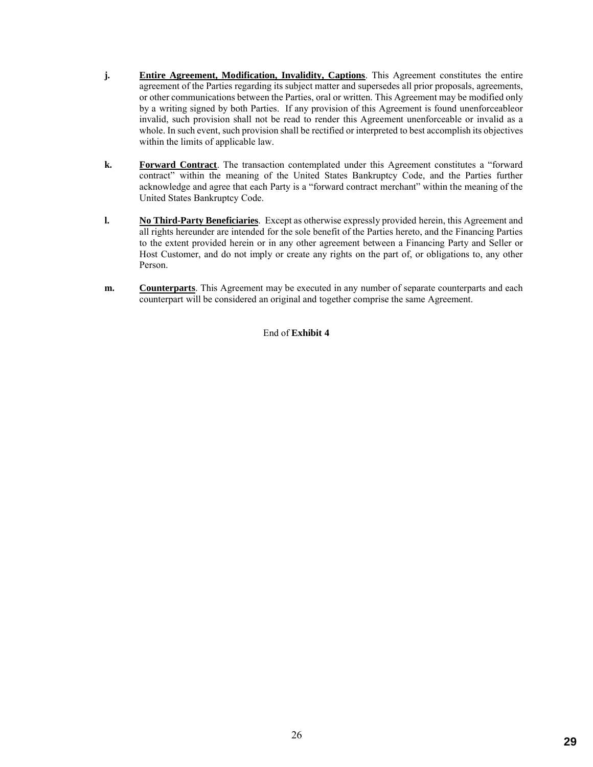- **j. Entire Agreement, Modification, Invalidity, Captions**. This Agreement constitutes the entire agreement of the Parties regarding its subject matter and supersedes all prior proposals, agreements, or other communications between the Parties, oral or written. This Agreement may be modified only by a writing signed by both Parties. If any provision of this Agreement is found unenforceableor invalid, such provision shall not be read to render this Agreement unenforceable or invalid as a whole. In such event, such provision shall be rectified or interpreted to best accomplish its objectives within the limits of applicable law.
- **k. Forward Contract**. The transaction contemplated under this Agreement constitutes a "forward contract" within the meaning of the United States Bankruptcy Code, and the Parties further acknowledge and agree that each Party is a "forward contract merchant" within the meaning of the United States Bankruptcy Code.
- **l. No Third-Party Beneficiaries**. Except as otherwise expressly provided herein, this Agreement and all rights hereunder are intended for the sole benefit of the Parties hereto, and the Financing Parties to the extent provided herein or in any other agreement between a Financing Party and Seller or Host Customer, and do not imply or create any rights on the part of, or obligations to, any other Person.
- **m. Counterparts**. This Agreement may be executed in any number of separate counterparts and each counterpart will be considered an original and together comprise the same Agreement.

End of **Exhibit 4**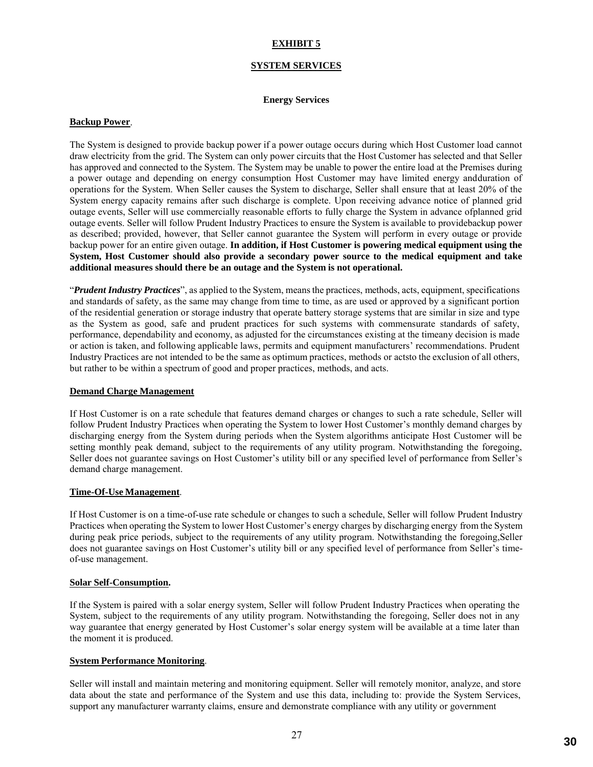#### **SYSTEM SERVICES**

#### **Energy Services**

#### **Backup Power**.

The System is designed to provide backup power if a power outage occurs during which Host Customer load cannot draw electricity from the grid. The System can only power circuits that the Host Customer has selected and that Seller has approved and connected to the System. The System may be unable to power the entire load at the Premises during a power outage and depending on energy consumption Host Customer may have limited energy andduration of operations for the System. When Seller causes the System to discharge, Seller shall ensure that at least 20% of the System energy capacity remains after such discharge is complete. Upon receiving advance notice of planned grid outage events, Seller will use commercially reasonable efforts to fully charge the System in advance ofplanned grid outage events. Seller will follow Prudent Industry Practices to ensure the System is available to providebackup power as described; provided, however, that Seller cannot guarantee the System will perform in every outage or provide backup power for an entire given outage. **In addition, if Host Customer is powering medical equipment using the System, Host Customer should also provide a secondary power source to the medical equipment and take additional measures should there be an outage and the System is not operational.**

"*Prudent Industry Practices*", as applied to the System, means the practices, methods, acts, equipment, specifications and standards of safety, as the same may change from time to time, as are used or approved by a significant portion of the residential generation or storage industry that operate battery storage systems that are similar in size and type as the System as good, safe and prudent practices for such systems with commensurate standards of safety, performance, dependability and economy, as adjusted for the circumstances existing at the timeany decision is made or action is taken, and following applicable laws, permits and equipment manufacturers' recommendations. Prudent Industry Practices are not intended to be the same as optimum practices, methods or actsto the exclusion of all others, but rather to be within a spectrum of good and proper practices, methods, and acts.

#### **Demand Charge Management**

If Host Customer is on a rate schedule that features demand charges or changes to such a rate schedule, Seller will follow Prudent Industry Practices when operating the System to lower Host Customer's monthly demand charges by discharging energy from the System during periods when the System algorithms anticipate Host Customer will be setting monthly peak demand, subject to the requirements of any utility program. Notwithstanding the foregoing, Seller does not guarantee savings on Host Customer's utility bill or any specified level of performance from Seller's demand charge management.

#### **Time-Of-Use Management**.

If Host Customer is on a time-of-use rate schedule or changes to such a schedule, Seller will follow Prudent Industry Practices when operating the System to lower Host Customer's energy charges by discharging energy from the System during peak price periods, subject to the requirements of any utility program. Notwithstanding the foregoing, Seller does not guarantee savings on Host Customer's utility bill or any specified level of performance from Seller's timeof-use management.

#### **Solar Self-Consumption.**

If the System is paired with a solar energy system, Seller will follow Prudent Industry Practices when operating the System, subject to the requirements of any utility program. Notwithstanding the foregoing, Seller does not in any way guarantee that energy generated by Host Customer's solar energy system will be available at a time later than the moment it is produced.

#### **System Performance Monitoring**.

Seller will install and maintain metering and monitoring equipment. Seller will remotely monitor, analyze, and store data about the state and performance of the System and use this data, including to: provide the System Services, support any manufacturer warranty claims, ensure and demonstrate compliance with any utility or government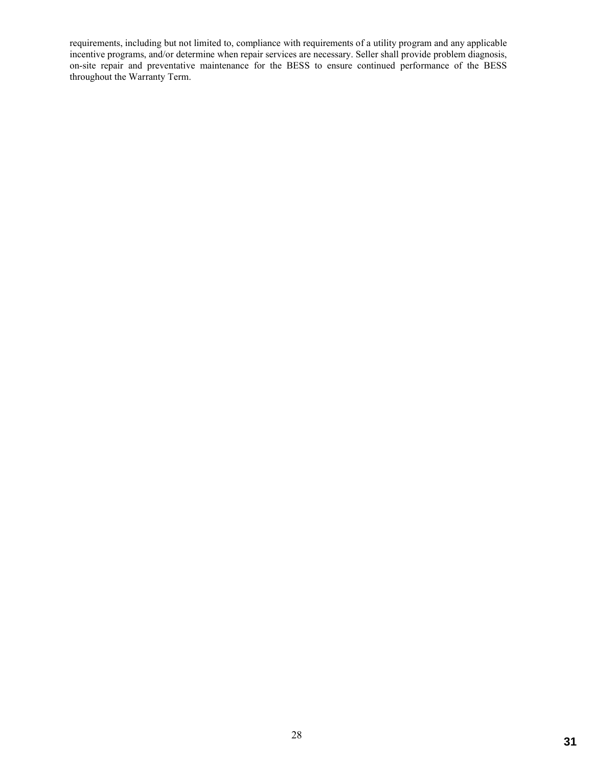requirements, including but not limited to, compliance with requirements of a utility program and any applicable incentive programs, and/or determine when repair services are necessary. Seller shall provide problem diagnosis, on-site repair and preventative maintenance for the BESS to ensure continued performance of the BESS throughout the Warranty Term.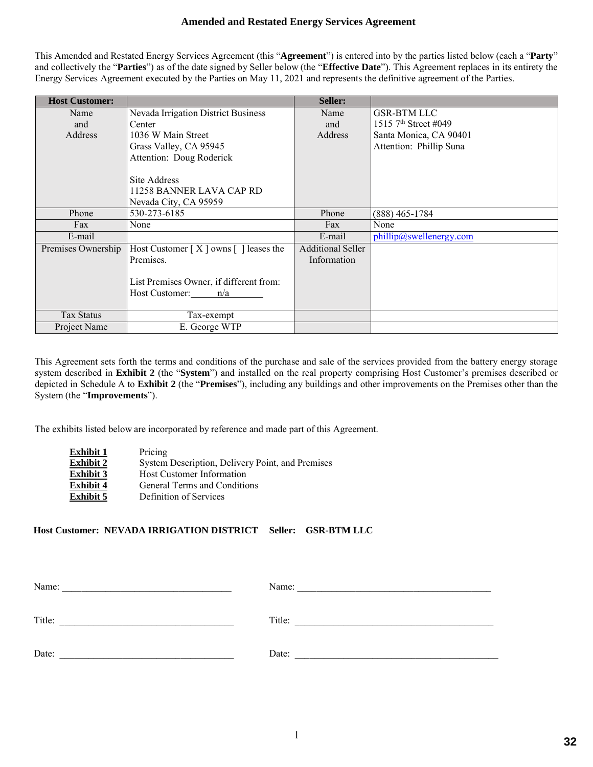#### **Amended and Restated Energy Services Agreement**

This Amended and Restated Energy Services Agreement (this "**Agreement**") is entered into by the parties listed below (each a "**Party**" and collectively the "**Parties**") as of the date signed by Seller below (the "**Effective Date**"). This Agreement replaces in its entirety the Energy Services Agreement executed by the Parties on May 11, 2021 and represents the definitive agreement of the Parties.

| <b>Host Customer:</b> |                                            | Seller:                  |                                  |
|-----------------------|--------------------------------------------|--------------------------|----------------------------------|
| Name                  | <b>Nevada Irrigation District Business</b> | Name                     | <b>GSR-BTM LLC</b>               |
| and                   | Center                                     | and                      | 1515 7 <sup>th</sup> Street #049 |
| Address               | 1036 W Main Street                         | Address                  | Santa Monica, CA 90401           |
|                       | Grass Valley, CA 95945                     |                          | Attention: Phillip Suna          |
|                       | Attention: Doug Roderick                   |                          |                                  |
|                       |                                            |                          |                                  |
|                       | Site Address                               |                          |                                  |
|                       | 11258 BANNER LAVA CAP RD                   |                          |                                  |
|                       | Nevada City, CA 95959                      |                          |                                  |
| Phone                 | 530-273-6185                               | Phone                    | $(888)$ 465-1784                 |
| Fax                   | None                                       | Fax                      | None                             |
| E-mail                |                                            | E-mail                   | phillip@swellenergy.com          |
| Premises Ownership    | Host Customer $[X]$ owns $[ ]$ leases the  | <b>Additional Seller</b> |                                  |
|                       | Premises.                                  | Information              |                                  |
|                       |                                            |                          |                                  |
|                       | List Premises Owner, if different from:    |                          |                                  |
|                       | Host Customer: n/a                         |                          |                                  |
|                       |                                            |                          |                                  |
| <b>Tax Status</b>     | Tax-exempt                                 |                          |                                  |
| Project Name          | E. George WTP                              |                          |                                  |

This Agreement sets forth the terms and conditions of the purchase and sale of the services provided from the battery energy storage system described in **Exhibit 2** (the "**System**") and installed on the real property comprising Host Customer's premises described or depicted in Schedule A to **Exhibit 2** (the "**Premises**"), including any buildings and other improvements on the Premises other than the System (the "**Improvements**").

The exhibits listed below are incorporated by reference and made part of this Agreement.

| <b>Exhibit 1</b> | Pricing                                          |
|------------------|--------------------------------------------------|
| <b>Exhibit 2</b> | System Description, Delivery Point, and Premises |
| <b>Exhibit 3</b> | <b>Host Customer Information</b>                 |
| <b>Exhibit 4</b> | General Terms and Conditions                     |
| <b>Exhibit 5</b> | Definition of Services                           |

#### **Host Customer: NEVADA IRRIGATION DISTRICT Seller: GSR-BTM LLC**

| Name:  | Name:  |
|--------|--------|
| Title: | Title: |
| Date:  | Date:  |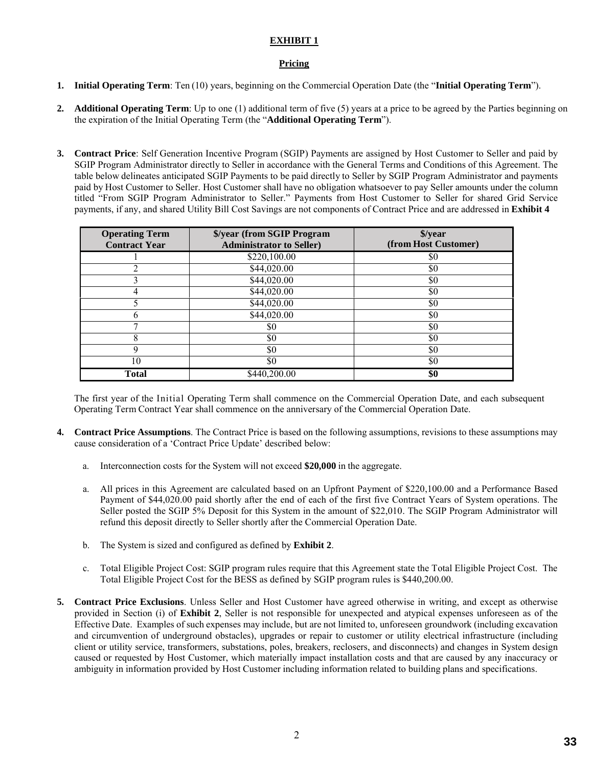#### **Pricing**

- **1. Initial Operating Term**: Ten (10) years, beginning on the Commercial Operation Date (the "**Initial Operating Term**").
- **2. Additional Operating Term**: Up to one (1) additional term of five (5) years at a price to be agreed by the Parties beginning on the expiration of the Initial Operating Term (the "**Additional Operating Term**").
- **3. Contract Price**: Self Generation Incentive Program (SGIP) Payments are assigned by Host Customer to Seller and paid by SGIP Program Administrator directly to Seller in accordance with the General Terms and Conditions of this Agreement. The table below delineates anticipated SGIP Payments to be paid directly to Seller by SGIP Program Administrator and payments paid by Host Customer to Seller. Host Customer shall have no obligation whatsoever to pay Seller amounts under the column titled "From SGIP Program Administrator to Seller." Payments from Host Customer to Seller for shared Grid Service payments, if any, and shared Utility Bill Cost Savings are not components of Contract Price and are addressed in **Exhibit 4**

| <b>Operating Term</b><br><b>Contract Year</b> | \$/year (from SGIP Program<br><b>Administrator to Seller)</b> | \$/year<br>(from Host Customer) |
|-----------------------------------------------|---------------------------------------------------------------|---------------------------------|
|                                               | \$220,100.00                                                  | \$0                             |
|                                               | \$44,020.00                                                   | \$0                             |
|                                               | \$44,020.00                                                   | \$0                             |
|                                               | \$44,020.00                                                   | \$0                             |
|                                               | \$44,020.00                                                   | \$0                             |
| n                                             | \$44,020.00                                                   | \$0                             |
|                                               | \$0                                                           | \$0                             |
| 8                                             | \$0                                                           | \$0                             |
| 9                                             | \$0                                                           | \$0                             |
| 10                                            | \$0                                                           | \$0                             |
| Total                                         | \$440,200.00                                                  | \$0                             |

The first year of the Initial Operating Term shall commence on the Commercial Operation Date, and each subsequent Operating Term Contract Year shall commence on the anniversary of the Commercial Operation Date.

- **4. Contract Price Assumptions**. The Contract Price is based on the following assumptions, revisions to these assumptions may cause consideration of a 'Contract Price Update' described below:
	- a. Interconnection costs for the System will not exceed **\$20,000** in the aggregate.
	- a. All prices in this Agreement are calculated based on an Upfront Payment of \$220,100.00 and a Performance Based Payment of \$44,020.00 paid shortly after the end of each of the first five Contract Years of System operations. The Seller posted the SGIP 5% Deposit for this System in the amount of \$22,010. The SGIP Program Administrator will refund this deposit directly to Seller shortly after the Commercial Operation Date.
	- b. The System is sized and configured as defined by **Exhibit 2**.
	- c. Total Eligible Project Cost: SGIP program rules require that this Agreement state the Total Eligible Project Cost. The Total Eligible Project Cost for the BESS as defined by SGIP program rules is \$440,200.00.
- **5. Contract Price Exclusions**. Unless Seller and Host Customer have agreed otherwise in writing, and except as otherwise provided in Section (i) of **Exhibit 2**, Seller is not responsible for unexpected and atypical expenses unforeseen as of the Effective Date. Examples of such expenses may include, but are not limited to, unforeseen groundwork (including excavation and circumvention of underground obstacles), upgrades or repair to customer or utility electrical infrastructure (including client or utility service, transformers, substations, poles, breakers, reclosers, and disconnects) and changes in System design caused or requested by Host Customer, which materially impact installation costs and that are caused by any inaccuracy or ambiguity in information provided by Host Customer including information related to building plans and specifications.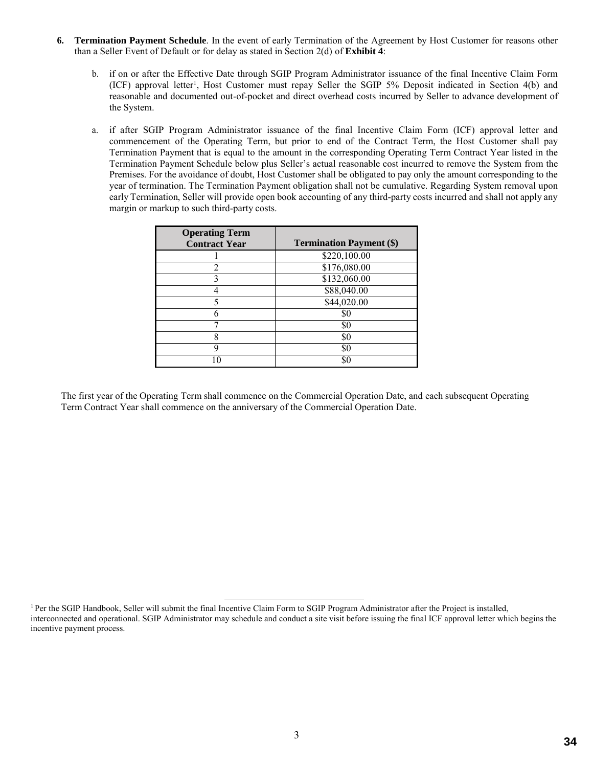- **6. Termination Payment Schedule**. In the event of early Termination of the Agreement by Host Customer for reasons other than a Seller Event of Default or for delay as stated in Section 2(d) of **Exhibit 4**:
	- b. if on or after the Effective Date through SGIP Program Administrator issuance of the final Incentive Claim Form (ICF) approval letter<sup>1</sup>, Host Customer must repay Seller the SGIP 5% Deposit indicated in Section 4(b) and reasonable and documented out-of-pocket and direct overhead costs incurred by Seller to advance development of the System.
	- a. if after SGIP Program Administrator issuance of the final Incentive Claim Form (ICF) approval letter and commencement of the Operating Term, but prior to end of the Contract Term, the Host Customer shall pay Termination Payment that is equal to the amount in the corresponding Operating Term Contract Year listed in the Termination Payment Schedule below plus Seller's actual reasonable cost incurred to remove the System from the Premises. For the avoidance of doubt, Host Customer shall be obligated to pay only the amount corresponding to the year of termination. The Termination Payment obligation shall not be cumulative. Regarding System removal upon early Termination, Seller will provide open book accounting of any third-party costs incurred and shall not apply any margin or markup to such third-party costs.

| <b>Operating Term</b><br><b>Contract Year</b> | <b>Termination Payment (\$)</b> |
|-----------------------------------------------|---------------------------------|
|                                               | \$220,100.00                    |
|                                               | \$176,080.00                    |
|                                               | \$132,060.00                    |
|                                               | \$88,040.00                     |
| 5                                             | \$44,020.00                     |
|                                               | \$0                             |
|                                               | \$0                             |
| 8                                             | \$0                             |
| q                                             | \$0                             |
|                                               | \$C                             |

The first year of the Operating Term shall commence on the Commercial Operation Date, and each subsequent Operating Term Contract Year shall commence on the anniversary of the Commercial Operation Date.

<sup>&</sup>lt;sup>1</sup> Per the SGIP Handbook, Seller will submit the final Incentive Claim Form to SGIP Program Administrator after the Project is installed, interconnected and operational. SGIP Administrator may schedule and conduct a site visit before issuing the final ICF approval letter which begins the incentive payment process.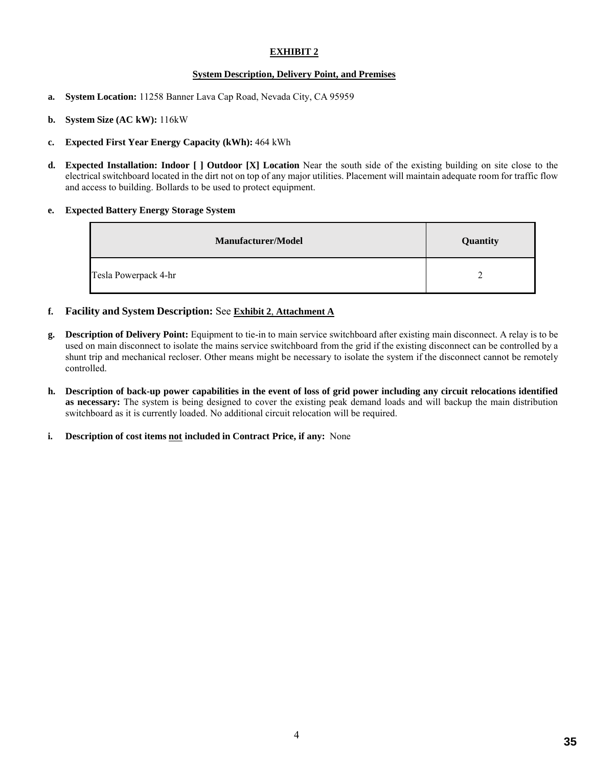#### **System Description, Delivery Point, and Premises**

- **a. System Location:** 11258 Banner Lava Cap Road, Nevada City, CA 95959
- **b. System Size (AC kW):** 116kW
- **c. Expected First Year Energy Capacity (kWh):** 464 kWh
- **d. Expected Installation: Indoor [ ] Outdoor [X] Location** Near the south side of the existing building on site close to the electrical switchboard located in the dirt not on top of any major utilities. Placement will maintain adequate room for traffic flow and access to building. Bollards to be used to protect equipment.

#### **e. Expected Battery Energy Storage System**

| <b>Manufacturer/Model</b> | Quantity |
|---------------------------|----------|
| Tesla Powerpack 4-hr      |          |

- **f. Facility and System Description:** See **Exhibit 2**, **Attachment A**
- **g. Description of Delivery Point:** Equipment to tie-in to main service switchboard after existing main disconnect. A relay is to be used on main disconnect to isolate the mains service switchboard from the grid if the existing disconnect can be controlled by a shunt trip and mechanical recloser. Other means might be necessary to isolate the system if the disconnect cannot be remotely controlled.
- **h. Description of back-up power capabilities in the event of loss of grid power including any circuit relocations identified as necessary:** The system is being designed to cover the existing peak demand loads and will backup the main distribution switchboard as it is currently loaded. No additional circuit relocation will be required.
- **i. Description of cost items not included in Contract Price, if any:** None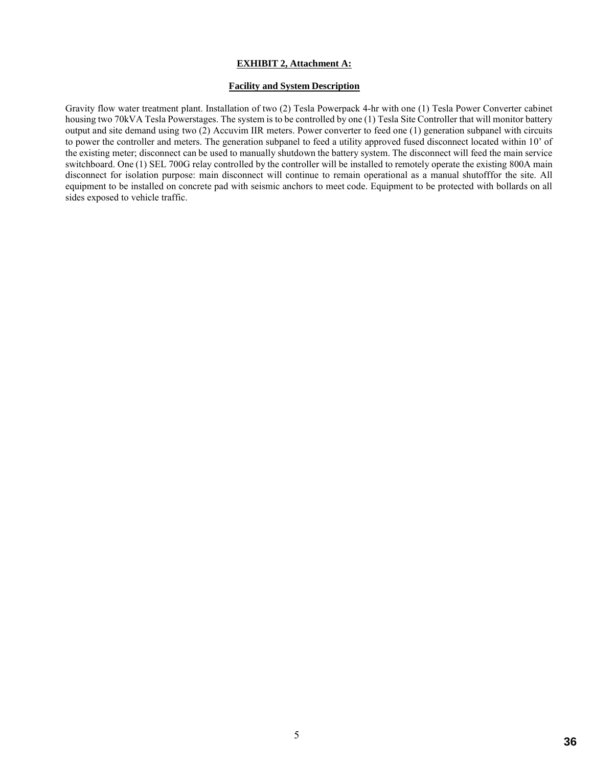#### **EXHIBIT 2, Attachment A:**

#### **Facility and System Description**

Gravity flow water treatment plant. Installation of two (2) Tesla Powerpack 4-hr with one (1) Tesla Power Converter cabinet housing two 70kVA Tesla Powerstages. The system is to be controlled by one (1) Tesla Site Controller that will monitor battery output and site demand using two (2) Accuvim IIR meters. Power converter to feed one (1) generation subpanel with circuits to power the controller and meters. The generation subpanel to feed a utility approved fused disconnect located within 10' of the existing meter; disconnect can be used to manually shutdown the battery system. The disconnect will feed the main service switchboard. One (1) SEL 700G relay controlled by the controller will be installed to remotely operate the existing 800A main disconnect for isolation purpose: main disconnect will continue to remain operational as a manual shutofffor the site. All equipment to be installed on concrete pad with seismic anchors to meet code. Equipment to be protected with bollards on all sides exposed to vehicle traffic.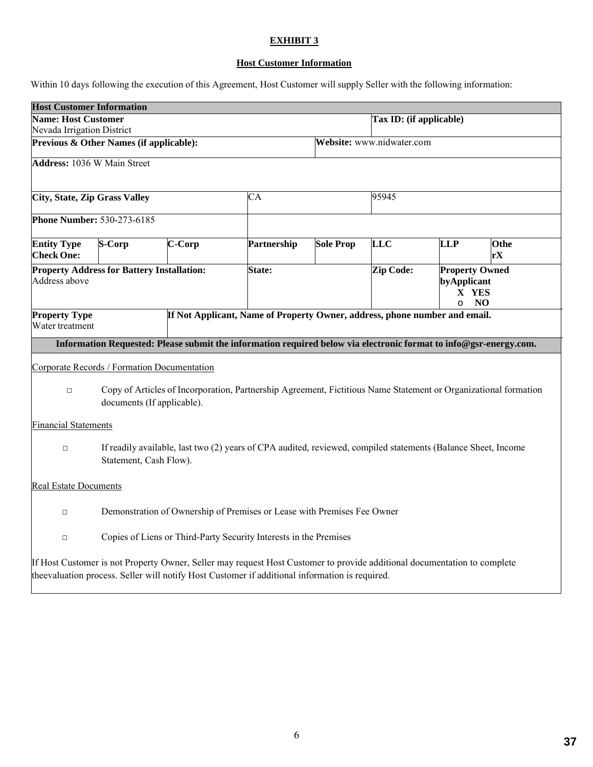# **EXHIBIT 3**

# **Host Customer Information**

Within 10 days following the execution of this Agreement, Host Customer will supply Seller with the following information:

| <b>Host Customer Information</b>                                                                                                                        |                                                                         |        |                                                                                                                                                                                                                            |                         |                                       |                                                                 |            |  |  |
|---------------------------------------------------------------------------------------------------------------------------------------------------------|-------------------------------------------------------------------------|--------|----------------------------------------------------------------------------------------------------------------------------------------------------------------------------------------------------------------------------|-------------------------|---------------------------------------|-----------------------------------------------------------------|------------|--|--|
| <b>Name: Host Customer</b>                                                                                                                              |                                                                         |        |                                                                                                                                                                                                                            | Tax ID: (if applicable) |                                       |                                                                 |            |  |  |
| Nevada Irrigation District                                                                                                                              |                                                                         |        |                                                                                                                                                                                                                            |                         |                                       |                                                                 |            |  |  |
|                                                                                                                                                         | Previous & Other Names (if applicable):                                 |        |                                                                                                                                                                                                                            |                         | Website: www.nidwater.com             |                                                                 |            |  |  |
| <b>Address: 1036 W Main Street</b>                                                                                                                      |                                                                         |        |                                                                                                                                                                                                                            |                         |                                       |                                                                 |            |  |  |
| City, State, Zip Grass Valley                                                                                                                           |                                                                         | CA     |                                                                                                                                                                                                                            |                         | 95945                                 |                                                                 |            |  |  |
| <b>Phone Number: 530-273-6185</b>                                                                                                                       |                                                                         |        |                                                                                                                                                                                                                            |                         |                                       |                                                                 |            |  |  |
| <b>Entity Type</b><br><b>Check One:</b>                                                                                                                 | S-Corp                                                                  | C-Corp | Partnership                                                                                                                                                                                                                | <b>Sole Prop</b>        | $\overline{\text{L}}\text{L}\text{C}$ | <b>LLP</b>                                                      | Othe<br>rX |  |  |
| Address above                                                                                                                                           | <b>Property Address for Battery Installation:</b>                       |        | State:                                                                                                                                                                                                                     |                         |                                       | <b>Property Owned</b><br>byApplicant<br>X YES<br>NO<br>$\Omega$ |            |  |  |
| <b>Property Type</b><br>Water treatment                                                                                                                 |                                                                         |        | If Not Applicant, Name of Property Owner, address, phone number and email.                                                                                                                                                 |                         |                                       |                                                                 |            |  |  |
|                                                                                                                                                         |                                                                         |        | Information Requested: Please submit the information required below via electronic format to info@gsr-energy.com.                                                                                                          |                         |                                       |                                                                 |            |  |  |
|                                                                                                                                                         | Corporate Records / Formation Documentation                             |        |                                                                                                                                                                                                                            |                         |                                       |                                                                 |            |  |  |
| Copy of Articles of Incorporation, Partnership Agreement, Fictitious Name Statement or Organizational formation<br>$\Box$<br>documents (If applicable). |                                                                         |        |                                                                                                                                                                                                                            |                         |                                       |                                                                 |            |  |  |
| <b>Financial Statements</b>                                                                                                                             |                                                                         |        |                                                                                                                                                                                                                            |                         |                                       |                                                                 |            |  |  |
| $\Box$                                                                                                                                                  | Statement, Cash Flow).                                                  |        | If readily available, last two (2) years of CPA audited, reviewed, compiled statements (Balance Sheet, Income                                                                                                              |                         |                                       |                                                                 |            |  |  |
| <b>Real Estate Documents</b>                                                                                                                            |                                                                         |        |                                                                                                                                                                                                                            |                         |                                       |                                                                 |            |  |  |
| $\Box$                                                                                                                                                  | Demonstration of Ownership of Premises or Lease with Premises Fee Owner |        |                                                                                                                                                                                                                            |                         |                                       |                                                                 |            |  |  |
| $\Box$                                                                                                                                                  | Copies of Liens or Third-Party Security Interests in the Premises       |        |                                                                                                                                                                                                                            |                         |                                       |                                                                 |            |  |  |
|                                                                                                                                                         |                                                                         |        | If Host Customer is not Property Owner, Seller may request Host Customer to provide additional documentation to complete<br>theevaluation process. Seller will notify Host Customer if additional information is required. |                         |                                       |                                                                 |            |  |  |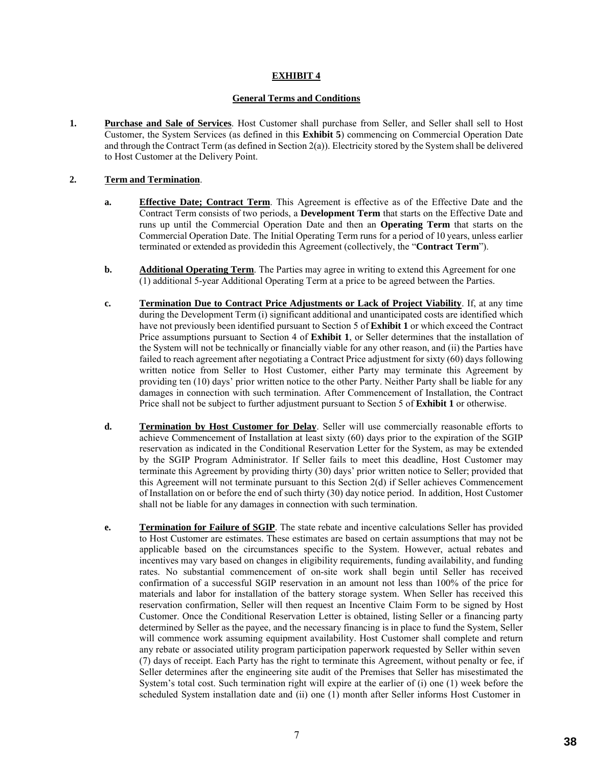# **EXHIBIT 4**

### **General Terms and Conditions**

**1. Purchase and Sale of Services**. Host Customer shall purchase from Seller, and Seller shall sell to Host Customer, the System Services (as defined in this **Exhibit 5**) commencing on Commercial Operation Date and through the Contract Term (as defined in Section 2(a)). Electricity stored by the System shall be delivered to Host Customer at the Delivery Point.

# **2. Term and Termination**.

- **a. Effective Date; Contract Term**. This Agreement is effective as of the Effective Date and the Contract Term consists of two periods, a **Development Term** that starts on the Effective Date and runs up until the Commercial Operation Date and then an **Operating Term** that starts on the Commercial Operation Date. The Initial Operating Term runs for a period of 10 years, unless earlier terminated or extended as providedin this Agreement (collectively, the "**Contract Term**").
- **b. Additional Operating Term**. The Parties may agree in writing to extend this Agreement for one (1) additional 5-year Additional Operating Term at a price to be agreed between the Parties.
- **c. Termination Due to Contract Price Adjustments or Lack of Project Viability**. If, at any time during the Development Term (i) significant additional and unanticipated costs are identified which have not previously been identified pursuant to Section 5 of **Exhibit 1** or which exceed the Contract Price assumptions pursuant to Section 4 of **Exhibit 1**, or Seller determines that the installation of the System will not be technically or financially viable for any other reason, and (ii) the Parties have failed to reach agreement after negotiating a Contract Price adjustment for sixty (60) days following written notice from Seller to Host Customer, either Party may terminate this Agreement by providing ten (10) days' prior written notice to the other Party. Neither Party shall be liable for any damages in connection with such termination. After Commencement of Installation, the Contract Price shall not be subject to further adjustment pursuant to Section 5 of **Exhibit 1** or otherwise.
- **d. Termination by Host Customer for Delay**. Seller will use commercially reasonable efforts to achieve Commencement of Installation at least sixty (60) days prior to the expiration of the SGIP reservation as indicated in the Conditional Reservation Letter for the System, as may be extended by the SGIP Program Administrator. If Seller fails to meet this deadline, Host Customer may terminate this Agreement by providing thirty (30) days' prior written notice to Seller; provided that this Agreement will not terminate pursuant to this Section 2(d) if Seller achieves Commencement of Installation on or before the end of such thirty (30) day notice period. In addition, Host Customer shall not be liable for any damages in connection with such termination.
- **e. Termination for Failure of SGIP**. The state rebate and incentive calculations Seller has provided to Host Customer are estimates. These estimates are based on certain assumptions that may not be applicable based on the circumstances specific to the System. However, actual rebates and incentives may vary based on changes in eligibility requirements, funding availability, and funding rates. No substantial commencement of on-site work shall begin until Seller has received confirmation of a successful SGIP reservation in an amount not less than 100% of the price for materials and labor for installation of the battery storage system. When Seller has received this reservation confirmation, Seller will then request an Incentive Claim Form to be signed by Host Customer. Once the Conditional Reservation Letter is obtained, listing Seller or a financing party determined by Seller as the payee, and the necessary financing is in place to fund the System, Seller will commence work assuming equipment availability. Host Customer shall complete and return any rebate or associated utility program participation paperwork requested by Seller within seven (7) days of receipt. Each Party has the right to terminate this Agreement, without penalty or fee, if Seller determines after the engineering site audit of the Premises that Seller has misestimated the System's total cost. Such termination right will expire at the earlier of (i) one (1) week before the scheduled System installation date and (ii) one (1) month after Seller informs Host Customer in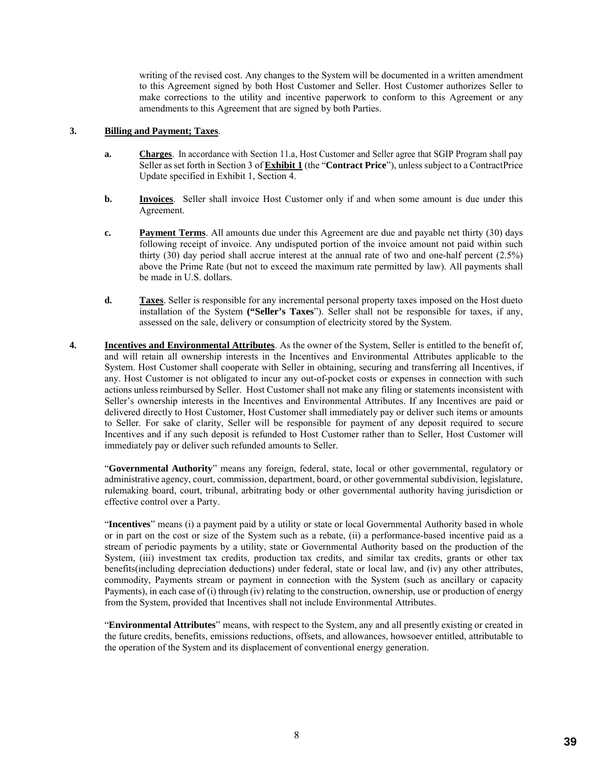writing of the revised cost. Any changes to the System will be documented in a written amendment to this Agreement signed by both Host Customer and Seller. Host Customer authorizes Seller to make corrections to the utility and incentive paperwork to conform to this Agreement or any amendments to this Agreement that are signed by both Parties.

### **3. Billing and Payment; Taxes**.

- **a. Charges**. In accordance with Section 11.a, Host Customer and Seller agree that SGIP Program shall pay Seller as set forth in Section 3 of **Exhibit 1** (the "**Contract Price**"), unless subject to a ContractPrice Update specified in Exhibit 1, Section 4.
- **b. Invoices**. Seller shall invoice Host Customer only if and when some amount is due under this Agreement.
- **c. Payment Terms**. All amounts due under this Agreement are due and payable net thirty (30) days following receipt of invoice. Any undisputed portion of the invoice amount not paid within such thirty (30) day period shall accrue interest at the annual rate of two and one-half percent (2.5%) above the Prime Rate (but not to exceed the maximum rate permitted by law). All payments shall be made in U.S. dollars.
- **d. Taxes**. Seller is responsible for any incremental personal property taxes imposed on the Host dueto installation of the System **("Seller's Taxes**"). Seller shall not be responsible for taxes, if any, assessed on the sale, delivery or consumption of electricity stored by the System.
- **4. Incentives and Environmental Attributes**. As the owner of the System, Seller is entitled to the benefit of, and will retain all ownership interests in the Incentives and Environmental Attributes applicable to the System. Host Customer shall cooperate with Seller in obtaining, securing and transferring all Incentives, if any. Host Customer is not obligated to incur any out-of-pocket costs or expenses in connection with such actions unless reimbursed by Seller. Host Customer shall not make any filing or statements inconsistent with Seller's ownership interests in the Incentives and Environmental Attributes. If any Incentives are paid or delivered directly to Host Customer, Host Customer shall immediately pay or deliver such items or amounts to Seller. For sake of clarity, Seller will be responsible for payment of any deposit required to secure Incentives and if any such deposit is refunded to Host Customer rather than to Seller, Host Customer will immediately pay or deliver such refunded amounts to Seller.

"**Governmental Authority**" means any foreign, federal, state, local or other governmental, regulatory or administrative agency, court, commission, department, board, or other governmental subdivision, legislature, rulemaking board, court, tribunal, arbitrating body or other governmental authority having jurisdiction or effective control over a Party.

"**Incentives**" means (i) a payment paid by a utility or state or local Governmental Authority based in whole or in part on the cost or size of the System such as a rebate, (ii) a performance-based incentive paid as a stream of periodic payments by a utility, state or Governmental Authority based on the production of the System, (iii) investment tax credits, production tax credits, and similar tax credits, grants or other tax benefits(including depreciation deductions) under federal, state or local law, and (iv) any other attributes, commodity, Payments stream or payment in connection with the System (such as ancillary or capacity Payments), in each case of (i) through (iv) relating to the construction, ownership, use or production of energy from the System, provided that Incentives shall not include Environmental Attributes.

"**Environmental Attributes**" means, with respect to the System, any and all presently existing or created in the future credits, benefits, emissions reductions, offsets, and allowances, howsoever entitled, attributable to the operation of the System and its displacement of conventional energy generation.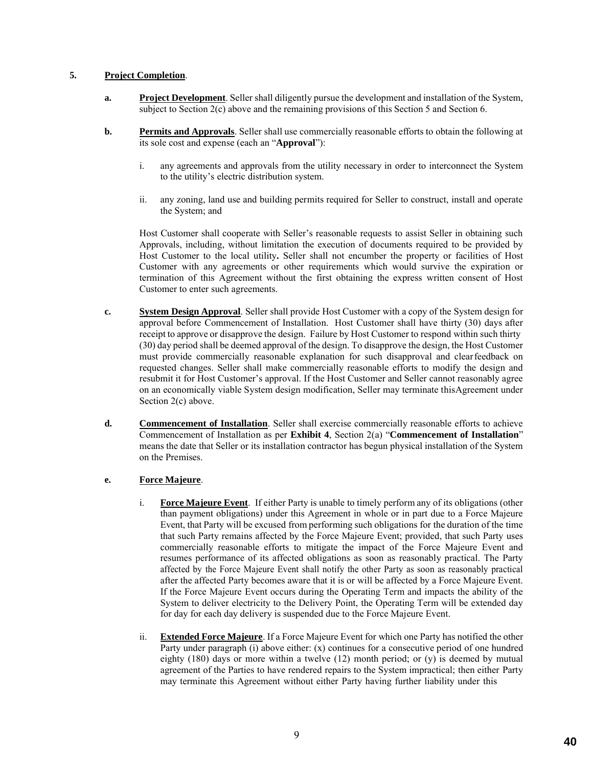## **5. Project Completion**.

- **a. Project Development**. Seller shall diligently pursue the development and installation of the System, subject to Section 2(c) above and the remaining provisions of this Section 5 and Section 6.
- **b. Permits and Approvals**. Seller shall use commercially reasonable efforts to obtain the following at its sole cost and expense (each an "**Approval**"):
	- i. any agreements and approvals from the utility necessary in order to interconnect the System to the utility's electric distribution system.
	- ii. any zoning, land use and building permits required for Seller to construct, install and operate the System; and

Host Customer shall cooperate with Seller's reasonable requests to assist Seller in obtaining such Approvals, including, without limitation the execution of documents required to be provided by Host Customer to the local utility**.** Seller shall not encumber the property or facilities of Host Customer with any agreements or other requirements which would survive the expiration or termination of this Agreement without the first obtaining the express written consent of Host Customer to enter such agreements.

- **c. System Design Approval**. Seller shall provide Host Customer with a copy of the System design for approval before Commencement of Installation. Host Customer shall have thirty (30) days after receipt to approve or disapprove the design. Failure by Host Customer to respond within such thirty (30) day period shall be deemed approval of the design. To disapprove the design, the Host Customer must provide commercially reasonable explanation for such disapproval and clearfeedback on requested changes. Seller shall make commercially reasonable efforts to modify the design and resubmit it for Host Customer's approval. If the Host Customer and Seller cannot reasonably agree on an economically viable System design modification, Seller may terminate thisAgreement under Section 2(c) above.
- **d. Commencement of Installation**. Seller shall exercise commercially reasonable efforts to achieve Commencement of Installation as per **Exhibit 4**, Section 2(a) "**Commencement of Installation**" means the date that Seller or its installation contractor has begun physical installation of the System on the Premises.

# **e. Force Majeure**.

- i. **Force Majeure Event**. If either Party is unable to timely perform any of its obligations (other than payment obligations) under this Agreement in whole or in part due to a Force Majeure Event, that Party will be excused from performing such obligations for the duration of the time that such Party remains affected by the Force Majeure Event; provided, that such Party uses commercially reasonable efforts to mitigate the impact of the Force Majeure Event and resumes performance of its affected obligations as soon as reasonably practical. The Party affected by the Force Majeure Event shall notify the other Party as soon as reasonably practical after the affected Party becomes aware that it is or will be affected by a Force Majeure Event. If the Force Majeure Event occurs during the Operating Term and impacts the ability of the System to deliver electricity to the Delivery Point, the Operating Term will be extended day for day for each day delivery is suspended due to the Force Majeure Event.
- ii. **Extended Force Majeure**. If a Force Majeure Event for which one Party has notified the other Party under paragraph (i) above either: (x) continues for a consecutive period of one hundred eighty  $(180)$  days or more within a twelve  $(12)$  month period; or  $(y)$  is deemed by mutual agreement of the Parties to have rendered repairs to the System impractical; then either Party may terminate this Agreement without either Party having further liability under this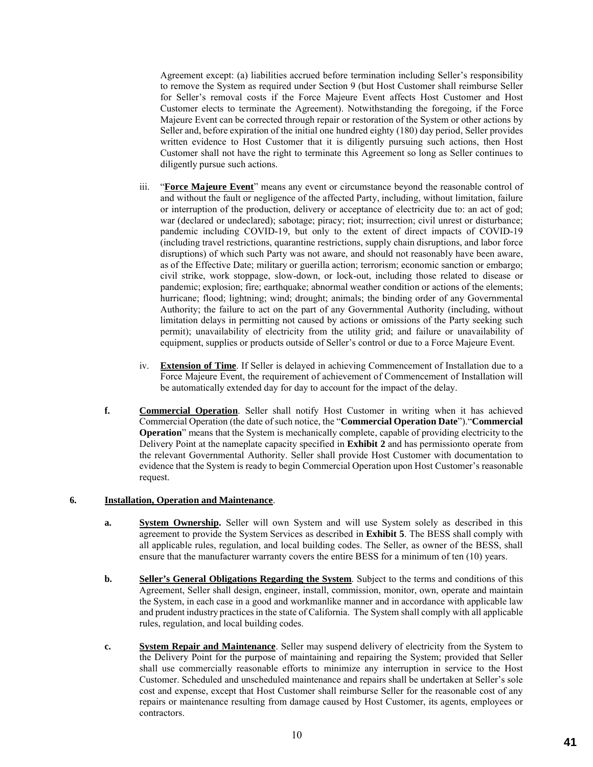Agreement except: (a) liabilities accrued before termination including Seller's responsibility to remove the System as required under Section 9 (but Host Customer shall reimburse Seller for Seller's removal costs if the Force Majeure Event affects Host Customer and Host Customer elects to terminate the Agreement). Notwithstanding the foregoing, if the Force Majeure Event can be corrected through repair or restoration of the System or other actions by Seller and, before expiration of the initial one hundred eighty (180) day period, Seller provides written evidence to Host Customer that it is diligently pursuing such actions, then Host Customer shall not have the right to terminate this Agreement so long as Seller continues to diligently pursue such actions.

- iii. "**Force Majeure Event**" means any event or circumstance beyond the reasonable control of and without the fault or negligence of the affected Party, including, without limitation, failure or interruption of the production, delivery or acceptance of electricity due to: an act of god; war (declared or undeclared); sabotage; piracy; riot; insurrection; civil unrest or disturbance; pandemic including COVID-19, but only to the extent of direct impacts of COVID-19 (including travel restrictions, quarantine restrictions, supply chain disruptions, and labor force disruptions) of which such Party was not aware, and should not reasonably have been aware, as of the Effective Date; military or guerilla action; terrorism; economic sanction or embargo; civil strike, work stoppage, slow-down, or lock-out, including those related to disease or pandemic; explosion; fire; earthquake; abnormal weather condition or actions of the elements; hurricane; flood; lightning; wind; drought; animals; the binding order of any Governmental Authority; the failure to act on the part of any Governmental Authority (including, without limitation delays in permitting not caused by actions or omissions of the Party seeking such permit); unavailability of electricity from the utility grid; and failure or unavailability of equipment, supplies or products outside of Seller's control or due to a Force Majeure Event.
- iv. **Extension of Time**. If Seller is delayed in achieving Commencement of Installation due to a Force Majeure Event, the requirement of achievement of Commencement of Installation will be automatically extended day for day to account for the impact of the delay.
- **f. Commercial Operation**. Seller shall notify Host Customer in writing when it has achieved Commercial Operation (the date of such notice, the "**Commercial Operation Date**")."**Commercial Operation**" means that the System is mechanically complete, capable of providing electricity to the Delivery Point at the nameplate capacity specified in **Exhibit 2** and has permissionto operate from the relevant Governmental Authority. Seller shall provide Host Customer with documentation to evidence that the System is ready to begin Commercial Operation upon Host Customer's reasonable request.

## **6. Installation, Operation and Maintenance**.

- **a. System Ownership.** Seller will own System and will use System solely as described in this agreement to provide the System Services as described in **Exhibit 5**. The BESS shall comply with all applicable rules, regulation, and local building codes. The Seller, as owner of the BESS, shall ensure that the manufacturer warranty covers the entire BESS for a minimum of ten (10) years.
- **b. Seller's General Obligations Regarding the System**. Subject to the terms and conditions of this Agreement, Seller shall design, engineer, install, commission, monitor, own, operate and maintain the System, in each case in a good and workmanlike manner and in accordance with applicable law and prudent industry practices in the state of California. The System shall comply with all applicable rules, regulation, and local building codes.
- **c. System Repair and Maintenance**. Seller may suspend delivery of electricity from the System to the Delivery Point for the purpose of maintaining and repairing the System; provided that Seller shall use commercially reasonable efforts to minimize any interruption in service to the Host Customer. Scheduled and unscheduled maintenance and repairs shall be undertaken at Seller's sole cost and expense, except that Host Customer shall reimburse Seller for the reasonable cost of any repairs or maintenance resulting from damage caused by Host Customer, its agents, employees or contractors.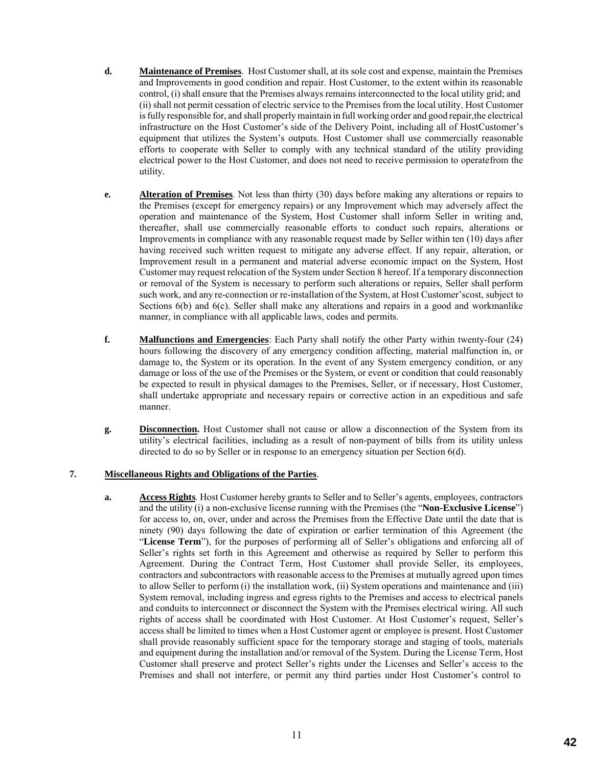- **d. Maintenance of Premises**. Host Customer shall, at its sole cost and expense, maintain the Premises and Improvements in good condition and repair. Host Customer, to the extent within its reasonable control, (i) shall ensure that the Premises always remains interconnected to the local utility grid; and (ii) shall not permit cessation of electric service to the Premises from the local utility. Host Customer is fully responsible for, and shall properly maintain in full working order and good repair,the electrical infrastructure on the Host Customer's side of the Delivery Point, including all of HostCustomer's equipment that utilizes the System's outputs. Host Customer shall use commercially reasonable efforts to cooperate with Seller to comply with any technical standard of the utility providing electrical power to the Host Customer, and does not need to receive permission to operatefrom the utility.
- **e. Alteration of Premises**. Not less than thirty (30) days before making any alterations or repairs to the Premises (except for emergency repairs) or any Improvement which may adversely affect the operation and maintenance of the System, Host Customer shall inform Seller in writing and, thereafter, shall use commercially reasonable efforts to conduct such repairs, alterations or Improvements in compliance with any reasonable request made by Seller within ten (10) days after having received such written request to mitigate any adverse effect. If any repair, alteration, or Improvement result in a permanent and material adverse economic impact on the System, Host Customer may request relocation of the System under Section 8 hereof. If a temporary disconnection or removal of the System is necessary to perform such alterations or repairs, Seller shall perform such work, and any re-connection or re-installation of the System, at Host Customer'scost, subject to Sections 6(b) and 6(c). Seller shall make any alterations and repairs in a good and workmanlike manner, in compliance with all applicable laws, codes and permits.
- **f. Malfunctions and Emergencies**: Each Party shall notify the other Party within twenty-four (24) hours following the discovery of any emergency condition affecting, material malfunction in, or damage to, the System or its operation. In the event of any System emergency condition, or any damage or loss of the use of the Premises or the System, or event or condition that could reasonably be expected to result in physical damages to the Premises, Seller, or if necessary, Host Customer, shall undertake appropriate and necessary repairs or corrective action in an expeditious and safe manner.
- **g. Disconnection.** Host Customer shall not cause or allow a disconnection of the System from its utility's electrical facilities, including as a result of non-payment of bills from its utility unless directed to do so by Seller or in response to an emergency situation per Section 6(d).

### **7. Miscellaneous Rights and Obligations of the Parties**.

**a. Access Rights**. Host Customer hereby grants to Seller and to Seller's agents, employees, contractors and the utility (i) a non-exclusive license running with the Premises (the "**Non-Exclusive License**") for access to, on, over, under and across the Premises from the Effective Date until the date that is ninety (90) days following the date of expiration or earlier termination of this Agreement (the "**License Term**"), for the purposes of performing all of Seller's obligations and enforcing all of Seller's rights set forth in this Agreement and otherwise as required by Seller to perform this Agreement. During the Contract Term, Host Customer shall provide Seller, its employees, contractors and subcontractors with reasonable access to the Premises at mutually agreed upon times to allow Seller to perform (i) the installation work, (ii) System operations and maintenance and (iii) System removal, including ingress and egress rights to the Premises and access to electrical panels and conduits to interconnect or disconnect the System with the Premises electrical wiring. All such rights of access shall be coordinated with Host Customer. At Host Customer's request, Seller's access shall be limited to times when a Host Customer agent or employee is present. Host Customer shall provide reasonably sufficient space for the temporary storage and staging of tools, materials and equipment during the installation and/or removal of the System. During the License Term, Host Customer shall preserve and protect Seller's rights under the Licenses and Seller's access to the Premises and shall not interfere, or permit any third parties under Host Customer's control to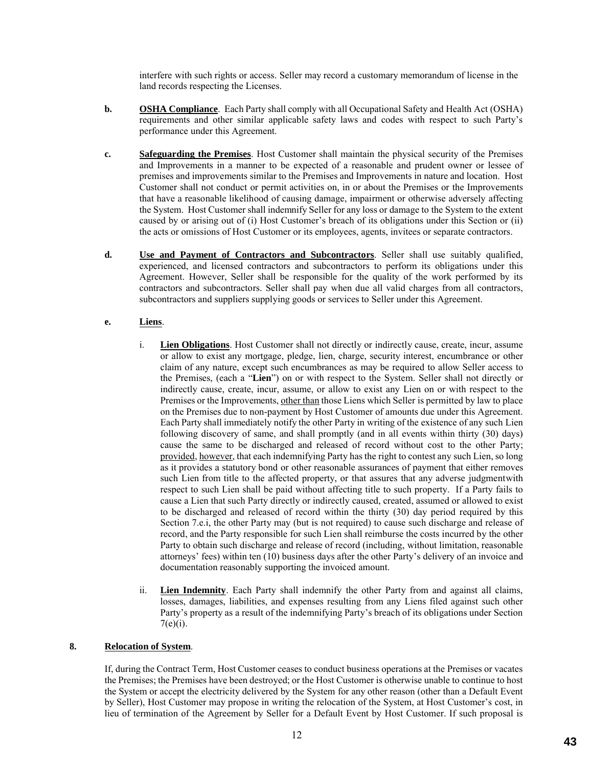interfere with such rights or access. Seller may record a customary memorandum of license in the land records respecting the Licenses.

- **b. OSHA Compliance**. Each Party shall comply with all Occupational Safety and Health Act (OSHA) requirements and other similar applicable safety laws and codes with respect to such Party's performance under this Agreement.
- **c. Safeguarding the Premises**. Host Customer shall maintain the physical security of the Premises and Improvements in a manner to be expected of a reasonable and prudent owner or lessee of premises and improvements similar to the Premises and Improvements in nature and location. Host Customer shall not conduct or permit activities on, in or about the Premises or the Improvements that have a reasonable likelihood of causing damage, impairment or otherwise adversely affecting the System. Host Customer shall indemnify Seller for any loss or damage to the System to the extent caused by or arising out of (i) Host Customer's breach of its obligations under this Section or (ii) the acts or omissions of Host Customer or its employees, agents, invitees or separate contractors.
- **d. Use and Payment of Contractors and Subcontractors**. Seller shall use suitably qualified, experienced, and licensed contractors and subcontractors to perform its obligations under this Agreement. However, Seller shall be responsible for the quality of the work performed by its contractors and subcontractors. Seller shall pay when due all valid charges from all contractors, subcontractors and suppliers supplying goods or services to Seller under this Agreement.

# **e. Liens**.

- i. **Lien Obligations**. Host Customer shall not directly or indirectly cause, create, incur, assume or allow to exist any mortgage, pledge, lien, charge, security interest, encumbrance or other claim of any nature, except such encumbrances as may be required to allow Seller access to the Premises, (each a "**Lien**") on or with respect to the System. Seller shall not directly or indirectly cause, create, incur, assume, or allow to exist any Lien on or with respect to the Premises or the Improvements, other than those Liens which Seller is permitted by law to place on the Premises due to non-payment by Host Customer of amounts due under this Agreement. Each Party shall immediately notify the other Party in writing of the existence of any such Lien following discovery of same, and shall promptly (and in all events within thirty (30) days) cause the same to be discharged and released of record without cost to the other Party; provided, however, that each indemnifying Party has the right to contest any such Lien, so long as it provides a statutory bond or other reasonable assurances of payment that either removes such Lien from title to the affected property, or that assures that any adverse judgmentwith respect to such Lien shall be paid without affecting title to such property. If a Party fails to cause a Lien that such Party directly or indirectly caused, created, assumed or allowed to exist to be discharged and released of record within the thirty (30) day period required by this Section 7.e.i, the other Party may (but is not required) to cause such discharge and release of record, and the Party responsible for such Lien shall reimburse the costs incurred by the other Party to obtain such discharge and release of record (including, without limitation, reasonable attorneys' fees) within ten (10) business days after the other Party's delivery of an invoice and documentation reasonably supporting the invoiced amount.
- ii. **Lien Indemnity**. Each Party shall indemnify the other Party from and against all claims, losses, damages, liabilities, and expenses resulting from any Liens filed against such other Party's property as a result of the indemnifying Party's breach of its obligations under Section  $7(e)(i)$ .

### **8. Relocation of System**.

If, during the Contract Term, Host Customer ceases to conduct business operations at the Premises or vacates the Premises; the Premises have been destroyed; or the Host Customer is otherwise unable to continue to host the System or accept the electricity delivered by the System for any other reason (other than a Default Event by Seller), Host Customer may propose in writing the relocation of the System, at Host Customer's cost, in lieu of termination of the Agreement by Seller for a Default Event by Host Customer. If such proposal is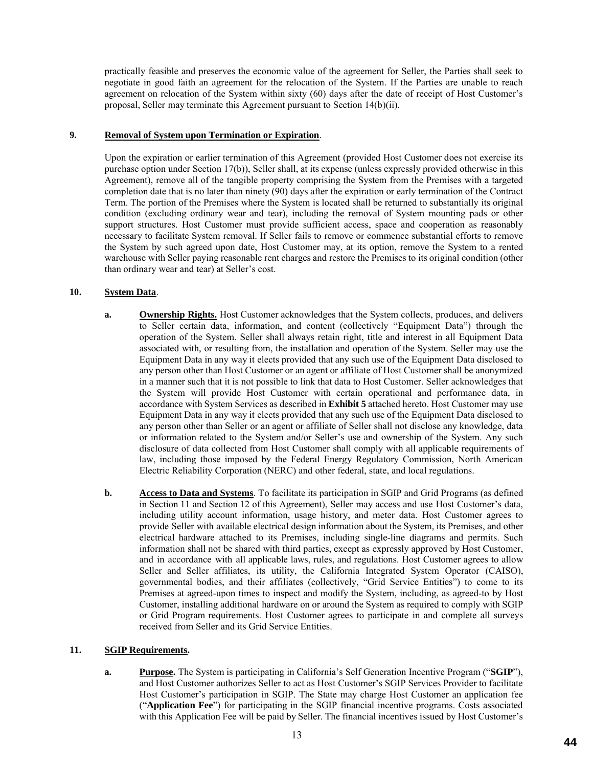practically feasible and preserves the economic value of the agreement for Seller, the Parties shall seek to negotiate in good faith an agreement for the relocation of the System. If the Parties are unable to reach agreement on relocation of the System within sixty (60) days after the date of receipt of Host Customer's proposal, Seller may terminate this Agreement pursuant to Section 14(b)(ii).

### **9. Removal of System upon Termination or Expiration**.

Upon the expiration or earlier termination of this Agreement (provided Host Customer does not exercise its purchase option under Section 17(b)), Seller shall, at its expense (unless expressly provided otherwise in this Agreement), remove all of the tangible property comprising the System from the Premises with a targeted completion date that is no later than ninety (90) days after the expiration or early termination of the Contract Term. The portion of the Premises where the System is located shall be returned to substantially its original condition (excluding ordinary wear and tear), including the removal of System mounting pads or other support structures. Host Customer must provide sufficient access, space and cooperation as reasonably necessary to facilitate System removal. If Seller fails to remove or commence substantial efforts to remove the System by such agreed upon date, Host Customer may, at its option, remove the System to a rented warehouse with Seller paying reasonable rent charges and restore the Premises to its original condition (other than ordinary wear and tear) at Seller's cost.

### **10. System Data**.

- **a. Ownership Rights.** Host Customer acknowledges that the System collects, produces, and delivers to Seller certain data, information, and content (collectively "Equipment Data") through the operation of the System. Seller shall always retain right, title and interest in all Equipment Data associated with, or resulting from, the installation and operation of the System. Seller may use the Equipment Data in any way it elects provided that any such use of the Equipment Data disclosed to any person other than Host Customer or an agent or affiliate of Host Customer shall be anonymized in a manner such that it is not possible to link that data to Host Customer. Seller acknowledges that the System will provide Host Customer with certain operational and performance data, in accordance with System Services as described in **Exhibit 5** attached hereto. Host Customer may use Equipment Data in any way it elects provided that any such use of the Equipment Data disclosed to any person other than Seller or an agent or affiliate of Seller shall not disclose any knowledge, data or information related to the System and/or Seller's use and ownership of the System. Any such disclosure of data collected from Host Customer shall comply with all applicable requirements of law, including those imposed by the Federal Energy Regulatory Commission, North American Electric Reliability Corporation (NERC) and other federal, state, and local regulations.
- **b. Access to Data and Systems**. To facilitate its participation in SGIP and Grid Programs (as defined in Section 11 and Section 12 of this Agreement), Seller may access and use Host Customer's data, including utility account information, usage history, and meter data. Host Customer agrees to provide Seller with available electrical design information about the System, its Premises, and other electrical hardware attached to its Premises, including single-line diagrams and permits. Such information shall not be shared with third parties, except as expressly approved by Host Customer, and in accordance with all applicable laws, rules, and regulations. Host Customer agrees to allow Seller and Seller affiliates, its utility, the California Integrated System Operator (CAISO), governmental bodies, and their affiliates (collectively, "Grid Service Entities") to come to its Premises at agreed-upon times to inspect and modify the System, including, as agreed-to by Host Customer, installing additional hardware on or around the System as required to comply with SGIP or Grid Program requirements. Host Customer agrees to participate in and complete all surveys received from Seller and its Grid Service Entities.

### **11. SGIP Requirements.**

**a. Purpose.** The System is participating in California's Self Generation Incentive Program ("**SGIP**"), and Host Customer authorizes Seller to act as Host Customer's SGIP Services Provider to facilitate Host Customer's participation in SGIP. The State may charge Host Customer an application fee ("**Application Fee**") for participating in the SGIP financial incentive programs. Costs associated with this Application Fee will be paid by Seller. The financial incentives issued by Host Customer's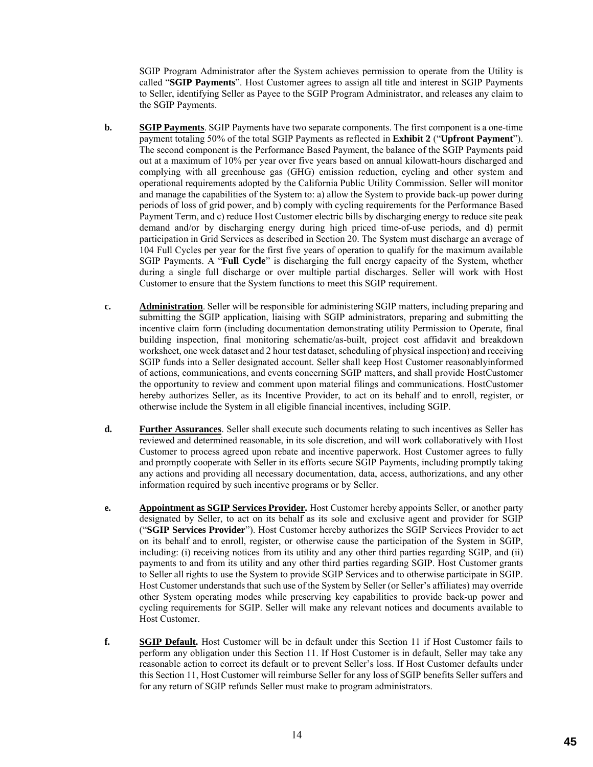SGIP Program Administrator after the System achieves permission to operate from the Utility is called "**SGIP Payments**". Host Customer agrees to assign all title and interest in SGIP Payments to Seller, identifying Seller as Payee to the SGIP Program Administrator, and releases any claim to the SGIP Payments.

- **b. SGIP Payments**. SGIP Payments have two separate components. The first component is a one-time payment totaling 50% of the total SGIP Payments as reflected in **Exhibit 2** ("**Upfront Payment**"). The second component is the Performance Based Payment, the balance of the SGIP Payments paid out at a maximum of 10% per year over five years based on annual kilowatt-hours discharged and complying with all greenhouse gas (GHG) emission reduction, cycling and other system and operational requirements adopted by the California Public Utility Commission. Seller will monitor and manage the capabilities of the System to: a) allow the System to provide back-up power during periods of loss of grid power, and b) comply with cycling requirements for the Performance Based Payment Term, and c) reduce Host Customer electric bills by discharging energy to reduce site peak demand and/or by discharging energy during high priced time-of-use periods, and d) permit participation in Grid Services as described in Section 20. The System must discharge an average of 104 Full Cycles per year for the first five years of operation to qualify for the maximum available SGIP Payments. A "**Full Cycle**" is discharging the full energy capacity of the System, whether during a single full discharge or over multiple partial discharges. Seller will work with Host Customer to ensure that the System functions to meet this SGIP requirement.
- **c. Administration**. Seller will be responsible for administering SGIP matters, including preparing and submitting the SGIP application, liaising with SGIP administrators, preparing and submitting the incentive claim form (including documentation demonstrating utility Permission to Operate, final building inspection, final monitoring schematic/as-built, project cost affidavit and breakdown worksheet, one week dataset and 2 hour test dataset, scheduling of physical inspection) and receiving SGIP funds into a Seller designated account. Seller shall keep Host Customer reasonablyinformed of actions, communications, and events concerning SGIP matters, and shall provide HostCustomer the opportunity to review and comment upon material filings and communications. HostCustomer hereby authorizes Seller, as its Incentive Provider, to act on its behalf and to enroll, register, or otherwise include the System in all eligible financial incentives, including SGIP.
- **d. Further Assurances**. Seller shall execute such documents relating to such incentives as Seller has reviewed and determined reasonable, in its sole discretion, and will work collaboratively with Host Customer to process agreed upon rebate and incentive paperwork. Host Customer agrees to fully and promptly cooperate with Seller in its efforts secure SGIP Payments, including promptly taking any actions and providing all necessary documentation, data, access, authorizations, and any other information required by such incentive programs or by Seller.
- **e. Appointment as SGIP Services Provider.** Host Customer hereby appoints Seller, or another party designated by Seller, to act on its behalf as its sole and exclusive agent and provider for SGIP ("**SGIP Services Provider**"). Host Customer hereby authorizes the SGIP Services Provider to act on its behalf and to enroll, register, or otherwise cause the participation of the System in SGIP, including: (i) receiving notices from its utility and any other third parties regarding SGIP, and (ii) payments to and from its utility and any other third parties regarding SGIP. Host Customer grants to Seller all rights to use the System to provide SGIP Services and to otherwise participate in SGIP. Host Customer understands that such use of the System by Seller (or Seller's affiliates) may override other System operating modes while preserving key capabilities to provide back-up power and cycling requirements for SGIP. Seller will make any relevant notices and documents available to Host Customer.
- **f. SGIP Default.** Host Customer will be in default under this Section 11 if Host Customer fails to perform any obligation under this Section 11. If Host Customer is in default, Seller may take any reasonable action to correct its default or to prevent Seller's loss. If Host Customer defaults under this Section 11, Host Customer will reimburse Seller for any loss of SGIP benefits Seller suffers and for any return of SGIP refunds Seller must make to program administrators.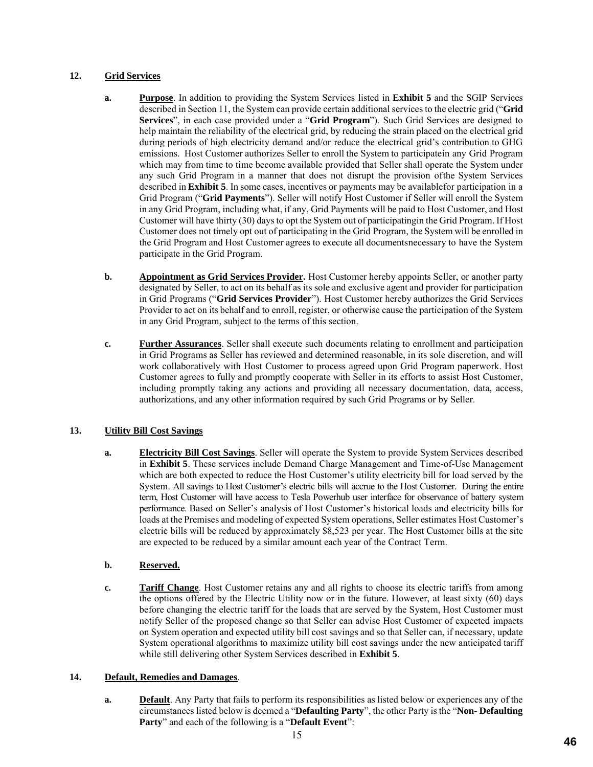# **12. Grid Services**

- **a. Purpose**. In addition to providing the System Services listed in **Exhibit 5** and the SGIP Services described in Section 11, the System can provide certain additional services to the electric grid ("**Grid Services**", in each case provided under a "**Grid Program**"). Such Grid Services are designed to help maintain the reliability of the electrical grid, by reducing the strain placed on the electrical grid during periods of high electricity demand and/or reduce the electrical grid's contribution to GHG emissions. Host Customer authorizes Seller to enroll the System to participatein any Grid Program which may from time to time become available provided that Seller shall operate the System under any such Grid Program in a manner that does not disrupt the provision ofthe System Services described in **Exhibit 5**. In some cases, incentives or payments may be availablefor participation in a Grid Program ("**Grid Payments**"). Seller will notify Host Customer if Seller will enroll the System in any Grid Program, including what, if any, Grid Payments will be paid to Host Customer, and Host Customer will have thirty (30) days to opt the System out of participatingin the Grid Program. If Host Customer does not timely opt out of participating in the Grid Program, the System will be enrolled in the Grid Program and Host Customer agrees to execute all documentsnecessary to have the System participate in the Grid Program.
- **b. Appointment as Grid Services Provider.** Host Customer hereby appoints Seller, or another party designated by Seller, to act on its behalf as its sole and exclusive agent and provider for participation in Grid Programs ("**Grid Services Provider**"). Host Customer hereby authorizes the Grid Services Provider to act on its behalf and to enroll, register, or otherwise cause the participation of the System in any Grid Program, subject to the terms of this section.
- **c. Further Assurances**. Seller shall execute such documents relating to enrollment and participation in Grid Programs as Seller has reviewed and determined reasonable, in its sole discretion, and will work collaboratively with Host Customer to process agreed upon Grid Program paperwork. Host Customer agrees to fully and promptly cooperate with Seller in its efforts to assist Host Customer, including promptly taking any actions and providing all necessary documentation, data, access, authorizations, and any other information required by such Grid Programs or by Seller.

# **13. Utility Bill Cost Savings**

**a. Electricity Bill Cost Savings**. Seller will operate the System to provide System Services described in **Exhibit 5**. These services include Demand Charge Management and Time-of-Use Management which are both expected to reduce the Host Customer's utility electricity bill for load served by the System. All savings to Host Customer's electric bills will accrue to the Host Customer. During the entire term, Host Customer will have access to Tesla Powerhub user interface for observance of battery system performance. Based on Seller's analysis of Host Customer's historical loads and electricity bills for loads at the Premises and modeling of expected System operations, Seller estimates Host Customer's electric bills will be reduced by approximately \$8,523 per year. The Host Customer bills at the site are expected to be reduced by a similar amount each year of the Contract Term.

# **b. Reserved.**

**c. Tariff Change**. Host Customer retains any and all rights to choose its electric tariffs from among the options offered by the Electric Utility now or in the future. However, at least sixty (60) days before changing the electric tariff for the loads that are served by the System, Host Customer must notify Seller of the proposed change so that Seller can advise Host Customer of expected impacts on System operation and expected utility bill cost savings and so that Seller can, if necessary, update System operational algorithms to maximize utility bill cost savings under the new anticipated tariff while still delivering other System Services described in **Exhibit 5**.

### **14. Default, Remedies and Damages**.

**a. Default**. Any Party that fails to perform its responsibilities as listed below or experiences any of the circumstances listed below is deemed a "**Defaulting Party**", the other Party is the "**Non- Defaulting Party**" and each of the following is a "**Default Event**":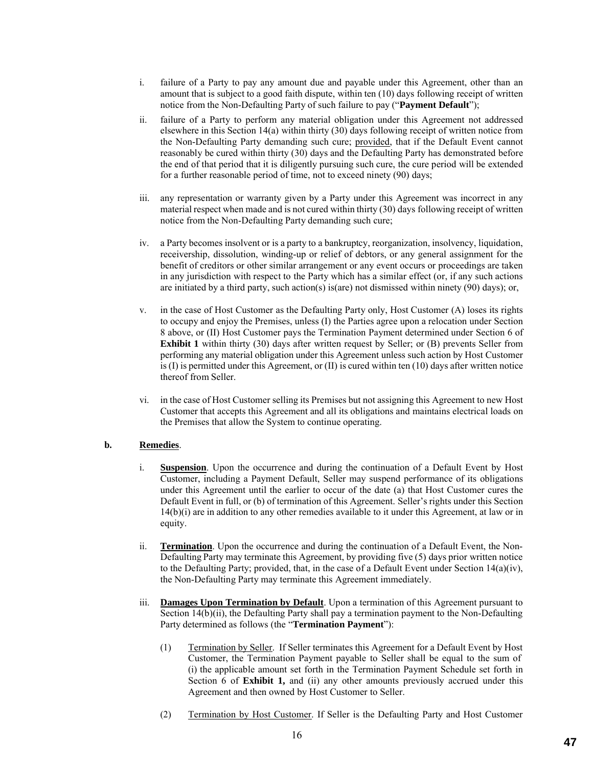- i. failure of a Party to pay any amount due and payable under this Agreement, other than an amount that is subject to a good faith dispute, within ten (10) days following receipt of written notice from the Non-Defaulting Party of such failure to pay ("**Payment Default**");
- ii. failure of a Party to perform any material obligation under this Agreement not addressed elsewhere in this Section 14(a) within thirty (30) days following receipt of written notice from the Non-Defaulting Party demanding such cure; provided, that if the Default Event cannot reasonably be cured within thirty (30) days and the Defaulting Party has demonstrated before the end of that period that it is diligently pursuing such cure, the cure period will be extended for a further reasonable period of time, not to exceed ninety (90) days;
- iii. any representation or warranty given by a Party under this Agreement was incorrect in any material respect when made and is not cured within thirty (30) days following receipt of written notice from the Non-Defaulting Party demanding such cure;
- iv. a Party becomes insolvent or is a party to a bankruptcy, reorganization, insolvency, liquidation, receivership, dissolution, winding-up or relief of debtors, or any general assignment for the benefit of creditors or other similar arrangement or any event occurs or proceedings are taken in any jurisdiction with respect to the Party which has a similar effect (or, if any such actions are initiated by a third party, such action(s) is(are) not dismissed within ninety (90) days); or,
- v. in the case of Host Customer as the Defaulting Party only, Host Customer (A) loses its rights to occupy and enjoy the Premises, unless (I) the Parties agree upon a relocation under Section 8 above, or (II) Host Customer pays the Termination Payment determined under Section 6 of **Exhibit 1** within thirty (30) days after written request by Seller; or (B) prevents Seller from performing any material obligation under this Agreement unless such action by Host Customer is  $(I)$  is permitted under this Agreement, or  $(II)$  is cured within ten  $(10)$  days after written notice thereof from Seller.
- vi. in the case of Host Customer selling its Premises but not assigning this Agreement to new Host Customer that accepts this Agreement and all its obligations and maintains electrical loads on the Premises that allow the System to continue operating.

### **b. Remedies**.

- i. **Suspension**. Upon the occurrence and during the continuation of a Default Event by Host Customer, including a Payment Default, Seller may suspend performance of its obligations under this Agreement until the earlier to occur of the date (a) that Host Customer cures the Default Event in full, or (b) of termination of this Agreement. Seller's rights under this Section 14(b)(i) are in addition to any other remedies available to it under this Agreement, at law or in equity.
- ii. **Termination**. Upon the occurrence and during the continuation of a Default Event, the Non-Defaulting Party may terminate this Agreement, by providing five (5) days prior written notice to the Defaulting Party; provided, that, in the case of a Default Event under Section 14(a)(iv), the Non-Defaulting Party may terminate this Agreement immediately.
- iii. **Damages Upon Termination by Default**. Upon a termination of this Agreement pursuant to Section 14(b)(ii), the Defaulting Party shall pay a termination payment to the Non-Defaulting Party determined as follows (the "**Termination Payment**"):
	- (1) Termination by Seller. If Seller terminates this Agreement for a Default Event by Host Customer, the Termination Payment payable to Seller shall be equal to the sum of (i) the applicable amount set forth in the Termination Payment Schedule set forth in Section 6 of **Exhibit 1,** and (ii) any other amounts previously accrued under this Agreement and then owned by Host Customer to Seller.
	- (2) Termination by Host Customer. If Seller is the Defaulting Party and Host Customer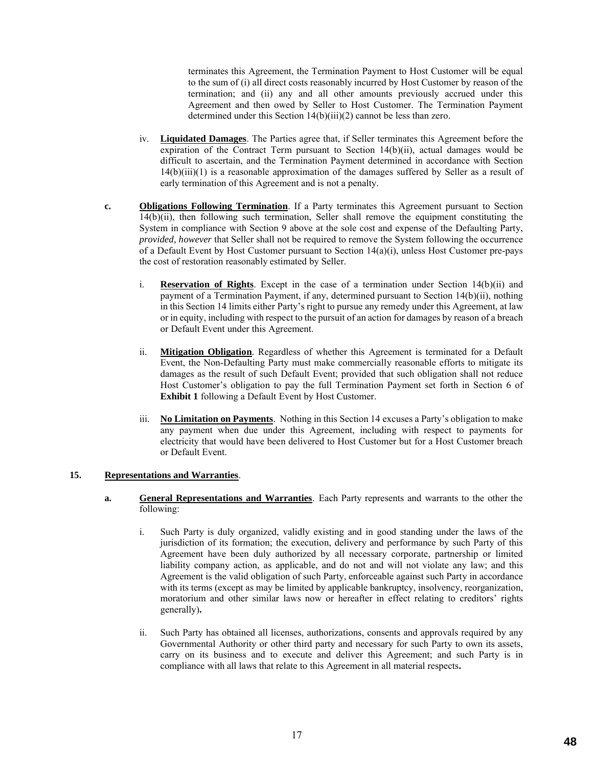terminates this Agreement, the Termination Payment to Host Customer will be equal to the sum of (i) all direct costs reasonably incurred by Host Customer by reason of the termination; and (ii) any and all other amounts previously accrued under this Agreement and then owed by Seller to Host Customer. The Termination Payment determined under this Section 14(b)(iii)(2) cannot be less than zero.

- iv. **Liquidated Damages**. The Parties agree that, if Seller terminates this Agreement before the expiration of the Contract Term pursuant to Section 14(b)(ii), actual damages would be difficult to ascertain, and the Termination Payment determined in accordance with Section 14(b)(iii)(1) is a reasonable approximation of the damages suffered by Seller as a result of early termination of this Agreement and is not a penalty.
- **c. Obligations Following Termination**. If a Party terminates this Agreement pursuant to Section 14(b)(ii), then following such termination, Seller shall remove the equipment constituting the System in compliance with Section 9 above at the sole cost and expense of the Defaulting Party, *provided, however* that Seller shall not be required to remove the System following the occurrence of a Default Event by Host Customer pursuant to Section 14(a)(i), unless Host Customer pre-pays the cost of restoration reasonably estimated by Seller.
	- i. **Reservation of Rights**. Except in the case of a termination under Section 14(b)(ii) and payment of a Termination Payment, if any, determined pursuant to Section 14(b)(ii), nothing in this Section 14 limits either Party's right to pursue any remedy under this Agreement, at law or in equity, including with respect to the pursuit of an action for damages by reason of a breach or Default Event under this Agreement.
	- ii. **Mitigation Obligation**. Regardless of whether this Agreement is terminated for a Default Event, the Non-Defaulting Party must make commercially reasonable efforts to mitigate its damages as the result of such Default Event; provided that such obligation shall not reduce Host Customer's obligation to pay the full Termination Payment set forth in Section 6 of **Exhibit 1** following a Default Event by Host Customer.
	- iii. **No Limitation on Payments**. Nothing in this Section 14 excuses a Party's obligation to make any payment when due under this Agreement, including with respect to payments for electricity that would have been delivered to Host Customer but for a Host Customer breach or Default Event.

#### **15. Representations and Warranties**.

- **a. General Representations and Warranties**. Each Party represents and warrants to the other the following:
	- i. Such Party is duly organized, validly existing and in good standing under the laws of the jurisdiction of its formation; the execution, delivery and performance by such Party of this Agreement have been duly authorized by all necessary corporate, partnership or limited liability company action, as applicable, and do not and will not violate any law; and this Agreement is the valid obligation of such Party, enforceable against such Party in accordance with its terms (except as may be limited by applicable bankruptcy, insolvency, reorganization, moratorium and other similar laws now or hereafter in effect relating to creditors' rights generally)**.**
	- ii. Such Party has obtained all licenses, authorizations, consents and approvals required by any Governmental Authority or other third party and necessary for such Party to own its assets, carry on its business and to execute and deliver this Agreement; and such Party is in compliance with all laws that relate to this Agreement in all material respects**.**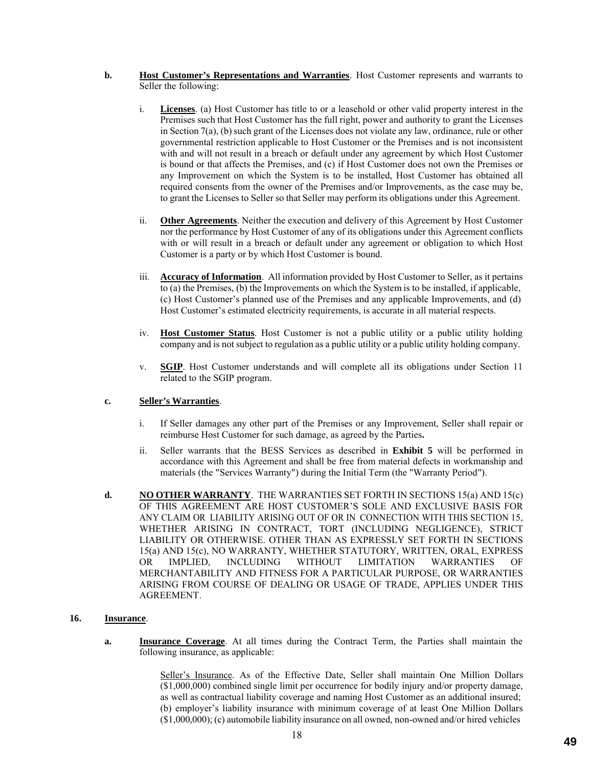- **b. Host Customer's Representations and Warranties**. Host Customer represents and warrants to Seller the following:
	- i. **Licenses**. (a) Host Customer has title to or a leasehold or other valid property interest in the Premises such that Host Customer has the full right, power and authority to grant the Licenses in Section 7(a), (b) such grant of the Licenses does not violate any law, ordinance, rule or other governmental restriction applicable to Host Customer or the Premises and is not inconsistent with and will not result in a breach or default under any agreement by which Host Customer is bound or that affects the Premises, and (c) if Host Customer does not own the Premises or any Improvement on which the System is to be installed, Host Customer has obtained all required consents from the owner of the Premises and/or Improvements, as the case may be, to grant the Licenses to Seller so that Seller may perform its obligations under this Agreement.
	- ii. **Other Agreements**. Neither the execution and delivery of this Agreement by Host Customer nor the performance by Host Customer of any of its obligations under this Agreement conflicts with or will result in a breach or default under any agreement or obligation to which Host Customer is a party or by which Host Customer is bound.
	- iii. **Accuracy of Information**. All information provided by Host Customer to Seller, as it pertains to (a) the Premises, (b) the Improvements on which the System is to be installed, if applicable, (c) Host Customer's planned use of the Premises and any applicable Improvements, and (d) Host Customer's estimated electricity requirements, is accurate in all material respects.
	- iv. **Host Customer Status**. Host Customer is not a public utility or a public utility holding company and is not subject to regulation as a public utility or a public utility holding company.
	- v. **SGIP**. Host Customer understands and will complete all its obligations under Section 11 related to the SGIP program.

### **c. Seller's Warranties**.

- i. If Seller damages any other part of the Premises or any Improvement, Seller shall repair or reimburse Host Customer for such damage, as agreed by the Parties**.**
- ii. Seller warrants that the BESS Services as described in **Exhibit 5** will be performed in accordance with this Agreement and shall be free from material defects in workmanship and materials (the "Services Warranty") during the Initial Term (the "Warranty Period").
- **d. NO OTHER WARRANTY**. THE WARRANTIES SET FORTH IN SECTIONS 15(a) AND 15(c) OF THIS AGREEMENT ARE HOST CUSTOMER'S SOLE AND EXCLUSIVE BASIS FOR ANY CLAIM OR LIABILITY ARISING OUT OF OR IN CONNECTION WITH THIS SECTION 15, WHETHER ARISING IN CONTRACT, TORT (INCLUDING NEGLIGENCE), STRICT LIABILITY OR OTHERWISE. OTHER THAN AS EXPRESSLY SET FORTH IN SECTIONS 15(a) AND 15(c), NO WARRANTY, WHETHER STATUTORY, WRITTEN, ORAL, EXPRESS OR IMPLIED, INCLUDING WITHOUT LIMITATION WARRANTIES OF MERCHANTABILITY AND FITNESS FOR A PARTICULAR PURPOSE, OR WARRANTIES ARISING FROM COURSE OF DEALING OR USAGE OF TRADE, APPLIES UNDER THIS AGREEMENT.

#### **16. Insurance**.

**a. Insurance Coverage**. At all times during the Contract Term, the Parties shall maintain the following insurance, as applicable:

> Seller's Insurance. As of the Effective Date, Seller shall maintain One Million Dollars (\$1,000,000) combined single limit per occurrence for bodily injury and/or property damage, as well as contractual liability coverage and naming Host Customer as an additional insured; (b) employer's liability insurance with minimum coverage of at least One Million Dollars (\$1,000,000); (c) automobile liability insurance on all owned, non-owned and/or hired vehicles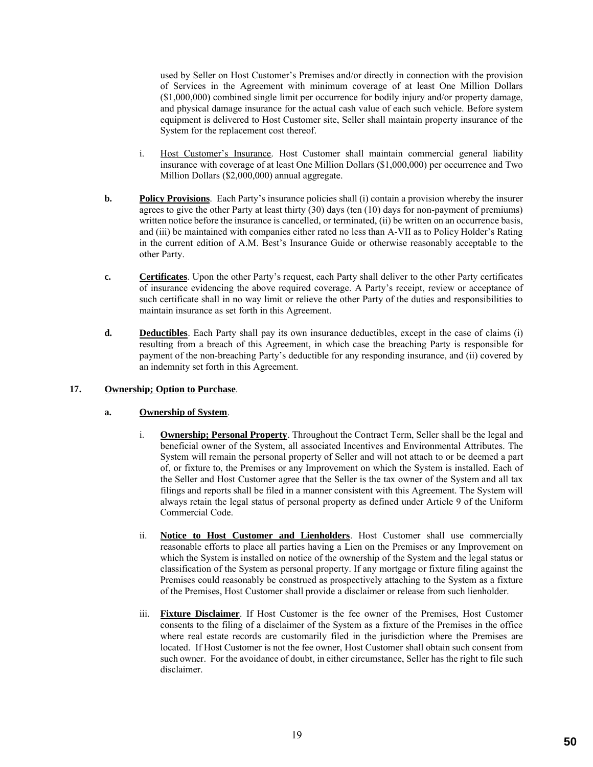used by Seller on Host Customer's Premises and/or directly in connection with the provision of Services in the Agreement with minimum coverage of at least One Million Dollars (\$1,000,000) combined single limit per occurrence for bodily injury and/or property damage, and physical damage insurance for the actual cash value of each such vehicle. Before system equipment is delivered to Host Customer site, Seller shall maintain property insurance of the System for the replacement cost thereof.

- i. Host Customer's Insurance. Host Customer shall maintain commercial general liability insurance with coverage of at least One Million Dollars (\$1,000,000) per occurrence and Two Million Dollars (\$2,000,000) annual aggregate.
- **b. Policy Provisions**. Each Party's insurance policies shall (i) contain a provision whereby the insurer agrees to give the other Party at least thirty (30) days (ten (10) days for non-payment of premiums) written notice before the insurance is cancelled, or terminated, (ii) be written on an occurrence basis, and (iii) be maintained with companies either rated no less than A-VII as to Policy Holder's Rating in the current edition of A.M. Best's Insurance Guide or otherwise reasonably acceptable to the other Party.
- **c. Certificates**. Upon the other Party's request, each Party shall deliver to the other Party certificates of insurance evidencing the above required coverage. A Party's receipt, review or acceptance of such certificate shall in no way limit or relieve the other Party of the duties and responsibilities to maintain insurance as set forth in this Agreement.
- **d. Deductibles**. Each Party shall pay its own insurance deductibles, except in the case of claims (i) resulting from a breach of this Agreement, in which case the breaching Party is responsible for payment of the non-breaching Party's deductible for any responding insurance, and (ii) covered by an indemnity set forth in this Agreement.

## **17. Ownership; Option to Purchase**.

### **a. Ownership of System**.

- i. **Ownership; Personal Property**. Throughout the Contract Term, Seller shall be the legal and beneficial owner of the System, all associated Incentives and Environmental Attributes. The System will remain the personal property of Seller and will not attach to or be deemed a part of, or fixture to, the Premises or any Improvement on which the System is installed. Each of the Seller and Host Customer agree that the Seller is the tax owner of the System and all tax filings and reports shall be filed in a manner consistent with this Agreement. The System will always retain the legal status of personal property as defined under Article 9 of the Uniform Commercial Code.
- ii. **Notice to Host Customer and Lienholders**. Host Customer shall use commercially reasonable efforts to place all parties having a Lien on the Premises or any Improvement on which the System is installed on notice of the ownership of the System and the legal status or classification of the System as personal property. If any mortgage or fixture filing against the Premises could reasonably be construed as prospectively attaching to the System as a fixture of the Premises, Host Customer shall provide a disclaimer or release from such lienholder.
- iii. **Fixture Disclaimer**. If Host Customer is the fee owner of the Premises, Host Customer consents to the filing of a disclaimer of the System as a fixture of the Premises in the office where real estate records are customarily filed in the jurisdiction where the Premises are located. If Host Customer is not the fee owner, Host Customer shall obtain such consent from such owner. For the avoidance of doubt, in either circumstance, Seller has the right to file such disclaimer.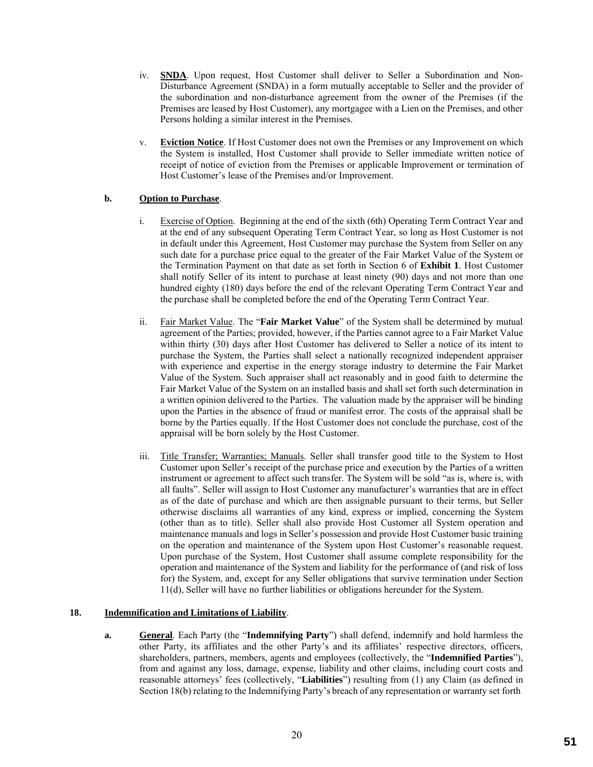- iv. **SNDA**. Upon request, Host Customer shall deliver to Seller a Subordination and Non-Disturbance Agreement (SNDA) in a form mutually acceptable to Seller and the provider of the subordination and non-disturbance agreement from the owner of the Premises (if the Premises are leased by Host Customer), any mortgagee with a Lien on the Premises, and other Persons holding a similar interest in the Premises.
- v. **Eviction Notice**. If Host Customer does not own the Premises or any Improvement on which the System is installed, Host Customer shall provide to Seller immediate written notice of receipt of notice of eviction from the Premises or applicable Improvement or termination of Host Customer's lease of the Premises and/or Improvement.

# **b. Option to Purchase**.

- i. Exercise of Option. Beginning at the end of the sixth (6th) Operating Term Contract Year and at the end of any subsequent Operating Term Contract Year, so long as Host Customer is not in default under this Agreement, Host Customer may purchase the System from Seller on any such date for a purchase price equal to the greater of the Fair Market Value of the System or the Termination Payment on that date as set forth in Section 6 of **Exhibit 1**. Host Customer shall notify Seller of its intent to purchase at least ninety (90) days and not more than one hundred eighty (180) days before the end of the relevant Operating Term Contract Year and the purchase shall be completed before the end of the Operating Term Contract Year.
- ii. Fair Market Value. The "**Fair Market Value**" of the System shall be determined by mutual agreement of the Parties; provided, however, if the Parties cannot agree to a Fair Market Value within thirty (30) days after Host Customer has delivered to Seller a notice of its intent to purchase the System, the Parties shall select a nationally recognized independent appraiser with experience and expertise in the energy storage industry to determine the Fair Market Value of the System. Such appraiser shall act reasonably and in good faith to determine the Fair Market Value of the System on an installed basis and shall set forth such determination in a written opinion delivered to the Parties. The valuation made by the appraiser will be binding upon the Parties in the absence of fraud or manifest error. The costs of the appraisal shall be borne by the Parties equally. If the Host Customer does not conclude the purchase, cost of the appraisal will be born solely by the Host Customer.
- iii. Title Transfer; Warranties; Manuals. Seller shall transfer good title to the System to Host Customer upon Seller's receipt of the purchase price and execution by the Parties of a written instrument or agreement to affect such transfer. The System will be sold "as is, where is, with all faults". Seller will assign to Host Customer any manufacturer's warranties that are in effect as of the date of purchase and which are then assignable pursuant to their terms, but Seller otherwise disclaims all warranties of any kind, express or implied, concerning the System (other than as to title). Seller shall also provide Host Customer all System operation and maintenance manuals and logs in Seller's possession and provide Host Customer basic training on the operation and maintenance of the System upon Host Customer's reasonable request. Upon purchase of the System, Host Customer shall assume complete responsibility for the operation and maintenance of the System and liability for the performance of (and risk of loss for) the System, and, except for any Seller obligations that survive termination under Section 11(d), Seller will have no further liabilities or obligations hereunder for the System.

### **18. Indemnification and Limitations of Liability**.

**a. General**. Each Party (the "**Indemnifying Party**") shall defend, indemnify and hold harmless the other Party, its affiliates and the other Party's and its affiliates' respective directors, officers, shareholders, partners, members, agents and employees (collectively, the "**Indemnified Parties**"), from and against any loss, damage, expense, liability and other claims, including court costs and reasonable attorneys' fees (collectively, "**Liabilities**") resulting from (1) any Claim (as defined in Section 18(b) relating to the Indemnifying Party's breach of any representation or warranty set forth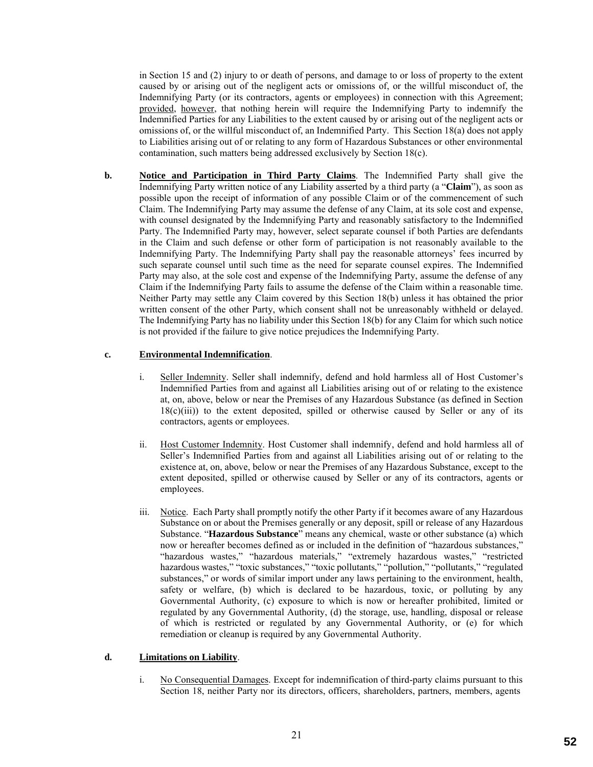in Section 15 and (2) injury to or death of persons, and damage to or loss of property to the extent caused by or arising out of the negligent acts or omissions of, or the willful misconduct of, the Indemnifying Party (or its contractors, agents or employees) in connection with this Agreement; provided, however, that nothing herein will require the Indemnifying Party to indemnify the Indemnified Parties for any Liabilities to the extent caused by or arising out of the negligent acts or omissions of, or the willful misconduct of, an Indemnified Party. This Section 18(a) does not apply to Liabilities arising out of or relating to any form of Hazardous Substances or other environmental contamination, such matters being addressed exclusively by Section 18(c).

**b. Notice and Participation in Third Party Claims**. The Indemnified Party shall give the Indemnifying Party written notice of any Liability asserted by a third party (a "**Claim**"), as soon as possible upon the receipt of information of any possible Claim or of the commencement of such Claim. The Indemnifying Party may assume the defense of any Claim, at its sole cost and expense, with counsel designated by the Indemnifying Party and reasonably satisfactory to the Indemnified Party. The Indemnified Party may, however, select separate counsel if both Parties are defendants in the Claim and such defense or other form of participation is not reasonably available to the Indemnifying Party. The Indemnifying Party shall pay the reasonable attorneys' fees incurred by such separate counsel until such time as the need for separate counsel expires. The Indemnified Party may also, at the sole cost and expense of the Indemnifying Party, assume the defense of any Claim if the Indemnifying Party fails to assume the defense of the Claim within a reasonable time. Neither Party may settle any Claim covered by this Section 18(b) unless it has obtained the prior written consent of the other Party, which consent shall not be unreasonably withheld or delayed. The Indemnifying Party has no liability under this Section 18(b) for any Claim for which such notice is not provided if the failure to give notice prejudices the Indemnifying Party.

### **c. Environmental Indemnification**.

- i. Seller Indemnity. Seller shall indemnify, defend and hold harmless all of Host Customer's Indemnified Parties from and against all Liabilities arising out of or relating to the existence at, on, above, below or near the Premises of any Hazardous Substance (as defined in Section  $18(c)(iii)$ ) to the extent deposited, spilled or otherwise caused by Seller or any of its contractors, agents or employees.
- ii. Host Customer Indemnity. Host Customer shall indemnify, defend and hold harmless all of Seller's Indemnified Parties from and against all Liabilities arising out of or relating to the existence at, on, above, below or near the Premises of any Hazardous Substance, except to the extent deposited, spilled or otherwise caused by Seller or any of its contractors, agents or employees.
- iii. Notice. Each Party shall promptly notify the other Party if it becomes aware of any Hazardous Substance on or about the Premises generally or any deposit, spill or release of any Hazardous Substance. "**Hazardous Substance**" means any chemical, waste or other substance (a) which now or hereafter becomes defined as or included in the definition of "hazardous substances," "hazardous wastes," "hazardous materials," "extremely hazardous wastes," "restricted hazardous wastes," "toxic substances," "toxic pollutants," "pollution," "pollutants," "regulated substances," or words of similar import under any laws pertaining to the environment, health, safety or welfare, (b) which is declared to be hazardous, toxic, or polluting by any Governmental Authority, (c) exposure to which is now or hereafter prohibited, limited or regulated by any Governmental Authority, (d) the storage, use, handling, disposal or release of which is restricted or regulated by any Governmental Authority, or (e) for which remediation or cleanup is required by any Governmental Authority.

### **d. Limitations on Liability**.

i. No Consequential Damages. Except for indemnification of third-party claims pursuant to this Section 18, neither Party nor its directors, officers, shareholders, partners, members, agents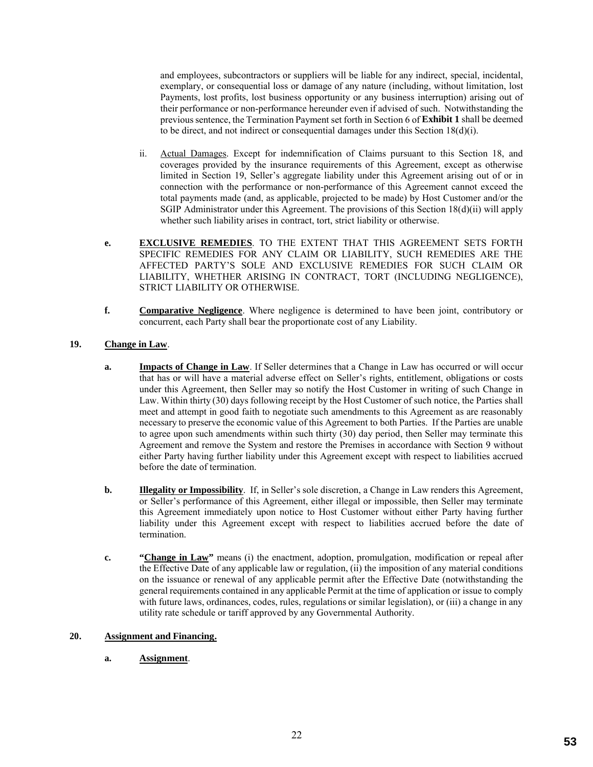and employees, subcontractors or suppliers will be liable for any indirect, special, incidental, exemplary, or consequential loss or damage of any nature (including, without limitation, lost Payments, lost profits, lost business opportunity or any business interruption) arising out of their performance or non-performance hereunder even if advised of such. Notwithstanding the previous sentence, the Termination Payment set forth in Section 6 of **Exhibit 1** shall be deemed to be direct, and not indirect or consequential damages under this Section  $18(d)(i)$ .

- ii. Actual Damages. Except for indemnification of Claims pursuant to this Section 18, and coverages provided by the insurance requirements of this Agreement, except as otherwise limited in Section 19, Seller's aggregate liability under this Agreement arising out of or in connection with the performance or non-performance of this Agreement cannot exceed the total payments made (and, as applicable, projected to be made) by Host Customer and/or the SGIP Administrator under this Agreement. The provisions of this Section 18(d)(ii) will apply whether such liability arises in contract, tort, strict liability or otherwise.
- **e. EXCLUSIVE REMEDIES**. TO THE EXTENT THAT THIS AGREEMENT SETS FORTH SPECIFIC REMEDIES FOR ANY CLAIM OR LIABILITY, SUCH REMEDIES ARE THE AFFECTED PARTY'S SOLE AND EXCLUSIVE REMEDIES FOR SUCH CLAIM OR LIABILITY, WHETHER ARISING IN CONTRACT, TORT (INCLUDING NEGLIGENCE), STRICT LIABILITY OR OTHERWISE.
- **f. Comparative Negligence**. Where negligence is determined to have been joint, contributory or concurrent, each Party shall bear the proportionate cost of any Liability.

# **19. Change in Law**.

- **a. Impacts of Change in Law**. If Seller determines that a Change in Law has occurred or will occur that has or will have a material adverse effect on Seller's rights, entitlement, obligations or costs under this Agreement, then Seller may so notify the Host Customer in writing of such Change in Law. Within thirty (30) days following receipt by the Host Customer of such notice, the Parties shall meet and attempt in good faith to negotiate such amendments to this Agreement as are reasonably necessary to preserve the economic value of this Agreement to both Parties. If the Parties are unable to agree upon such amendments within such thirty (30) day period, then Seller may terminate this Agreement and remove the System and restore the Premises in accordance with Section 9 without either Party having further liability under this Agreement except with respect to liabilities accrued before the date of termination.
- **b. Illegality or Impossibility**. If, in Seller's sole discretion, a Change in Law renders this Agreement, or Seller's performance of this Agreement, either illegal or impossible, then Seller may terminate this Agreement immediately upon notice to Host Customer without either Party having further liability under this Agreement except with respect to liabilities accrued before the date of termination.
- **c. "Change in Law"** means (i) the enactment, adoption, promulgation, modification or repeal after the Effective Date of any applicable law or regulation, (ii) the imposition of any material conditions on the issuance or renewal of any applicable permit after the Effective Date (notwithstanding the general requirements contained in any applicable Permit at the time of application or issue to comply with future laws, ordinances, codes, rules, regulations or similar legislation), or (iii) a change in any utility rate schedule or tariff approved by any Governmental Authority.

### **20. Assignment and Financing.**

**a. Assignment**.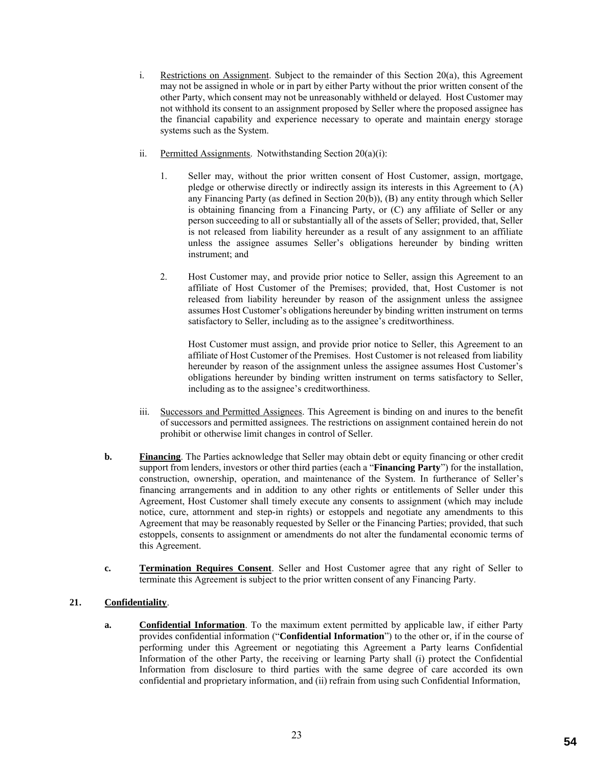- i. Restrictions on Assignment. Subject to the remainder of this Section 20(a), this Agreement may not be assigned in whole or in part by either Party without the prior written consent of the other Party, which consent may not be unreasonably withheld or delayed. Host Customer may not withhold its consent to an assignment proposed by Seller where the proposed assignee has the financial capability and experience necessary to operate and maintain energy storage systems such as the System.
- ii. Permitted Assignments. Notwithstanding Section 20(a)(i):
	- 1. Seller may, without the prior written consent of Host Customer, assign, mortgage, pledge or otherwise directly or indirectly assign its interests in this Agreement to (A) any Financing Party (as defined in Section 20(b)), (B) any entity through which Seller is obtaining financing from a Financing Party, or (C) any affiliate of Seller or any person succeeding to all or substantially all of the assets of Seller; provided, that, Seller is not released from liability hereunder as a result of any assignment to an affiliate unless the assignee assumes Seller's obligations hereunder by binding written instrument; and
	- 2. Host Customer may, and provide prior notice to Seller, assign this Agreement to an affiliate of Host Customer of the Premises; provided, that, Host Customer is not released from liability hereunder by reason of the assignment unless the assignee assumes Host Customer's obligations hereunder by binding written instrument on terms satisfactory to Seller, including as to the assignee's creditworthiness.

Host Customer must assign, and provide prior notice to Seller, this Agreement to an affiliate of Host Customer of the Premises. Host Customer is not released from liability hereunder by reason of the assignment unless the assignee assumes Host Customer's obligations hereunder by binding written instrument on terms satisfactory to Seller, including as to the assignee's creditworthiness.

- iii. Successors and Permitted Assignees. This Agreement is binding on and inures to the benefit of successors and permitted assignees. The restrictions on assignment contained herein do not prohibit or otherwise limit changes in control of Seller.
- **b. Financing**. The Parties acknowledge that Seller may obtain debt or equity financing or other credit support from lenders, investors or other third parties (each a "**Financing Party**") for the installation, construction, ownership, operation, and maintenance of the System. In furtherance of Seller's financing arrangements and in addition to any other rights or entitlements of Seller under this Agreement, Host Customer shall timely execute any consents to assignment (which may include notice, cure, attornment and step-in rights) or estoppels and negotiate any amendments to this Agreement that may be reasonably requested by Seller or the Financing Parties; provided, that such estoppels, consents to assignment or amendments do not alter the fundamental economic terms of this Agreement.
- **c. Termination Requires Consent**. Seller and Host Customer agree that any right of Seller to terminate this Agreement is subject to the prior written consent of any Financing Party.

# **21. Confidentiality**.

**a. Confidential Information**. To the maximum extent permitted by applicable law, if either Party provides confidential information ("**Confidential Information**") to the other or, if in the course of performing under this Agreement or negotiating this Agreement a Party learns Confidential Information of the other Party, the receiving or learning Party shall (i) protect the Confidential Information from disclosure to third parties with the same degree of care accorded its own confidential and proprietary information, and (ii) refrain from using such Confidential Information,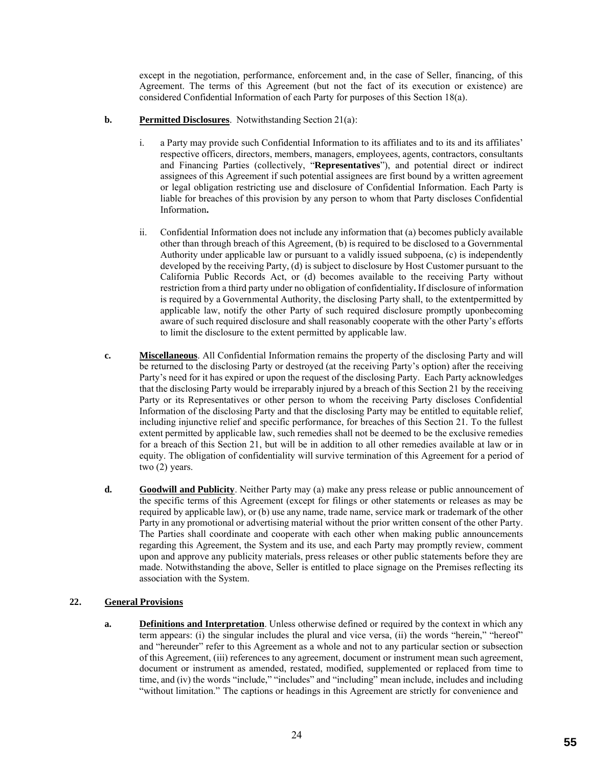except in the negotiation, performance, enforcement and, in the case of Seller, financing, of this Agreement. The terms of this Agreement (but not the fact of its execution or existence) are considered Confidential Information of each Party for purposes of this Section 18(a).

# **b. Permitted Disclosures**. Notwithstanding Section 21(a):

- i. a Party may provide such Confidential Information to its affiliates and to its and its affiliates' respective officers, directors, members, managers, employees, agents, contractors, consultants and Financing Parties (collectively, "**Representatives**"), and potential direct or indirect assignees of this Agreement if such potential assignees are first bound by a written agreement or legal obligation restricting use and disclosure of Confidential Information. Each Party is liable for breaches of this provision by any person to whom that Party discloses Confidential Information**.**
- ii. Confidential Information does not include any information that (a) becomes publicly available other than through breach of this Agreement, (b) is required to be disclosed to a Governmental Authority under applicable law or pursuant to a validly issued subpoena, (c) is independently developed by the receiving Party, (d) is subject to disclosure by Host Customer pursuant to the California Public Records Act, or (d) becomes available to the receiving Party without restriction from a third party under no obligation of confidentiality**.** If disclosure of information is required by a Governmental Authority, the disclosing Party shall, to the extentpermitted by applicable law, notify the other Party of such required disclosure promptly uponbecoming aware of such required disclosure and shall reasonably cooperate with the other Party's efforts to limit the disclosure to the extent permitted by applicable law.
- **c. Miscellaneous**. All Confidential Information remains the property of the disclosing Party and will be returned to the disclosing Party or destroyed (at the receiving Party's option) after the receiving Party's need for it has expired or upon the request of the disclosing Party. Each Party acknowledges that the disclosing Party would be irreparably injured by a breach of this Section 21 by the receiving Party or its Representatives or other person to whom the receiving Party discloses Confidential Information of the disclosing Party and that the disclosing Party may be entitled to equitable relief, including injunctive relief and specific performance, for breaches of this Section 21. To the fullest extent permitted by applicable law, such remedies shall not be deemed to be the exclusive remedies for a breach of this Section 21, but will be in addition to all other remedies available at law or in equity. The obligation of confidentiality will survive termination of this Agreement for a period of two (2) years.
- **d. Goodwill and Publicity**. Neither Party may (a) make any press release or public announcement of the specific terms of this Agreement (except for filings or other statements or releases as may be required by applicable law), or (b) use any name, trade name, service mark or trademark of the other Party in any promotional or advertising material without the prior written consent of the other Party. The Parties shall coordinate and cooperate with each other when making public announcements regarding this Agreement, the System and its use, and each Party may promptly review, comment upon and approve any publicity materials, press releases or other public statements before they are made. Notwithstanding the above, Seller is entitled to place signage on the Premises reflecting its association with the System.

# **22. General Provisions**

**a. Definitions and Interpretation**. Unless otherwise defined or required by the context in which any term appears: (i) the singular includes the plural and vice versa, (ii) the words "herein," "hereof" and "hereunder" refer to this Agreement as a whole and not to any particular section or subsection of this Agreement, (iii) references to any agreement, document or instrument mean such agreement, document or instrument as amended, restated, modified, supplemented or replaced from time to time, and (iv) the words "include," "includes" and "including" mean include, includes and including "without limitation." The captions or headings in this Agreement are strictly for convenience and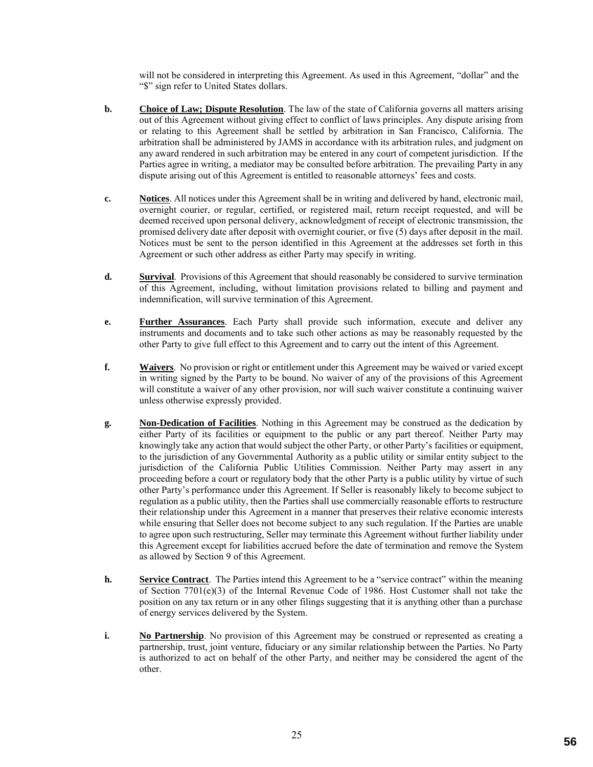will not be considered in interpreting this Agreement. As used in this Agreement, "dollar" and the "\$" sign refer to United States dollars.

- **b. Choice of Law; Dispute Resolution**. The law of the state of California governs all matters arising out of this Agreement without giving effect to conflict of laws principles. Any dispute arising from or relating to this Agreement shall be settled by arbitration in San Francisco, California. The arbitration shall be administered by JAMS in accordance with its arbitration rules, and judgment on any award rendered in such arbitration may be entered in any court of competent jurisdiction. If the Parties agree in writing, a mediator may be consulted before arbitration. The prevailing Party in any dispute arising out of this Agreement is entitled to reasonable attorneys' fees and costs.
- **c. Notices**. All notices under this Agreement shall be in writing and delivered by hand, electronic mail, overnight courier, or regular, certified, or registered mail, return receipt requested, and will be deemed received upon personal delivery, acknowledgment of receipt of electronic transmission, the promised delivery date after deposit with overnight courier, or five (5) days after deposit in the mail. Notices must be sent to the person identified in this Agreement at the addresses set forth in this Agreement or such other address as either Party may specify in writing.
- **d. Survival**. Provisions of this Agreement that should reasonably be considered to survive termination of this Agreement, including, without limitation provisions related to billing and payment and indemnification, will survive termination of this Agreement.
- **e. Further Assurances**. Each Party shall provide such information, execute and deliver any instruments and documents and to take such other actions as may be reasonably requested by the other Party to give full effect to this Agreement and to carry out the intent of this Agreement.
- **f. Waivers**. No provision or right or entitlement under this Agreement may be waived or varied except in writing signed by the Party to be bound. No waiver of any of the provisions of this Agreement will constitute a waiver of any other provision, nor will such waiver constitute a continuing waiver unless otherwise expressly provided.
- **g. Non-Dedication of Facilities**. Nothing in this Agreement may be construed as the dedication by either Party of its facilities or equipment to the public or any part thereof. Neither Party may knowingly take any action that would subject the other Party, or other Party's facilities or equipment, to the jurisdiction of any Governmental Authority as a public utility or similar entity subject to the jurisdiction of the California Public Utilities Commission. Neither Party may assert in any proceeding before a court or regulatory body that the other Party is a public utility by virtue of such other Party's performance under this Agreement. If Seller is reasonably likely to become subject to regulation as a public utility, then the Parties shall use commercially reasonable efforts to restructure their relationship under this Agreement in a manner that preserves their relative economic interests while ensuring that Seller does not become subject to any such regulation. If the Parties are unable to agree upon such restructuring, Seller may terminate this Agreement without further liability under this Agreement except for liabilities accrued before the date of termination and remove the System as allowed by Section 9 of this Agreement.
- **h. Service Contract**. The Parties intend this Agreement to be a "service contract" within the meaning of Section 7701(e)(3) of the Internal Revenue Code of 1986. Host Customer shall not take the position on any tax return or in any other filings suggesting that it is anything other than a purchase of energy services delivered by the System.
- **i. No Partnership**. No provision of this Agreement may be construed or represented as creating a partnership, trust, joint venture, fiduciary or any similar relationship between the Parties. No Party is authorized to act on behalf of the other Party, and neither may be considered the agent of the other.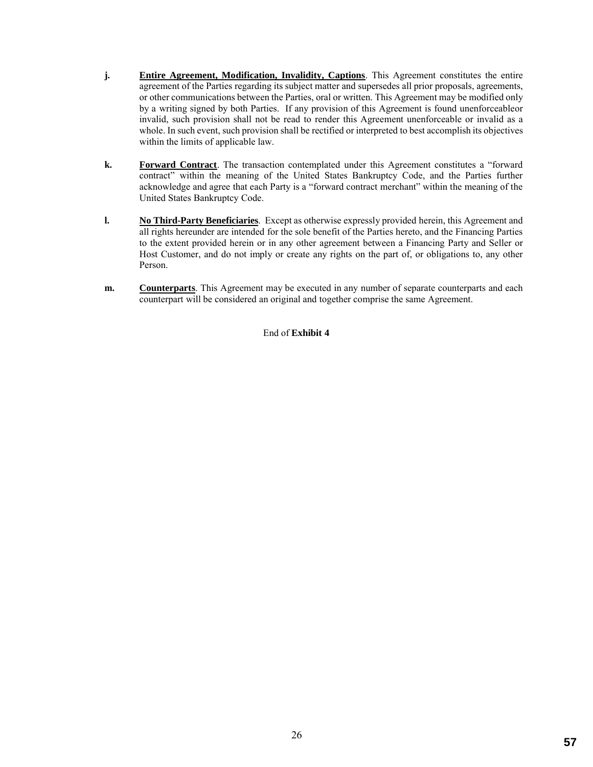- **j. Entire Agreement, Modification, Invalidity, Captions**. This Agreement constitutes the entire agreement of the Parties regarding its subject matter and supersedes all prior proposals, agreements, or other communications between the Parties, oral or written. This Agreement may be modified only by a writing signed by both Parties. If any provision of this Agreement is found unenforceableor invalid, such provision shall not be read to render this Agreement unenforceable or invalid as a whole. In such event, such provision shall be rectified or interpreted to best accomplish its objectives within the limits of applicable law.
- **k. Forward Contract**. The transaction contemplated under this Agreement constitutes a "forward contract" within the meaning of the United States Bankruptcy Code, and the Parties further acknowledge and agree that each Party is a "forward contract merchant" within the meaning of the United States Bankruptcy Code.
- **l. No Third-Party Beneficiaries**. Except as otherwise expressly provided herein, this Agreement and all rights hereunder are intended for the sole benefit of the Parties hereto, and the Financing Parties to the extent provided herein or in any other agreement between a Financing Party and Seller or Host Customer, and do not imply or create any rights on the part of, or obligations to, any other Person.
- **m. Counterparts**. This Agreement may be executed in any number of separate counterparts and each counterpart will be considered an original and together comprise the same Agreement.

End of **Exhibit 4**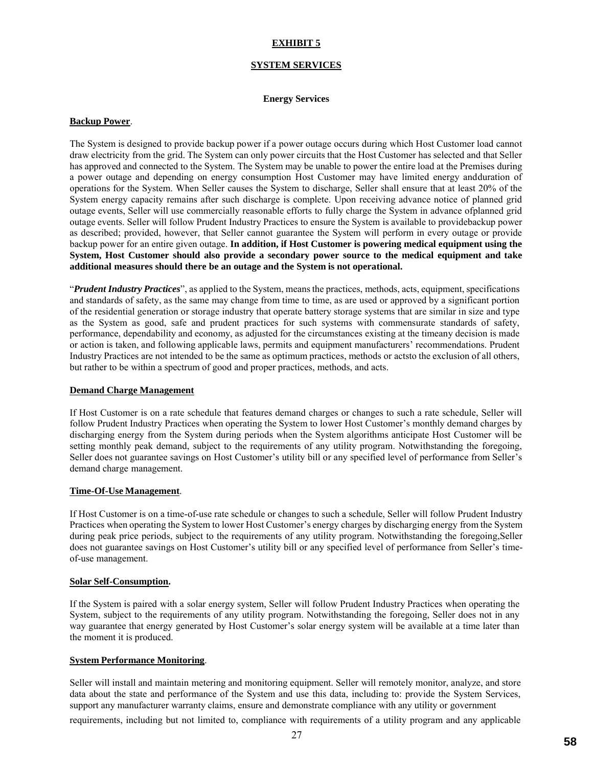# **EXHIBIT 5**

#### **SYSTEM SERVICES**

#### **Energy Services**

#### **Backup Power**.

The System is designed to provide backup power if a power outage occurs during which Host Customer load cannot draw electricity from the grid. The System can only power circuits that the Host Customer has selected and that Seller has approved and connected to the System. The System may be unable to power the entire load at the Premises during a power outage and depending on energy consumption Host Customer may have limited energy andduration of operations for the System. When Seller causes the System to discharge, Seller shall ensure that at least 20% of the System energy capacity remains after such discharge is complete. Upon receiving advance notice of planned grid outage events, Seller will use commercially reasonable efforts to fully charge the System in advance ofplanned grid outage events. Seller will follow Prudent Industry Practices to ensure the System is available to providebackup power as described; provided, however, that Seller cannot guarantee the System will perform in every outage or provide backup power for an entire given outage. **In addition, if Host Customer is powering medical equipment using the System, Host Customer should also provide a secondary power source to the medical equipment and take additional measures should there be an outage and the System is not operational.**

"*Prudent Industry Practices*", as applied to the System, means the practices, methods, acts, equipment, specifications and standards of safety, as the same may change from time to time, as are used or approved by a significant portion of the residential generation or storage industry that operate battery storage systems that are similar in size and type as the System as good, safe and prudent practices for such systems with commensurate standards of safety, performance, dependability and economy, as adjusted for the circumstances existing at the timeany decision is made or action is taken, and following applicable laws, permits and equipment manufacturers' recommendations. Prudent Industry Practices are not intended to be the same as optimum practices, methods or actsto the exclusion of all others, but rather to be within a spectrum of good and proper practices, methods, and acts.

#### **Demand Charge Management**

If Host Customer is on a rate schedule that features demand charges or changes to such a rate schedule, Seller will follow Prudent Industry Practices when operating the System to lower Host Customer's monthly demand charges by discharging energy from the System during periods when the System algorithms anticipate Host Customer will be setting monthly peak demand, subject to the requirements of any utility program. Notwithstanding the foregoing, Seller does not guarantee savings on Host Customer's utility bill or any specified level of performance from Seller's demand charge management.

#### **Time-Of-Use Management**.

If Host Customer is on a time-of-use rate schedule or changes to such a schedule, Seller will follow Prudent Industry Practices when operating the System to lower Host Customer's energy charges by discharging energy from the System during peak price periods, subject to the requirements of any utility program. Notwithstanding the foregoing,Seller does not guarantee savings on Host Customer's utility bill or any specified level of performance from Seller's timeof-use management.

### **Solar Self-Consumption.**

If the System is paired with a solar energy system, Seller will follow Prudent Industry Practices when operating the System, subject to the requirements of any utility program. Notwithstanding the foregoing, Seller does not in any way guarantee that energy generated by Host Customer's solar energy system will be available at a time later than the moment it is produced.

### **System Performance Monitoring**.

Seller will install and maintain metering and monitoring equipment. Seller will remotely monitor, analyze, and store data about the state and performance of the System and use this data, including to: provide the System Services, support any manufacturer warranty claims, ensure and demonstrate compliance with any utility or government

requirements, including but not limited to, compliance with requirements of a utility program and any applicable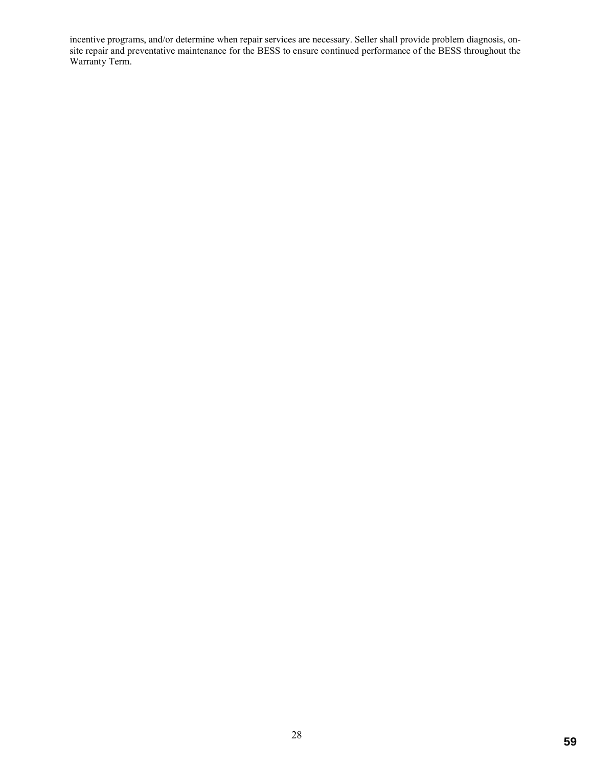incentive programs, and/or determine when repair services are necessary. Seller shall provide problem diagnosis, onsite repair and preventative maintenance for the BESS to ensure continued performance of the BESS throughout the Warranty Term.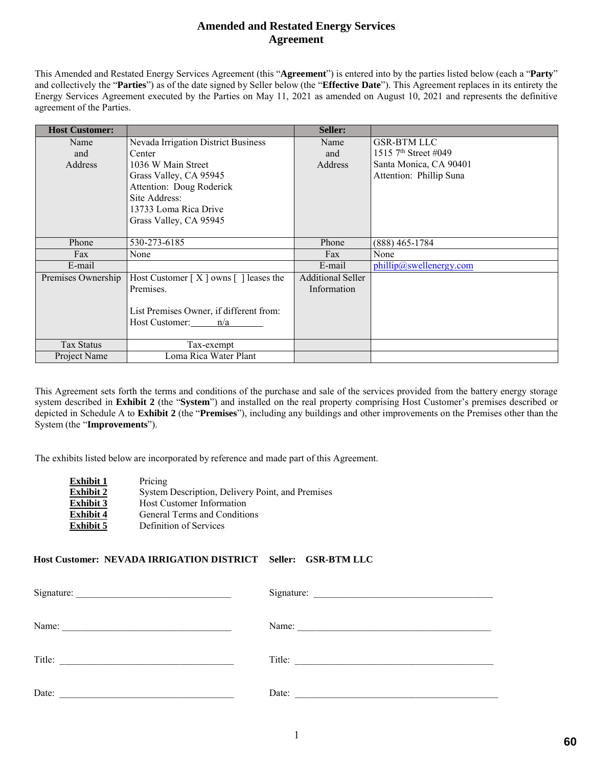# **Amended and Restated Energy Services Agreement**

This Amended and Restated Energy Services Agreement (this "**Agreement**") is entered into by the parties listed below (each a "**Party**" and collectively the "**Parties**") as of the date signed by Seller below (the "**Effective Date**"). This Agreement replaces in its entirety the Energy Services Agreement executed by the Parties on May 11, 2021 as amended on August 10, 2021 and represents the definitive agreement of the Parties.

| <b>Host Customer:</b> |                                           | Seller:                  |                                  |
|-----------------------|-------------------------------------------|--------------------------|----------------------------------|
| Name                  | Nevada Irrigation District Business       | Name                     | <b>GSR-BTM LLC</b>               |
| and                   | Center                                    | and                      | 1515 7 <sup>th</sup> Street #049 |
| Address               | 1036 W Main Street                        | Address                  | Santa Monica, CA 90401           |
|                       | Grass Valley, CA 95945                    |                          | Attention: Phillip Suna          |
|                       | Attention: Doug Roderick                  |                          |                                  |
|                       | Site Address:                             |                          |                                  |
|                       | 13733 Loma Rica Drive                     |                          |                                  |
|                       | Grass Valley, CA 95945                    |                          |                                  |
|                       |                                           |                          |                                  |
| Phone                 | 530-273-6185                              | Phone                    | $(888)$ 465-1784                 |
| Fax                   | None                                      | Fax                      | None                             |
| E-mail                |                                           | E-mail                   | phillip@swellenergy.com          |
| Premises Ownership    | Host Customer $[X]$ owns $[ ]$ leases the | <b>Additional Seller</b> |                                  |
|                       | Premises.                                 | Information              |                                  |
|                       |                                           |                          |                                  |
|                       | List Premises Owner, if different from:   |                          |                                  |
|                       | Host Customer: $n/a$                      |                          |                                  |
|                       |                                           |                          |                                  |
| <b>Tax Status</b>     | Tax-exempt                                |                          |                                  |
| Project Name          | Loma Rica Water Plant                     |                          |                                  |

This Agreement sets forth the terms and conditions of the purchase and sale of the services provided from the battery energy storage system described in **Exhibit 2** (the "**System**") and installed on the real property comprising Host Customer's premises described or depicted in Schedule A to **Exhibit 2** (the "**Premises**"), including any buildings and other improvements on the Premises other than the System (the "**Improvements**").

The exhibits listed below are incorporated by reference and made part of this Agreement.

| Pricing                                          |
|--------------------------------------------------|
| System Description, Delivery Point, and Premises |
| <b>Host Customer Information</b>                 |
| General Terms and Conditions                     |
| Definition of Services                           |
|                                                  |

# **Host Customer: NEVADA IRRIGATION DISTRICT Seller: GSR-BTM LLC**

| Signature:                                                                                         |       |
|----------------------------------------------------------------------------------------------------|-------|
| Name:<br>the control of the control of the control of the control of the control of the control of |       |
| Title:<br><u> 1980 - Johann Johann Storm, meil am der Schwarzer (d. 1980)</u>                      |       |
| Date:                                                                                              | Date: |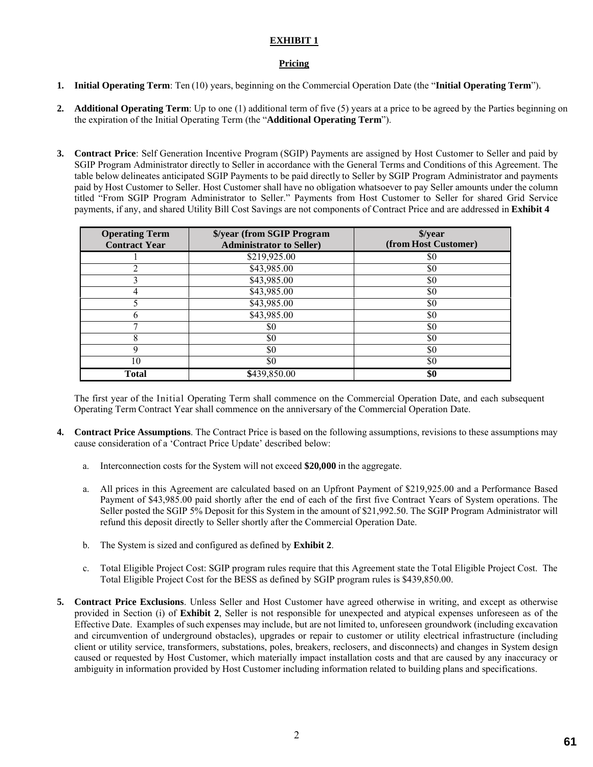# **EXHIBIT 1**

# **Pricing**

- **1. Initial Operating Term**: Ten (10) years, beginning on the Commercial Operation Date (the "**Initial Operating Term**").
- **2. Additional Operating Term**: Up to one (1) additional term of five (5) years at a price to be agreed by the Parties beginning on the expiration of the Initial Operating Term (the "**Additional Operating Term**").
- **3. Contract Price**: Self Generation Incentive Program (SGIP) Payments are assigned by Host Customer to Seller and paid by SGIP Program Administrator directly to Seller in accordance with the General Terms and Conditions of this Agreement. The table below delineates anticipated SGIP Payments to be paid directly to Seller by SGIP Program Administrator and payments paid by Host Customer to Seller. Host Customer shall have no obligation whatsoever to pay Seller amounts under the column titled "From SGIP Program Administrator to Seller." Payments from Host Customer to Seller for shared Grid Service payments, if any, and shared Utility Bill Cost Savings are not components of Contract Price and are addressed in **Exhibit 4**

| <b>Operating Term</b><br><b>Contract Year</b> | \$/year (from SGIP Program<br><b>Administrator to Seller)</b> | \$/year<br>(from Host Customer) |  |  |
|-----------------------------------------------|---------------------------------------------------------------|---------------------------------|--|--|
|                                               | \$219,925.00                                                  | \$0                             |  |  |
|                                               | \$43,985.00                                                   | \$0                             |  |  |
|                                               | \$43,985.00                                                   | \$0                             |  |  |
|                                               | \$43,985.00                                                   | \$0                             |  |  |
|                                               | \$43,985.00                                                   | \$0                             |  |  |
|                                               | \$43,985.00                                                   | \$0                             |  |  |
|                                               | \$0                                                           | \$0                             |  |  |
|                                               | \$0                                                           | \$0                             |  |  |
| q                                             | \$0                                                           | \$0                             |  |  |
| 10                                            | \$0                                                           | \$0                             |  |  |
| <b>Total</b>                                  | \$439,850.00                                                  | \$0                             |  |  |

The first year of the Initial Operating Term shall commence on the Commercial Operation Date, and each subsequent Operating Term Contract Year shall commence on the anniversary of the Commercial Operation Date.

- **4. Contract Price Assumptions**. The Contract Price is based on the following assumptions, revisions to these assumptions may cause consideration of a 'Contract Price Update' described below:
	- a. Interconnection costs for the System will not exceed **\$20,000** in the aggregate.
	- a. All prices in this Agreement are calculated based on an Upfront Payment of \$219,925.00 and a Performance Based Payment of \$43,985.00 paid shortly after the end of each of the first five Contract Years of System operations. The Seller posted the SGIP 5% Deposit for this System in the amount of \$21,992.50. The SGIP Program Administrator will refund this deposit directly to Seller shortly after the Commercial Operation Date.
	- b. The System is sized and configured as defined by **Exhibit 2**.
	- c. Total Eligible Project Cost: SGIP program rules require that this Agreement state the Total Eligible Project Cost. The Total Eligible Project Cost for the BESS as defined by SGIP program rules is \$439,850.00.
- **5. Contract Price Exclusions**. Unless Seller and Host Customer have agreed otherwise in writing, and except as otherwise provided in Section (i) of **Exhibit 2**, Seller is not responsible for unexpected and atypical expenses unforeseen as of the Effective Date. Examples of such expenses may include, but are not limited to, unforeseen groundwork (including excavation and circumvention of underground obstacles), upgrades or repair to customer or utility electrical infrastructure (including client or utility service, transformers, substations, poles, breakers, reclosers, and disconnects) and changes in System design caused or requested by Host Customer, which materially impact installation costs and that are caused by any inaccuracy or ambiguity in information provided by Host Customer including information related to building plans and specifications.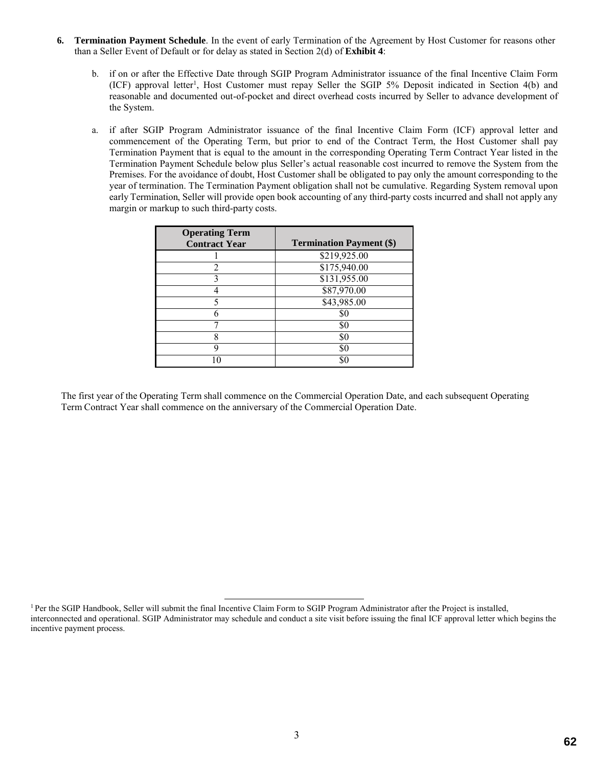- **6. Termination Payment Schedule**. In the event of early Termination of the Agreement by Host Customer for reasons other than a Seller Event of Default or for delay as stated in Section 2(d) of **Exhibit 4**:
	- b. if on or after the Effective Date through SGIP Program Administrator issuance of the final Incentive Claim Form (ICF) approval letter<sup>1</sup>, Host Customer must repay Seller the SGIP 5% Deposit indicated in Section 4(b) and reasonable and documented out-of-pocket and direct overhead costs incurred by Seller to advance development of the System.
	- a. if after SGIP Program Administrator issuance of the final Incentive Claim Form (ICF) approval letter and commencement of the Operating Term, but prior to end of the Contract Term, the Host Customer shall pay Termination Payment that is equal to the amount in the corresponding Operating Term Contract Year listed in the Termination Payment Schedule below plus Seller's actual reasonable cost incurred to remove the System from the Premises. For the avoidance of doubt, Host Customer shall be obligated to pay only the amount corresponding to the year of termination. The Termination Payment obligation shall not be cumulative. Regarding System removal upon early Termination, Seller will provide open book accounting of any third-party costs incurred and shall not apply any margin or markup to such third-party costs.

| <b>Operating Term</b><br><b>Contract Year</b> | <b>Termination Payment (\$)</b> |
|-----------------------------------------------|---------------------------------|
|                                               | \$219,925.00                    |
|                                               | \$175,940.00                    |
|                                               | \$131,955.00                    |
|                                               | \$87,970.00                     |
|                                               | \$43,985.00                     |
|                                               | \$0                             |
|                                               | \$0                             |
| 8                                             | \$0                             |
| Q                                             | \$0                             |
|                                               | SC.                             |

The first year of the Operating Term shall commence on the Commercial Operation Date, and each subsequent Operating Term Contract Year shall commence on the anniversary of the Commercial Operation Date.

<sup>&</sup>lt;sup>1</sup> Per the SGIP Handbook, Seller will submit the final Incentive Claim Form to SGIP Program Administrator after the Project is installed, interconnected and operational. SGIP Administrator may schedule and conduct a site visit before issuing the final ICF approval letter which begins the incentive payment process.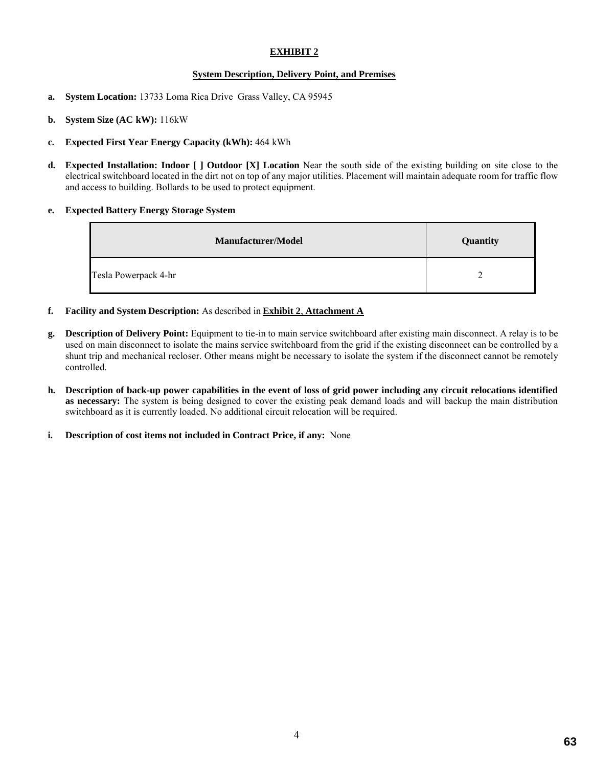# **EXHIBIT 2**

### **System Description, Delivery Point, and Premises**

- **a. System Location:** 13733 Loma Rica Drive Grass Valley, CA 95945
- **b. System Size (AC kW):** 116kW
- **c. Expected First Year Energy Capacity (kWh):** 464 kWh
- **d. Expected Installation: Indoor [ ] Outdoor [X] Location** Near the south side of the existing building on site close to the electrical switchboard located in the dirt not on top of any major utilities. Placement will maintain adequate room for traffic flow and access to building. Bollards to be used to protect equipment.

### **e. Expected Battery Energy Storage System**

| <b>Manufacturer/Model</b> | Quantity |
|---------------------------|----------|
| Tesla Powerpack 4-hr      |          |

- **f. Facility and System Description:** As described in **Exhibit 2**, **Attachment A**
- **g. Description of Delivery Point:** Equipment to tie-in to main service switchboard after existing main disconnect. A relay is to be used on main disconnect to isolate the mains service switchboard from the grid if the existing disconnect can be controlled by a shunt trip and mechanical recloser. Other means might be necessary to isolate the system if the disconnect cannot be remotely controlled.
- **h. Description of back-up power capabilities in the event of loss of grid power including any circuit relocations identified as necessary:** The system is being designed to cover the existing peak demand loads and will backup the main distribution switchboard as it is currently loaded. No additional circuit relocation will be required.
- **i. Description of cost items not included in Contract Price, if any:** None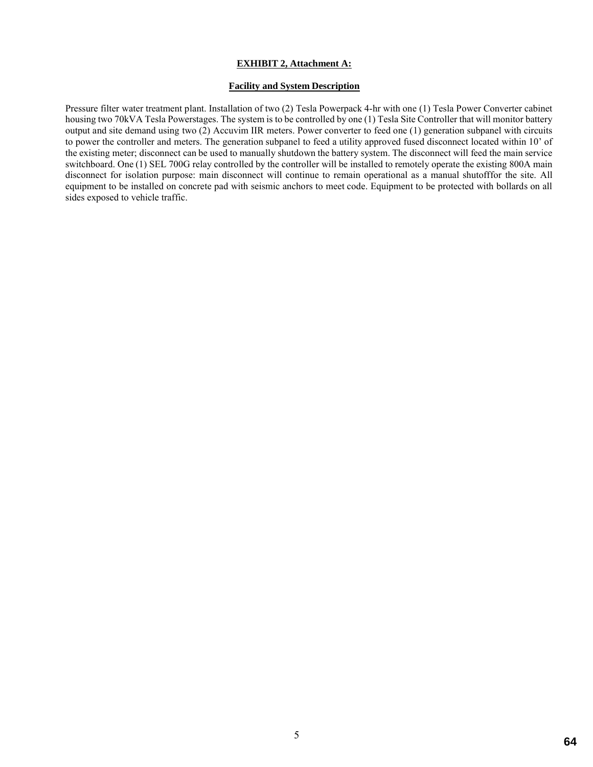#### **EXHIBIT 2, Attachment A:**

## **Facility and System Description**

Pressure filter water treatment plant. Installation of two (2) Tesla Powerpack 4-hr with one (1) Tesla Power Converter cabinet housing two 70kVA Tesla Powerstages. The system is to be controlled by one (1) Tesla Site Controller that will monitor battery output and site demand using two (2) Accuvim IIR meters. Power converter to feed one (1) generation subpanel with circuits to power the controller and meters. The generation subpanel to feed a utility approved fused disconnect located within 10' of the existing meter; disconnect can be used to manually shutdown the battery system. The disconnect will feed the main service switchboard. One (1) SEL 700G relay controlled by the controller will be installed to remotely operate the existing 800A main disconnect for isolation purpose: main disconnect will continue to remain operational as a manual shutofffor the site. All equipment to be installed on concrete pad with seismic anchors to meet code. Equipment to be protected with bollards on all sides exposed to vehicle traffic.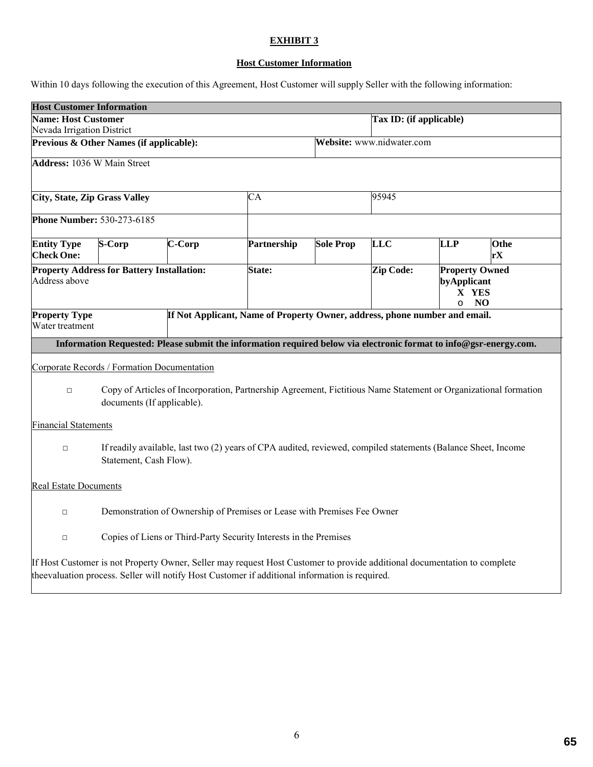# **EXHIBIT 3**

# **Host Customer Information**

Within 10 days following the execution of this Agreement, Host Customer will supply Seller with the following information:

| <b>Host Customer Information</b>        |                                                                         |        |                                                                                                                                                                                                                             |                         |                           |                                                                |            |
|-----------------------------------------|-------------------------------------------------------------------------|--------|-----------------------------------------------------------------------------------------------------------------------------------------------------------------------------------------------------------------------------|-------------------------|---------------------------|----------------------------------------------------------------|------------|
| <b>Name: Host Customer</b>              |                                                                         |        |                                                                                                                                                                                                                             | Tax ID: (if applicable) |                           |                                                                |            |
| Nevada Irrigation District              |                                                                         |        |                                                                                                                                                                                                                             |                         |                           |                                                                |            |
| Previous & Other Names (if applicable): |                                                                         |        |                                                                                                                                                                                                                             |                         | Website: www.nidwater.com |                                                                |            |
| <b>Address: 1036 W Main Street</b>      |                                                                         |        |                                                                                                                                                                                                                             |                         |                           |                                                                |            |
| <b>City, State, Zip Grass Valley</b>    |                                                                         | CA     |                                                                                                                                                                                                                             |                         | 95945                     |                                                                |            |
| <b>Phone Number: 530-273-6185</b>       |                                                                         |        |                                                                                                                                                                                                                             |                         |                           |                                                                |            |
| <b>Entity Type</b><br><b>Check One:</b> | S-Corp                                                                  | C-Corp | Partnership                                                                                                                                                                                                                 | <b>Sole Prop</b>        | <b>LLC</b>                | <b>LLP</b>                                                     | Othe<br>rX |
| Address above                           | <b>Property Address for Battery Installation:</b>                       |        | State:                                                                                                                                                                                                                      | Zip Code:               |                           | <b>Property Owned</b><br>byApplicant<br>X YES<br>NO<br>$\circ$ |            |
| <b>Property Type</b><br>Water treatment |                                                                         |        | If Not Applicant, Name of Property Owner, address, phone number and email.                                                                                                                                                  |                         |                           |                                                                |            |
|                                         |                                                                         |        | Information Requested: Please submit the information required below via electronic format to info@gsr-energy.com.                                                                                                           |                         |                           |                                                                |            |
|                                         | Corporate Records / Formation Documentation                             |        |                                                                                                                                                                                                                             |                         |                           |                                                                |            |
| $\Box$                                  | documents (If applicable).                                              |        | Copy of Articles of Incorporation, Partnership Agreement, Fictitious Name Statement or Organizational formation                                                                                                             |                         |                           |                                                                |            |
| <b>Financial Statements</b>             |                                                                         |        |                                                                                                                                                                                                                             |                         |                           |                                                                |            |
| $\Box$                                  | Statement, Cash Flow).                                                  |        | If readily available, last two (2) years of CPA audited, reviewed, compiled statements (Balance Sheet, Income                                                                                                               |                         |                           |                                                                |            |
| <b>Real Estate Documents</b>            |                                                                         |        |                                                                                                                                                                                                                             |                         |                           |                                                                |            |
| $\Box$                                  | Demonstration of Ownership of Premises or Lease with Premises Fee Owner |        |                                                                                                                                                                                                                             |                         |                           |                                                                |            |
| $\Box$                                  | Copies of Liens or Third-Party Security Interests in the Premises       |        |                                                                                                                                                                                                                             |                         |                           |                                                                |            |
|                                         |                                                                         |        | If Host Customer is not Property Owner, Seller may request Host Customer to provide additional documentation to complete<br>the evaluation process. Seller will notify Host Customer if additional information is required. |                         |                           |                                                                |            |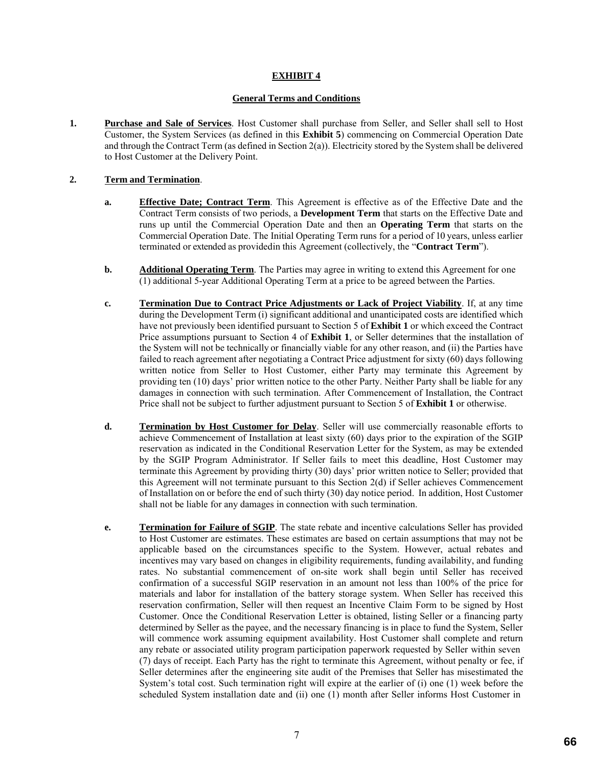# **EXHIBIT 4**

### **General Terms and Conditions**

**1. Purchase and Sale of Services**. Host Customer shall purchase from Seller, and Seller shall sell to Host Customer, the System Services (as defined in this **Exhibit 5**) commencing on Commercial Operation Date and through the Contract Term (as defined in Section 2(a)). Electricity stored by the System shall be delivered to Host Customer at the Delivery Point.

## **2. Term and Termination**.

- **a. Effective Date; Contract Term**. This Agreement is effective as of the Effective Date and the Contract Term consists of two periods, a **Development Term** that starts on the Effective Date and runs up until the Commercial Operation Date and then an **Operating Term** that starts on the Commercial Operation Date. The Initial Operating Term runs for a period of 10 years, unless earlier terminated or extended as providedin this Agreement (collectively, the "**Contract Term**").
- **b. Additional Operating Term**. The Parties may agree in writing to extend this Agreement for one (1) additional 5-year Additional Operating Term at a price to be agreed between the Parties.
- **c. Termination Due to Contract Price Adjustments or Lack of Project Viability**. If, at any time during the Development Term (i) significant additional and unanticipated costs are identified which have not previously been identified pursuant to Section 5 of **Exhibit 1** or which exceed the Contract Price assumptions pursuant to Section 4 of **Exhibit 1**, or Seller determines that the installation of the System will not be technically or financially viable for any other reason, and (ii) the Parties have failed to reach agreement after negotiating a Contract Price adjustment for sixty (60) days following written notice from Seller to Host Customer, either Party may terminate this Agreement by providing ten (10) days' prior written notice to the other Party. Neither Party shall be liable for any damages in connection with such termination. After Commencement of Installation, the Contract Price shall not be subject to further adjustment pursuant to Section 5 of **Exhibit 1** or otherwise.
- **d. Termination by Host Customer for Delay**. Seller will use commercially reasonable efforts to achieve Commencement of Installation at least sixty (60) days prior to the expiration of the SGIP reservation as indicated in the Conditional Reservation Letter for the System, as may be extended by the SGIP Program Administrator. If Seller fails to meet this deadline, Host Customer may terminate this Agreement by providing thirty (30) days' prior written notice to Seller; provided that this Agreement will not terminate pursuant to this Section 2(d) if Seller achieves Commencement of Installation on or before the end of such thirty (30) day notice period. In addition, Host Customer shall not be liable for any damages in connection with such termination.
- **e. Termination for Failure of SGIP**. The state rebate and incentive calculations Seller has provided to Host Customer are estimates. These estimates are based on certain assumptions that may not be applicable based on the circumstances specific to the System. However, actual rebates and incentives may vary based on changes in eligibility requirements, funding availability, and funding rates. No substantial commencement of on-site work shall begin until Seller has received confirmation of a successful SGIP reservation in an amount not less than 100% of the price for materials and labor for installation of the battery storage system. When Seller has received this reservation confirmation, Seller will then request an Incentive Claim Form to be signed by Host Customer. Once the Conditional Reservation Letter is obtained, listing Seller or a financing party determined by Seller as the payee, and the necessary financing is in place to fund the System, Seller will commence work assuming equipment availability. Host Customer shall complete and return any rebate or associated utility program participation paperwork requested by Seller within seven (7) days of receipt. Each Party has the right to terminate this Agreement, without penalty or fee, if Seller determines after the engineering site audit of the Premises that Seller has misestimated the System's total cost. Such termination right will expire at the earlier of (i) one (1) week before the scheduled System installation date and (ii) one (1) month after Seller informs Host Customer in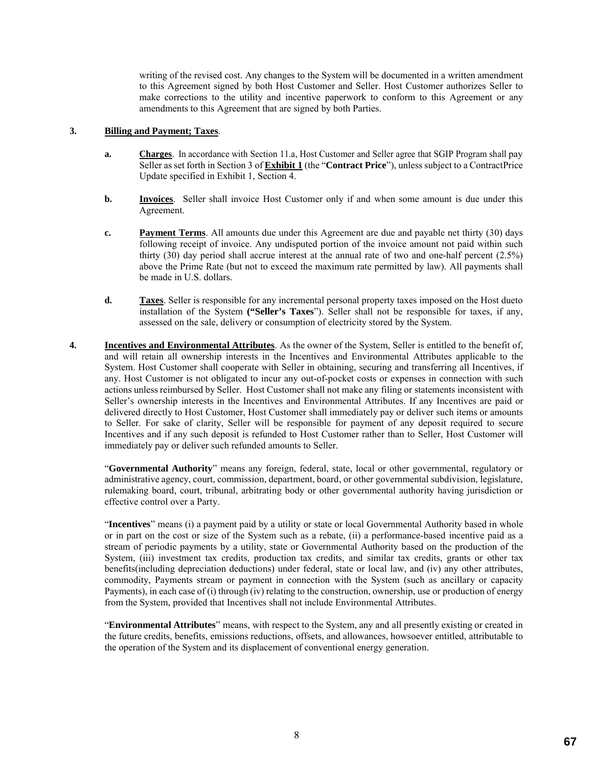writing of the revised cost. Any changes to the System will be documented in a written amendment to this Agreement signed by both Host Customer and Seller. Host Customer authorizes Seller to make corrections to the utility and incentive paperwork to conform to this Agreement or any amendments to this Agreement that are signed by both Parties.

### **3. Billing and Payment; Taxes**.

- **a. Charges**. In accordance with Section 11.a, Host Customer and Seller agree that SGIP Program shall pay Seller as set forth in Section 3 of **Exhibit 1** (the "**Contract Price**"), unless subject to a ContractPrice Update specified in Exhibit 1, Section 4.
- **b. Invoices**. Seller shall invoice Host Customer only if and when some amount is due under this Agreement.
- **c. Payment Terms**. All amounts due under this Agreement are due and payable net thirty (30) days following receipt of invoice. Any undisputed portion of the invoice amount not paid within such thirty (30) day period shall accrue interest at the annual rate of two and one-half percent (2.5%) above the Prime Rate (but not to exceed the maximum rate permitted by law). All payments shall be made in U.S. dollars.
- **d. Taxes**. Seller is responsible for any incremental personal property taxes imposed on the Host dueto installation of the System **("Seller's Taxes**"). Seller shall not be responsible for taxes, if any, assessed on the sale, delivery or consumption of electricity stored by the System.
- **4. Incentives and Environmental Attributes**. As the owner of the System, Seller is entitled to the benefit of, and will retain all ownership interests in the Incentives and Environmental Attributes applicable to the System. Host Customer shall cooperate with Seller in obtaining, securing and transferring all Incentives, if any. Host Customer is not obligated to incur any out-of-pocket costs or expenses in connection with such actions unless reimbursed by Seller. Host Customer shall not make any filing or statements inconsistent with Seller's ownership interests in the Incentives and Environmental Attributes. If any Incentives are paid or delivered directly to Host Customer, Host Customer shall immediately pay or deliver such items or amounts to Seller. For sake of clarity, Seller will be responsible for payment of any deposit required to secure Incentives and if any such deposit is refunded to Host Customer rather than to Seller, Host Customer will immediately pay or deliver such refunded amounts to Seller.

"**Governmental Authority**" means any foreign, federal, state, local or other governmental, regulatory or administrative agency, court, commission, department, board, or other governmental subdivision, legislature, rulemaking board, court, tribunal, arbitrating body or other governmental authority having jurisdiction or effective control over a Party.

"**Incentives**" means (i) a payment paid by a utility or state or local Governmental Authority based in whole or in part on the cost or size of the System such as a rebate, (ii) a performance-based incentive paid as a stream of periodic payments by a utility, state or Governmental Authority based on the production of the System, (iii) investment tax credits, production tax credits, and similar tax credits, grants or other tax benefits(including depreciation deductions) under federal, state or local law, and (iv) any other attributes, commodity, Payments stream or payment in connection with the System (such as ancillary or capacity Payments), in each case of (i) through (iv) relating to the construction, ownership, use or production of energy from the System, provided that Incentives shall not include Environmental Attributes.

"**Environmental Attributes**" means, with respect to the System, any and all presently existing or created in the future credits, benefits, emissions reductions, offsets, and allowances, howsoever entitled, attributable to the operation of the System and its displacement of conventional energy generation.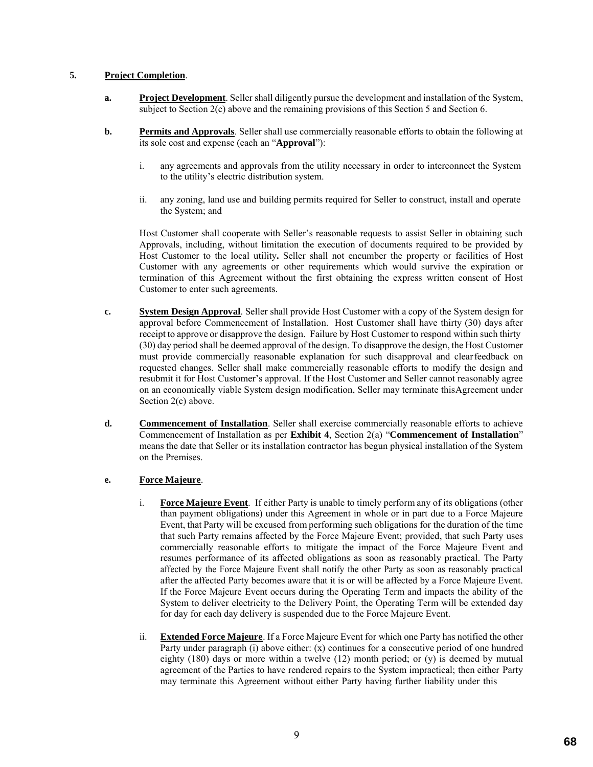## **5. Project Completion**.

- **a. Project Development**. Seller shall diligently pursue the development and installation of the System, subject to Section 2(c) above and the remaining provisions of this Section 5 and Section 6.
- **b. Permits and Approvals**. Seller shall use commercially reasonable efforts to obtain the following at its sole cost and expense (each an "**Approval**"):
	- i. any agreements and approvals from the utility necessary in order to interconnect the System to the utility's electric distribution system.
	- ii. any zoning, land use and building permits required for Seller to construct, install and operate the System; and

Host Customer shall cooperate with Seller's reasonable requests to assist Seller in obtaining such Approvals, including, without limitation the execution of documents required to be provided by Host Customer to the local utility**.** Seller shall not encumber the property or facilities of Host Customer with any agreements or other requirements which would survive the expiration or termination of this Agreement without the first obtaining the express written consent of Host Customer to enter such agreements.

- **c. System Design Approval**. Seller shall provide Host Customer with a copy of the System design for approval before Commencement of Installation. Host Customer shall have thirty (30) days after receipt to approve or disapprove the design. Failure by Host Customer to respond within such thirty (30) day period shall be deemed approval of the design. To disapprove the design, the Host Customer must provide commercially reasonable explanation for such disapproval and clearfeedback on requested changes. Seller shall make commercially reasonable efforts to modify the design and resubmit it for Host Customer's approval. If the Host Customer and Seller cannot reasonably agree on an economically viable System design modification, Seller may terminate thisAgreement under Section 2(c) above.
- **d. Commencement of Installation**. Seller shall exercise commercially reasonable efforts to achieve Commencement of Installation as per **Exhibit 4**, Section 2(a) "**Commencement of Installation**" means the date that Seller or its installation contractor has begun physical installation of the System on the Premises.

# **e. Force Majeure**.

- i. **Force Majeure Event**. If either Party is unable to timely perform any of its obligations (other than payment obligations) under this Agreement in whole or in part due to a Force Majeure Event, that Party will be excused from performing such obligations for the duration of the time that such Party remains affected by the Force Majeure Event; provided, that such Party uses commercially reasonable efforts to mitigate the impact of the Force Majeure Event and resumes performance of its affected obligations as soon as reasonably practical. The Party affected by the Force Majeure Event shall notify the other Party as soon as reasonably practical after the affected Party becomes aware that it is or will be affected by a Force Majeure Event. If the Force Majeure Event occurs during the Operating Term and impacts the ability of the System to deliver electricity to the Delivery Point, the Operating Term will be extended day for day for each day delivery is suspended due to the Force Majeure Event.
- ii. **Extended Force Majeure**. If a Force Majeure Event for which one Party has notified the other Party under paragraph (i) above either: (x) continues for a consecutive period of one hundred eighty  $(180)$  days or more within a twelve  $(12)$  month period; or  $(y)$  is deemed by mutual agreement of the Parties to have rendered repairs to the System impractical; then either Party may terminate this Agreement without either Party having further liability under this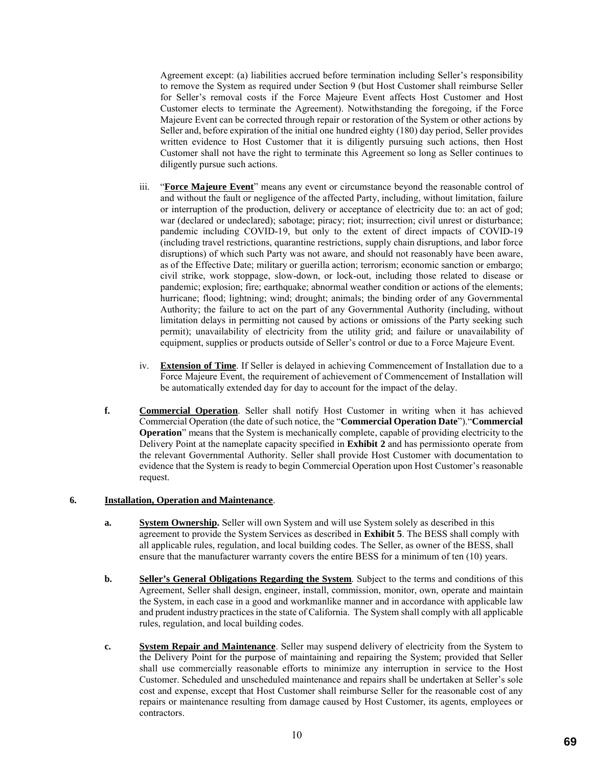Agreement except: (a) liabilities accrued before termination including Seller's responsibility to remove the System as required under Section 9 (but Host Customer shall reimburse Seller for Seller's removal costs if the Force Majeure Event affects Host Customer and Host Customer elects to terminate the Agreement). Notwithstanding the foregoing, if the Force Majeure Event can be corrected through repair or restoration of the System or other actions by Seller and, before expiration of the initial one hundred eighty (180) day period, Seller provides written evidence to Host Customer that it is diligently pursuing such actions, then Host Customer shall not have the right to terminate this Agreement so long as Seller continues to diligently pursue such actions.

- iii. "**Force Majeure Event**" means any event or circumstance beyond the reasonable control of and without the fault or negligence of the affected Party, including, without limitation, failure or interruption of the production, delivery or acceptance of electricity due to: an act of god; war (declared or undeclared); sabotage; piracy; riot; insurrection; civil unrest or disturbance; pandemic including COVID-19, but only to the extent of direct impacts of COVID-19 (including travel restrictions, quarantine restrictions, supply chain disruptions, and labor force disruptions) of which such Party was not aware, and should not reasonably have been aware, as of the Effective Date; military or guerilla action; terrorism; economic sanction or embargo; civil strike, work stoppage, slow-down, or lock-out, including those related to disease or pandemic; explosion; fire; earthquake; abnormal weather condition or actions of the elements; hurricane; flood; lightning; wind; drought; animals; the binding order of any Governmental Authority; the failure to act on the part of any Governmental Authority (including, without limitation delays in permitting not caused by actions or omissions of the Party seeking such permit); unavailability of electricity from the utility grid; and failure or unavailability of equipment, supplies or products outside of Seller's control or due to a Force Majeure Event.
- iv. **Extension of Time**. If Seller is delayed in achieving Commencement of Installation due to a Force Majeure Event, the requirement of achievement of Commencement of Installation will be automatically extended day for day to account for the impact of the delay.
- **f. Commercial Operation**. Seller shall notify Host Customer in writing when it has achieved Commercial Operation (the date of such notice, the "**Commercial Operation Date**")."**Commercial Operation**" means that the System is mechanically complete, capable of providing electricity to the Delivery Point at the nameplate capacity specified in **Exhibit 2** and has permissionto operate from the relevant Governmental Authority. Seller shall provide Host Customer with documentation to evidence that the System is ready to begin Commercial Operation upon Host Customer's reasonable request.

## **6. Installation, Operation and Maintenance**.

- **a. System Ownership.** Seller will own System and will use System solely as described in this agreement to provide the System Services as described in **Exhibit 5**. The BESS shall comply with all applicable rules, regulation, and local building codes. The Seller, as owner of the BESS, shall ensure that the manufacturer warranty covers the entire BESS for a minimum of ten (10) years.
- **b. Seller's General Obligations Regarding the System**. Subject to the terms and conditions of this Agreement, Seller shall design, engineer, install, commission, monitor, own, operate and maintain the System, in each case in a good and workmanlike manner and in accordance with applicable law and prudent industry practices in the state of California. The System shall comply with all applicable rules, regulation, and local building codes.
- **c. System Repair and Maintenance**. Seller may suspend delivery of electricity from the System to the Delivery Point for the purpose of maintaining and repairing the System; provided that Seller shall use commercially reasonable efforts to minimize any interruption in service to the Host Customer. Scheduled and unscheduled maintenance and repairs shall be undertaken at Seller's sole cost and expense, except that Host Customer shall reimburse Seller for the reasonable cost of any repairs or maintenance resulting from damage caused by Host Customer, its agents, employees or contractors.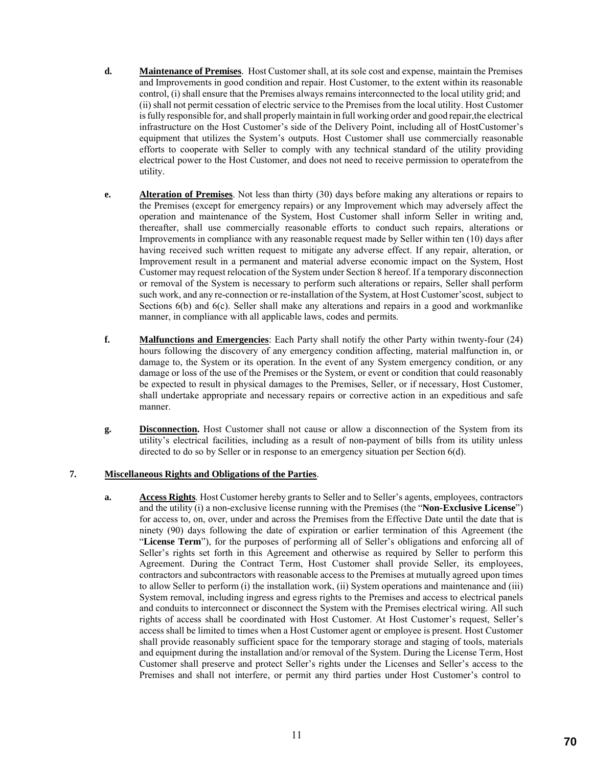- **d. Maintenance of Premises**. Host Customer shall, at its sole cost and expense, maintain the Premises and Improvements in good condition and repair. Host Customer, to the extent within its reasonable control, (i) shall ensure that the Premises always remains interconnected to the local utility grid; and (ii) shall not permit cessation of electric service to the Premises from the local utility. Host Customer is fully responsible for, and shall properly maintain in full working order and good repair,the electrical infrastructure on the Host Customer's side of the Delivery Point, including all of HostCustomer's equipment that utilizes the System's outputs. Host Customer shall use commercially reasonable efforts to cooperate with Seller to comply with any technical standard of the utility providing electrical power to the Host Customer, and does not need to receive permission to operatefrom the utility.
- **e. Alteration of Premises**. Not less than thirty (30) days before making any alterations or repairs to the Premises (except for emergency repairs) or any Improvement which may adversely affect the operation and maintenance of the System, Host Customer shall inform Seller in writing and, thereafter, shall use commercially reasonable efforts to conduct such repairs, alterations or Improvements in compliance with any reasonable request made by Seller within ten (10) days after having received such written request to mitigate any adverse effect. If any repair, alteration, or Improvement result in a permanent and material adverse economic impact on the System, Host Customer may request relocation of the System under Section 8 hereof. If a temporary disconnection or removal of the System is necessary to perform such alterations or repairs, Seller shall perform such work, and any re-connection or re-installation of the System, at Host Customer'scost, subject to Sections 6(b) and 6(c). Seller shall make any alterations and repairs in a good and workmanlike manner, in compliance with all applicable laws, codes and permits.
- **f. Malfunctions and Emergencies**: Each Party shall notify the other Party within twenty-four (24) hours following the discovery of any emergency condition affecting, material malfunction in, or damage to, the System or its operation. In the event of any System emergency condition, or any damage or loss of the use of the Premises or the System, or event or condition that could reasonably be expected to result in physical damages to the Premises, Seller, or if necessary, Host Customer, shall undertake appropriate and necessary repairs or corrective action in an expeditious and safe manner.
- **g. Disconnection.** Host Customer shall not cause or allow a disconnection of the System from its utility's electrical facilities, including as a result of non-payment of bills from its utility unless directed to do so by Seller or in response to an emergency situation per Section 6(d).

### **7. Miscellaneous Rights and Obligations of the Parties**.

**a. Access Rights**. Host Customer hereby grants to Seller and to Seller's agents, employees, contractors and the utility (i) a non-exclusive license running with the Premises (the "**Non-Exclusive License**") for access to, on, over, under and across the Premises from the Effective Date until the date that is ninety (90) days following the date of expiration or earlier termination of this Agreement (the "**License Term**"), for the purposes of performing all of Seller's obligations and enforcing all of Seller's rights set forth in this Agreement and otherwise as required by Seller to perform this Agreement. During the Contract Term, Host Customer shall provide Seller, its employees, contractors and subcontractors with reasonable access to the Premises at mutually agreed upon times to allow Seller to perform (i) the installation work, (ii) System operations and maintenance and (iii) System removal, including ingress and egress rights to the Premises and access to electrical panels and conduits to interconnect or disconnect the System with the Premises electrical wiring. All such rights of access shall be coordinated with Host Customer. At Host Customer's request, Seller's access shall be limited to times when a Host Customer agent or employee is present. Host Customer shall provide reasonably sufficient space for the temporary storage and staging of tools, materials and equipment during the installation and/or removal of the System. During the License Term, Host Customer shall preserve and protect Seller's rights under the Licenses and Seller's access to the Premises and shall not interfere, or permit any third parties under Host Customer's control to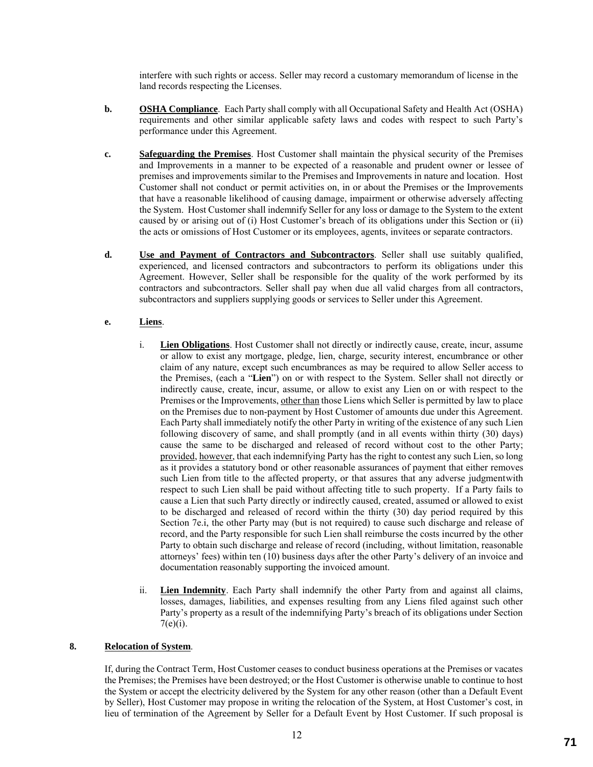interfere with such rights or access. Seller may record a customary memorandum of license in the land records respecting the Licenses.

- **b. OSHA Compliance**. Each Party shall comply with all Occupational Safety and Health Act (OSHA) requirements and other similar applicable safety laws and codes with respect to such Party's performance under this Agreement.
- **c. Safeguarding the Premises**. Host Customer shall maintain the physical security of the Premises and Improvements in a manner to be expected of a reasonable and prudent owner or lessee of premises and improvements similar to the Premises and Improvements in nature and location. Host Customer shall not conduct or permit activities on, in or about the Premises or the Improvements that have a reasonable likelihood of causing damage, impairment or otherwise adversely affecting the System. Host Customer shall indemnify Seller for any loss or damage to the System to the extent caused by or arising out of (i) Host Customer's breach of its obligations under this Section or (ii) the acts or omissions of Host Customer or its employees, agents, invitees or separate contractors.
- **d. Use and Payment of Contractors and Subcontractors**. Seller shall use suitably qualified, experienced, and licensed contractors and subcontractors to perform its obligations under this Agreement. However, Seller shall be responsible for the quality of the work performed by its contractors and subcontractors. Seller shall pay when due all valid charges from all contractors, subcontractors and suppliers supplying goods or services to Seller under this Agreement.

# **e. Liens**.

- i. **Lien Obligations**. Host Customer shall not directly or indirectly cause, create, incur, assume or allow to exist any mortgage, pledge, lien, charge, security interest, encumbrance or other claim of any nature, except such encumbrances as may be required to allow Seller access to the Premises, (each a "**Lien**") on or with respect to the System. Seller shall not directly or indirectly cause, create, incur, assume, or allow to exist any Lien on or with respect to the Premises or the Improvements, other than those Liens which Seller is permitted by law to place on the Premises due to non-payment by Host Customer of amounts due under this Agreement. Each Party shall immediately notify the other Party in writing of the existence of any such Lien following discovery of same, and shall promptly (and in all events within thirty (30) days) cause the same to be discharged and released of record without cost to the other Party; provided, however, that each indemnifying Party has the right to contest any such Lien, so long as it provides a statutory bond or other reasonable assurances of payment that either removes such Lien from title to the affected property, or that assures that any adverse judgmentwith respect to such Lien shall be paid without affecting title to such property. If a Party fails to cause a Lien that such Party directly or indirectly caused, created, assumed or allowed to exist to be discharged and released of record within the thirty (30) day period required by this Section 7e.i, the other Party may (but is not required) to cause such discharge and release of record, and the Party responsible for such Lien shall reimburse the costs incurred by the other Party to obtain such discharge and release of record (including, without limitation, reasonable attorneys' fees) within ten (10) business days after the other Party's delivery of an invoice and documentation reasonably supporting the invoiced amount.
- ii. **Lien Indemnity**. Each Party shall indemnify the other Party from and against all claims, losses, damages, liabilities, and expenses resulting from any Liens filed against such other Party's property as a result of the indemnifying Party's breach of its obligations under Section  $7(e)(i)$ .

### **8. Relocation of System**.

If, during the Contract Term, Host Customer ceases to conduct business operations at the Premises or vacates the Premises; the Premises have been destroyed; or the Host Customer is otherwise unable to continue to host the System or accept the electricity delivered by the System for any other reason (other than a Default Event by Seller), Host Customer may propose in writing the relocation of the System, at Host Customer's cost, in lieu of termination of the Agreement by Seller for a Default Event by Host Customer. If such proposal is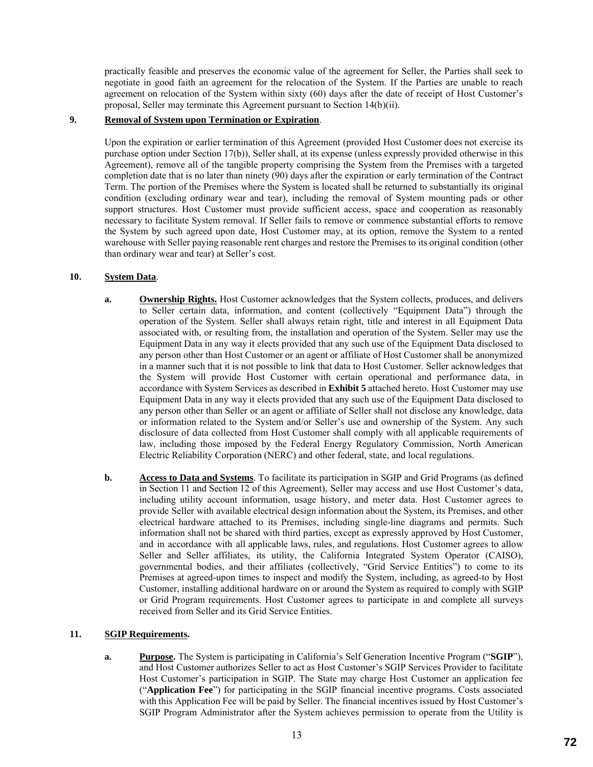practically feasible and preserves the economic value of the agreement for Seller, the Parties shall seek to negotiate in good faith an agreement for the relocation of the System. If the Parties are unable to reach agreement on relocation of the System within sixty (60) days after the date of receipt of Host Customer's proposal, Seller may terminate this Agreement pursuant to Section 14(b)(ii).

## **9. Removal of System upon Termination or Expiration**.

Upon the expiration or earlier termination of this Agreement (provided Host Customer does not exercise its purchase option under Section 17(b)), Seller shall, at its expense (unless expressly provided otherwise in this Agreement), remove all of the tangible property comprising the System from the Premises with a targeted completion date that is no later than ninety (90) days after the expiration or early termination of the Contract Term. The portion of the Premises where the System is located shall be returned to substantially its original condition (excluding ordinary wear and tear), including the removal of System mounting pads or other support structures. Host Customer must provide sufficient access, space and cooperation as reasonably necessary to facilitate System removal. If Seller fails to remove or commence substantial efforts to remove the System by such agreed upon date, Host Customer may, at its option, remove the System to a rented warehouse with Seller paying reasonable rent charges and restore the Premises to its original condition (other than ordinary wear and tear) at Seller's cost.

### **10. System Data**.

- **a. Ownership Rights.** Host Customer acknowledges that the System collects, produces, and delivers to Seller certain data, information, and content (collectively "Equipment Data") through the operation of the System. Seller shall always retain right, title and interest in all Equipment Data associated with, or resulting from, the installation and operation of the System. Seller may use the Equipment Data in any way it elects provided that any such use of the Equipment Data disclosed to any person other than Host Customer or an agent or affiliate of Host Customer shall be anonymized in a manner such that it is not possible to link that data to Host Customer. Seller acknowledges that the System will provide Host Customer with certain operational and performance data, in accordance with System Services as described in **Exhibit 5** attached hereto. Host Customer may use Equipment Data in any way it elects provided that any such use of the Equipment Data disclosed to any person other than Seller or an agent or affiliate of Seller shall not disclose any knowledge, data or information related to the System and/or Seller's use and ownership of the System. Any such disclosure of data collected from Host Customer shall comply with all applicable requirements of law, including those imposed by the Federal Energy Regulatory Commission, North American Electric Reliability Corporation (NERC) and other federal, state, and local regulations.
- **b. Access to Data and Systems**. To facilitate its participation in SGIP and Grid Programs (as defined in Section 11 and Section 12 of this Agreement), Seller may access and use Host Customer's data, including utility account information, usage history, and meter data. Host Customer agrees to provide Seller with available electrical design information about the System, its Premises, and other electrical hardware attached to its Premises, including single-line diagrams and permits. Such information shall not be shared with third parties, except as expressly approved by Host Customer, and in accordance with all applicable laws, rules, and regulations. Host Customer agrees to allow Seller and Seller affiliates, its utility, the California Integrated System Operator (CAISO), governmental bodies, and their affiliates (collectively, "Grid Service Entities") to come to its Premises at agreed-upon times to inspect and modify the System, including, as agreed-to by Host Customer, installing additional hardware on or around the System as required to comply with SGIP or Grid Program requirements. Host Customer agrees to participate in and complete all surveys received from Seller and its Grid Service Entities.

### **11. SGIP Requirements.**

**a. Purpose.** The System is participating in California's Self Generation Incentive Program ("**SGIP**"), and Host Customer authorizes Seller to act as Host Customer's SGIP Services Provider to facilitate Host Customer's participation in SGIP. The State may charge Host Customer an application fee ("**Application Fee**") for participating in the SGIP financial incentive programs. Costs associated with this Application Fee will be paid by Seller. The financial incentives issued by Host Customer's SGIP Program Administrator after the System achieves permission to operate from the Utility is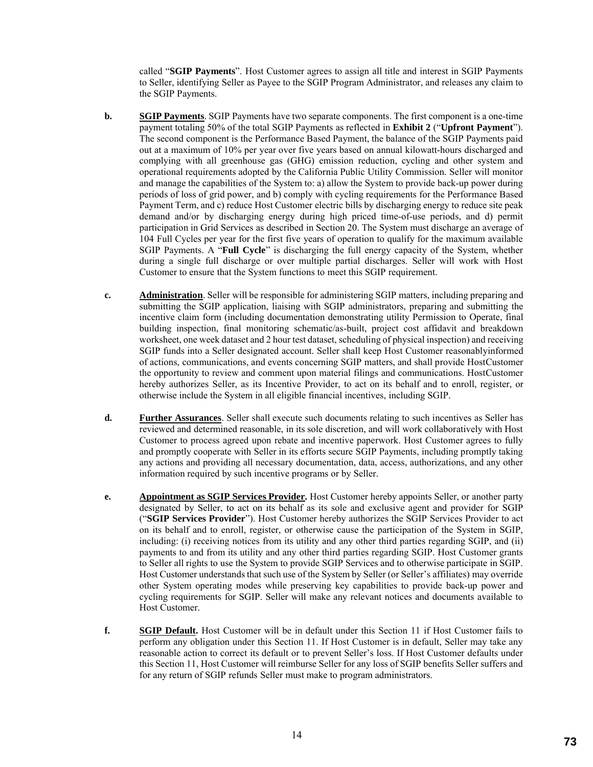called "**SGIP Payments**". Host Customer agrees to assign all title and interest in SGIP Payments to Seller, identifying Seller as Payee to the SGIP Program Administrator, and releases any claim to the SGIP Payments.

- **b. SGIP Payments**. SGIP Payments have two separate components. The first component is a one-time payment totaling 50% of the total SGIP Payments as reflected in **Exhibit 2** ("**Upfront Payment**"). The second component is the Performance Based Payment, the balance of the SGIP Payments paid out at a maximum of 10% per year over five years based on annual kilowatt-hours discharged and complying with all greenhouse gas (GHG) emission reduction, cycling and other system and operational requirements adopted by the California Public Utility Commission. Seller will monitor and manage the capabilities of the System to: a) allow the System to provide back-up power during periods of loss of grid power, and b) comply with cycling requirements for the Performance Based Payment Term, and c) reduce Host Customer electric bills by discharging energy to reduce site peak demand and/or by discharging energy during high priced time-of-use periods, and d) permit participation in Grid Services as described in Section 20. The System must discharge an average of 104 Full Cycles per year for the first five years of operation to qualify for the maximum available SGIP Payments. A "**Full Cycle**" is discharging the full energy capacity of the System, whether during a single full discharge or over multiple partial discharges. Seller will work with Host Customer to ensure that the System functions to meet this SGIP requirement.
- **c. Administration**. Seller will be responsible for administering SGIP matters, including preparing and submitting the SGIP application, liaising with SGIP administrators, preparing and submitting the incentive claim form (including documentation demonstrating utility Permission to Operate, final building inspection, final monitoring schematic/as-built, project cost affidavit and breakdown worksheet, one week dataset and 2 hour test dataset, scheduling of physical inspection) and receiving SGIP funds into a Seller designated account. Seller shall keep Host Customer reasonablyinformed of actions, communications, and events concerning SGIP matters, and shall provide HostCustomer the opportunity to review and comment upon material filings and communications. HostCustomer hereby authorizes Seller, as its Incentive Provider, to act on its behalf and to enroll, register, or otherwise include the System in all eligible financial incentives, including SGIP.
- **d. Further Assurances**. Seller shall execute such documents relating to such incentives as Seller has reviewed and determined reasonable, in its sole discretion, and will work collaboratively with Host Customer to process agreed upon rebate and incentive paperwork. Host Customer agrees to fully and promptly cooperate with Seller in its efforts secure SGIP Payments, including promptly taking any actions and providing all necessary documentation, data, access, authorizations, and any other information required by such incentive programs or by Seller.
- **e. Appointment as SGIP Services Provider.** Host Customer hereby appoints Seller, or another party designated by Seller, to act on its behalf as its sole and exclusive agent and provider for SGIP ("**SGIP Services Provider**"). Host Customer hereby authorizes the SGIP Services Provider to act on its behalf and to enroll, register, or otherwise cause the participation of the System in SGIP, including: (i) receiving notices from its utility and any other third parties regarding SGIP, and (ii) payments to and from its utility and any other third parties regarding SGIP. Host Customer grants to Seller all rights to use the System to provide SGIP Services and to otherwise participate in SGIP. Host Customer understands that such use of the System by Seller (or Seller's affiliates) may override other System operating modes while preserving key capabilities to provide back-up power and cycling requirements for SGIP. Seller will make any relevant notices and documents available to Host Customer.
- **f. SGIP Default.** Host Customer will be in default under this Section 11 if Host Customer fails to perform any obligation under this Section 11. If Host Customer is in default, Seller may take any reasonable action to correct its default or to prevent Seller's loss. If Host Customer defaults under this Section 11, Host Customer will reimburse Seller for any loss of SGIP benefits Seller suffers and for any return of SGIP refunds Seller must make to program administrators.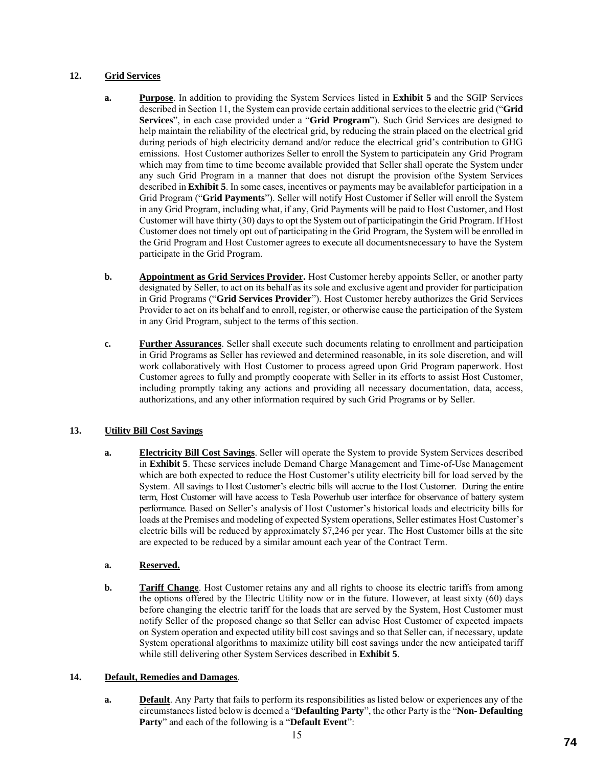# **12. Grid Services**

- **a. Purpose**. In addition to providing the System Services listed in **Exhibit 5** and the SGIP Services described in Section 11, the System can provide certain additional services to the electric grid ("**Grid Services**", in each case provided under a "**Grid Program**"). Such Grid Services are designed to help maintain the reliability of the electrical grid, by reducing the strain placed on the electrical grid during periods of high electricity demand and/or reduce the electrical grid's contribution to GHG emissions. Host Customer authorizes Seller to enroll the System to participatein any Grid Program which may from time to time become available provided that Seller shall operate the System under any such Grid Program in a manner that does not disrupt the provision ofthe System Services described in **Exhibit 5**. In some cases, incentives or payments may be availablefor participation in a Grid Program ("**Grid Payments**"). Seller will notify Host Customer if Seller will enroll the System in any Grid Program, including what, if any, Grid Payments will be paid to Host Customer, and Host Customer will have thirty (30) days to opt the System out of participatingin the Grid Program. If Host Customer does not timely opt out of participating in the Grid Program, the System will be enrolled in the Grid Program and Host Customer agrees to execute all documentsnecessary to have the System participate in the Grid Program.
- **b. Appointment as Grid Services Provider.** Host Customer hereby appoints Seller, or another party designated by Seller, to act on its behalf as its sole and exclusive agent and provider for participation in Grid Programs ("**Grid Services Provider**"). Host Customer hereby authorizes the Grid Services Provider to act on its behalf and to enroll, register, or otherwise cause the participation of the System in any Grid Program, subject to the terms of this section.
- **c. Further Assurances**. Seller shall execute such documents relating to enrollment and participation in Grid Programs as Seller has reviewed and determined reasonable, in its sole discretion, and will work collaboratively with Host Customer to process agreed upon Grid Program paperwork. Host Customer agrees to fully and promptly cooperate with Seller in its efforts to assist Host Customer, including promptly taking any actions and providing all necessary documentation, data, access, authorizations, and any other information required by such Grid Programs or by Seller.

# **13. Utility Bill Cost Savings**

**a. Electricity Bill Cost Savings**. Seller will operate the System to provide System Services described in **Exhibit 5**. These services include Demand Charge Management and Time-of-Use Management which are both expected to reduce the Host Customer's utility electricity bill for load served by the System. All savings to Host Customer's electric bills will accrue to the Host Customer. During the entire term, Host Customer will have access to Tesla Powerhub user interface for observance of battery system performance. Based on Seller's analysis of Host Customer's historical loads and electricity bills for loads at the Premises and modeling of expected System operations, Seller estimates Host Customer's electric bills will be reduced by approximately \$7,246 per year. The Host Customer bills at the site are expected to be reduced by a similar amount each year of the Contract Term.

# **a. Reserved.**

**b. Tariff Change**. Host Customer retains any and all rights to choose its electric tariffs from among the options offered by the Electric Utility now or in the future. However, at least sixty (60) days before changing the electric tariff for the loads that are served by the System, Host Customer must notify Seller of the proposed change so that Seller can advise Host Customer of expected impacts on System operation and expected utility bill cost savings and so that Seller can, if necessary, update System operational algorithms to maximize utility bill cost savings under the new anticipated tariff while still delivering other System Services described in **Exhibit 5**.

## **14. Default, Remedies and Damages**.

**a. Default**. Any Party that fails to perform its responsibilities as listed below or experiences any of the circumstances listed below is deemed a "**Defaulting Party**", the other Party is the "**Non- Defaulting Party**" and each of the following is a "**Default Event**":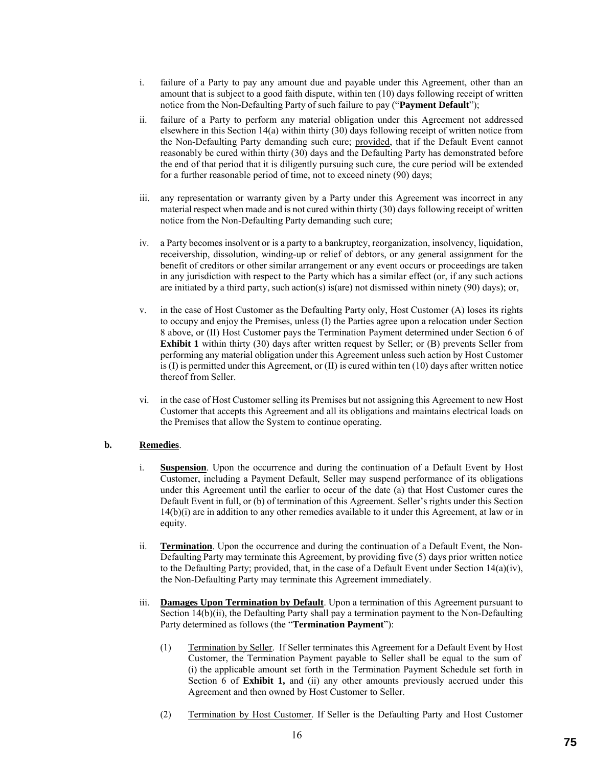- i. failure of a Party to pay any amount due and payable under this Agreement, other than an amount that is subject to a good faith dispute, within ten (10) days following receipt of written notice from the Non-Defaulting Party of such failure to pay ("**Payment Default**");
- ii. failure of a Party to perform any material obligation under this Agreement not addressed elsewhere in this Section 14(a) within thirty (30) days following receipt of written notice from the Non-Defaulting Party demanding such cure; provided, that if the Default Event cannot reasonably be cured within thirty (30) days and the Defaulting Party has demonstrated before the end of that period that it is diligently pursuing such cure, the cure period will be extended for a further reasonable period of time, not to exceed ninety (90) days;
- iii. any representation or warranty given by a Party under this Agreement was incorrect in any material respect when made and is not cured within thirty (30) days following receipt of written notice from the Non-Defaulting Party demanding such cure;
- iv. a Party becomes insolvent or is a party to a bankruptcy, reorganization, insolvency, liquidation, receivership, dissolution, winding-up or relief of debtors, or any general assignment for the benefit of creditors or other similar arrangement or any event occurs or proceedings are taken in any jurisdiction with respect to the Party which has a similar effect (or, if any such actions are initiated by a third party, such action(s) is(are) not dismissed within ninety (90) days); or,
- v. in the case of Host Customer as the Defaulting Party only, Host Customer (A) loses its rights to occupy and enjoy the Premises, unless (I) the Parties agree upon a relocation under Section 8 above, or (II) Host Customer pays the Termination Payment determined under Section 6 of **Exhibit 1** within thirty (30) days after written request by Seller; or (B) prevents Seller from performing any material obligation under this Agreement unless such action by Host Customer is  $(I)$  is permitted under this Agreement, or  $(II)$  is cured within ten  $(10)$  days after written notice thereof from Seller.
- vi. in the case of Host Customer selling its Premises but not assigning this Agreement to new Host Customer that accepts this Agreement and all its obligations and maintains electrical loads on the Premises that allow the System to continue operating.

## **b. Remedies**.

- i. **Suspension**. Upon the occurrence and during the continuation of a Default Event by Host Customer, including a Payment Default, Seller may suspend performance of its obligations under this Agreement until the earlier to occur of the date (a) that Host Customer cures the Default Event in full, or (b) of termination of this Agreement. Seller's rights under this Section 14(b)(i) are in addition to any other remedies available to it under this Agreement, at law or in equity.
- ii. **Termination**. Upon the occurrence and during the continuation of a Default Event, the Non-Defaulting Party may terminate this Agreement, by providing five (5) days prior written notice to the Defaulting Party; provided, that, in the case of a Default Event under Section 14(a)(iv), the Non-Defaulting Party may terminate this Agreement immediately.
- iii. **Damages Upon Termination by Default**. Upon a termination of this Agreement pursuant to Section 14(b)(ii), the Defaulting Party shall pay a termination payment to the Non-Defaulting Party determined as follows (the "**Termination Payment**"):
	- (1) Termination by Seller. If Seller terminates this Agreement for a Default Event by Host Customer, the Termination Payment payable to Seller shall be equal to the sum of (i) the applicable amount set forth in the Termination Payment Schedule set forth in Section 6 of **Exhibit 1,** and (ii) any other amounts previously accrued under this Agreement and then owned by Host Customer to Seller.
	- (2) Termination by Host Customer. If Seller is the Defaulting Party and Host Customer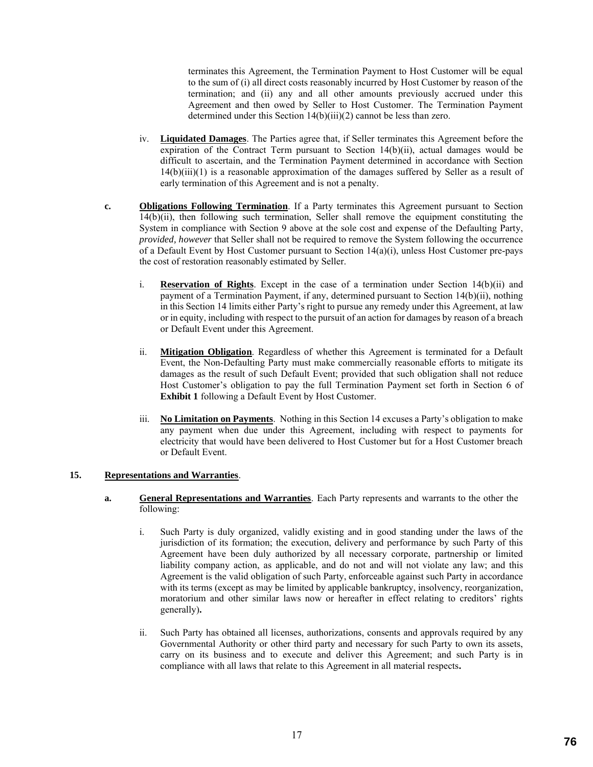terminates this Agreement, the Termination Payment to Host Customer will be equal to the sum of (i) all direct costs reasonably incurred by Host Customer by reason of the termination; and (ii) any and all other amounts previously accrued under this Agreement and then owed by Seller to Host Customer. The Termination Payment determined under this Section 14(b)(iii)(2) cannot be less than zero.

- iv. **Liquidated Damages**. The Parties agree that, if Seller terminates this Agreement before the expiration of the Contract Term pursuant to Section 14(b)(ii), actual damages would be difficult to ascertain, and the Termination Payment determined in accordance with Section 14(b)(iii)(1) is a reasonable approximation of the damages suffered by Seller as a result of early termination of this Agreement and is not a penalty.
- **c. Obligations Following Termination**. If a Party terminates this Agreement pursuant to Section 14(b)(ii), then following such termination, Seller shall remove the equipment constituting the System in compliance with Section 9 above at the sole cost and expense of the Defaulting Party, *provided, however* that Seller shall not be required to remove the System following the occurrence of a Default Event by Host Customer pursuant to Section 14(a)(i), unless Host Customer pre-pays the cost of restoration reasonably estimated by Seller.
	- i. **Reservation of Rights**. Except in the case of a termination under Section 14(b)(ii) and payment of a Termination Payment, if any, determined pursuant to Section 14(b)(ii), nothing in this Section 14 limits either Party's right to pursue any remedy under this Agreement, at law or in equity, including with respect to the pursuit of an action for damages by reason of a breach or Default Event under this Agreement.
	- ii. **Mitigation Obligation**. Regardless of whether this Agreement is terminated for a Default Event, the Non-Defaulting Party must make commercially reasonable efforts to mitigate its damages as the result of such Default Event; provided that such obligation shall not reduce Host Customer's obligation to pay the full Termination Payment set forth in Section 6 of **Exhibit 1** following a Default Event by Host Customer.
	- iii. **No Limitation on Payments**. Nothing in this Section 14 excuses a Party's obligation to make any payment when due under this Agreement, including with respect to payments for electricity that would have been delivered to Host Customer but for a Host Customer breach or Default Event.

### **15. Representations and Warranties**.

- **a. General Representations and Warranties**. Each Party represents and warrants to the other the following:
	- i. Such Party is duly organized, validly existing and in good standing under the laws of the jurisdiction of its formation; the execution, delivery and performance by such Party of this Agreement have been duly authorized by all necessary corporate, partnership or limited liability company action, as applicable, and do not and will not violate any law; and this Agreement is the valid obligation of such Party, enforceable against such Party in accordance with its terms (except as may be limited by applicable bankruptcy, insolvency, reorganization, moratorium and other similar laws now or hereafter in effect relating to creditors' rights generally)**.**
	- ii. Such Party has obtained all licenses, authorizations, consents and approvals required by any Governmental Authority or other third party and necessary for such Party to own its assets, carry on its business and to execute and deliver this Agreement; and such Party is in compliance with all laws that relate to this Agreement in all material respects**.**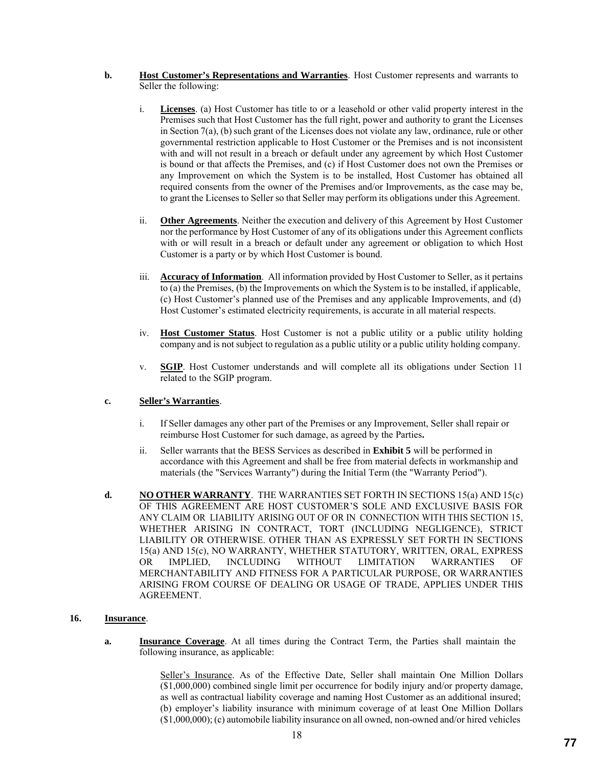- **b. Host Customer's Representations and Warranties**. Host Customer represents and warrants to Seller the following:
	- i. **Licenses**. (a) Host Customer has title to or a leasehold or other valid property interest in the Premises such that Host Customer has the full right, power and authority to grant the Licenses in Section 7(a), (b) such grant of the Licenses does not violate any law, ordinance, rule or other governmental restriction applicable to Host Customer or the Premises and is not inconsistent with and will not result in a breach or default under any agreement by which Host Customer is bound or that affects the Premises, and (c) if Host Customer does not own the Premises or any Improvement on which the System is to be installed, Host Customer has obtained all required consents from the owner of the Premises and/or Improvements, as the case may be, to grant the Licenses to Seller so that Seller may perform its obligations under this Agreement.
	- ii. **Other Agreements**. Neither the execution and delivery of this Agreement by Host Customer nor the performance by Host Customer of any of its obligations under this Agreement conflicts with or will result in a breach or default under any agreement or obligation to which Host Customer is a party or by which Host Customer is bound.
	- iii. **Accuracy of Information**. All information provided by Host Customer to Seller, as it pertains to (a) the Premises, (b) the Improvements on which the System is to be installed, if applicable, (c) Host Customer's planned use of the Premises and any applicable Improvements, and (d) Host Customer's estimated electricity requirements, is accurate in all material respects.
	- iv. **Host Customer Status**. Host Customer is not a public utility or a public utility holding company and is not subject to regulation as a public utility or a public utility holding company.
	- v. **SGIP**. Host Customer understands and will complete all its obligations under Section 11 related to the SGIP program.

# **c. Seller's Warranties**.

- i. If Seller damages any other part of the Premises or any Improvement, Seller shall repair or reimburse Host Customer for such damage, as agreed by the Parties**.**
- ii. Seller warrants that the BESS Services as described in **Exhibit 5** will be performed in accordance with this Agreement and shall be free from material defects in workmanship and materials (the "Services Warranty") during the Initial Term (the "Warranty Period").
- **d. NO OTHER WARRANTY**. THE WARRANTIES SET FORTH IN SECTIONS 15(a) AND 15(c) OF THIS AGREEMENT ARE HOST CUSTOMER'S SOLE AND EXCLUSIVE BASIS FOR ANY CLAIM OR LIABILITY ARISING OUT OF OR IN CONNECTION WITH THIS SECTION 15, WHETHER ARISING IN CONTRACT, TORT (INCLUDING NEGLIGENCE), STRICT LIABILITY OR OTHERWISE. OTHER THAN AS EXPRESSLY SET FORTH IN SECTIONS 15(a) AND 15(c), NO WARRANTY, WHETHER STATUTORY, WRITTEN, ORAL, EXPRESS OR IMPLIED, INCLUDING WITHOUT LIMITATION WARRANTIES OF MERCHANTABILITY AND FITNESS FOR A PARTICULAR PURPOSE, OR WARRANTIES ARISING FROM COURSE OF DEALING OR USAGE OF TRADE, APPLIES UNDER THIS AGREEMENT.

### **16. Insurance**.

**a. Insurance Coverage**. At all times during the Contract Term, the Parties shall maintain the following insurance, as applicable:

> Seller's Insurance. As of the Effective Date, Seller shall maintain One Million Dollars (\$1,000,000) combined single limit per occurrence for bodily injury and/or property damage, as well as contractual liability coverage and naming Host Customer as an additional insured; (b) employer's liability insurance with minimum coverage of at least One Million Dollars (\$1,000,000); (c) automobile liability insurance on all owned, non-owned and/or hired vehicles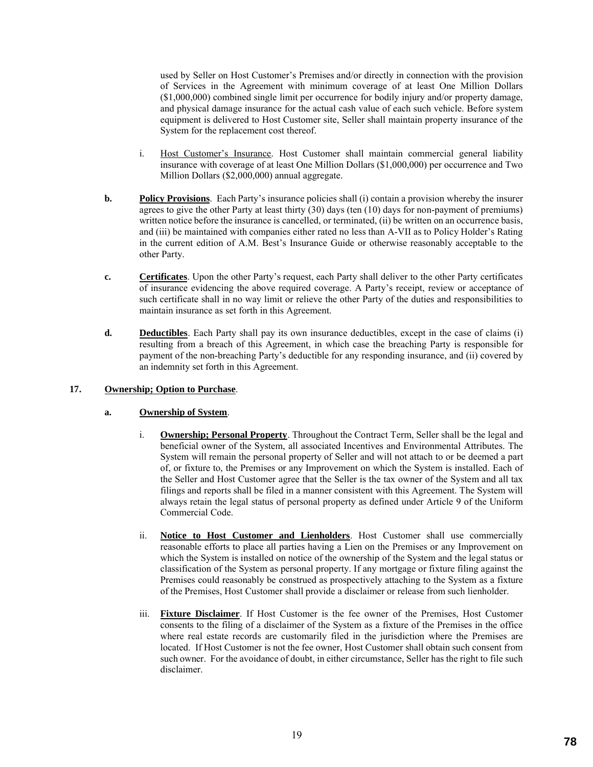used by Seller on Host Customer's Premises and/or directly in connection with the provision of Services in the Agreement with minimum coverage of at least One Million Dollars (\$1,000,000) combined single limit per occurrence for bodily injury and/or property damage, and physical damage insurance for the actual cash value of each such vehicle. Before system equipment is delivered to Host Customer site, Seller shall maintain property insurance of the System for the replacement cost thereof.

- i. Host Customer's Insurance. Host Customer shall maintain commercial general liability insurance with coverage of at least One Million Dollars (\$1,000,000) per occurrence and Two Million Dollars (\$2,000,000) annual aggregate.
- **b. Policy Provisions**. Each Party's insurance policies shall (i) contain a provision whereby the insurer agrees to give the other Party at least thirty (30) days (ten (10) days for non-payment of premiums) written notice before the insurance is cancelled, or terminated, (ii) be written on an occurrence basis, and (iii) be maintained with companies either rated no less than A-VII as to Policy Holder's Rating in the current edition of A.M. Best's Insurance Guide or otherwise reasonably acceptable to the other Party.
- **c. Certificates**. Upon the other Party's request, each Party shall deliver to the other Party certificates of insurance evidencing the above required coverage. A Party's receipt, review or acceptance of such certificate shall in no way limit or relieve the other Party of the duties and responsibilities to maintain insurance as set forth in this Agreement.
- **d. Deductibles**. Each Party shall pay its own insurance deductibles, except in the case of claims (i) resulting from a breach of this Agreement, in which case the breaching Party is responsible for payment of the non-breaching Party's deductible for any responding insurance, and (ii) covered by an indemnity set forth in this Agreement.

## **17. Ownership; Option to Purchase**.

## **a. Ownership of System**.

- i. **Ownership; Personal Property**. Throughout the Contract Term, Seller shall be the legal and beneficial owner of the System, all associated Incentives and Environmental Attributes. The System will remain the personal property of Seller and will not attach to or be deemed a part of, or fixture to, the Premises or any Improvement on which the System is installed. Each of the Seller and Host Customer agree that the Seller is the tax owner of the System and all tax filings and reports shall be filed in a manner consistent with this Agreement. The System will always retain the legal status of personal property as defined under Article 9 of the Uniform Commercial Code.
- ii. **Notice to Host Customer and Lienholders**. Host Customer shall use commercially reasonable efforts to place all parties having a Lien on the Premises or any Improvement on which the System is installed on notice of the ownership of the System and the legal status or classification of the System as personal property. If any mortgage or fixture filing against the Premises could reasonably be construed as prospectively attaching to the System as a fixture of the Premises, Host Customer shall provide a disclaimer or release from such lienholder.
- iii. **Fixture Disclaimer**. If Host Customer is the fee owner of the Premises, Host Customer consents to the filing of a disclaimer of the System as a fixture of the Premises in the office where real estate records are customarily filed in the jurisdiction where the Premises are located. If Host Customer is not the fee owner, Host Customer shall obtain such consent from such owner. For the avoidance of doubt, in either circumstance, Seller has the right to file such disclaimer.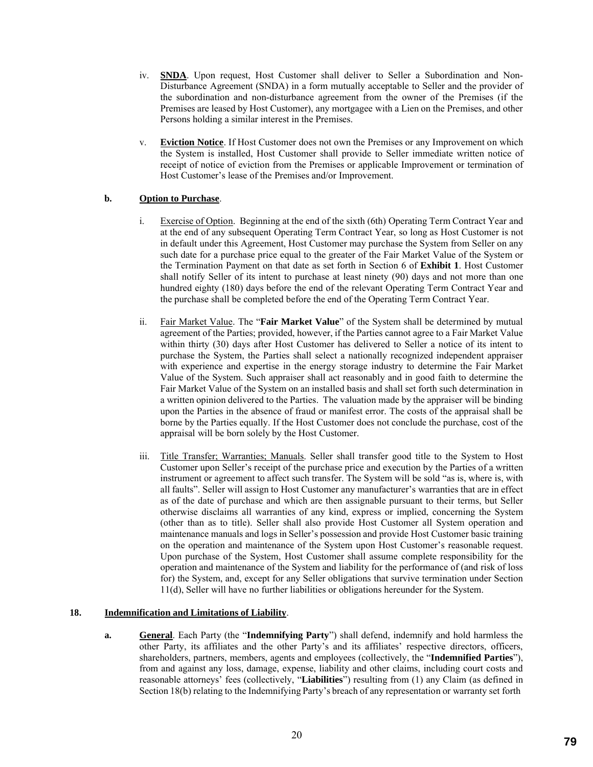- iv. **SNDA**. Upon request, Host Customer shall deliver to Seller a Subordination and Non-Disturbance Agreement (SNDA) in a form mutually acceptable to Seller and the provider of the subordination and non-disturbance agreement from the owner of the Premises (if the Premises are leased by Host Customer), any mortgagee with a Lien on the Premises, and other Persons holding a similar interest in the Premises.
- v. **Eviction Notice**. If Host Customer does not own the Premises or any Improvement on which the System is installed, Host Customer shall provide to Seller immediate written notice of receipt of notice of eviction from the Premises or applicable Improvement or termination of Host Customer's lease of the Premises and/or Improvement.

# **b. Option to Purchase**.

- i. Exercise of Option. Beginning at the end of the sixth (6th) Operating Term Contract Year and at the end of any subsequent Operating Term Contract Year, so long as Host Customer is not in default under this Agreement, Host Customer may purchase the System from Seller on any such date for a purchase price equal to the greater of the Fair Market Value of the System or the Termination Payment on that date as set forth in Section 6 of **Exhibit 1**. Host Customer shall notify Seller of its intent to purchase at least ninety (90) days and not more than one hundred eighty (180) days before the end of the relevant Operating Term Contract Year and the purchase shall be completed before the end of the Operating Term Contract Year.
- ii. Fair Market Value. The "**Fair Market Value**" of the System shall be determined by mutual agreement of the Parties; provided, however, if the Parties cannot agree to a Fair Market Value within thirty (30) days after Host Customer has delivered to Seller a notice of its intent to purchase the System, the Parties shall select a nationally recognized independent appraiser with experience and expertise in the energy storage industry to determine the Fair Market Value of the System. Such appraiser shall act reasonably and in good faith to determine the Fair Market Value of the System on an installed basis and shall set forth such determination in a written opinion delivered to the Parties. The valuation made by the appraiser will be binding upon the Parties in the absence of fraud or manifest error. The costs of the appraisal shall be borne by the Parties equally. If the Host Customer does not conclude the purchase, cost of the appraisal will be born solely by the Host Customer.
- iii. Title Transfer; Warranties; Manuals. Seller shall transfer good title to the System to Host Customer upon Seller's receipt of the purchase price and execution by the Parties of a written instrument or agreement to affect such transfer. The System will be sold "as is, where is, with all faults". Seller will assign to Host Customer any manufacturer's warranties that are in effect as of the date of purchase and which are then assignable pursuant to their terms, but Seller otherwise disclaims all warranties of any kind, express or implied, concerning the System (other than as to title). Seller shall also provide Host Customer all System operation and maintenance manuals and logs in Seller's possession and provide Host Customer basic training on the operation and maintenance of the System upon Host Customer's reasonable request. Upon purchase of the System, Host Customer shall assume complete responsibility for the operation and maintenance of the System and liability for the performance of (and risk of loss for) the System, and, except for any Seller obligations that survive termination under Section 11(d), Seller will have no further liabilities or obligations hereunder for the System.

## **18. Indemnification and Limitations of Liability**.

**a. General**. Each Party (the "**Indemnifying Party**") shall defend, indemnify and hold harmless the other Party, its affiliates and the other Party's and its affiliates' respective directors, officers, shareholders, partners, members, agents and employees (collectively, the "**Indemnified Parties**"), from and against any loss, damage, expense, liability and other claims, including court costs and reasonable attorneys' fees (collectively, "**Liabilities**") resulting from (1) any Claim (as defined in Section 18(b) relating to the Indemnifying Party's breach of any representation or warranty set forth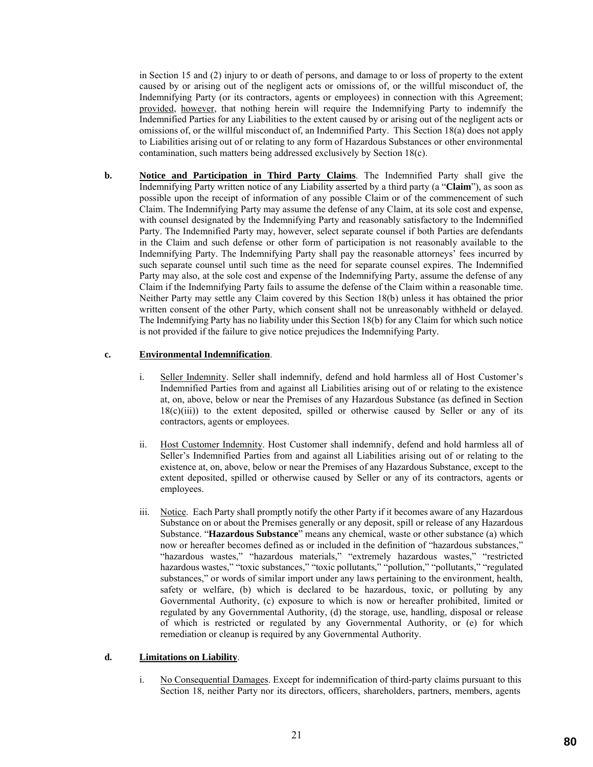in Section 15 and (2) injury to or death of persons, and damage to or loss of property to the extent caused by or arising out of the negligent acts or omissions of, or the willful misconduct of, the Indemnifying Party (or its contractors, agents or employees) in connection with this Agreement; provided, however, that nothing herein will require the Indemnifying Party to indemnify the Indemnified Parties for any Liabilities to the extent caused by or arising out of the negligent acts or omissions of, or the willful misconduct of, an Indemnified Party. This Section 18(a) does not apply to Liabilities arising out of or relating to any form of Hazardous Substances or other environmental contamination, such matters being addressed exclusively by Section 18(c).

**b. Notice and Participation in Third Party Claims**. The Indemnified Party shall give the Indemnifying Party written notice of any Liability asserted by a third party (a "**Claim**"), as soon as possible upon the receipt of information of any possible Claim or of the commencement of such Claim. The Indemnifying Party may assume the defense of any Claim, at its sole cost and expense, with counsel designated by the Indemnifying Party and reasonably satisfactory to the Indemnified Party. The Indemnified Party may, however, select separate counsel if both Parties are defendants in the Claim and such defense or other form of participation is not reasonably available to the Indemnifying Party. The Indemnifying Party shall pay the reasonable attorneys' fees incurred by such separate counsel until such time as the need for separate counsel expires. The Indemnified Party may also, at the sole cost and expense of the Indemnifying Party, assume the defense of any Claim if the Indemnifying Party fails to assume the defense of the Claim within a reasonable time. Neither Party may settle any Claim covered by this Section 18(b) unless it has obtained the prior written consent of the other Party, which consent shall not be unreasonably withheld or delayed. The Indemnifying Party has no liability under this Section 18(b) for any Claim for which such notice is not provided if the failure to give notice prejudices the Indemnifying Party.

## **c. Environmental Indemnification**.

- i. Seller Indemnity. Seller shall indemnify, defend and hold harmless all of Host Customer's Indemnified Parties from and against all Liabilities arising out of or relating to the existence at, on, above, below or near the Premises of any Hazardous Substance (as defined in Section  $18(c)(iii)$ ) to the extent deposited, spilled or otherwise caused by Seller or any of its contractors, agents or employees.
- ii. Host Customer Indemnity. Host Customer shall indemnify, defend and hold harmless all of Seller's Indemnified Parties from and against all Liabilities arising out of or relating to the existence at, on, above, below or near the Premises of any Hazardous Substance, except to the extent deposited, spilled or otherwise caused by Seller or any of its contractors, agents or employees.
- iii. Notice. Each Party shall promptly notify the other Party if it becomes aware of any Hazardous Substance on or about the Premises generally or any deposit, spill or release of any Hazardous Substance. "**Hazardous Substance**" means any chemical, waste or other substance (a) which now or hereafter becomes defined as or included in the definition of "hazardous substances," "hazardous wastes," "hazardous materials," "extremely hazardous wastes," "restricted hazardous wastes," "toxic substances," "toxic pollutants," "pollution," "pollutants," "regulated substances," or words of similar import under any laws pertaining to the environment, health, safety or welfare, (b) which is declared to be hazardous, toxic, or polluting by any Governmental Authority, (c) exposure to which is now or hereafter prohibited, limited or regulated by any Governmental Authority, (d) the storage, use, handling, disposal or release of which is restricted or regulated by any Governmental Authority, or (e) for which remediation or cleanup is required by any Governmental Authority.

## **d. Limitations on Liability**.

i. No Consequential Damages. Except for indemnification of third-party claims pursuant to this Section 18, neither Party nor its directors, officers, shareholders, partners, members, agents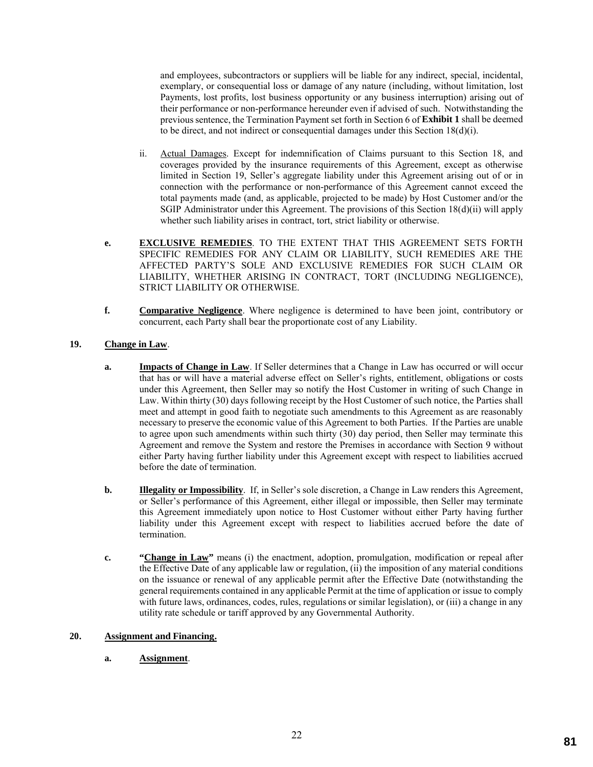and employees, subcontractors or suppliers will be liable for any indirect, special, incidental, exemplary, or consequential loss or damage of any nature (including, without limitation, lost Payments, lost profits, lost business opportunity or any business interruption) arising out of their performance or non-performance hereunder even if advised of such. Notwithstanding the previous sentence, the Termination Payment set forth in Section 6 of **Exhibit 1** shall be deemed to be direct, and not indirect or consequential damages under this Section  $18(d)(i)$ .

- ii. Actual Damages. Except for indemnification of Claims pursuant to this Section 18, and coverages provided by the insurance requirements of this Agreement, except as otherwise limited in Section 19, Seller's aggregate liability under this Agreement arising out of or in connection with the performance or non-performance of this Agreement cannot exceed the total payments made (and, as applicable, projected to be made) by Host Customer and/or the SGIP Administrator under this Agreement. The provisions of this Section 18(d)(ii) will apply whether such liability arises in contract, tort, strict liability or otherwise.
- **e. EXCLUSIVE REMEDIES**. TO THE EXTENT THAT THIS AGREEMENT SETS FORTH SPECIFIC REMEDIES FOR ANY CLAIM OR LIABILITY, SUCH REMEDIES ARE THE AFFECTED PARTY'S SOLE AND EXCLUSIVE REMEDIES FOR SUCH CLAIM OR LIABILITY, WHETHER ARISING IN CONTRACT, TORT (INCLUDING NEGLIGENCE), STRICT LIABILITY OR OTHERWISE.
- **f. Comparative Negligence**. Where negligence is determined to have been joint, contributory or concurrent, each Party shall bear the proportionate cost of any Liability.

# **19. Change in Law**.

- **a. Impacts of Change in Law**. If Seller determines that a Change in Law has occurred or will occur that has or will have a material adverse effect on Seller's rights, entitlement, obligations or costs under this Agreement, then Seller may so notify the Host Customer in writing of such Change in Law. Within thirty (30) days following receipt by the Host Customer of such notice, the Parties shall meet and attempt in good faith to negotiate such amendments to this Agreement as are reasonably necessary to preserve the economic value of this Agreement to both Parties. If the Parties are unable to agree upon such amendments within such thirty (30) day period, then Seller may terminate this Agreement and remove the System and restore the Premises in accordance with Section 9 without either Party having further liability under this Agreement except with respect to liabilities accrued before the date of termination.
- **b. Illegality or Impossibility**. If, in Seller's sole discretion, a Change in Law renders this Agreement, or Seller's performance of this Agreement, either illegal or impossible, then Seller may terminate this Agreement immediately upon notice to Host Customer without either Party having further liability under this Agreement except with respect to liabilities accrued before the date of termination.
- **c. "Change in Law"** means (i) the enactment, adoption, promulgation, modification or repeal after the Effective Date of any applicable law or regulation, (ii) the imposition of any material conditions on the issuance or renewal of any applicable permit after the Effective Date (notwithstanding the general requirements contained in any applicable Permit at the time of application or issue to comply with future laws, ordinances, codes, rules, regulations or similar legislation), or (iii) a change in any utility rate schedule or tariff approved by any Governmental Authority.

## **20. Assignment and Financing.**

**a. Assignment**.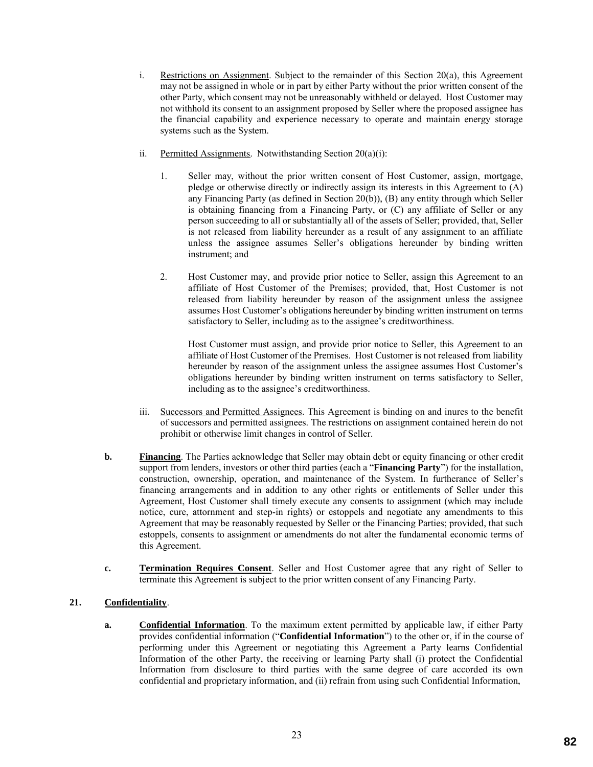- i. Restrictions on Assignment. Subject to the remainder of this Section 20(a), this Agreement may not be assigned in whole or in part by either Party without the prior written consent of the other Party, which consent may not be unreasonably withheld or delayed. Host Customer may not withhold its consent to an assignment proposed by Seller where the proposed assignee has the financial capability and experience necessary to operate and maintain energy storage systems such as the System.
- ii. Permitted Assignments. Notwithstanding Section 20(a)(i):
	- 1. Seller may, without the prior written consent of Host Customer, assign, mortgage, pledge or otherwise directly or indirectly assign its interests in this Agreement to (A) any Financing Party (as defined in Section 20(b)), (B) any entity through which Seller is obtaining financing from a Financing Party, or (C) any affiliate of Seller or any person succeeding to all or substantially all of the assets of Seller; provided, that, Seller is not released from liability hereunder as a result of any assignment to an affiliate unless the assignee assumes Seller's obligations hereunder by binding written instrument; and
	- 2. Host Customer may, and provide prior notice to Seller, assign this Agreement to an affiliate of Host Customer of the Premises; provided, that, Host Customer is not released from liability hereunder by reason of the assignment unless the assignee assumes Host Customer's obligations hereunder by binding written instrument on terms satisfactory to Seller, including as to the assignee's creditworthiness.

Host Customer must assign, and provide prior notice to Seller, this Agreement to an affiliate of Host Customer of the Premises. Host Customer is not released from liability hereunder by reason of the assignment unless the assignee assumes Host Customer's obligations hereunder by binding written instrument on terms satisfactory to Seller, including as to the assignee's creditworthiness.

- iii. Successors and Permitted Assignees. This Agreement is binding on and inures to the benefit of successors and permitted assignees. The restrictions on assignment contained herein do not prohibit or otherwise limit changes in control of Seller.
- **b. Financing**. The Parties acknowledge that Seller may obtain debt or equity financing or other credit support from lenders, investors or other third parties (each a "**Financing Party**") for the installation, construction, ownership, operation, and maintenance of the System. In furtherance of Seller's financing arrangements and in addition to any other rights or entitlements of Seller under this Agreement, Host Customer shall timely execute any consents to assignment (which may include notice, cure, attornment and step-in rights) or estoppels and negotiate any amendments to this Agreement that may be reasonably requested by Seller or the Financing Parties; provided, that such estoppels, consents to assignment or amendments do not alter the fundamental economic terms of this Agreement.
- **c. Termination Requires Consent**. Seller and Host Customer agree that any right of Seller to terminate this Agreement is subject to the prior written consent of any Financing Party.

# **21. Confidentiality**.

**a. Confidential Information**. To the maximum extent permitted by applicable law, if either Party provides confidential information ("**Confidential Information**") to the other or, if in the course of performing under this Agreement or negotiating this Agreement a Party learns Confidential Information of the other Party, the receiving or learning Party shall (i) protect the Confidential Information from disclosure to third parties with the same degree of care accorded its own confidential and proprietary information, and (ii) refrain from using such Confidential Information,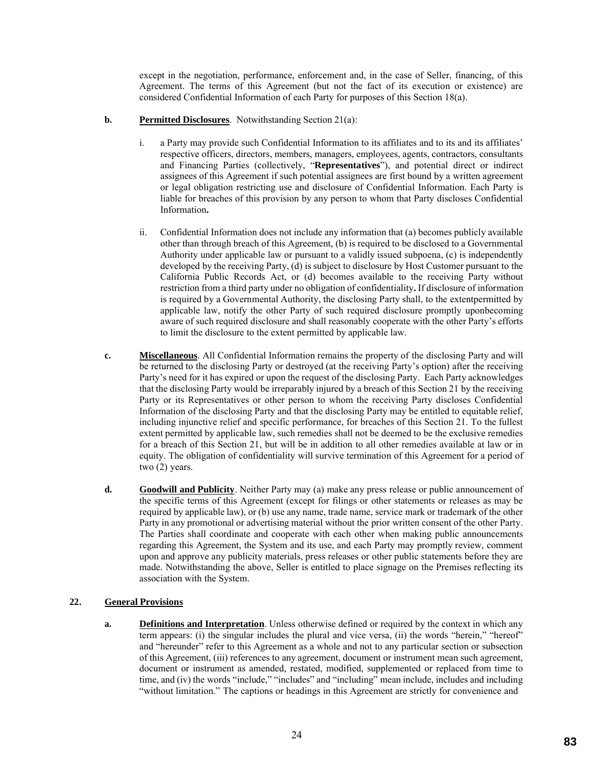except in the negotiation, performance, enforcement and, in the case of Seller, financing, of this Agreement. The terms of this Agreement (but not the fact of its execution or existence) are considered Confidential Information of each Party for purposes of this Section 18(a).

# **b. Permitted Disclosures**. Notwithstanding Section 21(a):

- i. a Party may provide such Confidential Information to its affiliates and to its and its affiliates' respective officers, directors, members, managers, employees, agents, contractors, consultants and Financing Parties (collectively, "**Representatives**"), and potential direct or indirect assignees of this Agreement if such potential assignees are first bound by a written agreement or legal obligation restricting use and disclosure of Confidential Information. Each Party is liable for breaches of this provision by any person to whom that Party discloses Confidential Information**.**
- ii. Confidential Information does not include any information that (a) becomes publicly available other than through breach of this Agreement, (b) is required to be disclosed to a Governmental Authority under applicable law or pursuant to a validly issued subpoena, (c) is independently developed by the receiving Party, (d) is subject to disclosure by Host Customer pursuant to the California Public Records Act, or (d) becomes available to the receiving Party without restriction from a third party under no obligation of confidentiality**.** If disclosure of information is required by a Governmental Authority, the disclosing Party shall, to the extentpermitted by applicable law, notify the other Party of such required disclosure promptly uponbecoming aware of such required disclosure and shall reasonably cooperate with the other Party's efforts to limit the disclosure to the extent permitted by applicable law.
- **c. Miscellaneous**. All Confidential Information remains the property of the disclosing Party and will be returned to the disclosing Party or destroyed (at the receiving Party's option) after the receiving Party's need for it has expired or upon the request of the disclosing Party. Each Party acknowledges that the disclosing Party would be irreparably injured by a breach of this Section 21 by the receiving Party or its Representatives or other person to whom the receiving Party discloses Confidential Information of the disclosing Party and that the disclosing Party may be entitled to equitable relief, including injunctive relief and specific performance, for breaches of this Section 21. To the fullest extent permitted by applicable law, such remedies shall not be deemed to be the exclusive remedies for a breach of this Section 21, but will be in addition to all other remedies available at law or in equity. The obligation of confidentiality will survive termination of this Agreement for a period of two (2) years.
- **d. Goodwill and Publicity**. Neither Party may (a) make any press release or public announcement of the specific terms of this Agreement (except for filings or other statements or releases as may be required by applicable law), or (b) use any name, trade name, service mark or trademark of the other Party in any promotional or advertising material without the prior written consent of the other Party. The Parties shall coordinate and cooperate with each other when making public announcements regarding this Agreement, the System and its use, and each Party may promptly review, comment upon and approve any publicity materials, press releases or other public statements before they are made. Notwithstanding the above, Seller is entitled to place signage on the Premises reflecting its association with the System.

## **22. General Provisions**

**a. Definitions and Interpretation**. Unless otherwise defined or required by the context in which any term appears: (i) the singular includes the plural and vice versa, (ii) the words "herein," "hereof" and "hereunder" refer to this Agreement as a whole and not to any particular section or subsection of this Agreement, (iii) references to any agreement, document or instrument mean such agreement, document or instrument as amended, restated, modified, supplemented or replaced from time to time, and (iv) the words "include," "includes" and "including" mean include, includes and including "without limitation." The captions or headings in this Agreement are strictly for convenience and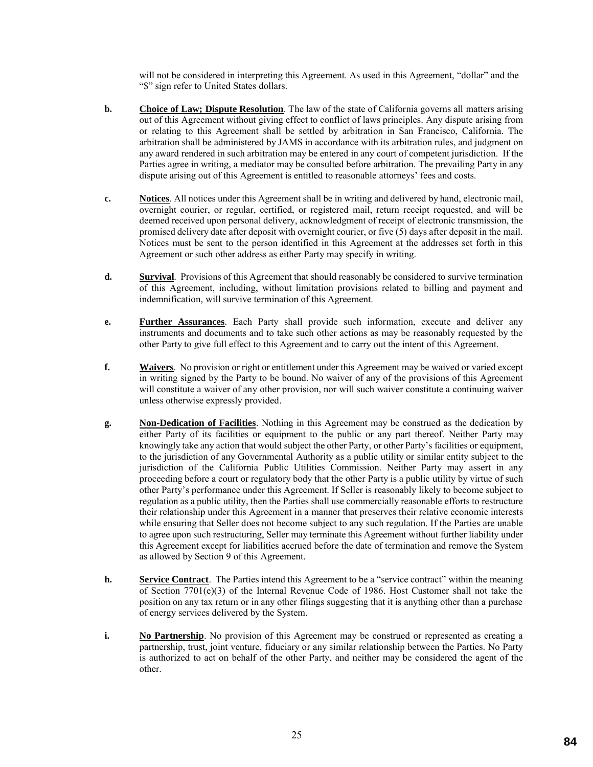will not be considered in interpreting this Agreement. As used in this Agreement, "dollar" and the "\$" sign refer to United States dollars.

- **b. Choice of Law; Dispute Resolution**. The law of the state of California governs all matters arising out of this Agreement without giving effect to conflict of laws principles. Any dispute arising from or relating to this Agreement shall be settled by arbitration in San Francisco, California. The arbitration shall be administered by JAMS in accordance with its arbitration rules, and judgment on any award rendered in such arbitration may be entered in any court of competent jurisdiction. If the Parties agree in writing, a mediator may be consulted before arbitration. The prevailing Party in any dispute arising out of this Agreement is entitled to reasonable attorneys' fees and costs.
- **c. Notices**. All notices under this Agreement shall be in writing and delivered by hand, electronic mail, overnight courier, or regular, certified, or registered mail, return receipt requested, and will be deemed received upon personal delivery, acknowledgment of receipt of electronic transmission, the promised delivery date after deposit with overnight courier, or five (5) days after deposit in the mail. Notices must be sent to the person identified in this Agreement at the addresses set forth in this Agreement or such other address as either Party may specify in writing.
- **d. Survival**. Provisions of this Agreement that should reasonably be considered to survive termination of this Agreement, including, without limitation provisions related to billing and payment and indemnification, will survive termination of this Agreement.
- **e. Further Assurances**. Each Party shall provide such information, execute and deliver any instruments and documents and to take such other actions as may be reasonably requested by the other Party to give full effect to this Agreement and to carry out the intent of this Agreement.
- **f. Waivers**. No provision or right or entitlement under this Agreement may be waived or varied except in writing signed by the Party to be bound. No waiver of any of the provisions of this Agreement will constitute a waiver of any other provision, nor will such waiver constitute a continuing waiver unless otherwise expressly provided.
- **g. Non-Dedication of Facilities**. Nothing in this Agreement may be construed as the dedication by either Party of its facilities or equipment to the public or any part thereof. Neither Party may knowingly take any action that would subject the other Party, or other Party's facilities or equipment, to the jurisdiction of any Governmental Authority as a public utility or similar entity subject to the jurisdiction of the California Public Utilities Commission. Neither Party may assert in any proceeding before a court or regulatory body that the other Party is a public utility by virtue of such other Party's performance under this Agreement. If Seller is reasonably likely to become subject to regulation as a public utility, then the Parties shall use commercially reasonable efforts to restructure their relationship under this Agreement in a manner that preserves their relative economic interests while ensuring that Seller does not become subject to any such regulation. If the Parties are unable to agree upon such restructuring, Seller may terminate this Agreement without further liability under this Agreement except for liabilities accrued before the date of termination and remove the System as allowed by Section 9 of this Agreement.
- **h. Service Contract**. The Parties intend this Agreement to be a "service contract" within the meaning of Section 7701(e)(3) of the Internal Revenue Code of 1986. Host Customer shall not take the position on any tax return or in any other filings suggesting that it is anything other than a purchase of energy services delivered by the System.
- **i. No Partnership**. No provision of this Agreement may be construed or represented as creating a partnership, trust, joint venture, fiduciary or any similar relationship between the Parties. No Party is authorized to act on behalf of the other Party, and neither may be considered the agent of the other.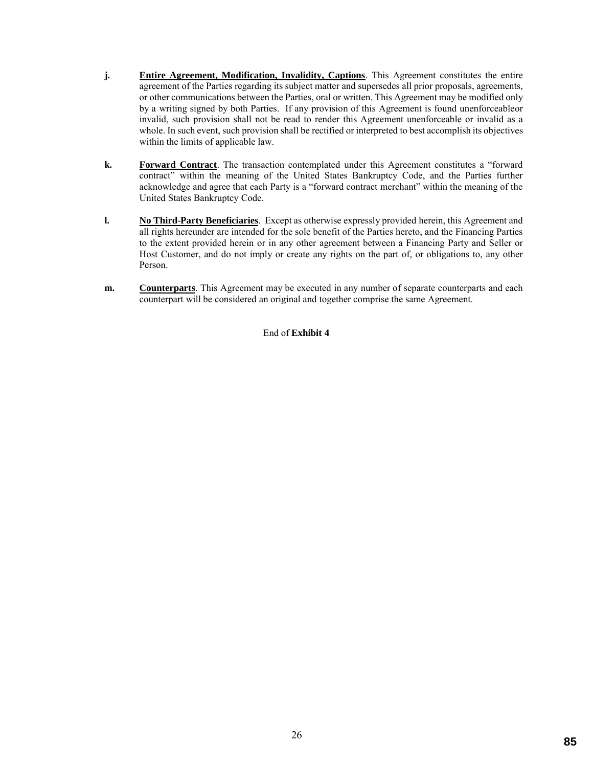- **j. Entire Agreement, Modification, Invalidity, Captions**. This Agreement constitutes the entire agreement of the Parties regarding its subject matter and supersedes all prior proposals, agreements, or other communications between the Parties, oral or written. This Agreement may be modified only by a writing signed by both Parties. If any provision of this Agreement is found unenforceableor invalid, such provision shall not be read to render this Agreement unenforceable or invalid as a whole. In such event, such provision shall be rectified or interpreted to best accomplish its objectives within the limits of applicable law.
- **k. Forward Contract**. The transaction contemplated under this Agreement constitutes a "forward contract" within the meaning of the United States Bankruptcy Code, and the Parties further acknowledge and agree that each Party is a "forward contract merchant" within the meaning of the United States Bankruptcy Code.
- **l. No Third-Party Beneficiaries**. Except as otherwise expressly provided herein, this Agreement and all rights hereunder are intended for the sole benefit of the Parties hereto, and the Financing Parties to the extent provided herein or in any other agreement between a Financing Party and Seller or Host Customer, and do not imply or create any rights on the part of, or obligations to, any other Person.
- **m. Counterparts**. This Agreement may be executed in any number of separate counterparts and each counterpart will be considered an original and together comprise the same Agreement.

End of **Exhibit 4**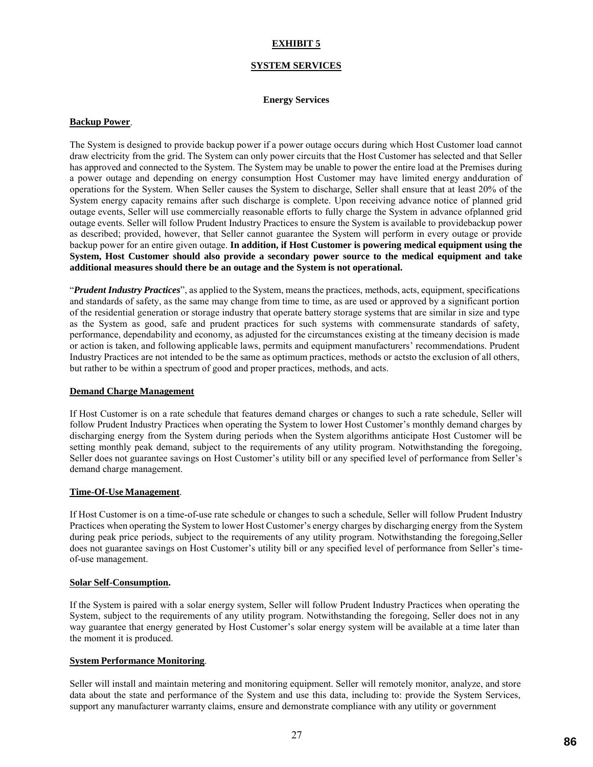## **EXHIBIT 5**

### **SYSTEM SERVICES**

### **Energy Services**

#### **Backup Power**.

The System is designed to provide backup power if a power outage occurs during which Host Customer load cannot draw electricity from the grid. The System can only power circuits that the Host Customer has selected and that Seller has approved and connected to the System. The System may be unable to power the entire load at the Premises during a power outage and depending on energy consumption Host Customer may have limited energy andduration of operations for the System. When Seller causes the System to discharge, Seller shall ensure that at least 20% of the System energy capacity remains after such discharge is complete. Upon receiving advance notice of planned grid outage events, Seller will use commercially reasonable efforts to fully charge the System in advance ofplanned grid outage events. Seller will follow Prudent Industry Practices to ensure the System is available to providebackup power as described; provided, however, that Seller cannot guarantee the System will perform in every outage or provide backup power for an entire given outage. **In addition, if Host Customer is powering medical equipment using the System, Host Customer should also provide a secondary power source to the medical equipment and take additional measures should there be an outage and the System is not operational.**

"*Prudent Industry Practices*", as applied to the System, means the practices, methods, acts, equipment, specifications and standards of safety, as the same may change from time to time, as are used or approved by a significant portion of the residential generation or storage industry that operate battery storage systems that are similar in size and type as the System as good, safe and prudent practices for such systems with commensurate standards of safety, performance, dependability and economy, as adjusted for the circumstances existing at the timeany decision is made or action is taken, and following applicable laws, permits and equipment manufacturers' recommendations. Prudent Industry Practices are not intended to be the same as optimum practices, methods or actsto the exclusion of all others, but rather to be within a spectrum of good and proper practices, methods, and acts.

#### **Demand Charge Management**

If Host Customer is on a rate schedule that features demand charges or changes to such a rate schedule, Seller will follow Prudent Industry Practices when operating the System to lower Host Customer's monthly demand charges by discharging energy from the System during periods when the System algorithms anticipate Host Customer will be setting monthly peak demand, subject to the requirements of any utility program. Notwithstanding the foregoing, Seller does not guarantee savings on Host Customer's utility bill or any specified level of performance from Seller's demand charge management.

### **Time-Of-Use Management**.

If Host Customer is on a time-of-use rate schedule or changes to such a schedule, Seller will follow Prudent Industry Practices when operating the System to lower Host Customer's energy charges by discharging energy from the System during peak price periods, subject to the requirements of any utility program. Notwithstanding the foregoing, Seller does not guarantee savings on Host Customer's utility bill or any specified level of performance from Seller's timeof-use management.

### **Solar Self-Consumption.**

If the System is paired with a solar energy system, Seller will follow Prudent Industry Practices when operating the System, subject to the requirements of any utility program. Notwithstanding the foregoing, Seller does not in any way guarantee that energy generated by Host Customer's solar energy system will be available at a time later than the moment it is produced.

### **System Performance Monitoring**.

Seller will install and maintain metering and monitoring equipment. Seller will remotely monitor, analyze, and store data about the state and performance of the System and use this data, including to: provide the System Services, support any manufacturer warranty claims, ensure and demonstrate compliance with any utility or government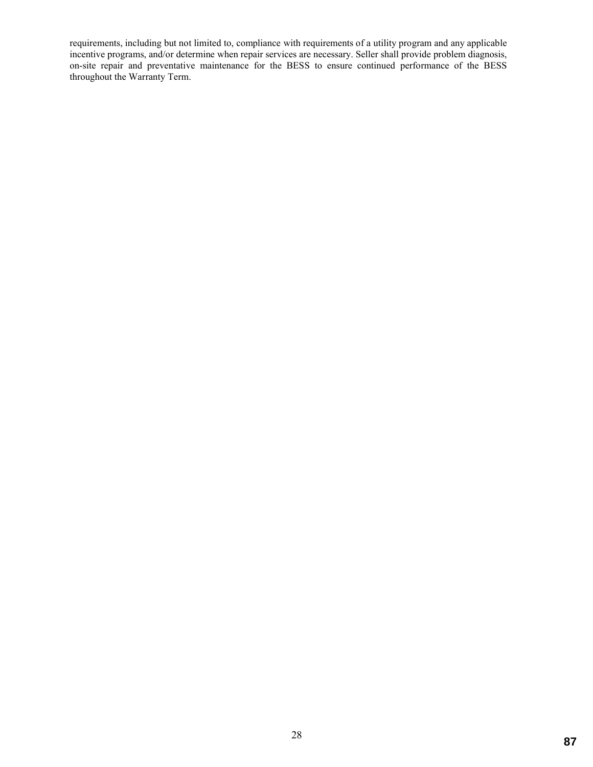requirements, including but not limited to, compliance with requirements of a utility program and any applicable incentive programs, and/or determine when repair services are necessary. Seller shall provide problem diagnosis, on-site repair and preventative maintenance for the BESS to ensure continued performance of the BESS throughout the Warranty Term.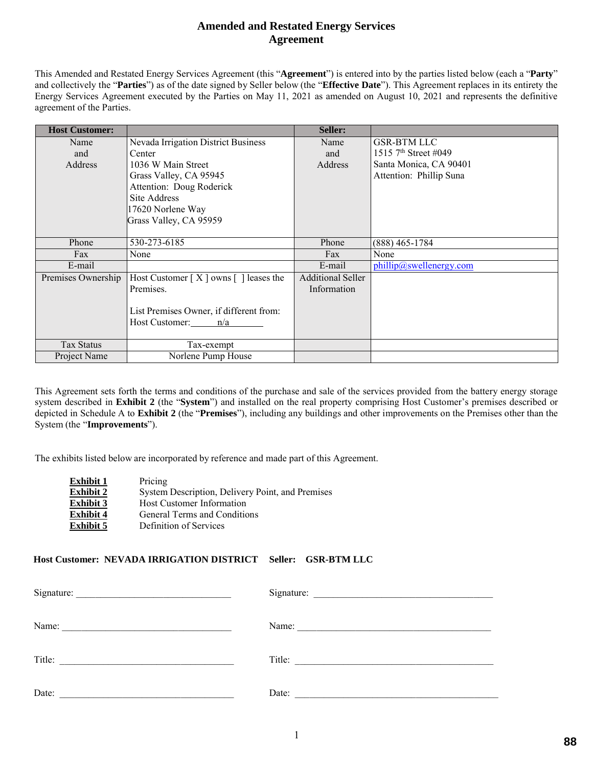# **Amended and Restated Energy Services Agreement**

This Amended and Restated Energy Services Agreement (this "**Agreement**") is entered into by the parties listed below (each a "**Party**" and collectively the "**Parties**") as of the date signed by Seller below (the "**Effective Date**"). This Agreement replaces in its entirety the Energy Services Agreement executed by the Parties on May 11, 2021 as amended on August 10, 2021 and represents the definitive agreement of the Parties.

| <b>Host Customer:</b> |                                           | Seller:                  |                                  |
|-----------------------|-------------------------------------------|--------------------------|----------------------------------|
| Name                  | Nevada Irrigation District Business       | Name                     | <b>GSR-BTM LLC</b>               |
| and                   | Center                                    | and                      | 1515 7 <sup>th</sup> Street #049 |
| Address               | 1036 W Main Street                        | Address                  | Santa Monica, CA 90401           |
|                       | Grass Valley, CA 95945                    |                          | Attention: Phillip Suna          |
|                       | Attention: Doug Roderick                  |                          |                                  |
|                       | Site Address                              |                          |                                  |
|                       | 17620 Norlene Way                         |                          |                                  |
|                       | Grass Valley, CA 95959                    |                          |                                  |
|                       |                                           |                          |                                  |
| Phone                 | 530-273-6185                              | Phone                    | $(888)$ 465-1784                 |
| Fax                   | None                                      | Fax                      | None                             |
| E-mail                |                                           | E-mail                   | phillip@swellenergy.com          |
| Premises Ownership    | Host Customer $[X]$ owns $[ ]$ leases the | <b>Additional Seller</b> |                                  |
|                       | Premises.                                 | Information              |                                  |
|                       |                                           |                          |                                  |
|                       | List Premises Owner, if different from:   |                          |                                  |
|                       | Host Customer: n/a                        |                          |                                  |
|                       |                                           |                          |                                  |
| <b>Tax Status</b>     | Tax-exempt                                |                          |                                  |
| Project Name          | Norlene Pump House                        |                          |                                  |

This Agreement sets forth the terms and conditions of the purchase and sale of the services provided from the battery energy storage system described in **Exhibit 2** (the "**System**") and installed on the real property comprising Host Customer's premises described or depicted in Schedule A to **Exhibit 2** (the "**Premises**"), including any buildings and other improvements on the Premises other than the System (the "**Improvements**").

The exhibits listed below are incorporated by reference and made part of this Agreement.

| Exhibit 1 | Pricing                                          |
|-----------|--------------------------------------------------|
| Exhibit 2 | System Description, Delivery Point, and Premises |
| Exhibit 3 | <b>Host Customer Information</b>                 |
| Exhibit 4 | General Terms and Conditions                     |
| Exhibit 5 | Definition of Services                           |

# **Host Customer: NEVADA IRRIGATION DISTRICT Seller: GSR-BTM LLC**

| Signature:                                                                                         |       |
|----------------------------------------------------------------------------------------------------|-------|
| Name:<br>the control of the control of the control of the control of the control of the control of |       |
| Title:<br><u> 1980 - Johann Johann Storm, meil am der Schwarzer (d. 1980)</u>                      |       |
| Date:                                                                                              | Date: |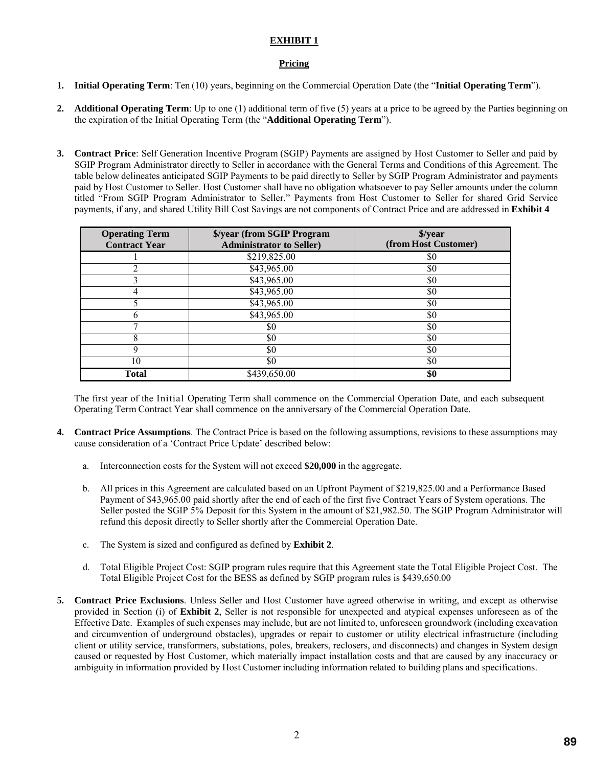# **EXHIBIT 1**

# **Pricing**

- **1. Initial Operating Term**: Ten (10) years, beginning on the Commercial Operation Date (the "**Initial Operating Term**").
- **2. Additional Operating Term**: Up to one (1) additional term of five (5) years at a price to be agreed by the Parties beginning on the expiration of the Initial Operating Term (the "**Additional Operating Term**").
- **3. Contract Price**: Self Generation Incentive Program (SGIP) Payments are assigned by Host Customer to Seller and paid by SGIP Program Administrator directly to Seller in accordance with the General Terms and Conditions of this Agreement. The table below delineates anticipated SGIP Payments to be paid directly to Seller by SGIP Program Administrator and payments paid by Host Customer to Seller. Host Customer shall have no obligation whatsoever to pay Seller amounts under the column titled "From SGIP Program Administrator to Seller." Payments from Host Customer to Seller for shared Grid Service payments, if any, and shared Utility Bill Cost Savings are not components of Contract Price and are addressed in **Exhibit 4**

| <b>Operating Term</b><br><b>Contract Year</b> | \$/year (from SGIP Program<br><b>Administrator to Seller)</b> | \$/year<br>(from Host Customer) |  |  |
|-----------------------------------------------|---------------------------------------------------------------|---------------------------------|--|--|
|                                               | \$219,825.00                                                  | \$0                             |  |  |
|                                               | \$43,965.00                                                   | \$0                             |  |  |
|                                               | \$43,965.00                                                   | \$0                             |  |  |
|                                               | \$43,965.00                                                   | \$0                             |  |  |
|                                               | \$43,965.00                                                   | \$0                             |  |  |
|                                               | \$43,965.00                                                   | \$0                             |  |  |
|                                               | \$0                                                           | \$0                             |  |  |
| 8                                             | \$0                                                           | \$0                             |  |  |
| q                                             | \$0                                                           | \$0                             |  |  |
| 10                                            | \$0                                                           | \$0                             |  |  |
| <b>Total</b>                                  | \$439,650.00                                                  | \$0                             |  |  |

The first year of the Initial Operating Term shall commence on the Commercial Operation Date, and each subsequent Operating Term Contract Year shall commence on the anniversary of the Commercial Operation Date.

- **4. Contract Price Assumptions**. The Contract Price is based on the following assumptions, revisions to these assumptions may cause consideration of a 'Contract Price Update' described below:
	- a. Interconnection costs for the System will not exceed **\$20,000** in the aggregate.
	- b. All prices in this Agreement are calculated based on an Upfront Payment of \$219,825.00 and a Performance Based Payment of \$43,965.00 paid shortly after the end of each of the first five Contract Years of System operations. The Seller posted the SGIP 5% Deposit for this System in the amount of \$21,982.50. The SGIP Program Administrator will refund this deposit directly to Seller shortly after the Commercial Operation Date.
	- c. The System is sized and configured as defined by **Exhibit 2**.
	- d. Total Eligible Project Cost: SGIP program rules require that this Agreement state the Total Eligible Project Cost. The Total Eligible Project Cost for the BESS as defined by SGIP program rules is \$439,650.00
- **5. Contract Price Exclusions**. Unless Seller and Host Customer have agreed otherwise in writing, and except as otherwise provided in Section (i) of **Exhibit 2**, Seller is not responsible for unexpected and atypical expenses unforeseen as of the Effective Date. Examples of such expenses may include, but are not limited to, unforeseen groundwork (including excavation and circumvention of underground obstacles), upgrades or repair to customer or utility electrical infrastructure (including client or utility service, transformers, substations, poles, breakers, reclosers, and disconnects) and changes in System design caused or requested by Host Customer, which materially impact installation costs and that are caused by any inaccuracy or ambiguity in information provided by Host Customer including information related to building plans and specifications.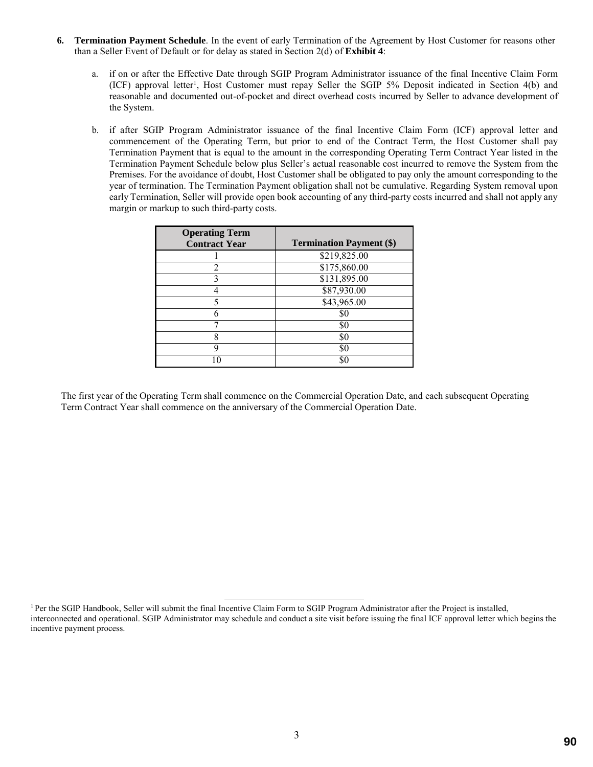- **6. Termination Payment Schedule**. In the event of early Termination of the Agreement by Host Customer for reasons other than a Seller Event of Default or for delay as stated in Section 2(d) of **Exhibit 4**:
	- a. if on or after the Effective Date through SGIP Program Administrator issuance of the final Incentive Claim Form (ICF) approval letter<sup>1</sup>, Host Customer must repay Seller the SGIP 5% Deposit indicated in Section 4(b) and reasonable and documented out-of-pocket and direct overhead costs incurred by Seller to advance development of the System.
	- b. if after SGIP Program Administrator issuance of the final Incentive Claim Form (ICF) approval letter and commencement of the Operating Term, but prior to end of the Contract Term, the Host Customer shall pay Termination Payment that is equal to the amount in the corresponding Operating Term Contract Year listed in the Termination Payment Schedule below plus Seller's actual reasonable cost incurred to remove the System from the Premises. For the avoidance of doubt, Host Customer shall be obligated to pay only the amount corresponding to the year of termination. The Termination Payment obligation shall not be cumulative. Regarding System removal upon early Termination, Seller will provide open book accounting of any third-party costs incurred and shall not apply any margin or markup to such third-party costs.

| <b>Operating Term</b><br><b>Contract Year</b> | <b>Termination Payment (\$)</b> |
|-----------------------------------------------|---------------------------------|
|                                               | \$219,825.00                    |
|                                               | \$175,860.00                    |
|                                               | \$131,895.00                    |
|                                               | \$87,930.00                     |
|                                               | \$43,965.00                     |
|                                               | \$0                             |
|                                               | \$0                             |
| Ջ                                             | \$0                             |
| Q                                             | \$0                             |
|                                               | \$C                             |

The first year of the Operating Term shall commence on the Commercial Operation Date, and each subsequent Operating Term Contract Year shall commence on the anniversary of the Commercial Operation Date.

<sup>&</sup>lt;sup>1</sup> Per the SGIP Handbook, Seller will submit the final Incentive Claim Form to SGIP Program Administrator after the Project is installed, interconnected and operational. SGIP Administrator may schedule and conduct a site visit before issuing the final ICF approval letter which begins the incentive payment process.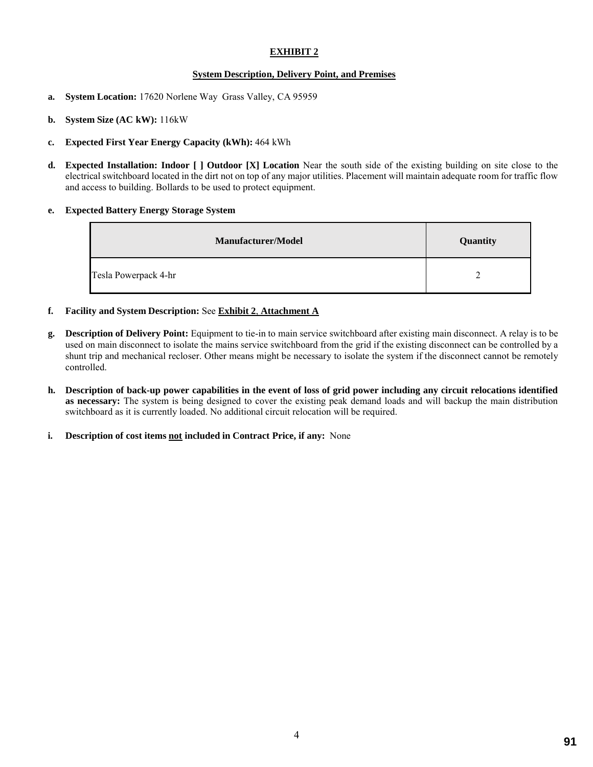# **EXHIBIT 2**

### **System Description, Delivery Point, and Premises**

- **a. System Location:** 17620 Norlene Way Grass Valley, CA 95959
- **b. System Size (AC kW):** 116kW
- **c. Expected First Year Energy Capacity (kWh):** 464 kWh
- **d. Expected Installation: Indoor [ ] Outdoor [X] Location** Near the south side of the existing building on site close to the electrical switchboard located in the dirt not on top of any major utilities. Placement will maintain adequate room for traffic flow and access to building. Bollards to be used to protect equipment.

### **e. Expected Battery Energy Storage System**

| <b>Manufacturer/Model</b> | Quantity |
|---------------------------|----------|
| Tesla Powerpack 4-hr      |          |

- **f. Facility and System Description:** See **Exhibit 2**, **Attachment A**
- **g. Description of Delivery Point:** Equipment to tie-in to main service switchboard after existing main disconnect. A relay is to be used on main disconnect to isolate the mains service switchboard from the grid if the existing disconnect can be controlled by a shunt trip and mechanical recloser. Other means might be necessary to isolate the system if the disconnect cannot be remotely controlled.
- **h. Description of back-up power capabilities in the event of loss of grid power including any circuit relocations identified as necessary:** The system is being designed to cover the existing peak demand loads and will backup the main distribution switchboard as it is currently loaded. No additional circuit relocation will be required.
- **i. Description of cost items not included in Contract Price, if any:** None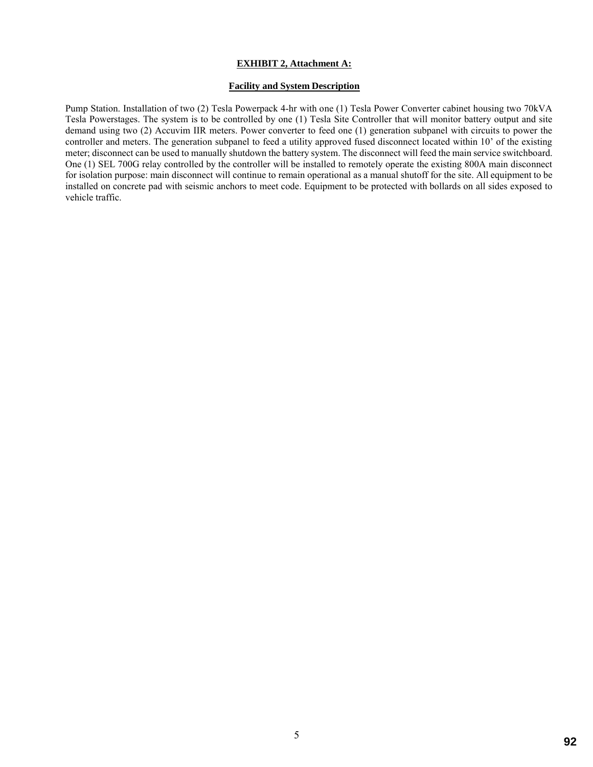### **EXHIBIT 2, Attachment A:**

### **Facility and System Description**

Pump Station. Installation of two (2) Tesla Powerpack 4-hr with one (1) Tesla Power Converter cabinet housing two 70kVA Tesla Powerstages. The system is to be controlled by one (1) Tesla Site Controller that will monitor battery output and site demand using two (2) Accuvim IIR meters. Power converter to feed one (1) generation subpanel with circuits to power the controller and meters. The generation subpanel to feed a utility approved fused disconnect located within 10' of the existing meter; disconnect can be used to manually shutdown the battery system. The disconnect will feed the main service switchboard. One (1) SEL 700G relay controlled by the controller will be installed to remotely operate the existing 800A main disconnect for isolation purpose: main disconnect will continue to remain operational as a manual shutoff for the site. All equipment to be installed on concrete pad with seismic anchors to meet code. Equipment to be protected with bollards on all sides exposed to vehicle traffic.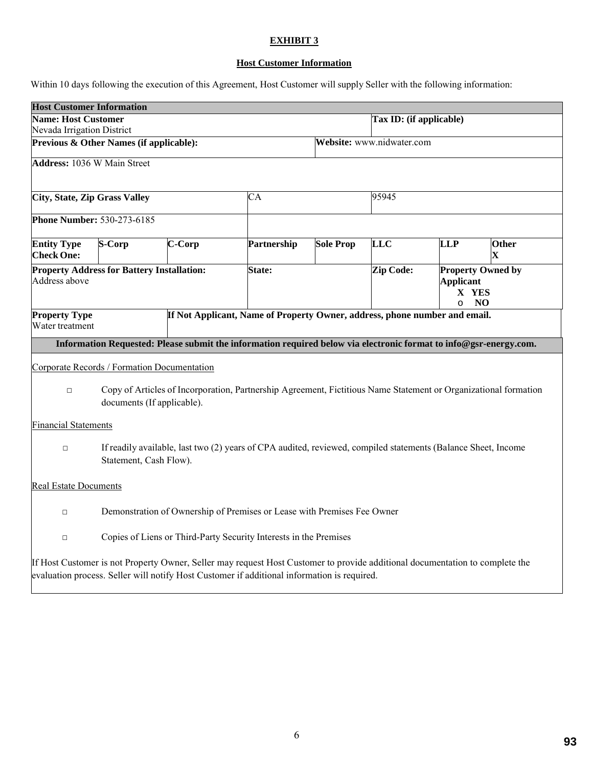# **EXHIBIT 3**

# **Host Customer Information**

Within 10 days following the execution of this Agreement, Host Customer will supply Seller with the following information:

| <b>Host Customer Information</b>                                                                                                                        |                                                                                               |        |                                                                                                                                                                                                                             |                  |                                                                                    |            |                      |  |
|---------------------------------------------------------------------------------------------------------------------------------------------------------|-----------------------------------------------------------------------------------------------|--------|-----------------------------------------------------------------------------------------------------------------------------------------------------------------------------------------------------------------------------|------------------|------------------------------------------------------------------------------------|------------|----------------------|--|
| <b>Name: Host Customer</b>                                                                                                                              |                                                                                               |        |                                                                                                                                                                                                                             |                  | Tax ID: (if applicable)                                                            |            |                      |  |
| Nevada Irrigation District                                                                                                                              |                                                                                               |        |                                                                                                                                                                                                                             |                  |                                                                                    |            |                      |  |
|                                                                                                                                                         | Previous & Other Names (if applicable):                                                       |        |                                                                                                                                                                                                                             |                  | Website: www.nidwater.com                                                          |            |                      |  |
| <b>Address: 1036 W Main Street</b>                                                                                                                      |                                                                                               |        |                                                                                                                                                                                                                             |                  |                                                                                    |            |                      |  |
| <b>City, State, Zip Grass Valley</b>                                                                                                                    |                                                                                               | CA     |                                                                                                                                                                                                                             |                  | 95945                                                                              |            |                      |  |
| <b>Phone Number: 530-273-6185</b>                                                                                                                       |                                                                                               |        |                                                                                                                                                                                                                             |                  |                                                                                    |            |                      |  |
| <b>Entity Type</b><br><b>Check One:</b>                                                                                                                 | S-Corp                                                                                        | C-Corp | Partnership                                                                                                                                                                                                                 | <b>Sole Prop</b> | <b>LLC</b>                                                                         | <b>LLP</b> | Other<br>$\mathbf x$ |  |
| Address above                                                                                                                                           | <b>Property Address for Battery Installation:</b><br><b>State:</b>                            |        |                                                                                                                                                                                                                             | <b>Zip Code:</b> | <b>Property Owned by</b><br><b>Applicant</b><br>X YES<br>N <sub>O</sub><br>$\circ$ |            |                      |  |
| <b>Property Type</b>                                                                                                                                    | If Not Applicant, Name of Property Owner, address, phone number and email.<br>Water treatment |        |                                                                                                                                                                                                                             |                  |                                                                                    |            |                      |  |
|                                                                                                                                                         |                                                                                               |        | Information Requested: Please submit the information required below via electronic format to info@gsr-energy.com.                                                                                                           |                  |                                                                                    |            |                      |  |
|                                                                                                                                                         | Corporate Records / Formation Documentation                                                   |        |                                                                                                                                                                                                                             |                  |                                                                                    |            |                      |  |
| Copy of Articles of Incorporation, Partnership Agreement, Fictitious Name Statement or Organizational formation<br>$\Box$<br>documents (If applicable). |                                                                                               |        |                                                                                                                                                                                                                             |                  |                                                                                    |            |                      |  |
| <b>Financial Statements</b>                                                                                                                             |                                                                                               |        |                                                                                                                                                                                                                             |                  |                                                                                    |            |                      |  |
| If readily available, last two (2) years of CPA audited, reviewed, compiled statements (Balance Sheet, Income<br>$\Box$<br>Statement, Cash Flow).       |                                                                                               |        |                                                                                                                                                                                                                             |                  |                                                                                    |            |                      |  |
| <b>Real Estate Documents</b>                                                                                                                            |                                                                                               |        |                                                                                                                                                                                                                             |                  |                                                                                    |            |                      |  |
| $\Box$                                                                                                                                                  | Demonstration of Ownership of Premises or Lease with Premises Fee Owner                       |        |                                                                                                                                                                                                                             |                  |                                                                                    |            |                      |  |
| Copies of Liens or Third-Party Security Interests in the Premises<br>$\Box$                                                                             |                                                                                               |        |                                                                                                                                                                                                                             |                  |                                                                                    |            |                      |  |
|                                                                                                                                                         |                                                                                               |        | If Host Customer is not Property Owner, Seller may request Host Customer to provide additional documentation to complete the<br>evaluation process. Seller will notify Host Customer if additional information is required. |                  |                                                                                    |            |                      |  |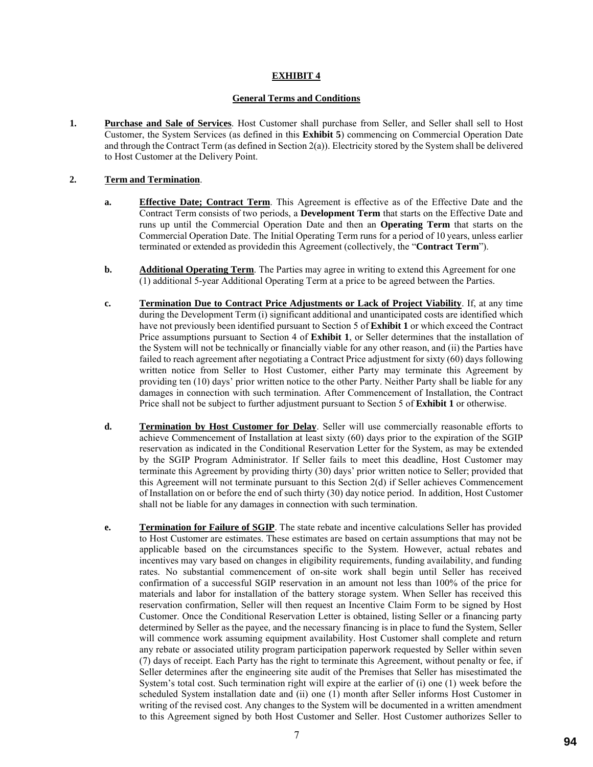# **EXHIBIT 4**

### **General Terms and Conditions**

**1. Purchase and Sale of Services**. Host Customer shall purchase from Seller, and Seller shall sell to Host Customer, the System Services (as defined in this **Exhibit 5**) commencing on Commercial Operation Date and through the Contract Term (as defined in Section 2(a)). Electricity stored by the System shall be delivered to Host Customer at the Delivery Point.

## **2. Term and Termination**.

- **a. Effective Date; Contract Term**. This Agreement is effective as of the Effective Date and the Contract Term consists of two periods, a **Development Term** that starts on the Effective Date and runs up until the Commercial Operation Date and then an **Operating Term** that starts on the Commercial Operation Date. The Initial Operating Term runs for a period of 10 years, unless earlier terminated or extended as providedin this Agreement (collectively, the "**Contract Term**").
- **b. Additional Operating Term**. The Parties may agree in writing to extend this Agreement for one (1) additional 5-year Additional Operating Term at a price to be agreed between the Parties.
- **c. Termination Due to Contract Price Adjustments or Lack of Project Viability**. If, at any time during the Development Term (i) significant additional and unanticipated costs are identified which have not previously been identified pursuant to Section 5 of **Exhibit 1** or which exceed the Contract Price assumptions pursuant to Section 4 of **Exhibit 1**, or Seller determines that the installation of the System will not be technically or financially viable for any other reason, and (ii) the Parties have failed to reach agreement after negotiating a Contract Price adjustment for sixty (60) days following written notice from Seller to Host Customer, either Party may terminate this Agreement by providing ten (10) days' prior written notice to the other Party. Neither Party shall be liable for any damages in connection with such termination. After Commencement of Installation, the Contract Price shall not be subject to further adjustment pursuant to Section 5 of **Exhibit 1** or otherwise.
- **d. Termination by Host Customer for Delay**. Seller will use commercially reasonable efforts to achieve Commencement of Installation at least sixty (60) days prior to the expiration of the SGIP reservation as indicated in the Conditional Reservation Letter for the System, as may be extended by the SGIP Program Administrator. If Seller fails to meet this deadline, Host Customer may terminate this Agreement by providing thirty (30) days' prior written notice to Seller; provided that this Agreement will not terminate pursuant to this Section 2(d) if Seller achieves Commencement of Installation on or before the end of such thirty (30) day notice period. In addition, Host Customer shall not be liable for any damages in connection with such termination.
- **e. Termination for Failure of SGIP**. The state rebate and incentive calculations Seller has provided to Host Customer are estimates. These estimates are based on certain assumptions that may not be applicable based on the circumstances specific to the System. However, actual rebates and incentives may vary based on changes in eligibility requirements, funding availability, and funding rates. No substantial commencement of on-site work shall begin until Seller has received confirmation of a successful SGIP reservation in an amount not less than 100% of the price for materials and labor for installation of the battery storage system. When Seller has received this reservation confirmation, Seller will then request an Incentive Claim Form to be signed by Host Customer. Once the Conditional Reservation Letter is obtained, listing Seller or a financing party determined by Seller as the payee, and the necessary financing is in place to fund the System, Seller will commence work assuming equipment availability. Host Customer shall complete and return any rebate or associated utility program participation paperwork requested by Seller within seven (7) days of receipt. Each Party has the right to terminate this Agreement, without penalty or fee, if Seller determines after the engineering site audit of the Premises that Seller has misestimated the System's total cost. Such termination right will expire at the earlier of (i) one (1) week before the scheduled System installation date and (ii) one (1) month after Seller informs Host Customer in writing of the revised cost. Any changes to the System will be documented in a written amendment to this Agreement signed by both Host Customer and Seller. Host Customer authorizes Seller to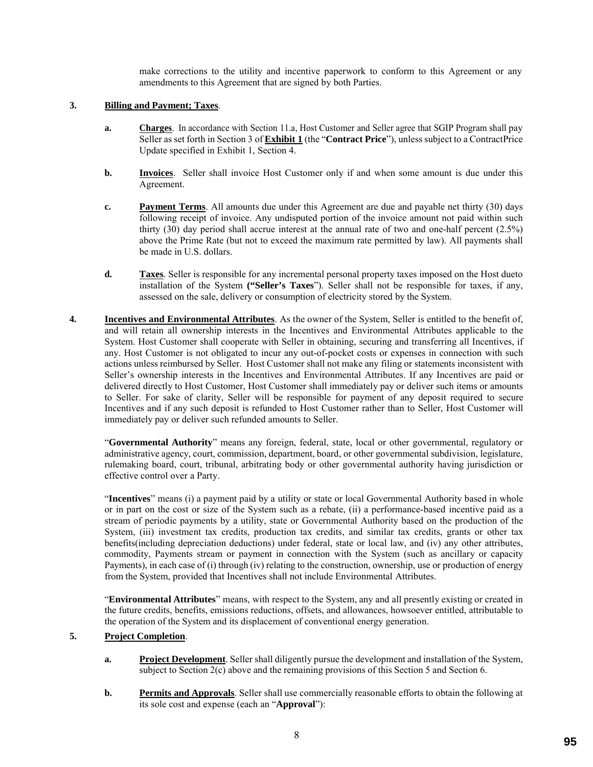make corrections to the utility and incentive paperwork to conform to this Agreement or any amendments to this Agreement that are signed by both Parties.

### **3. Billing and Payment; Taxes**.

- **a. Charges**. In accordance with Section 11.a, Host Customer and Seller agree that SGIP Program shall pay Seller as set forth in Section 3 of **Exhibit 1** (the "**Contract Price**"), unless subject to a ContractPrice Update specified in Exhibit 1, Section 4.
- **b. Invoices**. Seller shall invoice Host Customer only if and when some amount is due under this Agreement.
- **c. Payment Terms**. All amounts due under this Agreement are due and payable net thirty (30) days following receipt of invoice. Any undisputed portion of the invoice amount not paid within such thirty (30) day period shall accrue interest at the annual rate of two and one-half percent (2.5%) above the Prime Rate (but not to exceed the maximum rate permitted by law). All payments shall be made in U.S. dollars.
- **d. Taxes**. Seller is responsible for any incremental personal property taxes imposed on the Host dueto installation of the System **("Seller's Taxes**"). Seller shall not be responsible for taxes, if any, assessed on the sale, delivery or consumption of electricity stored by the System.
- **4. Incentives and Environmental Attributes**. As the owner of the System, Seller is entitled to the benefit of, and will retain all ownership interests in the Incentives and Environmental Attributes applicable to the System. Host Customer shall cooperate with Seller in obtaining, securing and transferring all Incentives, if any. Host Customer is not obligated to incur any out-of-pocket costs or expenses in connection with such actions unless reimbursed by Seller. Host Customer shall not make any filing or statements inconsistent with Seller's ownership interests in the Incentives and Environmental Attributes. If any Incentives are paid or delivered directly to Host Customer, Host Customer shall immediately pay or deliver such items or amounts to Seller. For sake of clarity, Seller will be responsible for payment of any deposit required to secure Incentives and if any such deposit is refunded to Host Customer rather than to Seller, Host Customer will immediately pay or deliver such refunded amounts to Seller.

"**Governmental Authority**" means any foreign, federal, state, local or other governmental, regulatory or administrative agency, court, commission, department, board, or other governmental subdivision, legislature, rulemaking board, court, tribunal, arbitrating body or other governmental authority having jurisdiction or effective control over a Party.

"**Incentives**" means (i) a payment paid by a utility or state or local Governmental Authority based in whole or in part on the cost or size of the System such as a rebate, (ii) a performance-based incentive paid as a stream of periodic payments by a utility, state or Governmental Authority based on the production of the System, (iii) investment tax credits, production tax credits, and similar tax credits, grants or other tax benefits(including depreciation deductions) under federal, state or local law, and (iv) any other attributes, commodity, Payments stream or payment in connection with the System (such as ancillary or capacity Payments), in each case of (i) through (iv) relating to the construction, ownership, use or production of energy from the System, provided that Incentives shall not include Environmental Attributes.

"**Environmental Attributes**" means, with respect to the System, any and all presently existing or created in the future credits, benefits, emissions reductions, offsets, and allowances, howsoever entitled, attributable to the operation of the System and its displacement of conventional energy generation.

## **5. Project Completion**.

- **a. Project Development**. Seller shall diligently pursue the development and installation of the System, subject to Section 2(c) above and the remaining provisions of this Section 5 and Section 6.
- **b. Permits and Approvals**. Seller shall use commercially reasonable efforts to obtain the following at its sole cost and expense (each an "**Approval**"):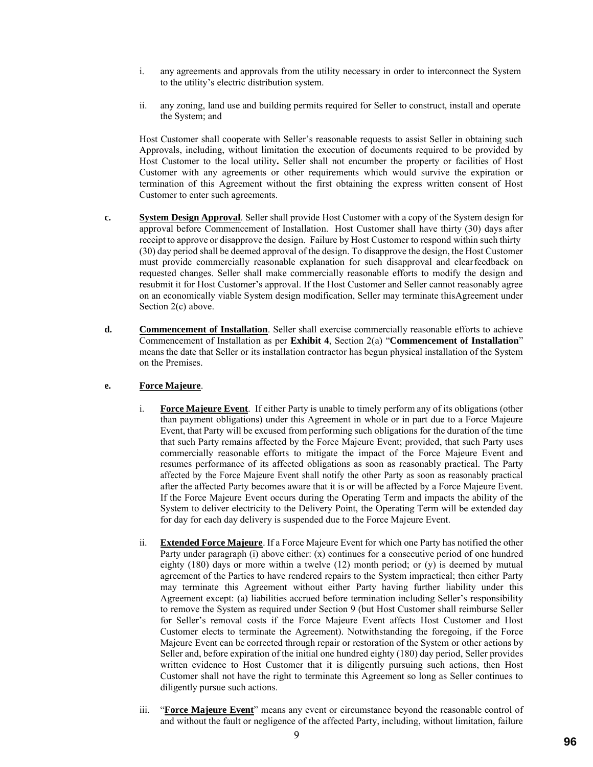- i. any agreements and approvals from the utility necessary in order to interconnect the System to the utility's electric distribution system.
- ii. any zoning, land use and building permits required for Seller to construct, install and operate the System; and

Host Customer shall cooperate with Seller's reasonable requests to assist Seller in obtaining such Approvals, including, without limitation the execution of documents required to be provided by Host Customer to the local utility**.** Seller shall not encumber the property or facilities of Host Customer with any agreements or other requirements which would survive the expiration or termination of this Agreement without the first obtaining the express written consent of Host Customer to enter such agreements.

- **c. System Design Approval**. Seller shall provide Host Customer with a copy of the System design for approval before Commencement of Installation. Host Customer shall have thirty (30) days after receipt to approve or disapprove the design. Failure by Host Customer to respond within such thirty (30) day period shall be deemed approval of the design. To disapprove the design, the Host Customer must provide commercially reasonable explanation for such disapproval and clearfeedback on requested changes. Seller shall make commercially reasonable efforts to modify the design and resubmit it for Host Customer's approval. If the Host Customer and Seller cannot reasonably agree on an economically viable System design modification, Seller may terminate thisAgreement under Section 2(c) above.
- **d. Commencement of Installation**. Seller shall exercise commercially reasonable efforts to achieve Commencement of Installation as per **Exhibit 4**, Section 2(a) "**Commencement of Installation**" means the date that Seller or its installation contractor has begun physical installation of the System on the Premises.

### **e. Force Majeure**.

- i. **Force Majeure Event**. If either Party is unable to timely perform any of its obligations (other than payment obligations) under this Agreement in whole or in part due to a Force Majeure Event, that Party will be excused from performing such obligations for the duration of the time that such Party remains affected by the Force Majeure Event; provided, that such Party uses commercially reasonable efforts to mitigate the impact of the Force Majeure Event and resumes performance of its affected obligations as soon as reasonably practical. The Party affected by the Force Majeure Event shall notify the other Party as soon as reasonably practical after the affected Party becomes aware that it is or will be affected by a Force Majeure Event. If the Force Majeure Event occurs during the Operating Term and impacts the ability of the System to deliver electricity to the Delivery Point, the Operating Term will be extended day for day for each day delivery is suspended due to the Force Majeure Event.
- ii. **Extended Force Majeure**. If a Force Majeure Event for which one Party has notified the other Party under paragraph (i) above either: (x) continues for a consecutive period of one hundred eighty  $(180)$  days or more within a twelve  $(12)$  month period; or  $(y)$  is deemed by mutual agreement of the Parties to have rendered repairs to the System impractical; then either Party may terminate this Agreement without either Party having further liability under this Agreement except: (a) liabilities accrued before termination including Seller's responsibility to remove the System as required under Section 9 (but Host Customer shall reimburse Seller for Seller's removal costs if the Force Majeure Event affects Host Customer and Host Customer elects to terminate the Agreement). Notwithstanding the foregoing, if the Force Majeure Event can be corrected through repair or restoration of the System or other actions by Seller and, before expiration of the initial one hundred eighty (180) day period, Seller provides written evidence to Host Customer that it is diligently pursuing such actions, then Host Customer shall not have the right to terminate this Agreement so long as Seller continues to diligently pursue such actions.
- iii. "**Force Majeure Event**" means any event or circumstance beyond the reasonable control of and without the fault or negligence of the affected Party, including, without limitation, failure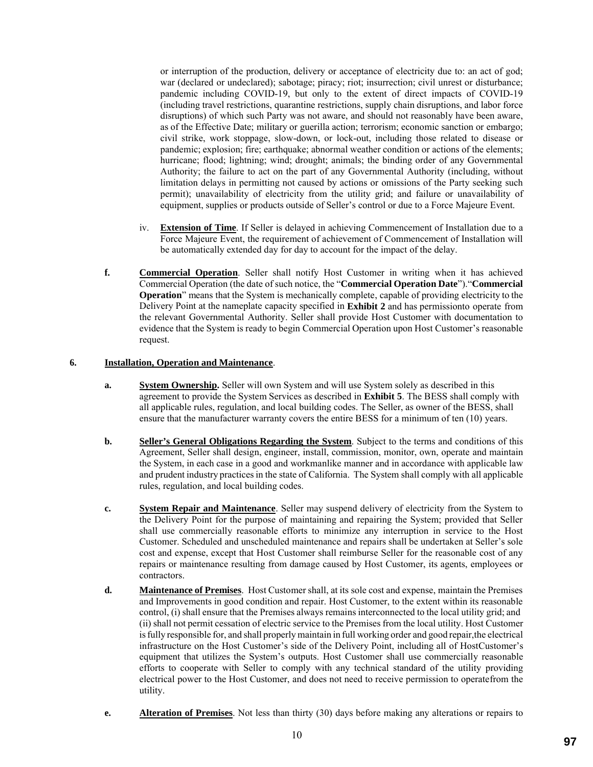or interruption of the production, delivery or acceptance of electricity due to: an act of god; war (declared or undeclared); sabotage; piracy; riot; insurrection; civil unrest or disturbance; pandemic including COVID-19, but only to the extent of direct impacts of COVID-19 (including travel restrictions, quarantine restrictions, supply chain disruptions, and labor force disruptions) of which such Party was not aware, and should not reasonably have been aware, as of the Effective Date; military or guerilla action; terrorism; economic sanction or embargo; civil strike, work stoppage, slow-down, or lock-out, including those related to disease or pandemic; explosion; fire; earthquake; abnormal weather condition or actions of the elements; hurricane; flood; lightning; wind; drought; animals; the binding order of any Governmental Authority; the failure to act on the part of any Governmental Authority (including, without limitation delays in permitting not caused by actions or omissions of the Party seeking such permit); unavailability of electricity from the utility grid; and failure or unavailability of equipment, supplies or products outside of Seller's control or due to a Force Majeure Event.

- iv. **Extension of Time**. If Seller is delayed in achieving Commencement of Installation due to a Force Majeure Event, the requirement of achievement of Commencement of Installation will be automatically extended day for day to account for the impact of the delay.
- **f. Commercial Operation**. Seller shall notify Host Customer in writing when it has achieved Commercial Operation (the date of such notice, the "**Commercial Operation Date**")."**Commercial Operation**" means that the System is mechanically complete, capable of providing electricity to the Delivery Point at the nameplate capacity specified in **Exhibit 2** and has permissionto operate from the relevant Governmental Authority. Seller shall provide Host Customer with documentation to evidence that the System is ready to begin Commercial Operation upon Host Customer's reasonable request.

## **6. Installation, Operation and Maintenance**.

- **a. System Ownership.** Seller will own System and will use System solely as described in this agreement to provide the System Services as described in **Exhibit 5**. The BESS shall comply with all applicable rules, regulation, and local building codes. The Seller, as owner of the BESS, shall ensure that the manufacturer warranty covers the entire BESS for a minimum of ten (10) years.
- **b. Seller's General Obligations Regarding the System**. Subject to the terms and conditions of this Agreement, Seller shall design, engineer, install, commission, monitor, own, operate and maintain the System, in each case in a good and workmanlike manner and in accordance with applicable law and prudent industry practices in the state of California. The System shall comply with all applicable rules, regulation, and local building codes.
- **c. System Repair and Maintenance**. Seller may suspend delivery of electricity from the System to the Delivery Point for the purpose of maintaining and repairing the System; provided that Seller shall use commercially reasonable efforts to minimize any interruption in service to the Host Customer. Scheduled and unscheduled maintenance and repairs shall be undertaken at Seller's sole cost and expense, except that Host Customer shall reimburse Seller for the reasonable cost of any repairs or maintenance resulting from damage caused by Host Customer, its agents, employees or contractors.
- **d. Maintenance of Premises**. Host Customer shall, at its sole cost and expense, maintain the Premises and Improvements in good condition and repair. Host Customer, to the extent within its reasonable control, (i) shall ensure that the Premises always remains interconnected to the local utility grid; and (ii) shall not permit cessation of electric service to the Premises from the local utility. Host Customer is fully responsible for, and shall properly maintain in full working order and good repair,the electrical infrastructure on the Host Customer's side of the Delivery Point, including all of HostCustomer's equipment that utilizes the System's outputs. Host Customer shall use commercially reasonable efforts to cooperate with Seller to comply with any technical standard of the utility providing electrical power to the Host Customer, and does not need to receive permission to operatefrom the utility.
- **e. Alteration of Premises**. Not less than thirty (30) days before making any alterations or repairs to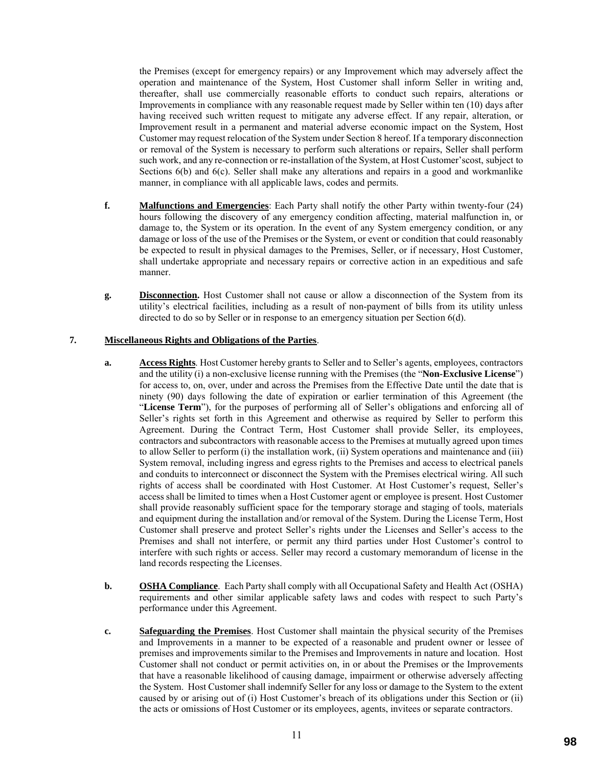the Premises (except for emergency repairs) or any Improvement which may adversely affect the operation and maintenance of the System, Host Customer shall inform Seller in writing and, thereafter, shall use commercially reasonable efforts to conduct such repairs, alterations or Improvements in compliance with any reasonable request made by Seller within ten (10) days after having received such written request to mitigate any adverse effect. If any repair, alteration, or Improvement result in a permanent and material adverse economic impact on the System, Host Customer may request relocation of the System under Section 8 hereof. If a temporary disconnection or removal of the System is necessary to perform such alterations or repairs, Seller shall perform such work, and any re-connection or re-installation of the System, at Host Customer'scost, subject to Sections 6(b) and 6(c). Seller shall make any alterations and repairs in a good and workmanlike manner, in compliance with all applicable laws, codes and permits.

- **f. Malfunctions and Emergencies**: Each Party shall notify the other Party within twenty-four (24) hours following the discovery of any emergency condition affecting, material malfunction in, or damage to, the System or its operation. In the event of any System emergency condition, or any damage or loss of the use of the Premises or the System, or event or condition that could reasonably be expected to result in physical damages to the Premises, Seller, or if necessary, Host Customer, shall undertake appropriate and necessary repairs or corrective action in an expeditious and safe manner.
- **g. Disconnection.** Host Customer shall not cause or allow a disconnection of the System from its utility's electrical facilities, including as a result of non-payment of bills from its utility unless directed to do so by Seller or in response to an emergency situation per Section 6(d).

## **7. Miscellaneous Rights and Obligations of the Parties**.

- **a. Access Rights**. Host Customer hereby grants to Seller and to Seller's agents, employees, contractors and the utility (i) a non-exclusive license running with the Premises (the "**Non-Exclusive License**") for access to, on, over, under and across the Premises from the Effective Date until the date that is ninety (90) days following the date of expiration or earlier termination of this Agreement (the "**License Term**"), for the purposes of performing all of Seller's obligations and enforcing all of Seller's rights set forth in this Agreement and otherwise as required by Seller to perform this Agreement. During the Contract Term, Host Customer shall provide Seller, its employees, contractors and subcontractors with reasonable access to the Premises at mutually agreed upon times to allow Seller to perform (i) the installation work, (ii) System operations and maintenance and (iii) System removal, including ingress and egress rights to the Premises and access to electrical panels and conduits to interconnect or disconnect the System with the Premises electrical wiring. All such rights of access shall be coordinated with Host Customer. At Host Customer's request, Seller's access shall be limited to times when a Host Customer agent or employee is present. Host Customer shall provide reasonably sufficient space for the temporary storage and staging of tools, materials and equipment during the installation and/or removal of the System. During the License Term, Host Customer shall preserve and protect Seller's rights under the Licenses and Seller's access to the Premises and shall not interfere, or permit any third parties under Host Customer's control to interfere with such rights or access. Seller may record a customary memorandum of license in the land records respecting the Licenses.
- **b. OSHA Compliance**. Each Party shall comply with all Occupational Safety and Health Act (OSHA) requirements and other similar applicable safety laws and codes with respect to such Party's performance under this Agreement.
- **c. Safeguarding the Premises**. Host Customer shall maintain the physical security of the Premises and Improvements in a manner to be expected of a reasonable and prudent owner or lessee of premises and improvements similar to the Premises and Improvements in nature and location. Host Customer shall not conduct or permit activities on, in or about the Premises or the Improvements that have a reasonable likelihood of causing damage, impairment or otherwise adversely affecting the System. Host Customer shall indemnify Seller for any loss or damage to the System to the extent caused by or arising out of (i) Host Customer's breach of its obligations under this Section or (ii) the acts or omissions of Host Customer or its employees, agents, invitees or separate contractors.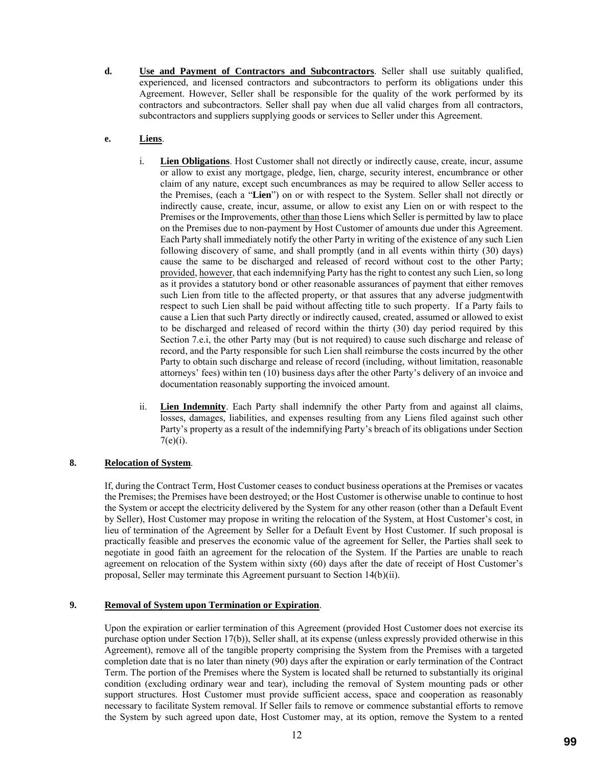**d. Use and Payment of Contractors and Subcontractors**. Seller shall use suitably qualified, experienced, and licensed contractors and subcontractors to perform its obligations under this Agreement. However, Seller shall be responsible for the quality of the work performed by its contractors and subcontractors. Seller shall pay when due all valid charges from all contractors, subcontractors and suppliers supplying goods or services to Seller under this Agreement.

# **e. Liens**.

- i. **Lien Obligations**. Host Customer shall not directly or indirectly cause, create, incur, assume or allow to exist any mortgage, pledge, lien, charge, security interest, encumbrance or other claim of any nature, except such encumbrances as may be required to allow Seller access to the Premises, (each a "**Lien**") on or with respect to the System. Seller shall not directly or indirectly cause, create, incur, assume, or allow to exist any Lien on or with respect to the Premises or the Improvements, other than those Liens which Seller is permitted by law to place on the Premises due to non-payment by Host Customer of amounts due under this Agreement. Each Party shall immediately notify the other Party in writing of the existence of any such Lien following discovery of same, and shall promptly (and in all events within thirty (30) days) cause the same to be discharged and released of record without cost to the other Party; provided, however, that each indemnifying Party has the right to contest any such Lien, so long as it provides a statutory bond or other reasonable assurances of payment that either removes such Lien from title to the affected property, or that assures that any adverse judgmentwith respect to such Lien shall be paid without affecting title to such property. If a Party fails to cause a Lien that such Party directly or indirectly caused, created, assumed or allowed to exist to be discharged and released of record within the thirty (30) day period required by this Section 7.e.i, the other Party may (but is not required) to cause such discharge and release of record, and the Party responsible for such Lien shall reimburse the costs incurred by the other Party to obtain such discharge and release of record (including, without limitation, reasonable attorneys' fees) within ten (10) business days after the other Party's delivery of an invoice and documentation reasonably supporting the invoiced amount.
- ii. **Lien Indemnity**. Each Party shall indemnify the other Party from and against all claims, losses, damages, liabilities, and expenses resulting from any Liens filed against such other Party's property as a result of the indemnifying Party's breach of its obligations under Section  $7(e)(i)$ .

# **8. Relocation of System**.

If, during the Contract Term, Host Customer ceases to conduct business operations at the Premises or vacates the Premises; the Premises have been destroyed; or the Host Customer is otherwise unable to continue to host the System or accept the electricity delivered by the System for any other reason (other than a Default Event by Seller), Host Customer may propose in writing the relocation of the System, at Host Customer's cost, in lieu of termination of the Agreement by Seller for a Default Event by Host Customer. If such proposal is practically feasible and preserves the economic value of the agreement for Seller, the Parties shall seek to negotiate in good faith an agreement for the relocation of the System. If the Parties are unable to reach agreement on relocation of the System within sixty (60) days after the date of receipt of Host Customer's proposal, Seller may terminate this Agreement pursuant to Section 14(b)(ii).

# **9. Removal of System upon Termination or Expiration**.

Upon the expiration or earlier termination of this Agreement (provided Host Customer does not exercise its purchase option under Section 17(b)), Seller shall, at its expense (unless expressly provided otherwise in this Agreement), remove all of the tangible property comprising the System from the Premises with a targeted completion date that is no later than ninety (90) days after the expiration or early termination of the Contract Term. The portion of the Premises where the System is located shall be returned to substantially its original condition (excluding ordinary wear and tear), including the removal of System mounting pads or other support structures. Host Customer must provide sufficient access, space and cooperation as reasonably necessary to facilitate System removal. If Seller fails to remove or commence substantial efforts to remove the System by such agreed upon date, Host Customer may, at its option, remove the System to a rented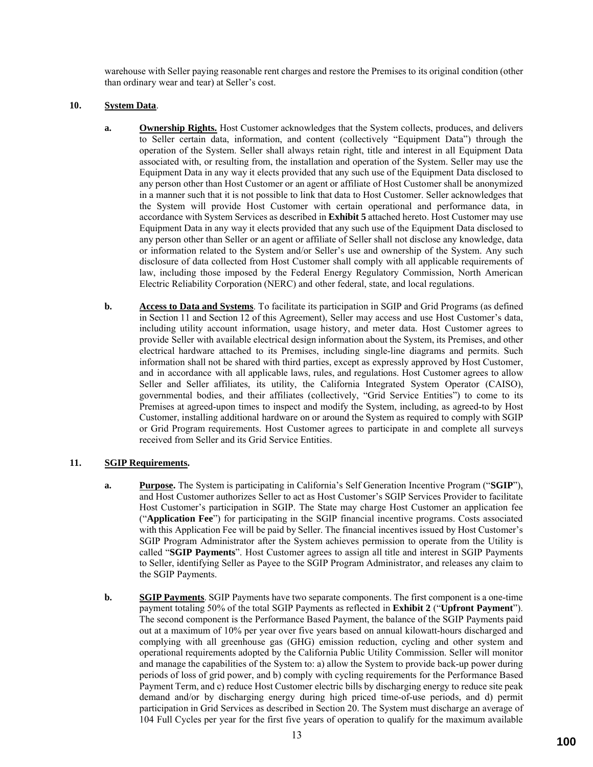warehouse with Seller paying reasonable rent charges and restore the Premises to its original condition (other than ordinary wear and tear) at Seller's cost.

### **10. System Data**.

- **a. Ownership Rights.** Host Customer acknowledges that the System collects, produces, and delivers to Seller certain data, information, and content (collectively "Equipment Data") through the operation of the System. Seller shall always retain right, title and interest in all Equipment Data associated with, or resulting from, the installation and operation of the System. Seller may use the Equipment Data in any way it elects provided that any such use of the Equipment Data disclosed to any person other than Host Customer or an agent or affiliate of Host Customer shall be anonymized in a manner such that it is not possible to link that data to Host Customer. Seller acknowledges that the System will provide Host Customer with certain operational and performance data, in accordance with System Services as described in **Exhibit 5** attached hereto. Host Customer may use Equipment Data in any way it elects provided that any such use of the Equipment Data disclosed to any person other than Seller or an agent or affiliate of Seller shall not disclose any knowledge, data or information related to the System and/or Seller's use and ownership of the System. Any such disclosure of data collected from Host Customer shall comply with all applicable requirements of law, including those imposed by the Federal Energy Regulatory Commission, North American Electric Reliability Corporation (NERC) and other federal, state, and local regulations.
- **b. Access to Data and Systems**. To facilitate its participation in SGIP and Grid Programs (as defined in Section 11 and Section 12 of this Agreement), Seller may access and use Host Customer's data, including utility account information, usage history, and meter data. Host Customer agrees to provide Seller with available electrical design information about the System, its Premises, and other electrical hardware attached to its Premises, including single-line diagrams and permits. Such information shall not be shared with third parties, except as expressly approved by Host Customer, and in accordance with all applicable laws, rules, and regulations. Host Customer agrees to allow Seller and Seller affiliates, its utility, the California Integrated System Operator (CAISO), governmental bodies, and their affiliates (collectively, "Grid Service Entities") to come to its Premises at agreed-upon times to inspect and modify the System, including, as agreed-to by Host Customer, installing additional hardware on or around the System as required to comply with SGIP or Grid Program requirements. Host Customer agrees to participate in and complete all surveys received from Seller and its Grid Service Entities.

## **11. SGIP Requirements.**

- **a. Purpose.** The System is participating in California's Self Generation Incentive Program ("**SGIP**"), and Host Customer authorizes Seller to act as Host Customer's SGIP Services Provider to facilitate Host Customer's participation in SGIP. The State may charge Host Customer an application fee ("**Application Fee**") for participating in the SGIP financial incentive programs. Costs associated with this Application Fee will be paid by Seller. The financial incentives issued by Host Customer's SGIP Program Administrator after the System achieves permission to operate from the Utility is called "**SGIP Payments**". Host Customer agrees to assign all title and interest in SGIP Payments to Seller, identifying Seller as Payee to the SGIP Program Administrator, and releases any claim to the SGIP Payments.
- **b. SGIP Payments**. SGIP Payments have two separate components. The first component is a one-time payment totaling 50% of the total SGIP Payments as reflected in **Exhibit 2** ("**Upfront Payment**"). The second component is the Performance Based Payment, the balance of the SGIP Payments paid out at a maximum of 10% per year over five years based on annual kilowatt-hours discharged and complying with all greenhouse gas (GHG) emission reduction, cycling and other system and operational requirements adopted by the California Public Utility Commission. Seller will monitor and manage the capabilities of the System to: a) allow the System to provide back-up power during periods of loss of grid power, and b) comply with cycling requirements for the Performance Based Payment Term, and c) reduce Host Customer electric bills by discharging energy to reduce site peak demand and/or by discharging energy during high priced time-of-use periods, and d) permit participation in Grid Services as described in Section 20. The System must discharge an average of 104 Full Cycles per year for the first five years of operation to qualify for the maximum available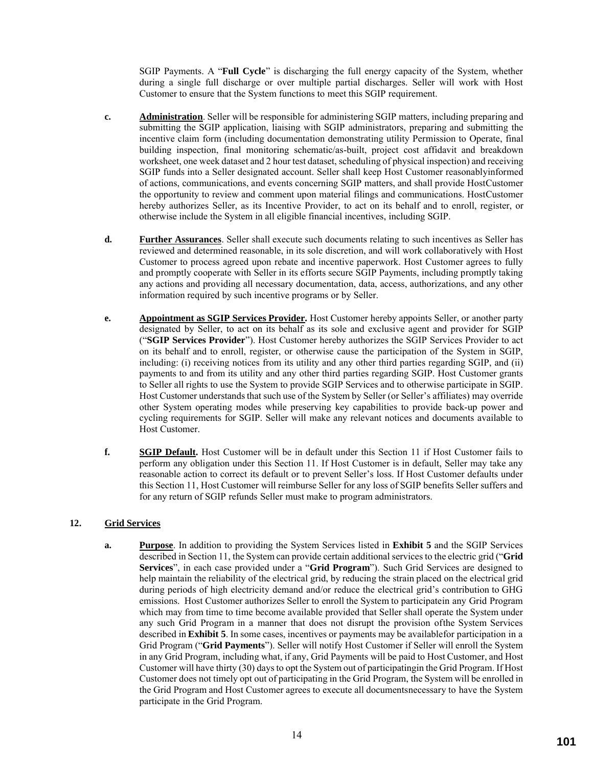SGIP Payments. A "**Full Cycle**" is discharging the full energy capacity of the System, whether during a single full discharge or over multiple partial discharges. Seller will work with Host Customer to ensure that the System functions to meet this SGIP requirement.

- **c. Administration**. Seller will be responsible for administering SGIP matters, including preparing and submitting the SGIP application, liaising with SGIP administrators, preparing and submitting the incentive claim form (including documentation demonstrating utility Permission to Operate, final building inspection, final monitoring schematic/as-built, project cost affidavit and breakdown worksheet, one week dataset and 2 hour test dataset, scheduling of physical inspection) and receiving SGIP funds into a Seller designated account. Seller shall keep Host Customer reasonablyinformed of actions, communications, and events concerning SGIP matters, and shall provide HostCustomer the opportunity to review and comment upon material filings and communications. HostCustomer hereby authorizes Seller, as its Incentive Provider, to act on its behalf and to enroll, register, or otherwise include the System in all eligible financial incentives, including SGIP.
- **d. Further Assurances**. Seller shall execute such documents relating to such incentives as Seller has reviewed and determined reasonable, in its sole discretion, and will work collaboratively with Host Customer to process agreed upon rebate and incentive paperwork. Host Customer agrees to fully and promptly cooperate with Seller in its efforts secure SGIP Payments, including promptly taking any actions and providing all necessary documentation, data, access, authorizations, and any other information required by such incentive programs or by Seller.
- **e. Appointment as SGIP Services Provider.** Host Customer hereby appoints Seller, or another party designated by Seller, to act on its behalf as its sole and exclusive agent and provider for SGIP ("**SGIP Services Provider**"). Host Customer hereby authorizes the SGIP Services Provider to act on its behalf and to enroll, register, or otherwise cause the participation of the System in SGIP, including: (i) receiving notices from its utility and any other third parties regarding SGIP, and (ii) payments to and from its utility and any other third parties regarding SGIP. Host Customer grants to Seller all rights to use the System to provide SGIP Services and to otherwise participate in SGIP. Host Customer understands that such use of the System by Seller (or Seller's affiliates) may override other System operating modes while preserving key capabilities to provide back-up power and cycling requirements for SGIP. Seller will make any relevant notices and documents available to Host Customer.
- **f. SGIP Default.** Host Customer will be in default under this Section 11 if Host Customer fails to perform any obligation under this Section 11. If Host Customer is in default, Seller may take any reasonable action to correct its default or to prevent Seller's loss. If Host Customer defaults under this Section 11, Host Customer will reimburse Seller for any loss of SGIP benefits Seller suffers and for any return of SGIP refunds Seller must make to program administrators.

# **12. Grid Services**

**a. Purpose**. In addition to providing the System Services listed in **Exhibit 5** and the SGIP Services described in Section 11, the System can provide certain additional services to the electric grid ("**Grid Services**", in each case provided under a "**Grid Program**"). Such Grid Services are designed to help maintain the reliability of the electrical grid, by reducing the strain placed on the electrical grid during periods of high electricity demand and/or reduce the electrical grid's contribution to GHG emissions. Host Customer authorizes Seller to enroll the System to participatein any Grid Program which may from time to time become available provided that Seller shall operate the System under any such Grid Program in a manner that does not disrupt the provision ofthe System Services described in **Exhibit 5**. In some cases, incentives or payments may be availablefor participation in a Grid Program ("**Grid Payments**"). Seller will notify Host Customer if Seller will enroll the System in any Grid Program, including what, if any, Grid Payments will be paid to Host Customer, and Host Customer will have thirty (30) days to opt the System out of participatingin the Grid Program. If Host Customer does not timely opt out of participating in the Grid Program, the System will be enrolled in the Grid Program and Host Customer agrees to execute all documentsnecessary to have the System participate in the Grid Program.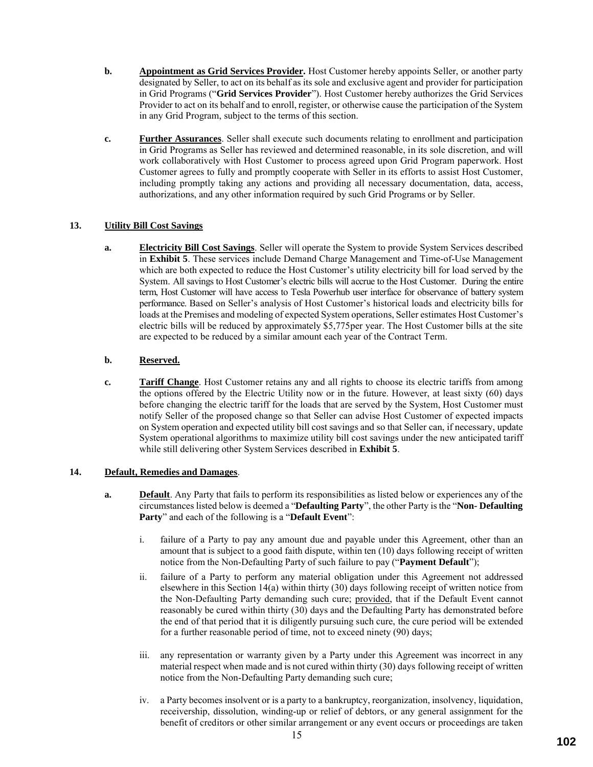- **b. Appointment as Grid Services Provider.** Host Customer hereby appoints Seller, or another party designated by Seller, to act on its behalf as its sole and exclusive agent and provider for participation in Grid Programs ("**Grid Services Provider**"). Host Customer hereby authorizes the Grid Services Provider to act on its behalf and to enroll, register, or otherwise cause the participation of the System in any Grid Program, subject to the terms of this section.
- **c. Further Assurances**. Seller shall execute such documents relating to enrollment and participation in Grid Programs as Seller has reviewed and determined reasonable, in its sole discretion, and will work collaboratively with Host Customer to process agreed upon Grid Program paperwork. Host Customer agrees to fully and promptly cooperate with Seller in its efforts to assist Host Customer, including promptly taking any actions and providing all necessary documentation, data, access, authorizations, and any other information required by such Grid Programs or by Seller.

# **13. Utility Bill Cost Savings**

**a. Electricity Bill Cost Savings**. Seller will operate the System to provide System Services described in **Exhibit 5**. These services include Demand Charge Management and Time-of-Use Management which are both expected to reduce the Host Customer's utility electricity bill for load served by the System. All savings to Host Customer's electric bills will accrue to the Host Customer. During the entire term, Host Customer will have access to Tesla Powerhub user interface for observance of battery system performance. Based on Seller's analysis of Host Customer's historical loads and electricity bills for loads at the Premises and modeling of expected System operations, Seller estimates Host Customer's electric bills will be reduced by approximately \$5,775per year. The Host Customer bills at the site are expected to be reduced by a similar amount each year of the Contract Term.

# **b. Reserved.**

**c. Tariff Change**. Host Customer retains any and all rights to choose its electric tariffs from among the options offered by the Electric Utility now or in the future. However, at least sixty (60) days before changing the electric tariff for the loads that are served by the System, Host Customer must notify Seller of the proposed change so that Seller can advise Host Customer of expected impacts on System operation and expected utility bill cost savings and so that Seller can, if necessary, update System operational algorithms to maximize utility bill cost savings under the new anticipated tariff while still delivering other System Services described in **Exhibit 5**.

## **14. Default, Remedies and Damages**.

- **a. Default**. Any Party that fails to perform its responsibilities as listed below or experiences any of the circumstances listed below is deemed a "**Defaulting Party**", the other Party is the "**Non- Defaulting Party**" and each of the following is a "**Default Event**":
	- i. failure of a Party to pay any amount due and payable under this Agreement, other than an amount that is subject to a good faith dispute, within ten (10) days following receipt of written notice from the Non-Defaulting Party of such failure to pay ("**Payment Default**");
	- ii. failure of a Party to perform any material obligation under this Agreement not addressed elsewhere in this Section 14(a) within thirty (30) days following receipt of written notice from the Non-Defaulting Party demanding such cure; provided, that if the Default Event cannot reasonably be cured within thirty (30) days and the Defaulting Party has demonstrated before the end of that period that it is diligently pursuing such cure, the cure period will be extended for a further reasonable period of time, not to exceed ninety (90) days;
	- iii. any representation or warranty given by a Party under this Agreement was incorrect in any material respect when made and is not cured within thirty (30) days following receipt of written notice from the Non-Defaulting Party demanding such cure;
	- iv. a Party becomes insolvent or is a party to a bankruptcy, reorganization, insolvency, liquidation, receivership, dissolution, winding-up or relief of debtors, or any general assignment for the benefit of creditors or other similar arrangement or any event occurs or proceedings are taken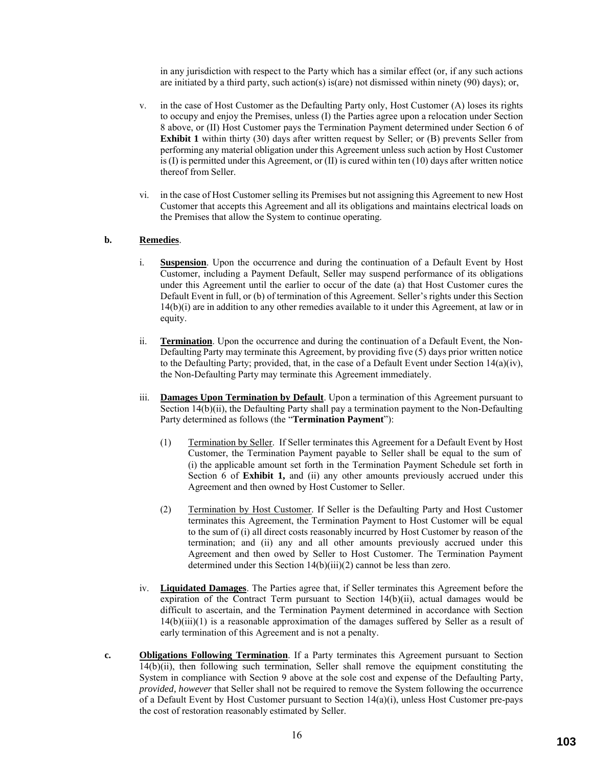in any jurisdiction with respect to the Party which has a similar effect (or, if any such actions are initiated by a third party, such action(s) is(are) not dismissed within ninety (90) days); or,

- v. in the case of Host Customer as the Defaulting Party only, Host Customer (A) loses its rights to occupy and enjoy the Premises, unless (I) the Parties agree upon a relocation under Section 8 above, or (II) Host Customer pays the Termination Payment determined under Section 6 of **Exhibit 1** within thirty (30) days after written request by Seller; or (B) prevents Seller from performing any material obligation under this Agreement unless such action by Host Customer is  $(I)$  is permitted under this Agreement, or  $(II)$  is cured within ten  $(10)$  days after written notice thereof from Seller.
- vi. in the case of Host Customer selling its Premises but not assigning this Agreement to new Host Customer that accepts this Agreement and all its obligations and maintains electrical loads on the Premises that allow the System to continue operating.

### **b. Remedies**.

- i. **Suspension**. Upon the occurrence and during the continuation of a Default Event by Host Customer, including a Payment Default, Seller may suspend performance of its obligations under this Agreement until the earlier to occur of the date (a) that Host Customer cures the Default Event in full, or (b) of termination of this Agreement. Seller's rights under this Section 14(b)(i) are in addition to any other remedies available to it under this Agreement, at law or in equity.
- ii. **Termination**. Upon the occurrence and during the continuation of a Default Event, the Non-Defaulting Party may terminate this Agreement, by providing five (5) days prior written notice to the Defaulting Party; provided, that, in the case of a Default Event under Section  $14(a)(iv)$ , the Non-Defaulting Party may terminate this Agreement immediately.
- iii. **Damages Upon Termination by Default**. Upon a termination of this Agreement pursuant to Section 14(b)(ii), the Defaulting Party shall pay a termination payment to the Non-Defaulting Party determined as follows (the "**Termination Payment**"):
	- (1) Termination by Seller. If Seller terminates this Agreement for a Default Event by Host Customer, the Termination Payment payable to Seller shall be equal to the sum of (i) the applicable amount set forth in the Termination Payment Schedule set forth in Section 6 of **Exhibit 1,** and (ii) any other amounts previously accrued under this Agreement and then owned by Host Customer to Seller.
	- (2) Termination by Host Customer. If Seller is the Defaulting Party and Host Customer terminates this Agreement, the Termination Payment to Host Customer will be equal to the sum of (i) all direct costs reasonably incurred by Host Customer by reason of the termination; and (ii) any and all other amounts previously accrued under this Agreement and then owed by Seller to Host Customer. The Termination Payment determined under this Section 14(b)(iii)(2) cannot be less than zero.
- iv. **Liquidated Damages**. The Parties agree that, if Seller terminates this Agreement before the expiration of the Contract Term pursuant to Section 14(b)(ii), actual damages would be difficult to ascertain, and the Termination Payment determined in accordance with Section  $14(b)(iii)(1)$  is a reasonable approximation of the damages suffered by Seller as a result of early termination of this Agreement and is not a penalty.
- **c. Obligations Following Termination**. If a Party terminates this Agreement pursuant to Section 14(b)(ii), then following such termination, Seller shall remove the equipment constituting the System in compliance with Section 9 above at the sole cost and expense of the Defaulting Party, *provided, however* that Seller shall not be required to remove the System following the occurrence of a Default Event by Host Customer pursuant to Section 14(a)(i), unless Host Customer pre-pays the cost of restoration reasonably estimated by Seller.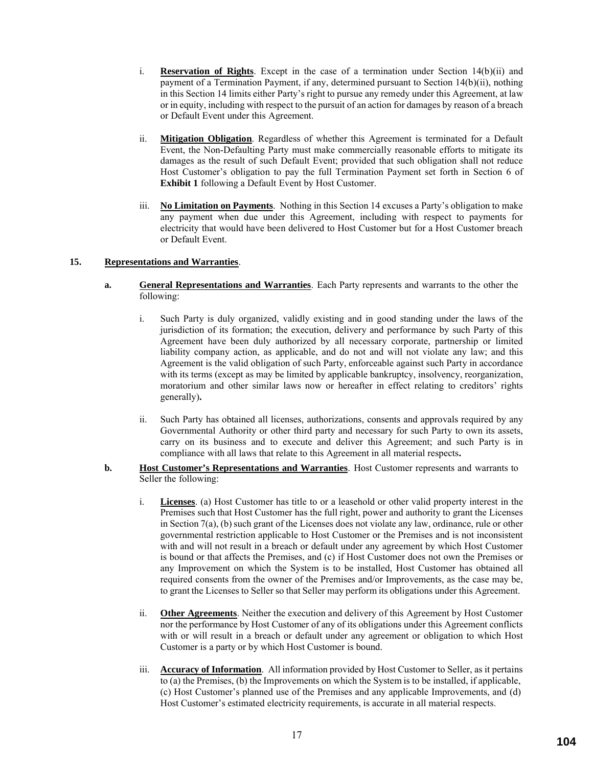- i. **Reservation of Rights**. Except in the case of a termination under Section 14(b)(ii) and payment of a Termination Payment, if any, determined pursuant to Section 14(b)(ii), nothing in this Section 14 limits either Party's right to pursue any remedy under this Agreement, at law or in equity, including with respect to the pursuit of an action for damages by reason of a breach or Default Event under this Agreement.
- ii. **Mitigation Obligation**. Regardless of whether this Agreement is terminated for a Default Event, the Non-Defaulting Party must make commercially reasonable efforts to mitigate its damages as the result of such Default Event; provided that such obligation shall not reduce Host Customer's obligation to pay the full Termination Payment set forth in Section 6 of **Exhibit 1** following a Default Event by Host Customer.
- iii. **No Limitation on Payments**. Nothing in this Section 14 excuses a Party's obligation to make any payment when due under this Agreement, including with respect to payments for electricity that would have been delivered to Host Customer but for a Host Customer breach or Default Event.

## **15. Representations and Warranties**.

- **a. General Representations and Warranties**. Each Party represents and warrants to the other the following:
	- i. Such Party is duly organized, validly existing and in good standing under the laws of the jurisdiction of its formation; the execution, delivery and performance by such Party of this Agreement have been duly authorized by all necessary corporate, partnership or limited liability company action, as applicable, and do not and will not violate any law; and this Agreement is the valid obligation of such Party, enforceable against such Party in accordance with its terms (except as may be limited by applicable bankruptcy, insolvency, reorganization, moratorium and other similar laws now or hereafter in effect relating to creditors' rights generally)**.**
	- ii. Such Party has obtained all licenses, authorizations, consents and approvals required by any Governmental Authority or other third party and necessary for such Party to own its assets, carry on its business and to execute and deliver this Agreement; and such Party is in compliance with all laws that relate to this Agreement in all material respects**.**
- **b. Host Customer's Representations and Warranties**. Host Customer represents and warrants to Seller the following:
	- i. **Licenses**. (a) Host Customer has title to or a leasehold or other valid property interest in the Premises such that Host Customer has the full right, power and authority to grant the Licenses in Section 7(a), (b) such grant of the Licenses does not violate any law, ordinance, rule or other governmental restriction applicable to Host Customer or the Premises and is not inconsistent with and will not result in a breach or default under any agreement by which Host Customer is bound or that affects the Premises, and (c) if Host Customer does not own the Premises or any Improvement on which the System is to be installed, Host Customer has obtained all required consents from the owner of the Premises and/or Improvements, as the case may be, to grant the Licenses to Seller so that Seller may perform its obligations under this Agreement.
	- ii. **Other Agreements**. Neither the execution and delivery of this Agreement by Host Customer nor the performance by Host Customer of any of its obligations under this Agreement conflicts with or will result in a breach or default under any agreement or obligation to which Host Customer is a party or by which Host Customer is bound.
	- iii. **Accuracy of Information**. All information provided by Host Customer to Seller, as it pertains to (a) the Premises, (b) the Improvements on which the System is to be installed, if applicable, (c) Host Customer's planned use of the Premises and any applicable Improvements, and (d) Host Customer's estimated electricity requirements, is accurate in all material respects.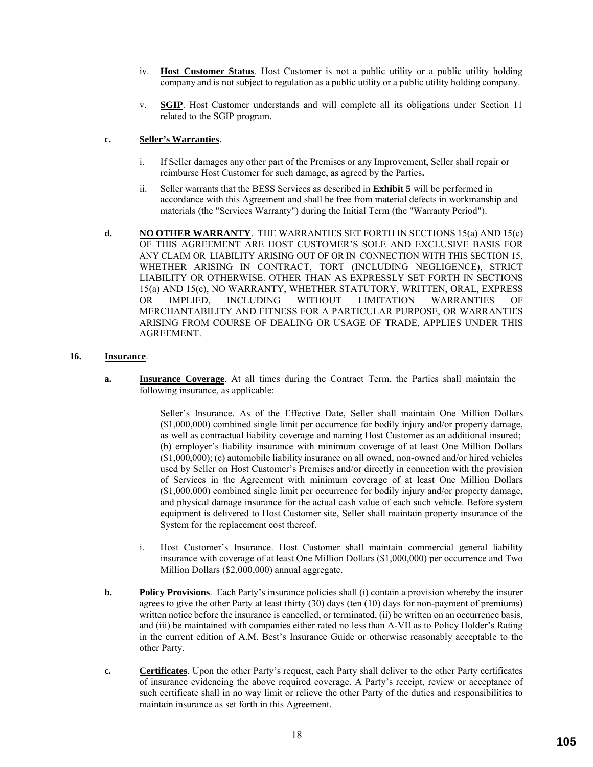- iv. **Host Customer Status**. Host Customer is not a public utility or a public utility holding company and is not subject to regulation as a public utility or a public utility holding company.
- v. **SGIP**. Host Customer understands and will complete all its obligations under Section 11 related to the SGIP program.

### **c. Seller's Warranties**.

- i. If Seller damages any other part of the Premises or any Improvement, Seller shall repair or reimburse Host Customer for such damage, as agreed by the Parties**.**
- ii. Seller warrants that the BESS Services as described in **Exhibit 5** will be performed in accordance with this Agreement and shall be free from material defects in workmanship and materials (the "Services Warranty") during the Initial Term (the "Warranty Period").
- **d. NO OTHER WARRANTY**. THE WARRANTIES SET FORTH IN SECTIONS 15(a) AND 15(c) OF THIS AGREEMENT ARE HOST CUSTOMER'S SOLE AND EXCLUSIVE BASIS FOR ANY CLAIM OR LIABILITY ARISING OUT OF OR IN CONNECTION WITH THIS SECTION 15, WHETHER ARISING IN CONTRACT, TORT (INCLUDING NEGLIGENCE), STRICT LIABILITY OR OTHERWISE. OTHER THAN AS EXPRESSLY SET FORTH IN SECTIONS 15(a) AND 15(c), NO WARRANTY, WHETHER STATUTORY, WRITTEN, ORAL, EXPRESS OR IMPLIED, INCLUDING WITHOUT LIMITATION WARRANTIES OF OR IMPLIED, INCLUDING WITHOUT LIMITATION WARRANTIES OF MERCHANTABILITY AND FITNESS FOR A PARTICULAR PURPOSE, OR WARRANTIES ARISING FROM COURSE OF DEALING OR USAGE OF TRADE, APPLIES UNDER THIS AGREEMENT.

### **16. Insurance**.

**a. Insurance Coverage**. At all times during the Contract Term, the Parties shall maintain the following insurance, as applicable:

> Seller's Insurance. As of the Effective Date, Seller shall maintain One Million Dollars (\$1,000,000) combined single limit per occurrence for bodily injury and/or property damage, as well as contractual liability coverage and naming Host Customer as an additional insured; (b) employer's liability insurance with minimum coverage of at least One Million Dollars (\$1,000,000); (c) automobile liability insurance on all owned, non-owned and/or hired vehicles used by Seller on Host Customer's Premises and/or directly in connection with the provision of Services in the Agreement with minimum coverage of at least One Million Dollars (\$1,000,000) combined single limit per occurrence for bodily injury and/or property damage, and physical damage insurance for the actual cash value of each such vehicle. Before system equipment is delivered to Host Customer site, Seller shall maintain property insurance of the System for the replacement cost thereof.

- i. Host Customer's Insurance. Host Customer shall maintain commercial general liability insurance with coverage of at least One Million Dollars (\$1,000,000) per occurrence and Two Million Dollars (\$2,000,000) annual aggregate.
- **b. Policy Provisions**. Each Party's insurance policies shall (i) contain a provision whereby the insurer agrees to give the other Party at least thirty (30) days (ten (10) days for non-payment of premiums) written notice before the insurance is cancelled, or terminated, (ii) be written on an occurrence basis, and (iii) be maintained with companies either rated no less than A-VII as to Policy Holder's Rating in the current edition of A.M. Best's Insurance Guide or otherwise reasonably acceptable to the other Party.
- **c. Certificates**. Upon the other Party's request, each Party shall deliver to the other Party certificates of insurance evidencing the above required coverage. A Party's receipt, review or acceptance of such certificate shall in no way limit or relieve the other Party of the duties and responsibilities to maintain insurance as set forth in this Agreement.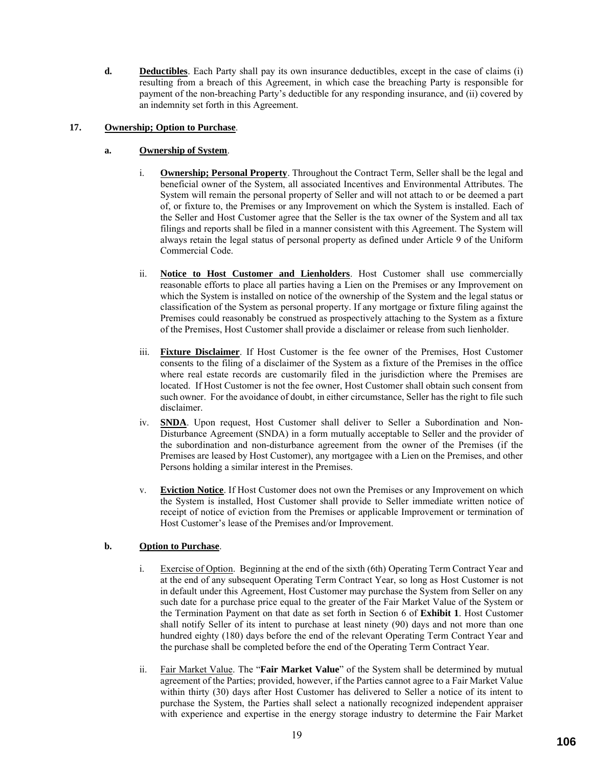**d. Deductibles**. Each Party shall pay its own insurance deductibles, except in the case of claims (i) resulting from a breach of this Agreement, in which case the breaching Party is responsible for payment of the non-breaching Party's deductible for any responding insurance, and (ii) covered by an indemnity set forth in this Agreement.

## **17. Ownership; Option to Purchase**.

# **a. Ownership of System**.

- i. **Ownership; Personal Property**. Throughout the Contract Term, Seller shall be the legal and beneficial owner of the System, all associated Incentives and Environmental Attributes. The System will remain the personal property of Seller and will not attach to or be deemed a part of, or fixture to, the Premises or any Improvement on which the System is installed. Each of the Seller and Host Customer agree that the Seller is the tax owner of the System and all tax filings and reports shall be filed in a manner consistent with this Agreement. The System will always retain the legal status of personal property as defined under Article 9 of the Uniform Commercial Code.
- ii. **Notice to Host Customer and Lienholders**. Host Customer shall use commercially reasonable efforts to place all parties having a Lien on the Premises or any Improvement on which the System is installed on notice of the ownership of the System and the legal status or classification of the System as personal property. If any mortgage or fixture filing against the Premises could reasonably be construed as prospectively attaching to the System as a fixture of the Premises, Host Customer shall provide a disclaimer or release from such lienholder.
- iii. **Fixture Disclaimer**. If Host Customer is the fee owner of the Premises, Host Customer consents to the filing of a disclaimer of the System as a fixture of the Premises in the office where real estate records are customarily filed in the jurisdiction where the Premises are located. If Host Customer is not the fee owner, Host Customer shall obtain such consent from such owner. For the avoidance of doubt, in either circumstance, Seller has the right to file such disclaimer.
- iv. **SNDA**. Upon request, Host Customer shall deliver to Seller a Subordination and Non-Disturbance Agreement (SNDA) in a form mutually acceptable to Seller and the provider of the subordination and non-disturbance agreement from the owner of the Premises (if the Premises are leased by Host Customer), any mortgagee with a Lien on the Premises, and other Persons holding a similar interest in the Premises.
- v. **Eviction Notice**. If Host Customer does not own the Premises or any Improvement on which the System is installed, Host Customer shall provide to Seller immediate written notice of receipt of notice of eviction from the Premises or applicable Improvement or termination of Host Customer's lease of the Premises and/or Improvement.

## **b. Option to Purchase**.

- i. Exercise of Option. Beginning at the end of the sixth (6th) Operating Term Contract Year and at the end of any subsequent Operating Term Contract Year, so long as Host Customer is not in default under this Agreement, Host Customer may purchase the System from Seller on any such date for a purchase price equal to the greater of the Fair Market Value of the System or the Termination Payment on that date as set forth in Section 6 of **Exhibit 1**. Host Customer shall notify Seller of its intent to purchase at least ninety (90) days and not more than one hundred eighty (180) days before the end of the relevant Operating Term Contract Year and the purchase shall be completed before the end of the Operating Term Contract Year.
- ii. Fair Market Value. The "**Fair Market Value**" of the System shall be determined by mutual agreement of the Parties; provided, however, if the Parties cannot agree to a Fair Market Value within thirty (30) days after Host Customer has delivered to Seller a notice of its intent to purchase the System, the Parties shall select a nationally recognized independent appraiser with experience and expertise in the energy storage industry to determine the Fair Market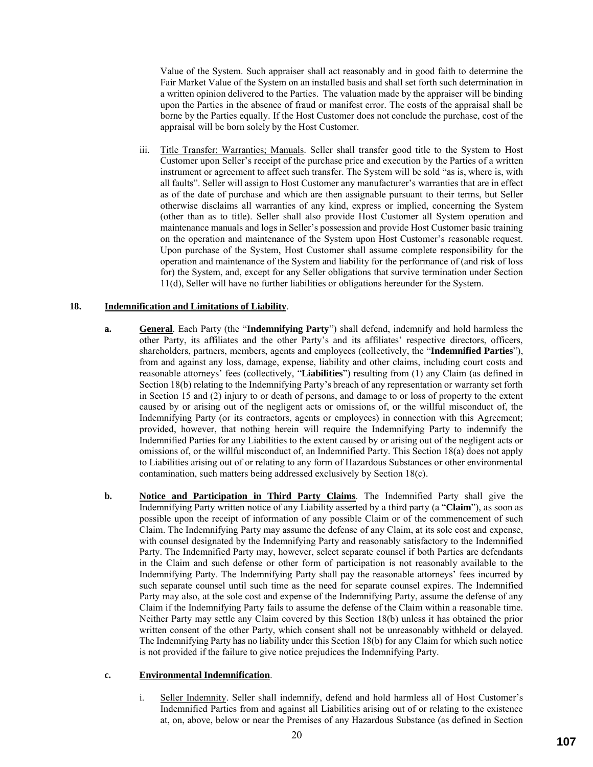Value of the System. Such appraiser shall act reasonably and in good faith to determine the Fair Market Value of the System on an installed basis and shall set forth such determination in a written opinion delivered to the Parties. The valuation made by the appraiser will be binding upon the Parties in the absence of fraud or manifest error. The costs of the appraisal shall be borne by the Parties equally. If the Host Customer does not conclude the purchase, cost of the appraisal will be born solely by the Host Customer.

iii. Title Transfer; Warranties; Manuals. Seller shall transfer good title to the System to Host Customer upon Seller's receipt of the purchase price and execution by the Parties of a written instrument or agreement to affect such transfer. The System will be sold "as is, where is, with all faults". Seller will assign to Host Customer any manufacturer's warranties that are in effect as of the date of purchase and which are then assignable pursuant to their terms, but Seller otherwise disclaims all warranties of any kind, express or implied, concerning the System (other than as to title). Seller shall also provide Host Customer all System operation and maintenance manuals and logs in Seller's possession and provide Host Customer basic training on the operation and maintenance of the System upon Host Customer's reasonable request. Upon purchase of the System, Host Customer shall assume complete responsibility for the operation and maintenance of the System and liability for the performance of (and risk of loss for) the System, and, except for any Seller obligations that survive termination under Section 11(d), Seller will have no further liabilities or obligations hereunder for the System.

## **18. Indemnification and Limitations of Liability**.

- **a. General**. Each Party (the "**Indemnifying Party**") shall defend, indemnify and hold harmless the other Party, its affiliates and the other Party's and its affiliates' respective directors, officers, shareholders, partners, members, agents and employees (collectively, the "**Indemnified Parties**"), from and against any loss, damage, expense, liability and other claims, including court costs and reasonable attorneys' fees (collectively, "**Liabilities**") resulting from (1) any Claim (as defined in Section 18(b) relating to the Indemnifying Party's breach of any representation or warranty set forth in Section 15 and (2) injury to or death of persons, and damage to or loss of property to the extent caused by or arising out of the negligent acts or omissions of, or the willful misconduct of, the Indemnifying Party (or its contractors, agents or employees) in connection with this Agreement; provided, however, that nothing herein will require the Indemnifying Party to indemnify the Indemnified Parties for any Liabilities to the extent caused by or arising out of the negligent acts or omissions of, or the willful misconduct of, an Indemnified Party. This Section 18(a) does not apply to Liabilities arising out of or relating to any form of Hazardous Substances or other environmental contamination, such matters being addressed exclusively by Section 18(c).
- **b. Notice and Participation in Third Party Claims**. The Indemnified Party shall give the Indemnifying Party written notice of any Liability asserted by a third party (a "**Claim**"), as soon as possible upon the receipt of information of any possible Claim or of the commencement of such Claim. The Indemnifying Party may assume the defense of any Claim, at its sole cost and expense, with counsel designated by the Indemnifying Party and reasonably satisfactory to the Indemnified Party. The Indemnified Party may, however, select separate counsel if both Parties are defendants in the Claim and such defense or other form of participation is not reasonably available to the Indemnifying Party. The Indemnifying Party shall pay the reasonable attorneys' fees incurred by such separate counsel until such time as the need for separate counsel expires. The Indemnified Party may also, at the sole cost and expense of the Indemnifying Party, assume the defense of any Claim if the Indemnifying Party fails to assume the defense of the Claim within a reasonable time. Neither Party may settle any Claim covered by this Section 18(b) unless it has obtained the prior written consent of the other Party, which consent shall not be unreasonably withheld or delayed. The Indemnifying Party has no liability under this Section 18(b) for any Claim for which such notice is not provided if the failure to give notice prejudices the Indemnifying Party.

### **c. Environmental Indemnification**.

i. Seller Indemnity. Seller shall indemnify, defend and hold harmless all of Host Customer's Indemnified Parties from and against all Liabilities arising out of or relating to the existence at, on, above, below or near the Premises of any Hazardous Substance (as defined in Section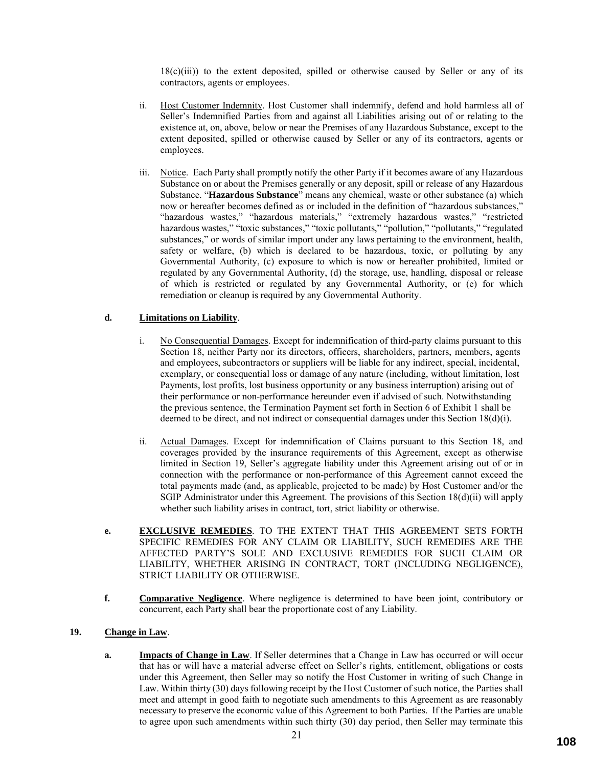$18(c)(iii)$  to the extent deposited, spilled or otherwise caused by Seller or any of its contractors, agents or employees.

- ii. Host Customer Indemnity. Host Customer shall indemnify, defend and hold harmless all of Seller's Indemnified Parties from and against all Liabilities arising out of or relating to the existence at, on, above, below or near the Premises of any Hazardous Substance, except to the extent deposited, spilled or otherwise caused by Seller or any of its contractors, agents or employees.
- iii. Notice. Each Party shall promptly notify the other Party if it becomes aware of any Hazardous Substance on or about the Premises generally or any deposit, spill or release of any Hazardous Substance. "**Hazardous Substance**" means any chemical, waste or other substance (a) which now or hereafter becomes defined as or included in the definition of "hazardous substances," "hazardous wastes," "hazardous materials," "extremely hazardous wastes," "restricted hazardous wastes," "toxic substances," "toxic pollutants," "pollution," "pollutants," "regulated substances," or words of similar import under any laws pertaining to the environment, health, safety or welfare, (b) which is declared to be hazardous, toxic, or polluting by any Governmental Authority, (c) exposure to which is now or hereafter prohibited, limited or regulated by any Governmental Authority, (d) the storage, use, handling, disposal or release of which is restricted or regulated by any Governmental Authority, or (e) for which remediation or cleanup is required by any Governmental Authority.

## **d. Limitations on Liability**.

- i. No Consequential Damages. Except for indemnification of third-party claims pursuant to this Section 18, neither Party nor its directors, officers, shareholders, partners, members, agents and employees, subcontractors or suppliers will be liable for any indirect, special, incidental, exemplary, or consequential loss or damage of any nature (including, without limitation, lost Payments, lost profits, lost business opportunity or any business interruption) arising out of their performance or non-performance hereunder even if advised of such. Notwithstanding the previous sentence, the Termination Payment set forth in Section 6 of Exhibit 1 shall be deemed to be direct, and not indirect or consequential damages under this Section 18(d)(i).
- ii. Actual Damages. Except for indemnification of Claims pursuant to this Section 18, and coverages provided by the insurance requirements of this Agreement, except as otherwise limited in Section 19, Seller's aggregate liability under this Agreement arising out of or in connection with the performance or non-performance of this Agreement cannot exceed the total payments made (and, as applicable, projected to be made) by Host Customer and/or the SGIP Administrator under this Agreement. The provisions of this Section 18(d)(ii) will apply whether such liability arises in contract, tort, strict liability or otherwise.
- **e. EXCLUSIVE REMEDIES**. TO THE EXTENT THAT THIS AGREEMENT SETS FORTH SPECIFIC REMEDIES FOR ANY CLAIM OR LIABILITY, SUCH REMEDIES ARE THE AFFECTED PARTY'S SOLE AND EXCLUSIVE REMEDIES FOR SUCH CLAIM OR LIABILITY, WHETHER ARISING IN CONTRACT, TORT (INCLUDING NEGLIGENCE), STRICT LIABILITY OR OTHERWISE.
- **f. Comparative Negligence**. Where negligence is determined to have been joint, contributory or concurrent, each Party shall bear the proportionate cost of any Liability.

### **19. Change in Law**.

**a. Impacts of Change in Law**. If Seller determines that a Change in Law has occurred or will occur that has or will have a material adverse effect on Seller's rights, entitlement, obligations or costs under this Agreement, then Seller may so notify the Host Customer in writing of such Change in Law. Within thirty (30) days following receipt by the Host Customer of such notice, the Parties shall meet and attempt in good faith to negotiate such amendments to this Agreement as are reasonably necessary to preserve the economic value of this Agreement to both Parties. If the Parties are unable to agree upon such amendments within such thirty (30) day period, then Seller may terminate this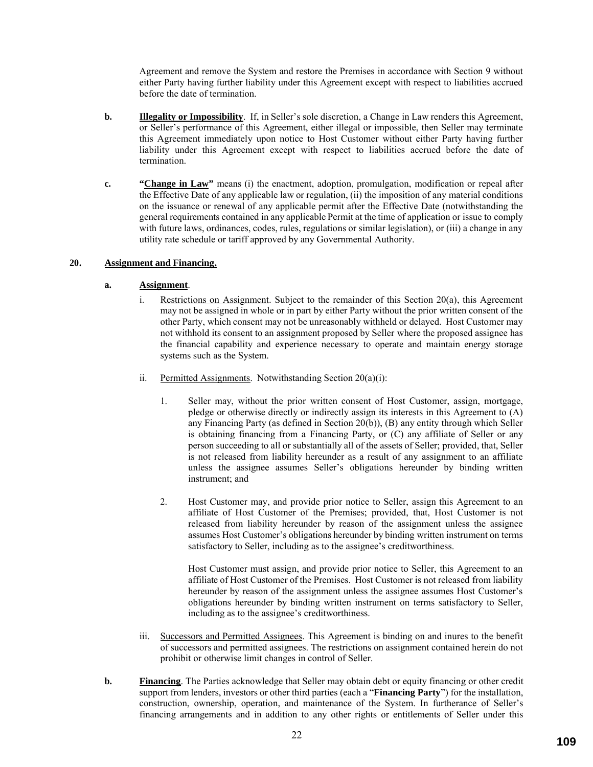Agreement and remove the System and restore the Premises in accordance with Section 9 without either Party having further liability under this Agreement except with respect to liabilities accrued before the date of termination.

- **b. Illegality or Impossibility**. If, in Seller's sole discretion, a Change in Law renders this Agreement, or Seller's performance of this Agreement, either illegal or impossible, then Seller may terminate this Agreement immediately upon notice to Host Customer without either Party having further liability under this Agreement except with respect to liabilities accrued before the date of termination.
- **c. "Change in Law"** means (i) the enactment, adoption, promulgation, modification or repeal after the Effective Date of any applicable law or regulation, (ii) the imposition of any material conditions on the issuance or renewal of any applicable permit after the Effective Date (notwithstanding the general requirements contained in any applicable Permit at the time of application or issue to comply with future laws, ordinances, codes, rules, regulations or similar legislation), or (iii) a change in any utility rate schedule or tariff approved by any Governmental Authority.

# **20. Assignment and Financing.**

### **a. Assignment**.

- i. Restrictions on Assignment. Subject to the remainder of this Section 20(a), this Agreement may not be assigned in whole or in part by either Party without the prior written consent of the other Party, which consent may not be unreasonably withheld or delayed. Host Customer may not withhold its consent to an assignment proposed by Seller where the proposed assignee has the financial capability and experience necessary to operate and maintain energy storage systems such as the System.
- ii. Permitted Assignments. Notwithstanding Section 20(a)(i):
	- 1. Seller may, without the prior written consent of Host Customer, assign, mortgage, pledge or otherwise directly or indirectly assign its interests in this Agreement to (A) any Financing Party (as defined in Section 20(b)), (B) any entity through which Seller is obtaining financing from a Financing Party, or (C) any affiliate of Seller or any person succeeding to all or substantially all of the assets of Seller; provided, that, Seller is not released from liability hereunder as a result of any assignment to an affiliate unless the assignee assumes Seller's obligations hereunder by binding written instrument; and
	- 2. Host Customer may, and provide prior notice to Seller, assign this Agreement to an affiliate of Host Customer of the Premises; provided, that, Host Customer is not released from liability hereunder by reason of the assignment unless the assignee assumes Host Customer's obligations hereunder by binding written instrument on terms satisfactory to Seller, including as to the assignee's creditworthiness.

Host Customer must assign, and provide prior notice to Seller, this Agreement to an affiliate of Host Customer of the Premises. Host Customer is not released from liability hereunder by reason of the assignment unless the assignee assumes Host Customer's obligations hereunder by binding written instrument on terms satisfactory to Seller, including as to the assignee's creditworthiness.

- iii. Successors and Permitted Assignees. This Agreement is binding on and inures to the benefit of successors and permitted assignees. The restrictions on assignment contained herein do not prohibit or otherwise limit changes in control of Seller.
- **b. Financing**. The Parties acknowledge that Seller may obtain debt or equity financing or other credit support from lenders, investors or other third parties (each a "**Financing Party**") for the installation, construction, ownership, operation, and maintenance of the System. In furtherance of Seller's financing arrangements and in addition to any other rights or entitlements of Seller under this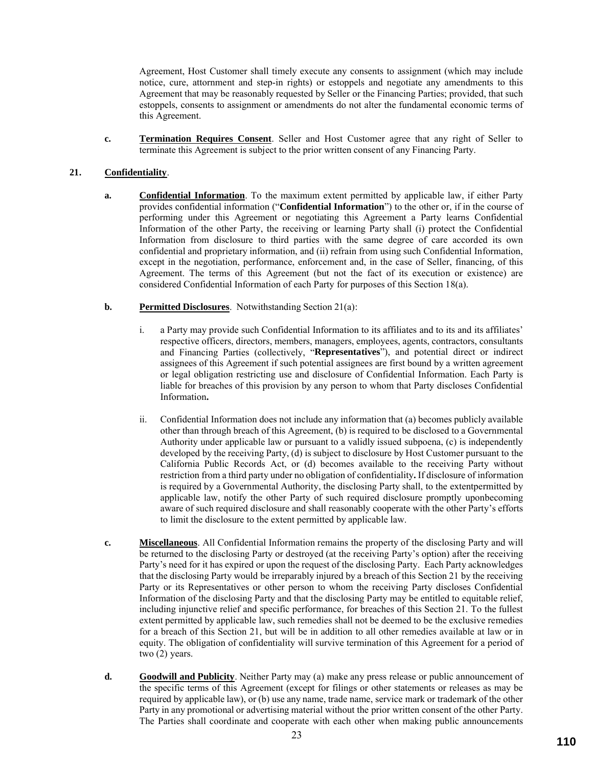Agreement, Host Customer shall timely execute any consents to assignment (which may include notice, cure, attornment and step-in rights) or estoppels and negotiate any amendments to this Agreement that may be reasonably requested by Seller or the Financing Parties; provided, that such estoppels, consents to assignment or amendments do not alter the fundamental economic terms of this Agreement.

**c. Termination Requires Consent**. Seller and Host Customer agree that any right of Seller to terminate this Agreement is subject to the prior written consent of any Financing Party.

# **21. Confidentiality**.

- **a. Confidential Information**. To the maximum extent permitted by applicable law, if either Party provides confidential information ("**Confidential Information**") to the other or, if in the course of performing under this Agreement or negotiating this Agreement a Party learns Confidential Information of the other Party, the receiving or learning Party shall (i) protect the Confidential Information from disclosure to third parties with the same degree of care accorded its own confidential and proprietary information, and (ii) refrain from using such Confidential Information, except in the negotiation, performance, enforcement and, in the case of Seller, financing, of this Agreement. The terms of this Agreement (but not the fact of its execution or existence) are considered Confidential Information of each Party for purposes of this Section 18(a).
- **b. Permitted Disclosures**. Notwithstanding Section 21(a):
	- i. a Party may provide such Confidential Information to its affiliates and to its and its affiliates' respective officers, directors, members, managers, employees, agents, contractors, consultants and Financing Parties (collectively, "**Representatives**"), and potential direct or indirect assignees of this Agreement if such potential assignees are first bound by a written agreement or legal obligation restricting use and disclosure of Confidential Information. Each Party is liable for breaches of this provision by any person to whom that Party discloses Confidential Information**.**
	- ii. Confidential Information does not include any information that (a) becomes publicly available other than through breach of this Agreement, (b) is required to be disclosed to a Governmental Authority under applicable law or pursuant to a validly issued subpoena, (c) is independently developed by the receiving Party, (d) is subject to disclosure by Host Customer pursuant to the California Public Records Act, or (d) becomes available to the receiving Party without restriction from a third party under no obligation of confidentiality**.** If disclosure of information is required by a Governmental Authority, the disclosing Party shall, to the extentpermitted by applicable law, notify the other Party of such required disclosure promptly uponbecoming aware of such required disclosure and shall reasonably cooperate with the other Party's efforts to limit the disclosure to the extent permitted by applicable law.
- **c. Miscellaneous**. All Confidential Information remains the property of the disclosing Party and will be returned to the disclosing Party or destroyed (at the receiving Party's option) after the receiving Party's need for it has expired or upon the request of the disclosing Party. Each Party acknowledges that the disclosing Party would be irreparably injured by a breach of this Section 21 by the receiving Party or its Representatives or other person to whom the receiving Party discloses Confidential Information of the disclosing Party and that the disclosing Party may be entitled to equitable relief, including injunctive relief and specific performance, for breaches of this Section 21. To the fullest extent permitted by applicable law, such remedies shall not be deemed to be the exclusive remedies for a breach of this Section 21, but will be in addition to all other remedies available at law or in equity. The obligation of confidentiality will survive termination of this Agreement for a period of two (2) years.
- **d. Goodwill and Publicity**. Neither Party may (a) make any press release or public announcement of the specific terms of this Agreement (except for filings or other statements or releases as may be required by applicable law), or (b) use any name, trade name, service mark or trademark of the other Party in any promotional or advertising material without the prior written consent of the other Party. The Parties shall coordinate and cooperate with each other when making public announcements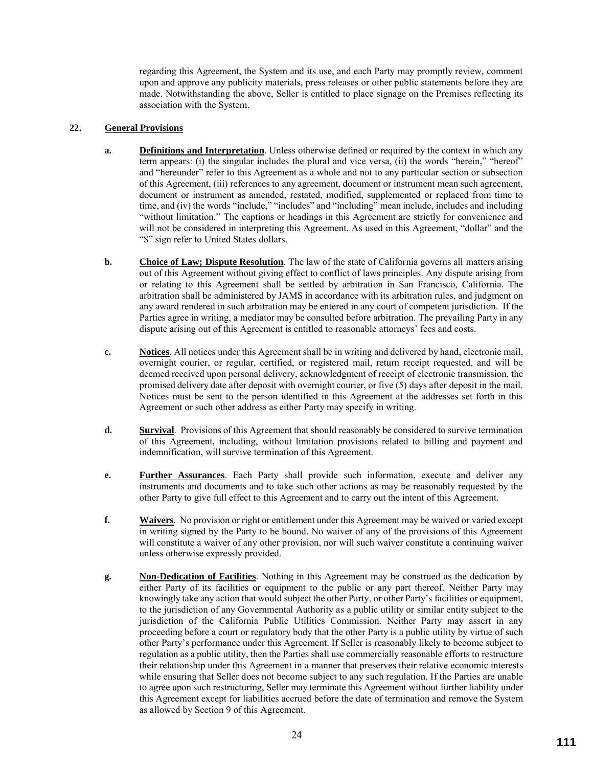regarding this Agreement, the System and its use, and each Party may promptly review, comment upon and approve any publicity materials, press releases or other public statements before they are made. Notwithstanding the above, Seller is entitled to place signage on the Premises reflecting its association with the System.

# **22. General Provisions**

- **a. Definitions and Interpretation**. Unless otherwise defined or required by the context in which any term appears: (i) the singular includes the plural and vice versa, (ii) the words "herein," "hereof" and "hereunder" refer to this Agreement as a whole and not to any particular section or subsection of this Agreement, (iii) references to any agreement, document or instrument mean such agreement, document or instrument as amended, restated, modified, supplemented or replaced from time to time, and (iv) the words "include," "includes" and "including" mean include, includes and including "without limitation." The captions or headings in this Agreement are strictly for convenience and will not be considered in interpreting this Agreement. As used in this Agreement, "dollar" and the "\$" sign refer to United States dollars.
- **b. Choice of Law; Dispute Resolution**. The law of the state of California governs all matters arising out of this Agreement without giving effect to conflict of laws principles. Any dispute arising from or relating to this Agreement shall be settled by arbitration in San Francisco, California. The arbitration shall be administered by JAMS in accordance with its arbitration rules, and judgment on any award rendered in such arbitration may be entered in any court of competent jurisdiction. If the Parties agree in writing, a mediator may be consulted before arbitration. The prevailing Party in any dispute arising out of this Agreement is entitled to reasonable attorneys' fees and costs.
- **c. Notices**. All notices under this Agreement shall be in writing and delivered by hand, electronic mail, overnight courier, or regular, certified, or registered mail, return receipt requested, and will be deemed received upon personal delivery, acknowledgment of receipt of electronic transmission, the promised delivery date after deposit with overnight courier, or five (5) days after deposit in the mail. Notices must be sent to the person identified in this Agreement at the addresses set forth in this Agreement or such other address as either Party may specify in writing.
- **d. Survival**. Provisions of this Agreement that should reasonably be considered to survive termination of this Agreement, including, without limitation provisions related to billing and payment and indemnification, will survive termination of this Agreement.
- **e. Further Assurances**. Each Party shall provide such information, execute and deliver any instruments and documents and to take such other actions as may be reasonably requested by the other Party to give full effect to this Agreement and to carry out the intent of this Agreement.
- **f. Waivers**. No provision or right or entitlement under this Agreement may be waived or varied except in writing signed by the Party to be bound. No waiver of any of the provisions of this Agreement will constitute a waiver of any other provision, nor will such waiver constitute a continuing waiver unless otherwise expressly provided.
- **g. Non-Dedication of Facilities**. Nothing in this Agreement may be construed as the dedication by either Party of its facilities or equipment to the public or any part thereof. Neither Party may knowingly take any action that would subject the other Party, or other Party's facilities or equipment, to the jurisdiction of any Governmental Authority as a public utility or similar entity subject to the jurisdiction of the California Public Utilities Commission. Neither Party may assert in any proceeding before a court or regulatory body that the other Party is a public utility by virtue of such other Party's performance under this Agreement. If Seller is reasonably likely to become subject to regulation as a public utility, then the Parties shall use commercially reasonable efforts to restructure their relationship under this Agreement in a manner that preserves their relative economic interests while ensuring that Seller does not become subject to any such regulation. If the Parties are unable to agree upon such restructuring, Seller may terminate this Agreement without further liability under this Agreement except for liabilities accrued before the date of termination and remove the System as allowed by Section 9 of this Agreement.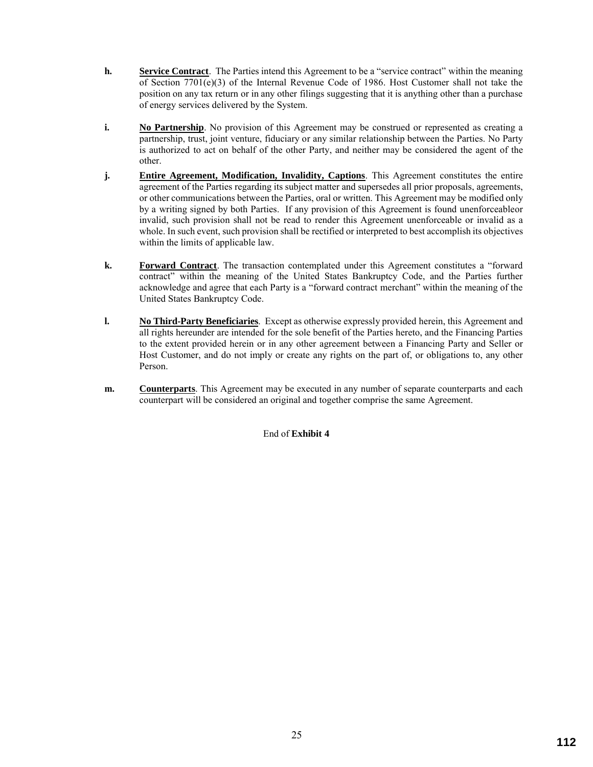- **h. Service Contract**. The Parties intend this Agreement to be a "service contract" within the meaning of Section 7701(e)(3) of the Internal Revenue Code of 1986. Host Customer shall not take the position on any tax return or in any other filings suggesting that it is anything other than a purchase of energy services delivered by the System.
- **i. No Partnership**. No provision of this Agreement may be construed or represented as creating a partnership, trust, joint venture, fiduciary or any similar relationship between the Parties. No Party is authorized to act on behalf of the other Party, and neither may be considered the agent of the other.
- **j. Entire Agreement, Modification, Invalidity, Captions**. This Agreement constitutes the entire agreement of the Parties regarding its subject matter and supersedes all prior proposals, agreements, or other communications between the Parties, oral or written. This Agreement may be modified only by a writing signed by both Parties. If any provision of this Agreement is found unenforceableor invalid, such provision shall not be read to render this Agreement unenforceable or invalid as a whole. In such event, such provision shall be rectified or interpreted to best accomplish its objectives within the limits of applicable law.
- **k. Forward Contract**. The transaction contemplated under this Agreement constitutes a "forward contract" within the meaning of the United States Bankruptcy Code, and the Parties further acknowledge and agree that each Party is a "forward contract merchant" within the meaning of the United States Bankruptcy Code.
- **l. No Third-Party Beneficiaries**. Except as otherwise expressly provided herein, this Agreement and all rights hereunder are intended for the sole benefit of the Parties hereto, and the Financing Parties to the extent provided herein or in any other agreement between a Financing Party and Seller or Host Customer, and do not imply or create any rights on the part of, or obligations to, any other Person.
- **m. Counterparts**. This Agreement may be executed in any number of separate counterparts and each counterpart will be considered an original and together comprise the same Agreement.

# End of **Exhibit 4**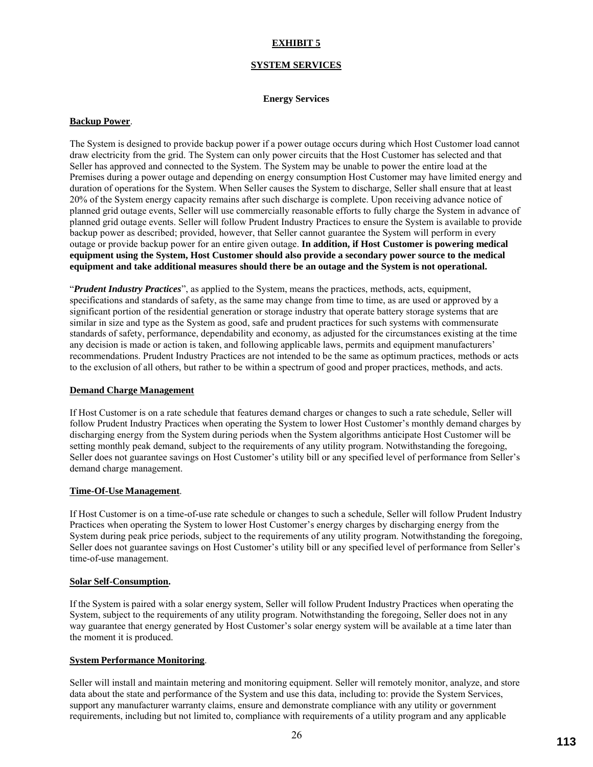# **EXHIBIT 5**

### **SYSTEM SERVICES**

#### **Energy Services**

#### **Backup Power**.

The System is designed to provide backup power if a power outage occurs during which Host Customer load cannot draw electricity from the grid. The System can only power circuits that the Host Customer has selected and that Seller has approved and connected to the System. The System may be unable to power the entire load at the Premises during a power outage and depending on energy consumption Host Customer may have limited energy and duration of operations for the System. When Seller causes the System to discharge, Seller shall ensure that at least 20% of the System energy capacity remains after such discharge is complete. Upon receiving advance notice of planned grid outage events, Seller will use commercially reasonable efforts to fully charge the System in advance of planned grid outage events. Seller will follow Prudent Industry Practices to ensure the System is available to provide backup power as described; provided, however, that Seller cannot guarantee the System will perform in every outage or provide backup power for an entire given outage. **In addition, if Host Customer is powering medical equipment using the System, Host Customer should also provide a secondary power source to the medical equipment and take additional measures should there be an outage and the System is not operational.**

"*Prudent Industry Practices*", as applied to the System, means the practices, methods, acts, equipment, specifications and standards of safety, as the same may change from time to time, as are used or approved by a significant portion of the residential generation or storage industry that operate battery storage systems that are similar in size and type as the System as good, safe and prudent practices for such systems with commensurate standards of safety, performance, dependability and economy, as adjusted for the circumstances existing at the time any decision is made or action is taken, and following applicable laws, permits and equipment manufacturers' recommendations. Prudent Industry Practices are not intended to be the same as optimum practices, methods or acts to the exclusion of all others, but rather to be within a spectrum of good and proper practices, methods, and acts.

#### **Demand Charge Management**

If Host Customer is on a rate schedule that features demand charges or changes to such a rate schedule, Seller will follow Prudent Industry Practices when operating the System to lower Host Customer's monthly demand charges by discharging energy from the System during periods when the System algorithms anticipate Host Customer will be setting monthly peak demand, subject to the requirements of any utility program. Notwithstanding the foregoing, Seller does not guarantee savings on Host Customer's utility bill or any specified level of performance from Seller's demand charge management.

#### **Time-Of-Use Management**.

If Host Customer is on a time-of-use rate schedule or changes to such a schedule, Seller will follow Prudent Industry Practices when operating the System to lower Host Customer's energy charges by discharging energy from the System during peak price periods, subject to the requirements of any utility program. Notwithstanding the foregoing, Seller does not guarantee savings on Host Customer's utility bill or any specified level of performance from Seller's time-of-use management.

#### **Solar Self-Consumption.**

If the System is paired with a solar energy system, Seller will follow Prudent Industry Practices when operating the System, subject to the requirements of any utility program. Notwithstanding the foregoing, Seller does not in any way guarantee that energy generated by Host Customer's solar energy system will be available at a time later than the moment it is produced.

# **System Performance Monitoring**.

Seller will install and maintain metering and monitoring equipment. Seller will remotely monitor, analyze, and store data about the state and performance of the System and use this data, including to: provide the System Services, support any manufacturer warranty claims, ensure and demonstrate compliance with any utility or government requirements, including but not limited to, compliance with requirements of a utility program and any applicable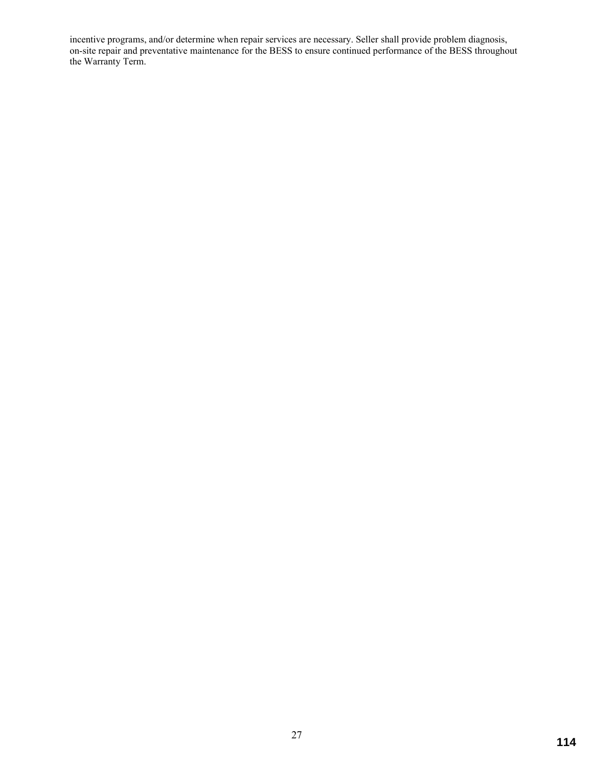incentive programs, and/or determine when repair services are necessary. Seller shall provide problem diagnosis, on-site repair and preventative maintenance for the BESS to ensure continued performance of the BESS throughout the Warranty Term.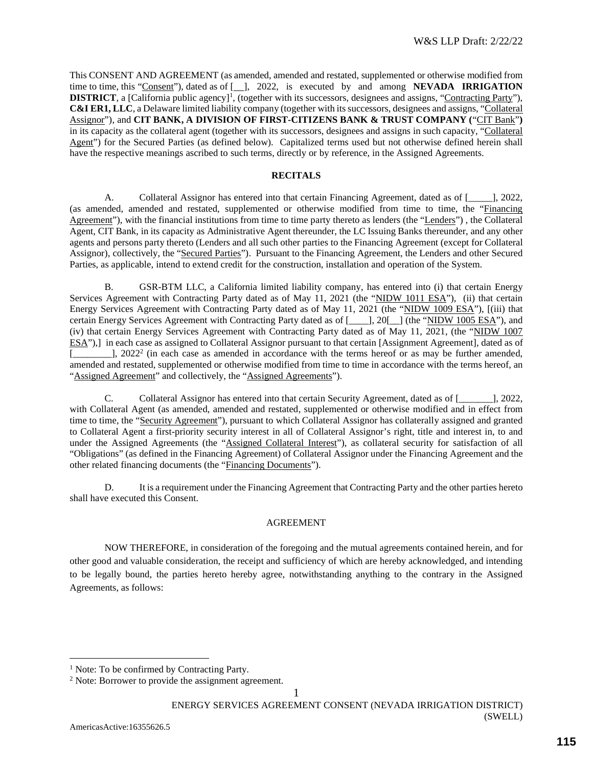This CONSENT AND AGREEMENT (as amended, amended and restated, supplemented or otherwise modified from time to time, this "Consent"), dated as of [ ], 2022, is executed by and among **NEVADA IRRIGATION DISTRICT**, a [California public agency]<sup>1</sup>, (together with its successors, designees and assigns, "Contracting Party"), **C&I ER1, LLC**, a Delaware limited liability company (together with its successors, designees and assigns, "Collateral Assignor"), and **CIT BANK, A DIVISION OF FIRST-CITIZENS BANK & TRUST COMPANY (**"CIT Bank"**)**  in its capacity as the collateral agent (together with its successors, designees and assigns in such capacity, "Collateral Agent") for the Secured Parties (as defined below). Capitalized terms used but not otherwise defined herein shall have the respective meanings ascribed to such terms, directly or by reference, in the Assigned Agreements.

# **RECITALS**

A. Collateral Assignor has entered into that certain Financing Agreement, dated as of [\_\_\_\_\_], 2022, (as amended, amended and restated, supplemented or otherwise modified from time to time, the "Financing Agreement"), with the financial institutions from time to time party thereto as lenders (the "Lenders") , the Collateral Agent, CIT Bank, in its capacity as Administrative Agent thereunder, the LC Issuing Banks thereunder, and any other agents and persons party thereto (Lenders and all such other parties to the Financing Agreement (except for Collateral Assignor), collectively, the "Secured Parties"). Pursuant to the Financing Agreement, the Lenders and other Secured Parties, as applicable, intend to extend credit for the construction, installation and operation of the System.

B. GSR-BTM LLC, a California limited liability company, has entered into (i) that certain Energy Services Agreement with Contracting Party dated as of May 11, 2021 (the "NIDW 1011 ESA"), (ii) that certain Energy Services Agreement with Contracting Party dated as of May 11, 2021 (the "NIDW 1009 ESA"), [(iii) that certain Energy Services Agreement with Contracting Party dated as of  $[- \quad], 20[-]$  (the "NIDW 1005 ESA"), and (iv) that certain Energy Services Agreement with Contracting Party dated as of May 11, 2021, (the "NIDW 1007 ESA"),] in each case as assigned to Collateral Assignor pursuant to that certain [Assignment Agreement], dated as of  $\Box$ , 2022<sup>2</sup> (in each case as amended in accordance with the terms hereof or as may be further amended, amended and restated, supplemented or otherwise modified from time to time in accordance with the terms hereof, an "Assigned Agreement" and collectively, the "Assigned Agreements").

C. Collateral Assignor has entered into that certain Security Agreement, dated as of [\_\_\_\_\_\_\_], 2022, with Collateral Agent (as amended, amended and restated, supplemented or otherwise modified and in effect from time to time, the "Security Agreement"), pursuant to which Collateral Assignor has collaterally assigned and granted to Collateral Agent a first-priority security interest in all of Collateral Assignor's right, title and interest in, to and under the Assigned Agreements (the "Assigned Collateral Interest"), as collateral security for satisfaction of all "Obligations" (as defined in the Financing Agreement) of Collateral Assignor under the Financing Agreement and the other related financing documents (the "Financing Documents").

D. It is a requirement under the Financing Agreement that Contracting Party and the other parties hereto shall have executed this Consent.

# AGREEMENT

NOW THEREFORE, in consideration of the foregoing and the mutual agreements contained herein, and for other good and valuable consideration, the receipt and sufficiency of which are hereby acknowledged, and intending to be legally bound, the parties hereto hereby agree, notwithstanding anything to the contrary in the Assigned Agreements, as follows:

 $\overline{a}$ 

<sup>&</sup>lt;sup>1</sup> Note: To be confirmed by Contracting Party.

<sup>&</sup>lt;sup>2</sup> Note: Borrower to provide the assignment agreement.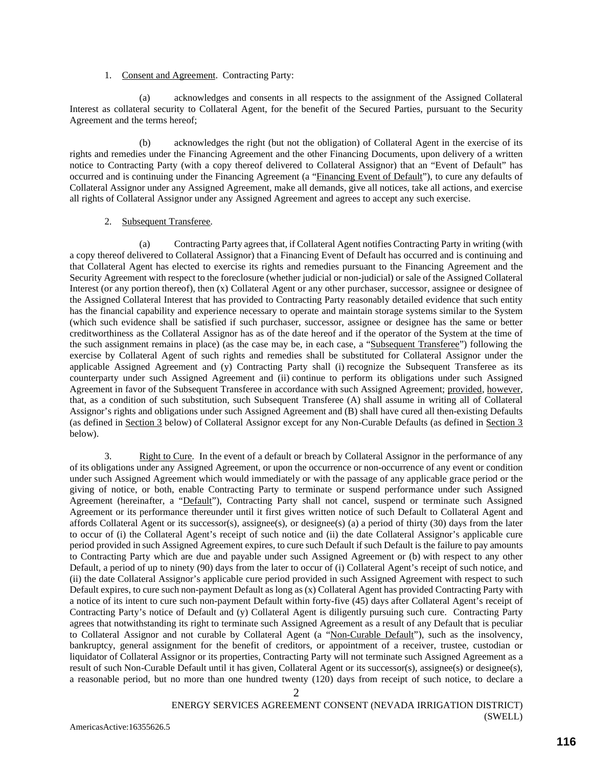#### 1. Consent and Agreement. Contracting Party:

(a) acknowledges and consents in all respects to the assignment of the Assigned Collateral Interest as collateral security to Collateral Agent, for the benefit of the Secured Parties, pursuant to the Security Agreement and the terms hereof;

(b) acknowledges the right (but not the obligation) of Collateral Agent in the exercise of its rights and remedies under the Financing Agreement and the other Financing Documents, upon delivery of a written notice to Contracting Party (with a copy thereof delivered to Collateral Assignor) that an "Event of Default" has occurred and is continuing under the Financing Agreement (a "Financing Event of Default"), to cure any defaults of Collateral Assignor under any Assigned Agreement, make all demands, give all notices, take all actions, and exercise all rights of Collateral Assignor under any Assigned Agreement and agrees to accept any such exercise.

### 2. Subsequent Transferee.

(a) Contracting Party agrees that, if Collateral Agent notifies Contracting Party in writing (with a copy thereof delivered to Collateral Assignor) that a Financing Event of Default has occurred and is continuing and that Collateral Agent has elected to exercise its rights and remedies pursuant to the Financing Agreement and the Security Agreement with respect to the foreclosure (whether judicial or non-judicial) or sale of the Assigned Collateral Interest (or any portion thereof), then (x) Collateral Agent or any other purchaser, successor, assignee or designee of the Assigned Collateral Interest that has provided to Contracting Party reasonably detailed evidence that such entity has the financial capability and experience necessary to operate and maintain storage systems similar to the System (which such evidence shall be satisfied if such purchaser, successor, assignee or designee has the same or better creditworthiness as the Collateral Assignor has as of the date hereof and if the operator of the System at the time of the such assignment remains in place) (as the case may be, in each case, a "Subsequent Transferee") following the exercise by Collateral Agent of such rights and remedies shall be substituted for Collateral Assignor under the applicable Assigned Agreement and (y) Contracting Party shall (i) recognize the Subsequent Transferee as its counterparty under such Assigned Agreement and (ii) continue to perform its obligations under such Assigned Agreement in favor of the Subsequent Transferee in accordance with such Assigned Agreement; provided, however, that, as a condition of such substitution, such Subsequent Transferee (A) shall assume in writing all of Collateral Assignor's rights and obligations under such Assigned Agreement and (B) shall have cured all then-existing Defaults (as defined in Section 3 below) of Collateral Assignor except for any Non-Curable Defaults (as defined in Section 3 below).

3. Right to Cure. In the event of a default or breach by Collateral Assignor in the performance of any of its obligations under any Assigned Agreement, or upon the occurrence or non-occurrence of any event or condition under such Assigned Agreement which would immediately or with the passage of any applicable grace period or the giving of notice, or both, enable Contracting Party to terminate or suspend performance under such Assigned Agreement (hereinafter, a "Default"), Contracting Party shall not cancel, suspend or terminate such Assigned Agreement or its performance thereunder until it first gives written notice of such Default to Collateral Agent and affords Collateral Agent or its successor(s), assignee(s), or designee(s) (a) a period of thirty (30) days from the later to occur of (i) the Collateral Agent's receipt of such notice and (ii) the date Collateral Assignor's applicable cure period provided in such Assigned Agreement expires, to cure such Default if such Default is the failure to pay amounts to Contracting Party which are due and payable under such Assigned Agreement or (b) with respect to any other Default, a period of up to ninety (90) days from the later to occur of (i) Collateral Agent's receipt of such notice, and (ii) the date Collateral Assignor's applicable cure period provided in such Assigned Agreement with respect to such Default expires, to cure such non-payment Default as long as (x) Collateral Agent has provided Contracting Party with a notice of its intent to cure such non-payment Default within forty-five (45) days after Collateral Agent's receipt of Contracting Party's notice of Default and (y) Collateral Agent is diligently pursuing such cure. Contracting Party agrees that notwithstanding its right to terminate such Assigned Agreement as a result of any Default that is peculiar to Collateral Assignor and not curable by Collateral Agent (a "Non-Curable Default"), such as the insolvency, bankruptcy, general assignment for the benefit of creditors, or appointment of a receiver, trustee, custodian or liquidator of Collateral Assignor or its properties, Contracting Party will not terminate such Assigned Agreement as a result of such Non-Curable Default until it has given, Collateral Agent or its successor(s), assignee(s) or designee(s), a reasonable period, but no more than one hundred twenty (120) days from receipt of such notice, to declare a

#### ENERGY SERVICES AGREEMENT CONSENT (NEVADA IRRIGATION DISTRICT) (SWELL)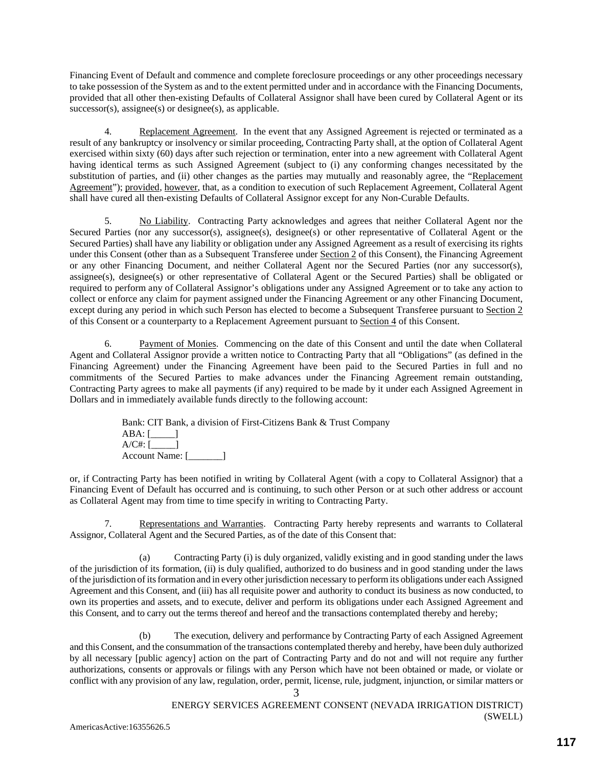Financing Event of Default and commence and complete foreclosure proceedings or any other proceedings necessary to take possession of the System as and to the extent permitted under and in accordance with the Financing Documents, provided that all other then-existing Defaults of Collateral Assignor shall have been cured by Collateral Agent or its  $successor(s)$ ,  $assignee(s)$  or  $designee(s)$ , as applicable.

4. Replacement Agreement. In the event that any Assigned Agreement is rejected or terminated as a result of any bankruptcy or insolvency or similar proceeding, Contracting Party shall, at the option of Collateral Agent exercised within sixty (60) days after such rejection or termination, enter into a new agreement with Collateral Agent having identical terms as such Assigned Agreement (subject to (i) any conforming changes necessitated by the substitution of parties, and (ii) other changes as the parties may mutually and reasonably agree, the "Replacement" Agreement"); provided, however, that, as a condition to execution of such Replacement Agreement, Collateral Agent shall have cured all then-existing Defaults of Collateral Assignor except for any Non-Curable Defaults.

5. No Liability. Contracting Party acknowledges and agrees that neither Collateral Agent nor the Secured Parties (nor any successor(s), assignee(s), designee(s) or other representative of Collateral Agent or the Secured Parties) shall have any liability or obligation under any Assigned Agreement as a result of exercising its rights under this Consent (other than as a Subsequent Transferee under Section 2 of this Consent), the Financing Agreement or any other Financing Document, and neither Collateral Agent nor the Secured Parties (nor any successor(s), assignee(s), designee(s) or other representative of Collateral Agent or the Secured Parties) shall be obligated or required to perform any of Collateral Assignor's obligations under any Assigned Agreement or to take any action to collect or enforce any claim for payment assigned under the Financing Agreement or any other Financing Document, except during any period in which such Person has elected to become a Subsequent Transferee pursuant to Section 2 of this Consent or a counterparty to a Replacement Agreement pursuant to Section 4 of this Consent.

6. Payment of Monies. Commencing on the date of this Consent and until the date when Collateral Agent and Collateral Assignor provide a written notice to Contracting Party that all "Obligations" (as defined in the Financing Agreement) under the Financing Agreement have been paid to the Secured Parties in full and no commitments of the Secured Parties to make advances under the Financing Agreement remain outstanding, Contracting Party agrees to make all payments (if any) required to be made by it under each Assigned Agreement in Dollars and in immediately available funds directly to the following account:

> Bank: CIT Bank, a division of First-Citizens Bank & Trust Company  $ABA:$  [\_\_\_\_\_\_] A/C#: [\_\_\_\_\_] Account Name: [\_\_\_\_\_\_\_\_\_]

or, if Contracting Party has been notified in writing by Collateral Agent (with a copy to Collateral Assignor) that a Financing Event of Default has occurred and is continuing, to such other Person or at such other address or account as Collateral Agent may from time to time specify in writing to Contracting Party.

7. Representations and Warranties. Contracting Party hereby represents and warrants to Collateral Assignor, Collateral Agent and the Secured Parties, as of the date of this Consent that:

(a) Contracting Party (i) is duly organized, validly existing and in good standing under the laws of the jurisdiction of its formation, (ii) is duly qualified, authorized to do business and in good standing under the laws of the jurisdiction of its formation and in every other jurisdiction necessary to perform its obligations under each Assigned Agreement and this Consent, and (iii) has all requisite power and authority to conduct its business as now conducted, to own its properties and assets, and to execute, deliver and perform its obligations under each Assigned Agreement and this Consent, and to carry out the terms thereof and hereof and the transactions contemplated thereby and hereby;

(b) The execution, delivery and performance by Contracting Party of each Assigned Agreement and this Consent, and the consummation of the transactions contemplated thereby and hereby, have been duly authorized by all necessary [public agency] action on the part of Contracting Party and do not and will not require any further authorizations, consents or approvals or filings with any Person which have not been obtained or made, or violate or conflict with any provision of any law, regulation, order, permit, license, rule, judgment, injunction, or similar matters or

3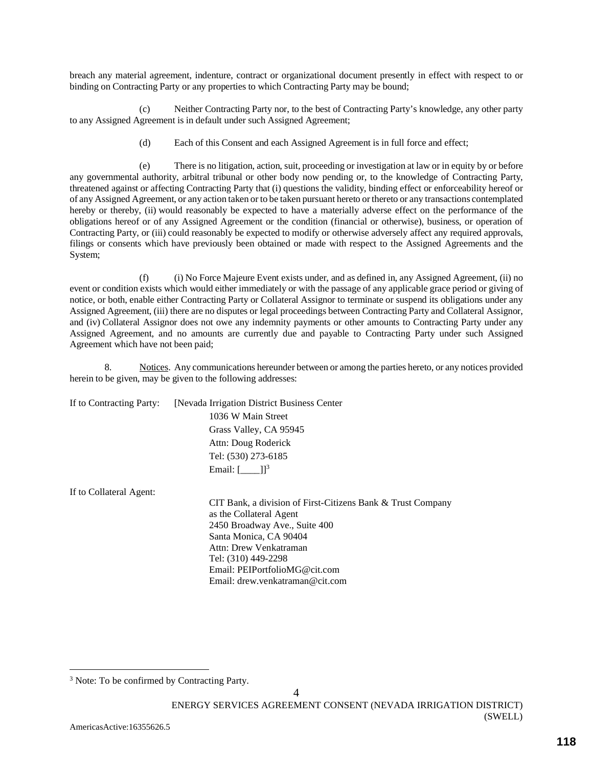breach any material agreement, indenture, contract or organizational document presently in effect with respect to or binding on Contracting Party or any properties to which Contracting Party may be bound;

(c) Neither Contracting Party nor, to the best of Contracting Party's knowledge, any other party to any Assigned Agreement is in default under such Assigned Agreement;

(d) Each of this Consent and each Assigned Agreement is in full force and effect;

(e) There is no litigation, action, suit, proceeding or investigation at law or in equity by or before any governmental authority, arbitral tribunal or other body now pending or, to the knowledge of Contracting Party, threatened against or affecting Contracting Party that (i) questions the validity, binding effect or enforceability hereof or of any Assigned Agreement, or any action taken or to be taken pursuant hereto or thereto or any transactions contemplated hereby or thereby, (ii) would reasonably be expected to have a materially adverse effect on the performance of the obligations hereof or of any Assigned Agreement or the condition (financial or otherwise), business, or operation of Contracting Party, or (iii) could reasonably be expected to modify or otherwise adversely affect any required approvals, filings or consents which have previously been obtained or made with respect to the Assigned Agreements and the System;

(f) (i) No Force Majeure Event exists under, and as defined in, any Assigned Agreement, (ii) no event or condition exists which would either immediately or with the passage of any applicable grace period or giving of notice, or both, enable either Contracting Party or Collateral Assignor to terminate or suspend its obligations under any Assigned Agreement, (iii) there are no disputes or legal proceedings between Contracting Party and Collateral Assignor, and (iv) Collateral Assignor does not owe any indemnity payments or other amounts to Contracting Party under any Assigned Agreement, and no amounts are currently due and payable to Contracting Party under such Assigned Agreement which have not been paid;

8. Notices. Any communications hereunder between or among the parties hereto, or any notices provided herein to be given, may be given to the following addresses:

|  | If to Contracting Party: [Nevada Irrigation District Business Center |
|--|----------------------------------------------------------------------|
|  | 1036 W Main Street                                                   |
|  | Grass Valley, CA 95945                                               |
|  | Attn: Doug Roderick                                                  |
|  | Tel: (530) 273-6185                                                  |
|  | Email: $[$ $]$ <sup>3</sup>                                          |

If to Collateral Agent:

CIT Bank, a division of First-Citizens Bank & Trust Company as the Collateral Agent 2450 Broadway Ave., Suite 400 Santa Monica, CA 90404 Attn: Drew Venkatraman Tel: (310) 449-2298 Email: PEIPortfolioMG@cit.com Email: drew.venkatraman@cit.com

 $\overline{a}$ 

<sup>&</sup>lt;sup>3</sup> Note: To be confirmed by Contracting Party.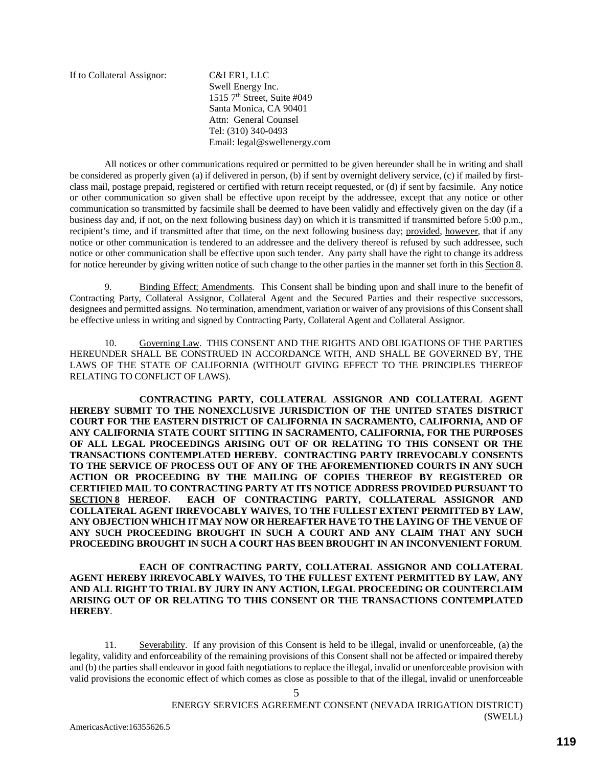If to Collateral Assignor: C&I ER1, LLC

Swell Energy Inc. 1515  $7<sup>th</sup>$  Street, Suite #049 Santa Monica, CA 90401 Attn: General Counsel Tel: (310) 340-0493 Email: legal@swellenergy.com

All notices or other communications required or permitted to be given hereunder shall be in writing and shall be considered as properly given (a) if delivered in person, (b) if sent by overnight delivery service, (c) if mailed by firstclass mail, postage prepaid, registered or certified with return receipt requested, or (d) if sent by facsimile. Any notice or other communication so given shall be effective upon receipt by the addressee, except that any notice or other communication so transmitted by facsimile shall be deemed to have been validly and effectively given on the day (if a business day and, if not, on the next following business day) on which it is transmitted if transmitted before 5:00 p.m., recipient's time, and if transmitted after that time, on the next following business day; provided, however, that if any notice or other communication is tendered to an addressee and the delivery thereof is refused by such addressee, such notice or other communication shall be effective upon such tender. Any party shall have the right to change its address for notice hereunder by giving written notice of such change to the other parties in the manner set forth in this Section 8.

9. Binding Effect; Amendments. This Consent shall be binding upon and shall inure to the benefit of Contracting Party, Collateral Assignor, Collateral Agent and the Secured Parties and their respective successors, designees and permitted assigns. No termination, amendment, variation or waiver of any provisions of this Consent shall be effective unless in writing and signed by Contracting Party, Collateral Agent and Collateral Assignor.

10. Governing Law. THIS CONSENT AND THE RIGHTS AND OBLIGATIONS OF THE PARTIES HEREUNDER SHALL BE CONSTRUED IN ACCORDANCE WITH, AND SHALL BE GOVERNED BY, THE LAWS OF THE STATE OF CALIFORNIA (WITHOUT GIVING EFFECT TO THE PRINCIPLES THEREOF RELATING TO CONFLICT OF LAWS).

**CONTRACTING PARTY, COLLATERAL ASSIGNOR AND COLLATERAL AGENT HEREBY SUBMIT TO THE NONEXCLUSIVE JURISDICTION OF THE UNITED STATES DISTRICT COURT FOR THE EASTERN DISTRICT OF CALIFORNIA IN SACRAMENTO, CALIFORNIA, AND OF ANY CALIFORNIA STATE COURT SITTING IN SACRAMENTO, CALIFORNIA, FOR THE PURPOSES OF ALL LEGAL PROCEEDINGS ARISING OUT OF OR RELATING TO THIS CONSENT OR THE TRANSACTIONS CONTEMPLATED HEREBY. CONTRACTING PARTY IRREVOCABLY CONSENTS TO THE SERVICE OF PROCESS OUT OF ANY OF THE AFOREMENTIONED COURTS IN ANY SUCH ACTION OR PROCEEDING BY THE MAILING OF COPIES THEREOF BY REGISTERED OR CERTIFIED MAIL TO CONTRACTING PARTY AT ITS NOTICE ADDRESS PROVIDED PURSUANT TO SECTION 8 HEREOF. EACH OF CONTRACTING PARTY, COLLATERAL ASSIGNOR AND COLLATERAL AGENT IRREVOCABLY WAIVES, TO THE FULLEST EXTENT PERMITTED BY LAW, ANY OBJECTION WHICH IT MAY NOW OR HEREAFTER HAVE TO THE LAYING OF THE VENUE OF ANY SUCH PROCEEDING BROUGHT IN SUCH A COURT AND ANY CLAIM THAT ANY SUCH PROCEEDING BROUGHT IN SUCH A COURT HAS BEEN BROUGHT IN AN INCONVENIENT FORUM**.

### **EACH OF CONTRACTING PARTY, COLLATERAL ASSIGNOR AND COLLATERAL AGENT HEREBY IRREVOCABLY WAIVES, TO THE FULLEST EXTENT PERMITTED BY LAW, ANY AND ALL RIGHT TO TRIAL BY JURY IN ANY ACTION, LEGAL PROCEEDING OR COUNTERCLAIM ARISING OUT OF OR RELATING TO THIS CONSENT OR THE TRANSACTIONS CONTEMPLATED HEREBY**.

11. Severability. If any provision of this Consent is held to be illegal, invalid or unenforceable, (a) the legality, validity and enforceability of the remaining provisions of this Consent shall not be affected or impaired thereby and (b) the parties shall endeavor in good faith negotiations to replace the illegal, invalid or unenforceable provision with valid provisions the economic effect of which comes as close as possible to that of the illegal, invalid or unenforceable

5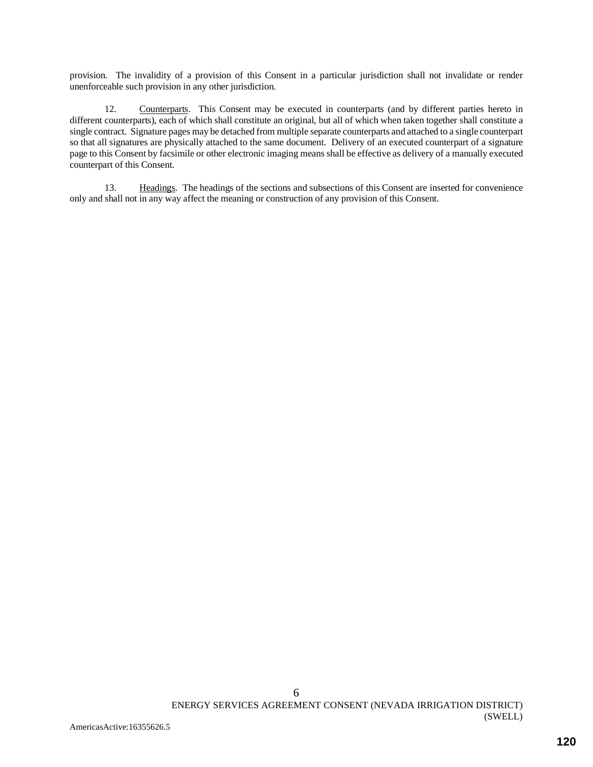provision. The invalidity of a provision of this Consent in a particular jurisdiction shall not invalidate or render unenforceable such provision in any other jurisdiction.

12. Counterparts. This Consent may be executed in counterparts (and by different parties hereto in different counterparts), each of which shall constitute an original, but all of which when taken together shall constitute a single contract. Signature pages may be detached from multiple separate counterparts and attached to a single counterpart so that all signatures are physically attached to the same document. Delivery of an executed counterpart of a signature page to this Consent by facsimile or other electronic imaging means shall be effective as delivery of a manually executed counterpart of this Consent.

13. Headings. The headings of the sections and subsections of this Consent are inserted for convenience only and shall not in any way affect the meaning or construction of any provision of this Consent.